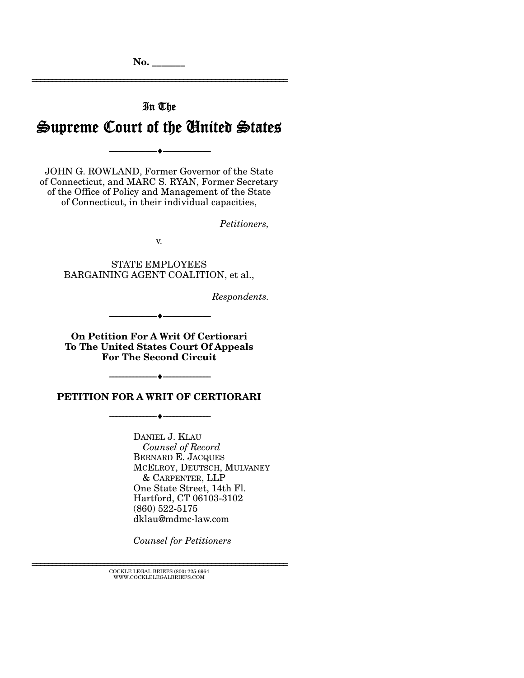**No. \_\_\_\_\_\_\_** 

# In The Supreme Court of the United States

--------------------------------- ---------------------------------

================================================================

JOHN G. ROWLAND, Former Governor of the State of Connecticut, and MARC S. RYAN, Former Secretary of the Office of Policy and Management of the State of Connecticut, in their individual capacities,

*Petitioners,* 

v.

STATE EMPLOYEES BARGAINING AGENT COALITION, et al.,

*Respondents.* 

--------------------------------- ---------------------------------

**On Petition For A Writ Of Certiorari To The United States Court Of Appeals For The Second Circuit** 

**PETITION FOR A WRIT OF CERTIORARI** 

--------------------------------- ---------------------------------

--------------------------------- ---------------------------------

DANIEL J. KLAU *Counsel of Record*  BERNARD E. JACQUES MCELROY, DEUTSCH, MULVANEY & CARPENTER, LLP One State Street, 14th Fl. Hartford, CT 06103-3102 (860) 522-5175 dklau@mdmc-law.com

*Counsel for Petitioners*

================================================================ COCKLE LEGAL BRIEFS (800) 225-6964 WWW.COCKLELEGALBRIEFS.COM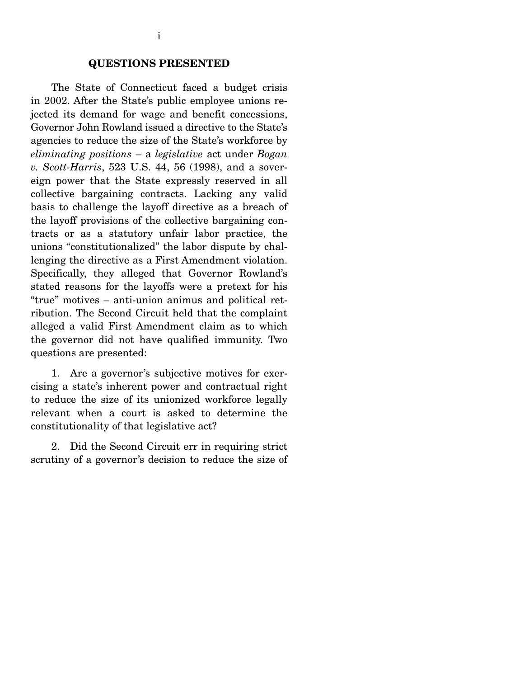#### **QUESTIONS PRESENTED**

 The State of Connecticut faced a budget crisis in 2002. After the State's public employee unions rejected its demand for wage and benefit concessions, Governor John Rowland issued a directive to the State's agencies to reduce the size of the State's workforce by *eliminating positions* – a *legislative* act under *Bogan v. Scott-Harris*, 523 U.S. 44, 56 (1998), and a sovereign power that the State expressly reserved in all collective bargaining contracts. Lacking any valid basis to challenge the layoff directive as a breach of the layoff provisions of the collective bargaining contracts or as a statutory unfair labor practice, the unions "constitutionalized" the labor dispute by challenging the directive as a First Amendment violation. Specifically, they alleged that Governor Rowland's stated reasons for the layoffs were a pretext for his "true" motives – anti-union animus and political retribution. The Second Circuit held that the complaint alleged a valid First Amendment claim as to which the governor did not have qualified immunity. Two questions are presented:

 1. Are a governor's subjective motives for exercising a state's inherent power and contractual right to reduce the size of its unionized workforce legally relevant when a court is asked to determine the constitutionality of that legislative act?

 2. Did the Second Circuit err in requiring strict scrutiny of a governor's decision to reduce the size of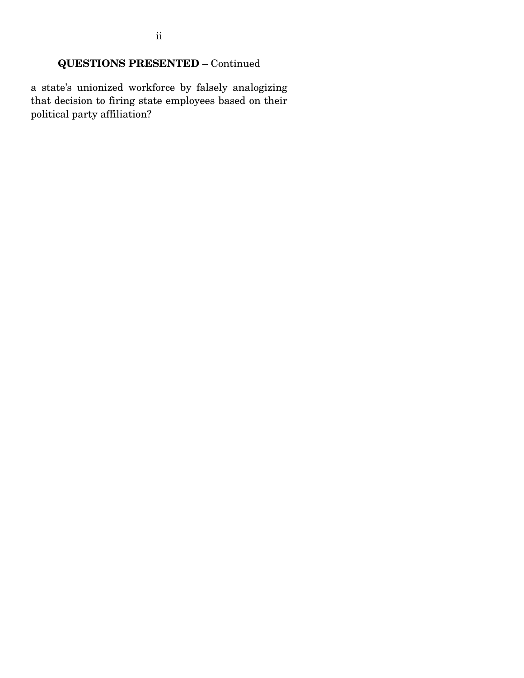# **QUESTIONS PRESENTED** – Continued

a state's unionized workforce by falsely analogizing that decision to firing state employees based on their political party affiliation?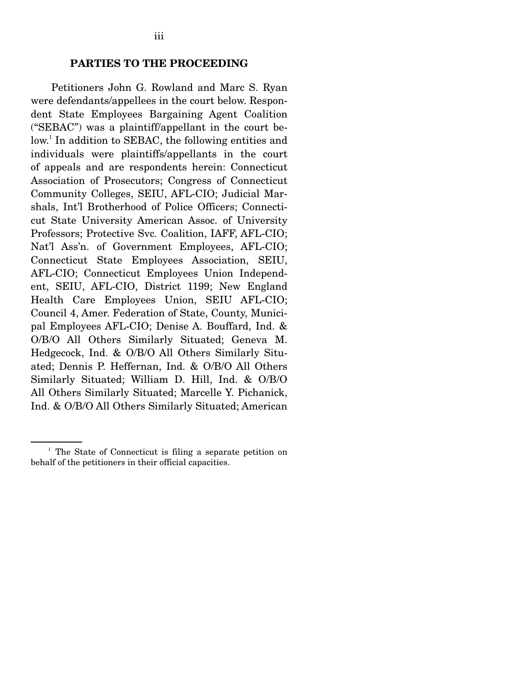#### **PARTIES TO THE PROCEEDING**

 Petitioners John G. Rowland and Marc S. Ryan were defendants/appellees in the court below. Respondent State Employees Bargaining Agent Coalition ("SEBAC") was a plaintiff/appellant in the court below.<sup>1</sup> In addition to SEBAC, the following entities and individuals were plaintiffs/appellants in the court of appeals and are respondents herein: Connecticut Association of Prosecutors; Congress of Connecticut Community Colleges, SEIU, AFL-CIO; Judicial Marshals, Int'l Brotherhood of Police Officers; Connecticut State University American Assoc. of University Professors; Protective Svc. Coalition, IAFF, AFL-CIO; Nat'l Ass'n. of Government Employees, AFL-CIO; Connecticut State Employees Association, SEIU, AFL-CIO; Connecticut Employees Union Independent, SEIU, AFL-CIO, District 1199; New England Health Care Employees Union, SEIU AFL-CIO; Council 4, Amer. Federation of State, County, Municipal Employees AFL-CIO; Denise A. Bouffard, Ind. & O/B/O All Others Similarly Situated; Geneva M. Hedgecock, Ind. & O/B/O All Others Similarly Situated; Dennis P. Heffernan, Ind. & O/B/O All Others Similarly Situated; William D. Hill, Ind. & O/B/O All Others Similarly Situated; Marcelle Y. Pichanick, Ind. & O/B/O All Others Similarly Situated; American

<sup>&</sup>lt;sup>1</sup> The State of Connecticut is filing a separate petition on behalf of the petitioners in their official capacities.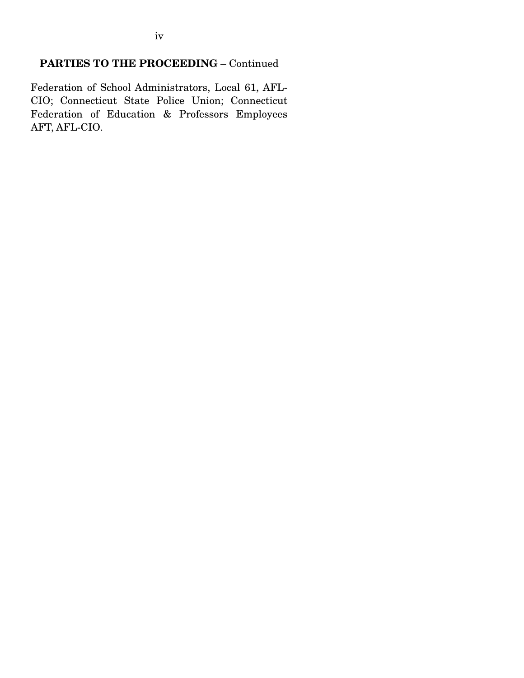# **PARTIES TO THE PROCEEDING** – Continued

Federation of School Administrators, Local 61, AFL-CIO; Connecticut State Police Union; Connecticut Federation of Education & Professors Employees AFT, AFL-CIO.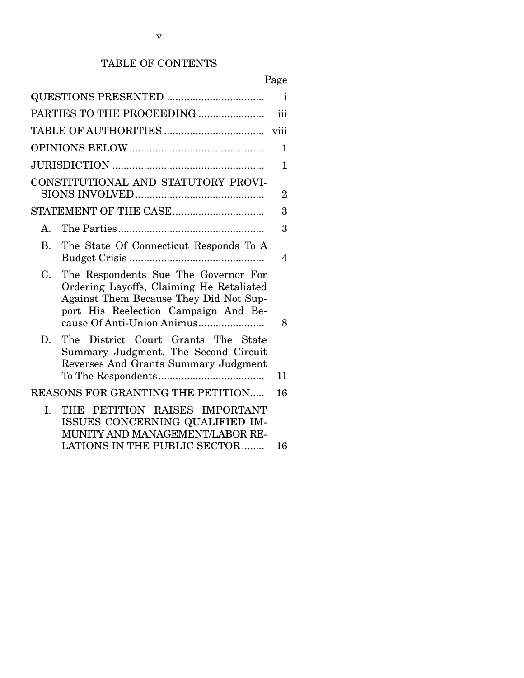# TABLE OF CONTENTS

| $\mathbf{i}$<br>PARTIES TO THE PROCEEDING<br>iii<br>viii<br>$\mathbf{1}$<br>1<br>CONSTITUTIONAL AND STATUTORY PROVI-<br>$\overline{2}$<br>STATEMENT OF THE CASE<br>3<br>3<br>A.<br>The State Of Connecticut Responds To A<br>$\mathbf{B}$ .<br>4<br>C.<br>The Respondents Sue The Governor For<br>Ordering Layoffs, Claiming He Retaliated<br>Against Them Because They Did Not Sup-<br>port His Reelection Campaign And Be-<br>8<br>D.<br>The District Court Grants The State<br>Summary Judgment. The Second Circuit<br>Reverses And Grants Summary Judgment<br>11<br>REASONS FOR GRANTING THE PETITION<br>16<br>THE PETITION RAISES IMPORTANT<br>I.<br>ISSUES CONCERNING QUALIFIED IM-<br>MUNITY AND MANAGEMENT/LABOR RE-<br>LATIONS IN THE PUBLIC SECTOR<br>16 |  | 1 age |
|--------------------------------------------------------------------------------------------------------------------------------------------------------------------------------------------------------------------------------------------------------------------------------------------------------------------------------------------------------------------------------------------------------------------------------------------------------------------------------------------------------------------------------------------------------------------------------------------------------------------------------------------------------------------------------------------------------------------------------------------------------------------|--|-------|
|                                                                                                                                                                                                                                                                                                                                                                                                                                                                                                                                                                                                                                                                                                                                                                    |  |       |
|                                                                                                                                                                                                                                                                                                                                                                                                                                                                                                                                                                                                                                                                                                                                                                    |  |       |
|                                                                                                                                                                                                                                                                                                                                                                                                                                                                                                                                                                                                                                                                                                                                                                    |  |       |
|                                                                                                                                                                                                                                                                                                                                                                                                                                                                                                                                                                                                                                                                                                                                                                    |  |       |
|                                                                                                                                                                                                                                                                                                                                                                                                                                                                                                                                                                                                                                                                                                                                                                    |  |       |
|                                                                                                                                                                                                                                                                                                                                                                                                                                                                                                                                                                                                                                                                                                                                                                    |  |       |
|                                                                                                                                                                                                                                                                                                                                                                                                                                                                                                                                                                                                                                                                                                                                                                    |  |       |
|                                                                                                                                                                                                                                                                                                                                                                                                                                                                                                                                                                                                                                                                                                                                                                    |  |       |
|                                                                                                                                                                                                                                                                                                                                                                                                                                                                                                                                                                                                                                                                                                                                                                    |  |       |
|                                                                                                                                                                                                                                                                                                                                                                                                                                                                                                                                                                                                                                                                                                                                                                    |  |       |
|                                                                                                                                                                                                                                                                                                                                                                                                                                                                                                                                                                                                                                                                                                                                                                    |  |       |
|                                                                                                                                                                                                                                                                                                                                                                                                                                                                                                                                                                                                                                                                                                                                                                    |  |       |
|                                                                                                                                                                                                                                                                                                                                                                                                                                                                                                                                                                                                                                                                                                                                                                    |  |       |

# Page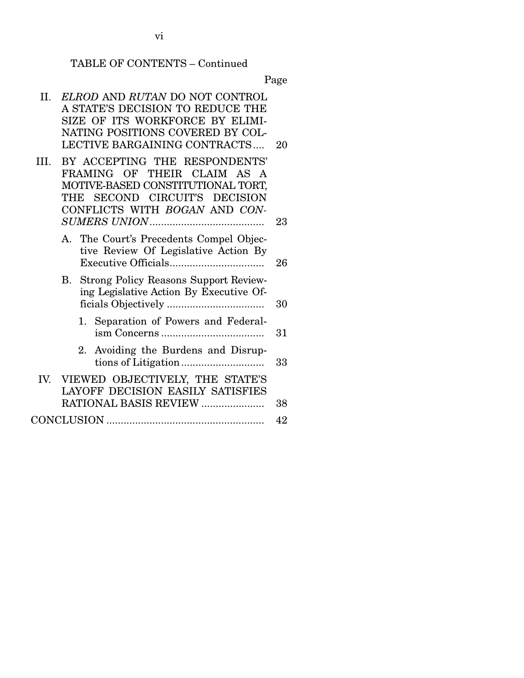vi

Page

| П.   | ELROD AND RUTAN DO NOT CONTROL<br>A STATE'S DECISION TO REDUCE THE<br>SIZE OF ITS WORKFORCE BY ELIMI-<br>NATING POSITIONS COVERED BY COL-                           |    |
|------|---------------------------------------------------------------------------------------------------------------------------------------------------------------------|----|
|      | LECTIVE BARGAINING CONTRACTS                                                                                                                                        | 20 |
| III. | BY ACCEPTING THE RESPONDENTS'<br>FRAMING OF THEIR CLAIM AS A<br>MOTIVE-BASED CONSTITUTIONAL TORT,<br>THE SECOND CIRCUIT'S DECISION<br>CONFLICTS WITH BOGAN AND CON- | 23 |
|      | A. The Court's Precedents Compel Objec-<br>tive Review Of Legislative Action By                                                                                     | 26 |
|      | B. Strong Policy Reasons Support Review-<br>ing Legislative Action By Executive Of-                                                                                 | 30 |
|      | 1. Separation of Powers and Federal-                                                                                                                                | 31 |
|      | 2. Avoiding the Burdens and Disrup-                                                                                                                                 | 33 |
|      | IV. VIEWED OBJECTIVELY, THE STATE'S<br><b>LAYOFF DECISION EASILY SATISFIES</b><br>RATIONAL BASIS REVIEW                                                             | 38 |
|      |                                                                                                                                                                     | 42 |
|      |                                                                                                                                                                     |    |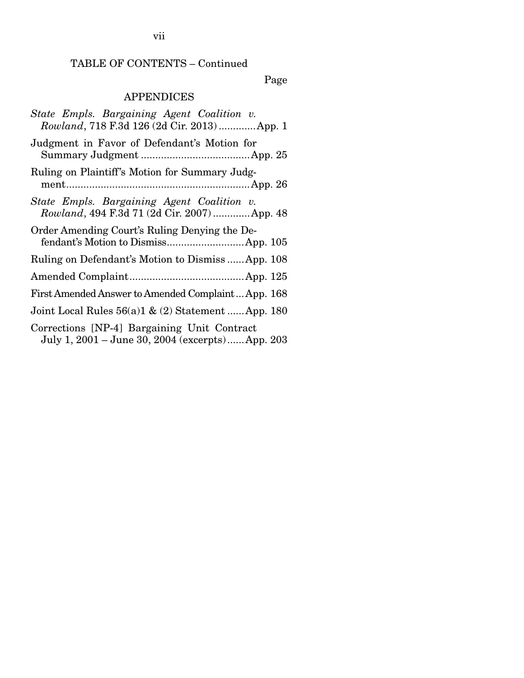# TABLE OF CONTENTS – Continued

Page

# APPENDICES

| State Empls. Bargaining Agent Coalition v.<br>Rowland, 718 F.3d 126 (2d Cir. 2013)  App. 1     |
|------------------------------------------------------------------------------------------------|
| Judgment in Favor of Defendant's Motion for                                                    |
| Ruling on Plaintiff's Motion for Summary Judg-                                                 |
| State Empls. Bargaining Agent Coalition v.<br>Rowland, 494 F.3d 71 (2d Cir. 2007)  App. 48     |
| Order Amending Court's Ruling Denying the De-                                                  |
| Ruling on Defendant's Motion to DismissApp. 108                                                |
|                                                                                                |
| First Amended Answer to Amended Complaint App. 168                                             |
| Joint Local Rules $56(a)1 \& (2)$ Statement  App. 180                                          |
| Corrections [NP-4] Bargaining Unit Contract<br>July 1, 2001 - June 30, 2004 (excerpts)App. 203 |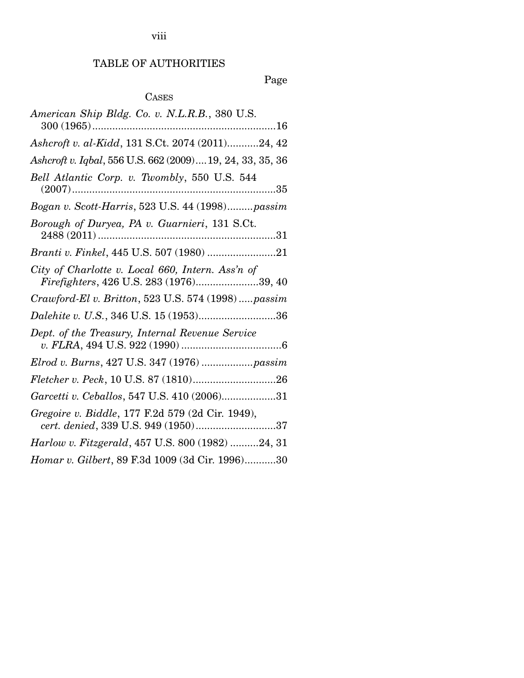# viii

# TABLE OF AUTHORITIES

# Page

# CASES

| American Ship Bldg. Co. v. N.L.R.B., 380 U.S.                                               |
|---------------------------------------------------------------------------------------------|
| Ashcroft v. al-Kidd, 131 S.Ct. 2074 (2011)24, 42                                            |
| Ashcroft v. Iqbal, 556 U.S. 662 (2009) 19, 24, 33, 35, 36                                   |
| Bell Atlantic Corp. v. Twombly, 550 U.S. 544                                                |
| Bogan v. Scott-Harris, 523 U.S. 44 (1998)passim                                             |
| Borough of Duryea, PA v. Guarnieri, 131 S.Ct.                                               |
| Branti v. Finkel, 445 U.S. 507 (1980) 21                                                    |
| City of Charlotte v. Local 660, Intern. Ass'n of<br>Firefighters, 426 U.S. 283 (1976)39, 40 |
| Crawford-El v. Britton, 523 U.S. 574 (1998)  passim                                         |
| Dalehite v. U.S., 346 U.S. 15 (1953)36                                                      |
| Dept. of the Treasury, Internal Revenue Service                                             |
|                                                                                             |
|                                                                                             |
| Garcetti v. Ceballos, 547 U.S. 410 (2006)31                                                 |
| Gregoire v. Biddle, 177 F.2d 579 (2d Cir. 1949),<br>cert. denied, 339 U.S. 949 (1950)37     |
| Harlow v. Fitzgerald, 457 U.S. 800 (1982) 24, 31                                            |
| Homar v. Gilbert, 89 F.3d 1009 (3d Cir. 1996)30                                             |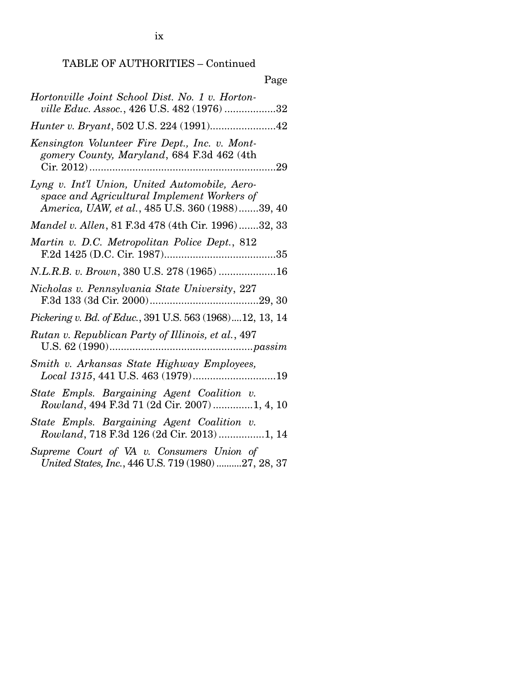TABLE OF AUTHORITIES – Continued

| Page                                                                                                                                            |
|-------------------------------------------------------------------------------------------------------------------------------------------------|
| Hortonville Joint School Dist. No. 1 v. Horton-<br>ville Educ. Assoc., 426 U.S. 482 (1976) 32                                                   |
| Hunter v. Bryant, 502 U.S. 224 (1991)42                                                                                                         |
| Kensington Volunteer Fire Dept., Inc. v. Mont-<br>gomery County, Maryland, 684 F.3d 462 (4th                                                    |
| Lyng v. Int'l Union, United Automobile, Aero-<br>space and Agricultural Implement Workers of<br>America, UAW, et al., 485 U.S. 360 (1988)39, 40 |
| Mandel v. Allen, 81 F.3d 478 (4th Cir. 1996)32, 33                                                                                              |
| Martin v. D.C. Metropolitan Police Dept., 812                                                                                                   |
| N.L.R.B. v. Brown, 380 U.S. 278 (1965) 16                                                                                                       |
| Nicholas v. Pennsylvania State University, 227                                                                                                  |
| Pickering v. Bd. of Educ., 391 U.S. 563 (1968)12, 13, 14                                                                                        |
| Rutan v. Republican Party of Illinois, et al., 497                                                                                              |
| Smith v. Arkansas State Highway Employees,                                                                                                      |
| State Empls. Bargaining Agent Coalition v.<br>Rowland, 494 F.3d 71 (2d Cir. 2007) 1, 4, 10                                                      |
| State Empls. Bargaining Agent Coalition v.<br>Rowland, 718 F.3d 126 (2d Cir. 2013) 1, 14                                                        |
| Supreme Court of VA v. Consumers Union of<br>United States, Inc., 446 U.S. 719 (1980) 27, 28, 37                                                |

ix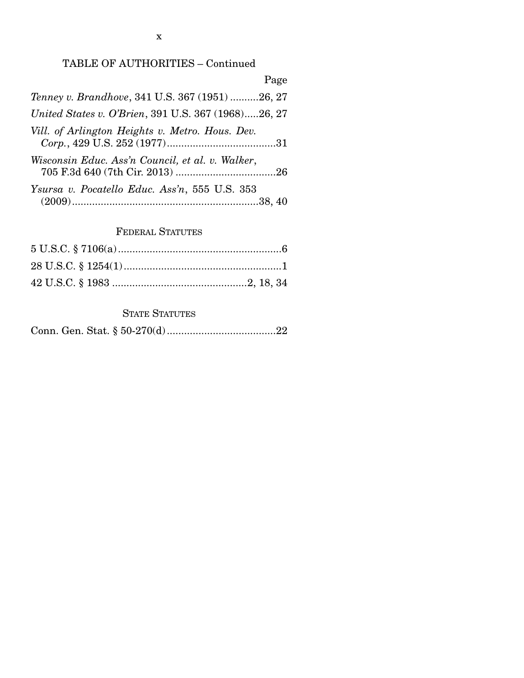# TABLE OF AUTHORITIES – Continued

| Page                                                |
|-----------------------------------------------------|
| Tenney v. Brandhove, 341 U.S. 367 (1951) 26, 27     |
| United States v. O'Brien, 391 U.S. 367 (1968)26, 27 |
| Vill. of Arlington Heights v. Metro. Hous. Dev.     |
| Wisconsin Educ. Ass'n Council, et al. v. Walker,    |
| Ysursa v. Pocatello Educ. Ass'n, 555 U.S. 353       |

# FEDERAL STATUTES

# STATE STATUTES

|--|--|--|--|--|--|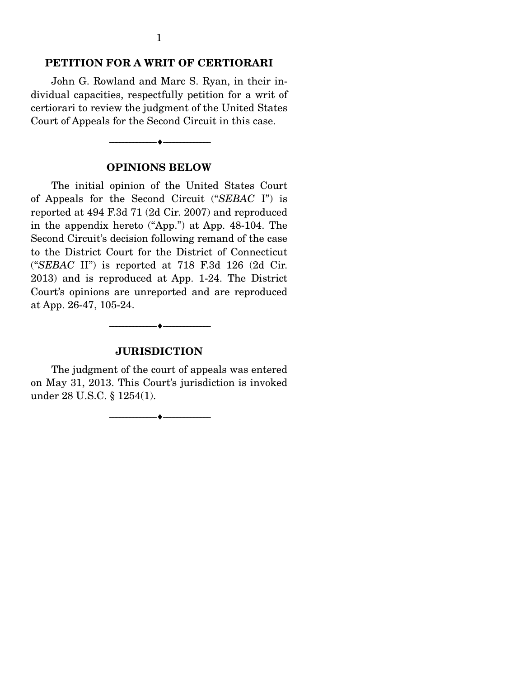#### **PETITION FOR A WRIT OF CERTIORARI**

 John G. Rowland and Marc S. Ryan, in their individual capacities, respectfully petition for a writ of certiorari to review the judgment of the United States Court of Appeals for the Second Circuit in this case.

#### **OPINIONS BELOW**

--------------------------------- ---------------------------------

 The initial opinion of the United States Court of Appeals for the Second Circuit ("*SEBAC* I") is reported at 494 F.3d 71 (2d Cir. 2007) and reproduced in the appendix hereto ("App.") at App. 48-104. The Second Circuit's decision following remand of the case to the District Court for the District of Connecticut ("*SEBAC* II") is reported at 718 F.3d 126 (2d Cir. 2013) and is reproduced at App. 1-24. The District Court's opinions are unreported and are reproduced at App. 26-47, 105-24.

#### **JURISDICTION**

 $\longrightarrow \hspace*{-.2cm}\longrightarrow$ 

 The judgment of the court of appeals was entered on May 31, 2013. This Court's jurisdiction is invoked under 28 U.S.C. § 1254(1).

--------------------------------- ---------------------------------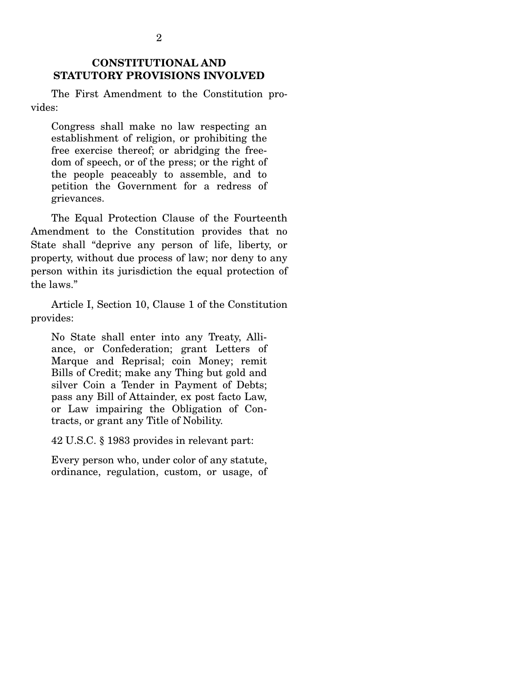### **CONSTITUTIONAL AND STATUTORY PROVISIONS INVOLVED**

 The First Amendment to the Constitution provides:

Congress shall make no law respecting an establishment of religion, or prohibiting the free exercise thereof; or abridging the freedom of speech, or of the press; or the right of the people peaceably to assemble, and to petition the Government for a redress of grievances.

 The Equal Protection Clause of the Fourteenth Amendment to the Constitution provides that no State shall "deprive any person of life, liberty, or property, without due process of law; nor deny to any person within its jurisdiction the equal protection of the laws."

 Article I, Section 10, Clause 1 of the Constitution provides:

No State shall enter into any Treaty, Alliance, or Confederation; grant Letters of Marque and Reprisal; coin Money; remit Bills of Credit; make any Thing but gold and silver Coin a Tender in Payment of Debts; pass any Bill of Attainder, ex post facto Law, or Law impairing the Obligation of Contracts, or grant any Title of Nobility.

42 U.S.C. § 1983 provides in relevant part:

Every person who, under color of any statute, ordinance, regulation, custom, or usage, of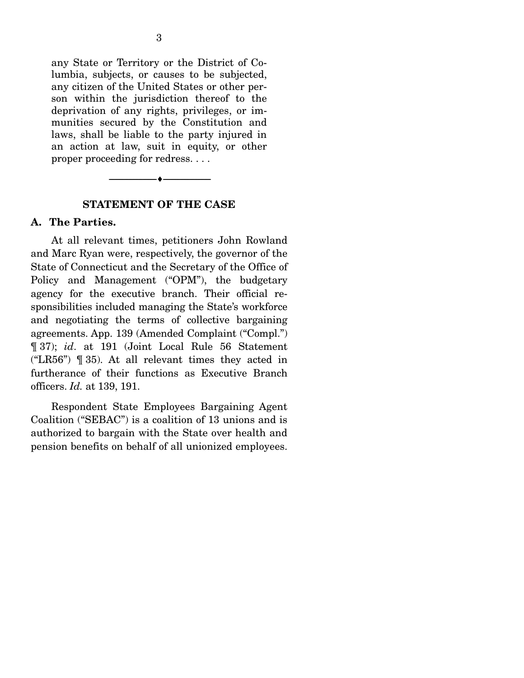any State or Territory or the District of Columbia, subjects, or causes to be subjected, any citizen of the United States or other person within the jurisdiction thereof to the deprivation of any rights, privileges, or immunities secured by the Constitution and laws, shall be liable to the party injured in an action at law, suit in equity, or other proper proceeding for redress. . . .



#### **STATEMENT OF THE CASE**

#### **A. The Parties.**

 At all relevant times, petitioners John Rowland and Marc Ryan were, respectively, the governor of the State of Connecticut and the Secretary of the Office of Policy and Management ("OPM"), the budgetary agency for the executive branch. Their official responsibilities included managing the State's workforce and negotiating the terms of collective bargaining agreements. App. 139 (Amended Complaint ("Compl.") ¶ 37); *id*. at 191 (Joint Local Rule 56 Statement ("LR56") ¶ 35). At all relevant times they acted in furtherance of their functions as Executive Branch officers. *Id.* at 139, 191.

 Respondent State Employees Bargaining Agent Coalition ("SEBAC") is a coalition of 13 unions and is authorized to bargain with the State over health and pension benefits on behalf of all unionized employees.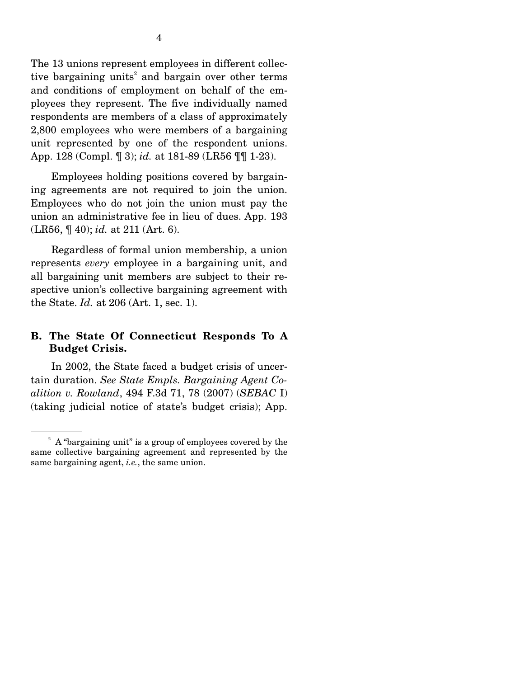The 13 unions represent employees in different collective bargaining units<sup>2</sup> and bargain over other terms and conditions of employment on behalf of the employees they represent. The five individually named respondents are members of a class of approximately 2,800 employees who were members of a bargaining unit represented by one of the respondent unions. App. 128 (Compl. ¶ 3); *id.* at 181-89 (LR56 ¶¶ 1-23).

 Employees holding positions covered by bargaining agreements are not required to join the union. Employees who do not join the union must pay the union an administrative fee in lieu of dues. App. 193 (LR56, ¶ 40); *id.* at 211 (Art. 6).

 Regardless of formal union membership, a union represents *every* employee in a bargaining unit, and all bargaining unit members are subject to their respective union's collective bargaining agreement with the State. *Id.* at 206 (Art. 1, sec. 1).

### **B. The State Of Connecticut Responds To A Budget Crisis.**

 In 2002, the State faced a budget crisis of uncertain duration. *See State Empls. Bargaining Agent Coalition v. Rowland*, 494 F.3d 71, 78 (2007) (*SEBAC* I) (taking judicial notice of state's budget crisis); App.

<sup>&</sup>lt;sup>2</sup> A "bargaining unit" is a group of employees covered by the same collective bargaining agreement and represented by the same bargaining agent, *i.e.*, the same union.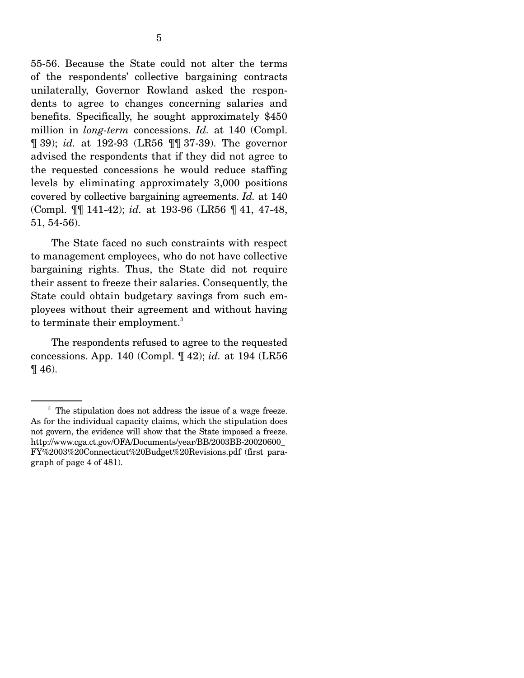55-56. Because the State could not alter the terms of the respondents' collective bargaining contracts unilaterally, Governor Rowland asked the respondents to agree to changes concerning salaries and benefits. Specifically, he sought approximately \$450 million in *long-term* concessions. *Id.* at 140 (Compl. ¶ 39); *id.* at 192-93 (LR56 ¶¶ 37-39). The governor advised the respondents that if they did not agree to the requested concessions he would reduce staffing levels by eliminating approximately 3,000 positions covered by collective bargaining agreements. *Id.* at 140 (Compl. ¶¶ 141-42); *id.* at 193-96 (LR56 ¶ 41, 47-48, 51, 54-56).

 The State faced no such constraints with respect to management employees, who do not have collective bargaining rights. Thus, the State did not require their assent to freeze their salaries. Consequently, the State could obtain budgetary savings from such employees without their agreement and without having to terminate their employment.<sup>3</sup>

 The respondents refused to agree to the requested concessions. App. 140 (Compl. ¶ 42); *id.* at 194 (LR56  $\P$  46).

<sup>&</sup>lt;sup>3</sup> The stipulation does not address the issue of a wage freeze. As for the individual capacity claims, which the stipulation does not govern, the evidence will show that the State imposed a freeze. http://www.cga.ct.gov/OFA/Documents/year/BB/2003BB-20020600\_ FY%2003%20Connecticut%20Budget%20Revisions.pdf (first paragraph of page 4 of 481).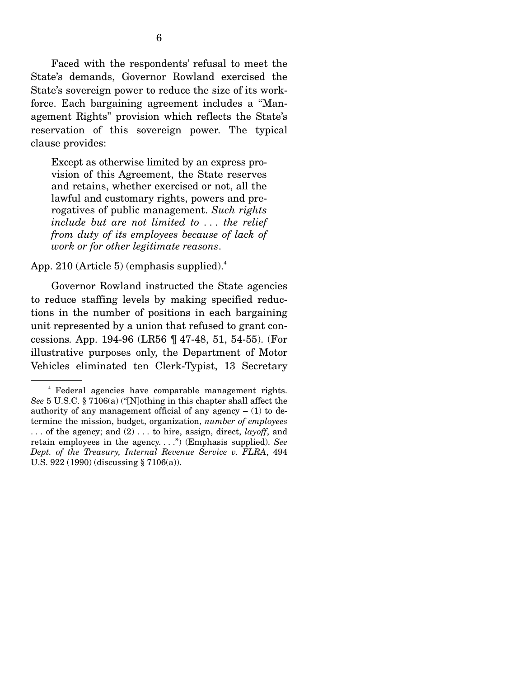Faced with the respondents' refusal to meet the State's demands, Governor Rowland exercised the State's sovereign power to reduce the size of its workforce. Each bargaining agreement includes a "Management Rights" provision which reflects the State's reservation of this sovereign power. The typical clause provides:

Except as otherwise limited by an express provision of this Agreement, the State reserves and retains, whether exercised or not, all the lawful and customary rights, powers and prerogatives of public management. *Such rights include but are not limited to . . . the relief from duty of its employees because of lack of work or for other legitimate reasons*.

App. 210 (Article 5) (emphasis supplied). $4$ 

 Governor Rowland instructed the State agencies to reduce staffing levels by making specified reductions in the number of positions in each bargaining unit represented by a union that refused to grant concessions*.* App. 194-96 (LR56 ¶ 47-48, 51, 54-55). (For illustrative purposes only, the Department of Motor Vehicles eliminated ten Clerk-Typist, 13 Secretary

<sup>4</sup> Federal agencies have comparable management rights. *See* 5 U.S.C. § 7106(a) ("[N]othing in this chapter shall affect the authority of any management official of any agency  $- (1)$  to determine the mission, budget, organization, *number of employees* . . . of the agency; and (2) . . . to hire, assign, direct, *layoff*, and retain employees in the agency. . . .") (Emphasis supplied). *See Dept. of the Treasury, Internal Revenue Service v. FLRA*, 494 U.S. 922 (1990) (discussing § 7106(a)).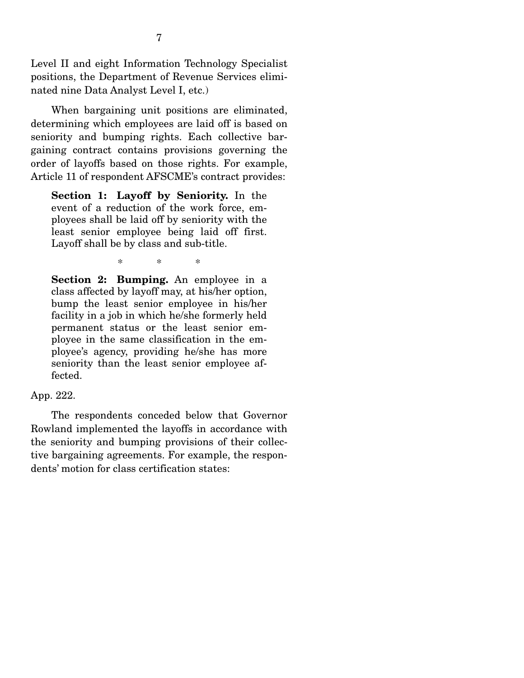Level II and eight Information Technology Specialist positions, the Department of Revenue Services eliminated nine Data Analyst Level I, etc.)

 When bargaining unit positions are eliminated, determining which employees are laid off is based on seniority and bumping rights. Each collective bargaining contract contains provisions governing the order of layoffs based on those rights. For example, Article 11 of respondent AFSCME's contract provides:

**Section 1: Layoff by Seniority.** In the event of a reduction of the work force, employees shall be laid off by seniority with the least senior employee being laid off first. Layoff shall be by class and sub-title.

\* \* \*

**Section 2: Bumping.** An employee in a class affected by layoff may, at his/her option, bump the least senior employee in his/her facility in a job in which he/she formerly held permanent status or the least senior employee in the same classification in the employee's agency, providing he/she has more seniority than the least senior employee affected.

### App. 222.

 The respondents conceded below that Governor Rowland implemented the layoffs in accordance with the seniority and bumping provisions of their collective bargaining agreements. For example, the respondents' motion for class certification states: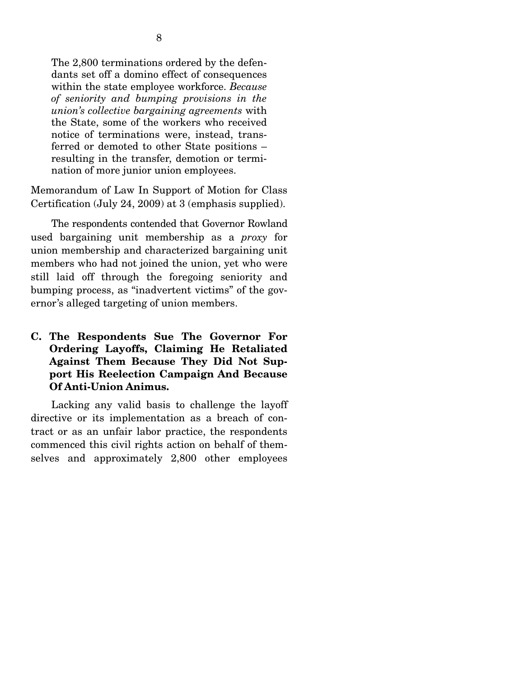The 2,800 terminations ordered by the defendants set off a domino effect of consequences within the state employee workforce. *Because of seniority and bumping provisions in the union's collective bargaining agreements* with the State, some of the workers who received notice of terminations were, instead, transferred or demoted to other State positions – resulting in the transfer, demotion or termination of more junior union employees.

Memorandum of Law In Support of Motion for Class Certification (July 24, 2009) at 3 (emphasis supplied).

 The respondents contended that Governor Rowland used bargaining unit membership as a *proxy* for union membership and characterized bargaining unit members who had not joined the union, yet who were still laid off through the foregoing seniority and bumping process, as "inadvertent victims" of the governor's alleged targeting of union members.

### **C. The Respondents Sue The Governor For Ordering Layoffs, Claiming He Retaliated Against Them Because They Did Not Support His Reelection Campaign And Because Of Anti-Union Animus.**

 Lacking any valid basis to challenge the layoff directive or its implementation as a breach of contract or as an unfair labor practice, the respondents commenced this civil rights action on behalf of themselves and approximately 2,800 other employees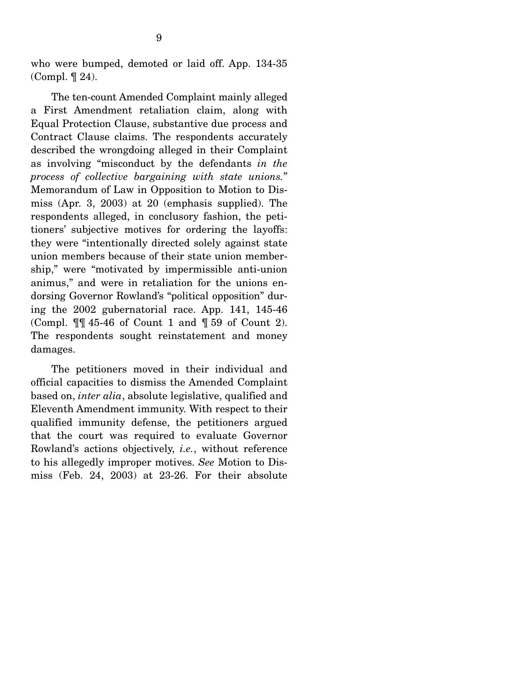who were bumped, demoted or laid off. App. 134-35 (Compl. ¶ 24).

 The ten-count Amended Complaint mainly alleged a First Amendment retaliation claim, along with Equal Protection Clause, substantive due process and Contract Clause claims. The respondents accurately described the wrongdoing alleged in their Complaint as involving "misconduct by the defendants *in the process of collective bargaining with state unions.*" Memorandum of Law in Opposition to Motion to Dismiss (Apr. 3, 2003) at 20 (emphasis supplied). The respondents alleged, in conclusory fashion, the petitioners' subjective motives for ordering the layoffs: they were "intentionally directed solely against state union members because of their state union membership," were "motivated by impermissible anti-union animus," and were in retaliation for the unions endorsing Governor Rowland's "political opposition" during the 2002 gubernatorial race. App. 141, 145-46 (Compl. ¶¶ 45-46 of Count 1 and ¶ 59 of Count 2). The respondents sought reinstatement and money damages.

 The petitioners moved in their individual and official capacities to dismiss the Amended Complaint based on, *inter alia*, absolute legislative, qualified and Eleventh Amendment immunity. With respect to their qualified immunity defense, the petitioners argued that the court was required to evaluate Governor Rowland's actions objectively, *i.e.*, without reference to his allegedly improper motives. *See* Motion to Dismiss (Feb. 24, 2003) at 23-26. For their absolute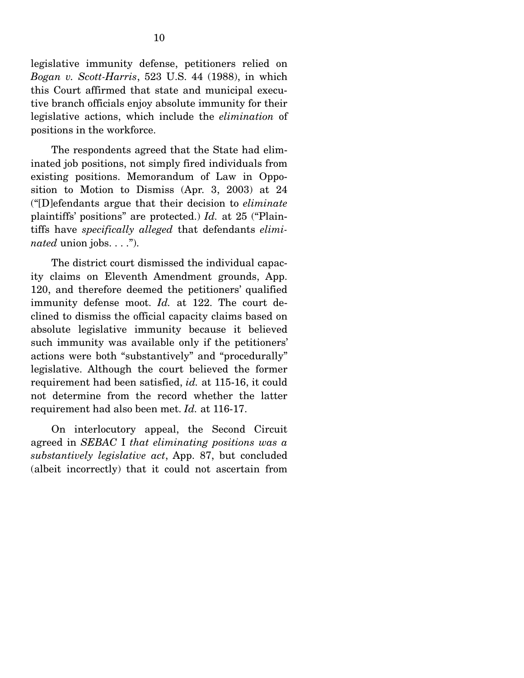legislative immunity defense, petitioners relied on *Bogan v. Scott-Harris*, 523 U.S. 44 (1988), in which this Court affirmed that state and municipal executive branch officials enjoy absolute immunity for their legislative actions, which include the *elimination* of positions in the workforce.

 The respondents agreed that the State had eliminated job positions, not simply fired individuals from existing positions. Memorandum of Law in Opposition to Motion to Dismiss (Apr. 3, 2003) at 24 ("[D]efendants argue that their decision to *eliminate* plaintiffs' positions" are protected.) *Id.* at 25 ("Plaintiffs have *specifically alleged* that defendants *eliminated* union jobs. . . .").

 The district court dismissed the individual capacity claims on Eleventh Amendment grounds, App. 120, and therefore deemed the petitioners' qualified immunity defense moot. *Id.* at 122. The court declined to dismiss the official capacity claims based on absolute legislative immunity because it believed such immunity was available only if the petitioners' actions were both "substantively" and "procedurally" legislative. Although the court believed the former requirement had been satisfied, *id.* at 115-16, it could not determine from the record whether the latter requirement had also been met. *Id.* at 116-17.

 On interlocutory appeal, the Second Circuit agreed in *SEBAC* I *that eliminating positions was a substantively legislative act*, App. 87, but concluded (albeit incorrectly) that it could not ascertain from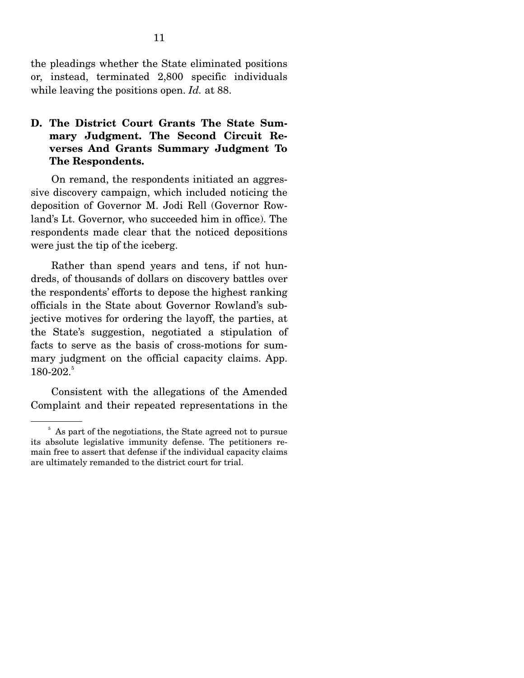the pleadings whether the State eliminated positions or, instead, terminated 2,800 specific individuals while leaving the positions open. *Id.* at 88.

### **D. The District Court Grants The State Summary Judgment. The Second Circuit Reverses And Grants Summary Judgment To The Respondents.**

 On remand, the respondents initiated an aggressive discovery campaign, which included noticing the deposition of Governor M. Jodi Rell (Governor Rowland's Lt. Governor, who succeeded him in office). The respondents made clear that the noticed depositions were just the tip of the iceberg.

 Rather than spend years and tens, if not hundreds, of thousands of dollars on discovery battles over the respondents' efforts to depose the highest ranking officials in the State about Governor Rowland's subjective motives for ordering the layoff, the parties, at the State's suggestion, negotiated a stipulation of facts to serve as the basis of cross-motions for summary judgment on the official capacity claims. App.  $180-202.^5$ 

 Consistent with the allegations of the Amended Complaint and their repeated representations in the

<sup>&</sup>lt;sup>5</sup> As part of the negotiations, the State agreed not to pursue its absolute legislative immunity defense. The petitioners remain free to assert that defense if the individual capacity claims are ultimately remanded to the district court for trial.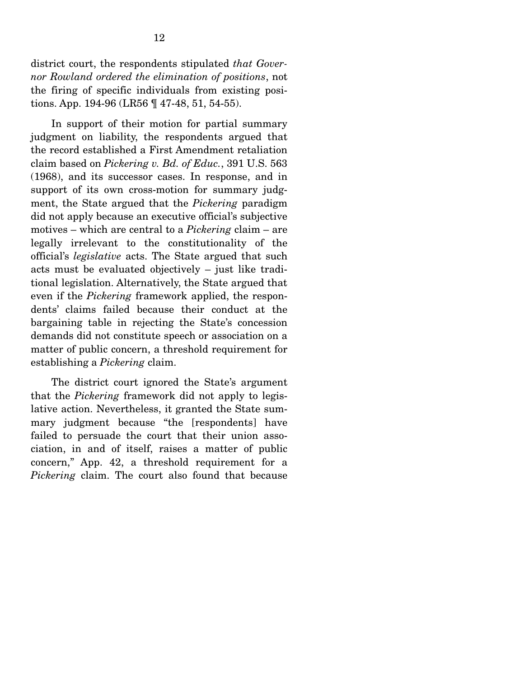district court, the respondents stipulated *that Governor Rowland ordered the elimination of positions*, not the firing of specific individuals from existing positions. App. 194-96 (LR56 ¶ 47-48, 51, 54-55).

 In support of their motion for partial summary judgment on liability, the respondents argued that the record established a First Amendment retaliation claim based on *Pickering v. Bd. of Educ.*, 391 U.S. 563 (1968), and its successor cases. In response, and in support of its own cross-motion for summary judgment, the State argued that the *Pickering* paradigm did not apply because an executive official's subjective motives – which are central to a *Pickering* claim – are legally irrelevant to the constitutionality of the official's *legislative* acts. The State argued that such acts must be evaluated objectively – just like traditional legislation. Alternatively, the State argued that even if the *Pickering* framework applied, the respondents' claims failed because their conduct at the bargaining table in rejecting the State's concession demands did not constitute speech or association on a matter of public concern, a threshold requirement for establishing a *Pickering* claim.

 The district court ignored the State's argument that the *Pickering* framework did not apply to legislative action. Nevertheless, it granted the State summary judgment because "the [respondents] have failed to persuade the court that their union association, in and of itself, raises a matter of public concern," App. 42, a threshold requirement for a *Pickering* claim. The court also found that because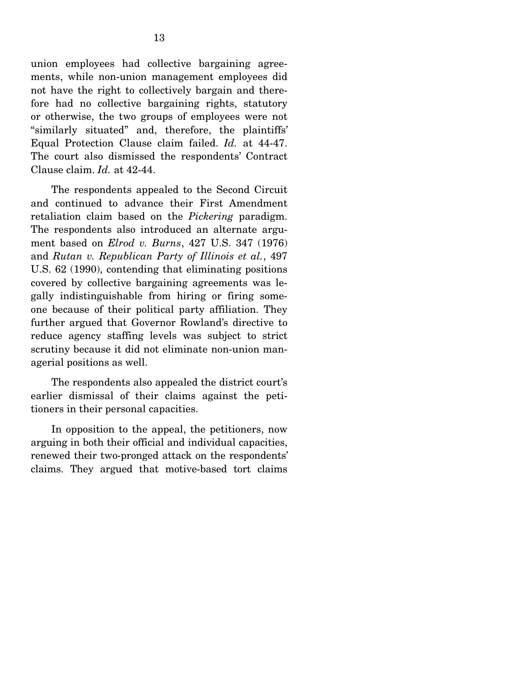union employees had collective bargaining agreements, while non-union management employees did not have the right to collectively bargain and therefore had no collective bargaining rights, statutory or otherwise, the two groups of employees were not "similarly situated" and, therefore, the plaintiffs' Equal Protection Clause claim failed. *Id.* at 44-47. The court also dismissed the respondents' Contract Clause claim. *Id.* at 42-44.

 The respondents appealed to the Second Circuit and continued to advance their First Amendment retaliation claim based on the *Pickering* paradigm. The respondents also introduced an alternate argument based on *Elrod v. Burns*, 427 U.S. 347 (1976) and *Rutan v. Republican Party of Illinois et al.*, 497 U.S. 62 (1990), contending that eliminating positions covered by collective bargaining agreements was legally indistinguishable from hiring or firing someone because of their political party affiliation. They further argued that Governor Rowland's directive to reduce agency staffing levels was subject to strict scrutiny because it did not eliminate non-union managerial positions as well.

 The respondents also appealed the district court's earlier dismissal of their claims against the petitioners in their personal capacities.

 In opposition to the appeal, the petitioners, now arguing in both their official and individual capacities, renewed their two-pronged attack on the respondents' claims. They argued that motive-based tort claims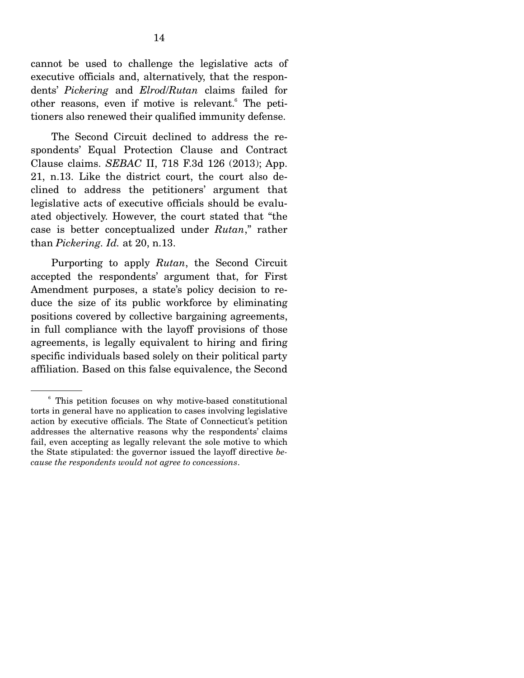cannot be used to challenge the legislative acts of executive officials and, alternatively, that the respondents' *Pickering* and *Elrod*/*Rutan* claims failed for other reasons, even if motive is relevant.<sup>6</sup> The petitioners also renewed their qualified immunity defense.

 The Second Circuit declined to address the respondents' Equal Protection Clause and Contract Clause claims. *SEBAC* II, 718 F.3d 126 (2013); App. 21, n.13. Like the district court, the court also declined to address the petitioners' argument that legislative acts of executive officials should be evaluated objectively. However, the court stated that "the case is better conceptualized under *Rutan*," rather than *Pickering. Id.* at 20, n.13.

 Purporting to apply *Rutan*, the Second Circuit accepted the respondents' argument that, for First Amendment purposes, a state's policy decision to reduce the size of its public workforce by eliminating positions covered by collective bargaining agreements, in full compliance with the layoff provisions of those agreements, is legally equivalent to hiring and firing specific individuals based solely on their political party affiliation. Based on this false equivalence, the Second

<sup>6</sup> This petition focuses on why motive-based constitutional torts in general have no application to cases involving legislative action by executive officials. The State of Connecticut's petition addresses the alternative reasons why the respondents' claims fail, even accepting as legally relevant the sole motive to which the State stipulated: the governor issued the layoff directive *because the respondents would not agree to concessions*.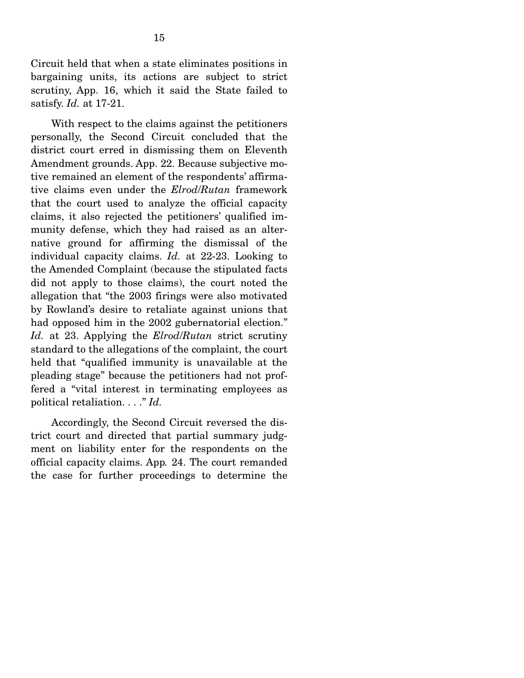Circuit held that when a state eliminates positions in bargaining units, its actions are subject to strict scrutiny, App. 16, which it said the State failed to satisfy. *Id.* at 17-21.

 With respect to the claims against the petitioners personally, the Second Circuit concluded that the district court erred in dismissing them on Eleventh Amendment grounds. App. 22. Because subjective motive remained an element of the respondents' affirmative claims even under the *Elrod*/*Rutan* framework that the court used to analyze the official capacity claims, it also rejected the petitioners' qualified immunity defense, which they had raised as an alternative ground for affirming the dismissal of the individual capacity claims. *Id.* at 22-23. Looking to the Amended Complaint (because the stipulated facts did not apply to those claims), the court noted the allegation that "the 2003 firings were also motivated by Rowland's desire to retaliate against unions that had opposed him in the 2002 gubernatorial election." *Id.* at 23. Applying the *Elrod*/*Rutan* strict scrutiny standard to the allegations of the complaint, the court held that "qualified immunity is unavailable at the pleading stage" because the petitioners had not proffered a "vital interest in terminating employees as political retaliation. . . ." *Id.* 

 Accordingly, the Second Circuit reversed the district court and directed that partial summary judgment on liability enter for the respondents on the official capacity claims. App*.* 24. The court remanded the case for further proceedings to determine the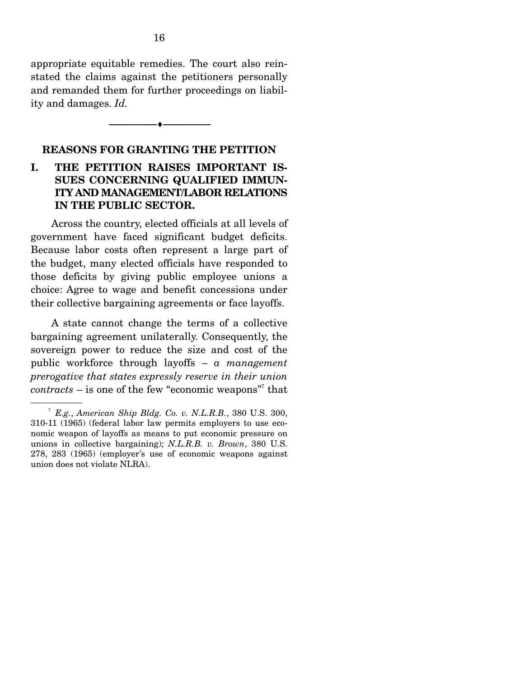appropriate equitable remedies. The court also reinstated the claims against the petitioners personally and remanded them for further proceedings on liability and damages. *Id.*

#### **REASONS FOR GRANTING THE PETITION**

--------------------------------- ---------------------------------

### **I. THE PETITION RAISES IMPORTANT IS-SUES CONCERNING QUALIFIED IMMUN-ITY AND MANAGEMENT/LABOR RELATIONS IN THE PUBLIC SECTOR.**

 Across the country, elected officials at all levels of government have faced significant budget deficits. Because labor costs often represent a large part of the budget, many elected officials have responded to those deficits by giving public employee unions a choice: Agree to wage and benefit concessions under their collective bargaining agreements or face layoffs.

 A state cannot change the terms of a collective bargaining agreement unilaterally. Consequently, the sovereign power to reduce the size and cost of the public workforce through layoffs – *a management prerogative that states expressly reserve in their union*  contracts – is one of the few "economic weapons"<sup>7</sup> that

<sup>7</sup> *E.g.*, *American Ship Bldg. Co. v. N.L.R.B.*, 380 U.S. 300, 310-11 (1965) (federal labor law permits employers to use economic weapon of layoffs as means to put economic pressure on unions in collective bargaining); *N.L.R.B. v. Brown*, 380 U.S. 278, 283 (1965) (employer's use of economic weapons against union does not violate NLRA).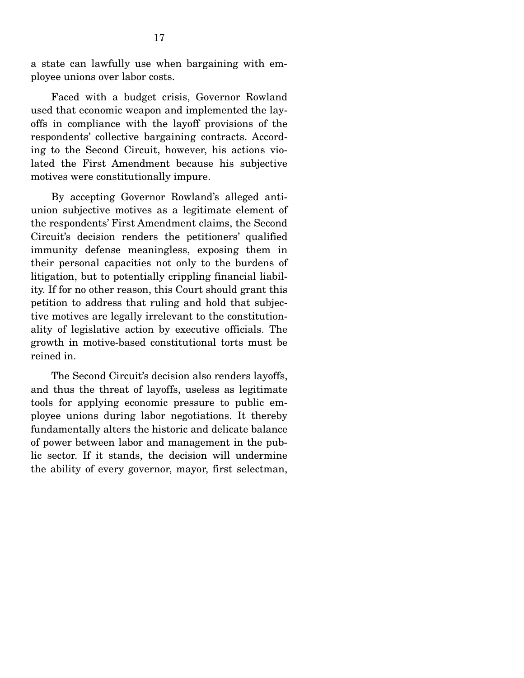a state can lawfully use when bargaining with employee unions over labor costs.

 Faced with a budget crisis, Governor Rowland used that economic weapon and implemented the layoffs in compliance with the layoff provisions of the respondents' collective bargaining contracts. According to the Second Circuit, however, his actions violated the First Amendment because his subjective motives were constitutionally impure.

 By accepting Governor Rowland's alleged antiunion subjective motives as a legitimate element of the respondents' First Amendment claims, the Second Circuit's decision renders the petitioners' qualified immunity defense meaningless, exposing them in their personal capacities not only to the burdens of litigation, but to potentially crippling financial liability. If for no other reason, this Court should grant this petition to address that ruling and hold that subjective motives are legally irrelevant to the constitutionality of legislative action by executive officials. The growth in motive-based constitutional torts must be reined in.

 The Second Circuit's decision also renders layoffs, and thus the threat of layoffs, useless as legitimate tools for applying economic pressure to public employee unions during labor negotiations. It thereby fundamentally alters the historic and delicate balance of power between labor and management in the public sector. If it stands, the decision will undermine the ability of every governor, mayor, first selectman,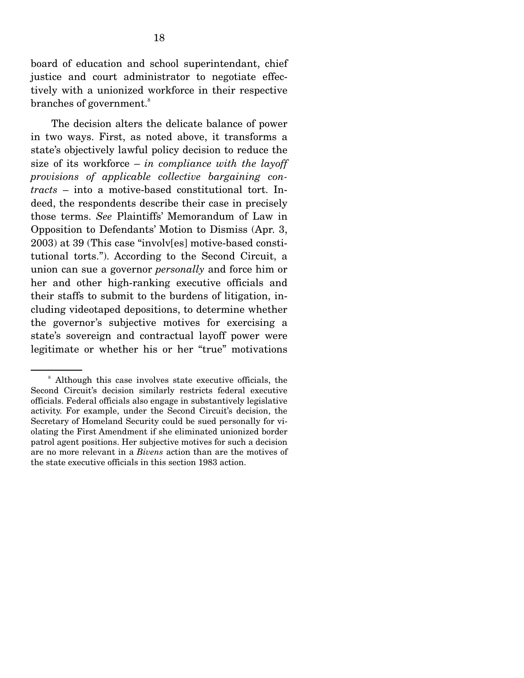board of education and school superintendant, chief justice and court administrator to negotiate effectively with a unionized workforce in their respective branches of government.<sup>8</sup>

 The decision alters the delicate balance of power in two ways. First, as noted above, it transforms a state's objectively lawful policy decision to reduce the size of its workforce – *in compliance with the layoff provisions of applicable collective bargaining contracts* – into a motive-based constitutional tort. Indeed, the respondents describe their case in precisely those terms. *See* Plaintiffs' Memorandum of Law in Opposition to Defendants' Motion to Dismiss (Apr. 3, 2003) at 39 (This case "involv[es] motive-based constitutional torts."). According to the Second Circuit, a union can sue a governor *personally* and force him or her and other high-ranking executive officials and their staffs to submit to the burdens of litigation, including videotaped depositions, to determine whether the governor's subjective motives for exercising a state's sovereign and contractual layoff power were legitimate or whether his or her "true" motivations

<sup>&</sup>lt;sup>8</sup> Although this case involves state executive officials, the Second Circuit's decision similarly restricts federal executive officials. Federal officials also engage in substantively legislative activity. For example, under the Second Circuit's decision, the Secretary of Homeland Security could be sued personally for violating the First Amendment if she eliminated unionized border patrol agent positions. Her subjective motives for such a decision are no more relevant in a *Bivens* action than are the motives of the state executive officials in this section 1983 action.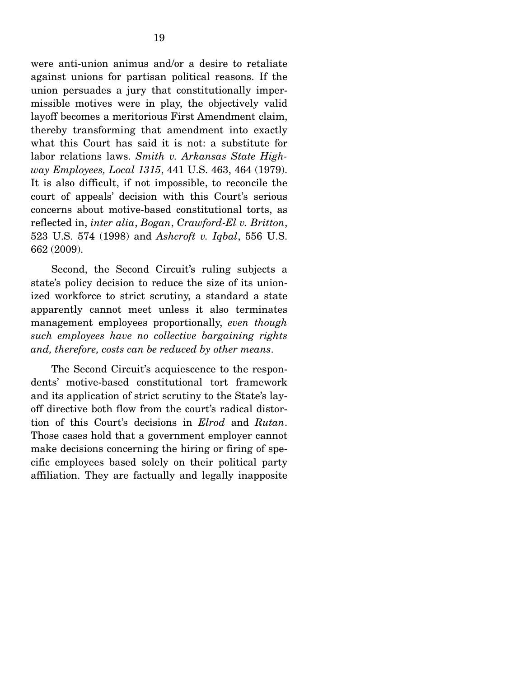were anti-union animus and/or a desire to retaliate against unions for partisan political reasons. If the union persuades a jury that constitutionally impermissible motives were in play, the objectively valid layoff becomes a meritorious First Amendment claim, thereby transforming that amendment into exactly what this Court has said it is not: a substitute for labor relations laws. *Smith v. Arkansas State Highway Employees, Local 1315*, 441 U.S. 463, 464 (1979). It is also difficult, if not impossible, to reconcile the court of appeals' decision with this Court's serious concerns about motive-based constitutional torts, as reflected in, *inter alia*, *Bogan*, *Crawford-El v. Britton*, 523 U.S. 574 (1998) and *Ashcroft v. Iqbal*, 556 U.S. 662 (2009).

 Second, the Second Circuit's ruling subjects a state's policy decision to reduce the size of its unionized workforce to strict scrutiny, a standard a state apparently cannot meet unless it also terminates management employees proportionally, *even though such employees have no collective bargaining rights and, therefore, costs can be reduced by other means*.

 The Second Circuit's acquiescence to the respondents' motive-based constitutional tort framework and its application of strict scrutiny to the State's layoff directive both flow from the court's radical distortion of this Court's decisions in *Elrod* and *Rutan*. Those cases hold that a government employer cannot make decisions concerning the hiring or firing of specific employees based solely on their political party affiliation. They are factually and legally inapposite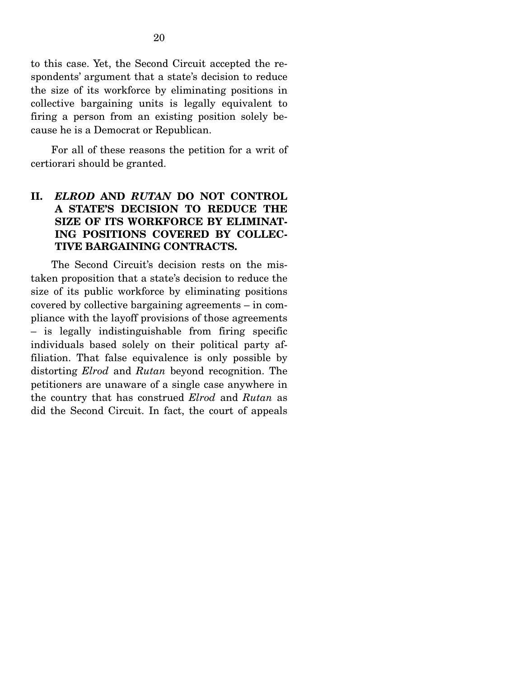to this case. Yet, the Second Circuit accepted the respondents' argument that a state's decision to reduce the size of its workforce by eliminating positions in collective bargaining units is legally equivalent to firing a person from an existing position solely because he is a Democrat or Republican.

 For all of these reasons the petition for a writ of certiorari should be granted.

### **II.** *ELROD* **AND** *RUTAN* **DO NOT CONTROL A STATE'S DECISION TO REDUCE THE SIZE OF ITS WORKFORCE BY ELIMINAT-ING POSITIONS COVERED BY COLLEC-TIVE BARGAINING CONTRACTS.**

 The Second Circuit's decision rests on the mistaken proposition that a state's decision to reduce the size of its public workforce by eliminating positions covered by collective bargaining agreements – in compliance with the layoff provisions of those agreements – is legally indistinguishable from firing specific individuals based solely on their political party affiliation. That false equivalence is only possible by distorting *Elrod* and *Rutan* beyond recognition. The petitioners are unaware of a single case anywhere in the country that has construed *Elrod* and *Rutan* as did the Second Circuit. In fact, the court of appeals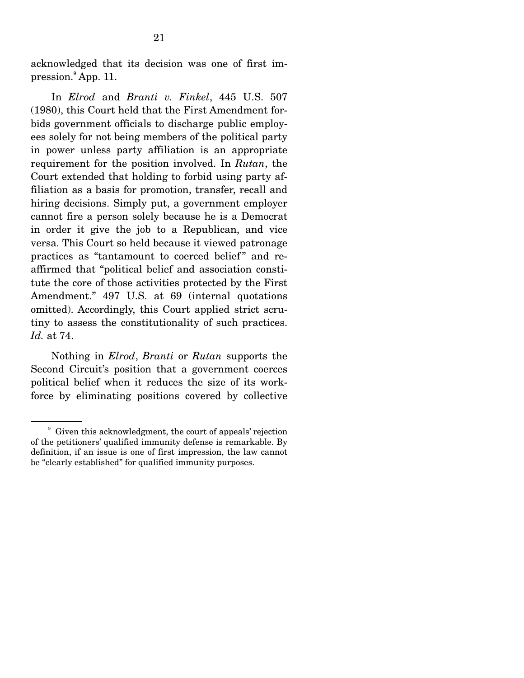acknowledged that its decision was one of first impression.<sup>9</sup> App. 11.

 In *Elrod* and *Branti v. Finkel*, 445 U.S. 507 (1980), this Court held that the First Amendment forbids government officials to discharge public employees solely for not being members of the political party in power unless party affiliation is an appropriate requirement for the position involved. In *Rutan*, the Court extended that holding to forbid using party affiliation as a basis for promotion, transfer, recall and hiring decisions. Simply put, a government employer cannot fire a person solely because he is a Democrat in order it give the job to a Republican, and vice versa. This Court so held because it viewed patronage practices as "tantamount to coerced belief" and reaffirmed that "political belief and association constitute the core of those activities protected by the First Amendment." 497 U.S. at 69 (internal quotations omitted). Accordingly, this Court applied strict scrutiny to assess the constitutionality of such practices. *Id.* at 74.

 Nothing in *Elrod*, *Branti* or *Rutan* supports the Second Circuit's position that a government coerces political belief when it reduces the size of its workforce by eliminating positions covered by collective

<sup>9</sup> Given this acknowledgment, the court of appeals' rejection of the petitioners' qualified immunity defense is remarkable. By definition, if an issue is one of first impression, the law cannot be "clearly established" for qualified immunity purposes.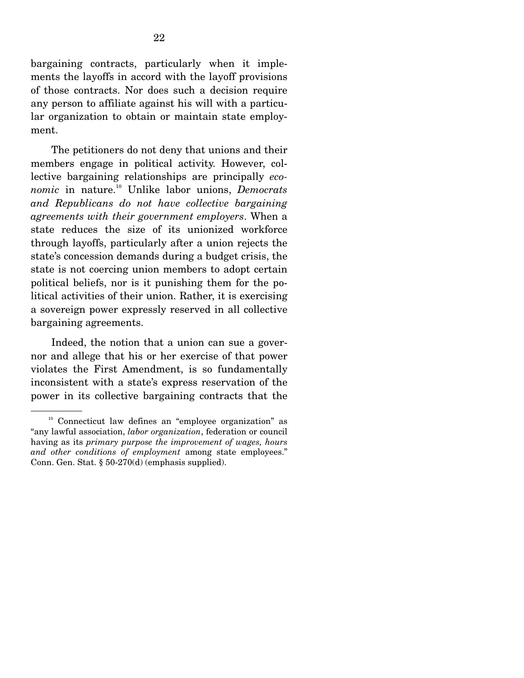bargaining contracts, particularly when it implements the layoffs in accord with the layoff provisions of those contracts. Nor does such a decision require any person to affiliate against his will with a particular organization to obtain or maintain state employment.

 The petitioners do not deny that unions and their members engage in political activity. However, collective bargaining relationships are principally *economic* in nature.10 Unlike labor unions, *Democrats and Republicans do not have collective bargaining agreements with their government employers*. When a state reduces the size of its unionized workforce through layoffs, particularly after a union rejects the state's concession demands during a budget crisis, the state is not coercing union members to adopt certain political beliefs, nor is it punishing them for the political activities of their union. Rather, it is exercising a sovereign power expressly reserved in all collective bargaining agreements.

 Indeed, the notion that a union can sue a governor and allege that his or her exercise of that power violates the First Amendment, is so fundamentally inconsistent with a state's express reservation of the power in its collective bargaining contracts that the

<sup>&</sup>lt;sup>10</sup> Connecticut law defines an "employee organization" as "any lawful association, *labor organization*, federation or council having as its *primary purpose the improvement of wages, hours and other conditions of employment* among state employees." Conn. Gen. Stat. § 50-270(d) (emphasis supplied).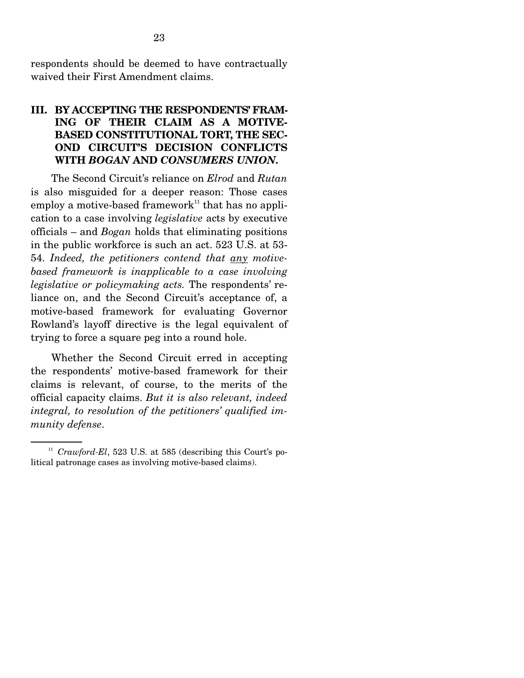respondents should be deemed to have contractually waived their First Amendment claims.

### **III. BY ACCEPTING THE RESPONDENTS' FRAM-ING OF THEIR CLAIM AS A MOTIVE-BASED CONSTITUTIONAL TORT, THE SEC-OND CIRCUIT'S DECISION CONFLICTS WITH** *BOGAN* **AND** *CONSUMERS UNION.*

The Second Circuit's reliance on *Elrod* and *Rutan* is also misguided for a deeper reason: Those cases employ a motive-based framework<sup>11</sup> that has no application to a case involving *legislative* acts by executive officials – and *Bogan* holds that eliminating positions in the public workforce is such an act. 523 U.S. at 53- 54. *Indeed, the petitioners contend that any motivebased framework is inapplicable to a case involving legislative or policymaking acts.* The respondents' reliance on, and the Second Circuit's acceptance of, a motive-based framework for evaluating Governor Rowland's layoff directive is the legal equivalent of trying to force a square peg into a round hole.

 Whether the Second Circuit erred in accepting the respondents' motive-based framework for their claims is relevant, of course, to the merits of the official capacity claims. *But it is also relevant, indeed integral, to resolution of the petitioners' qualified immunity defense*.

<sup>&</sup>lt;sup>11</sup> *Crawford-El*, 523 U.S. at 585 (describing this Court's political patronage cases as involving motive-based claims).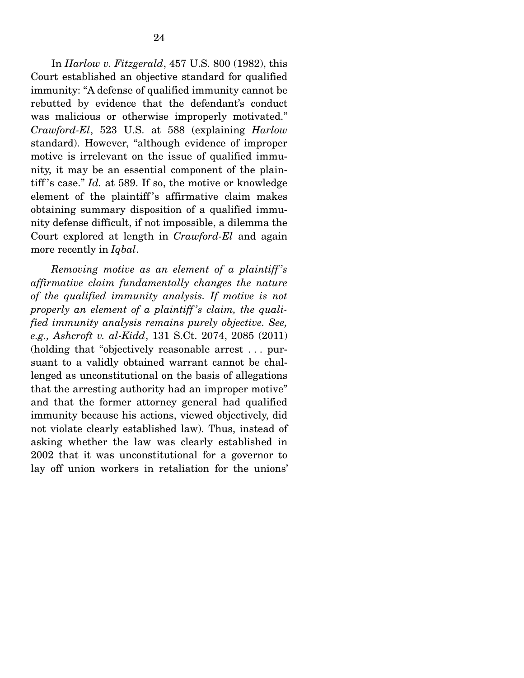In *Harlow v. Fitzgerald*, 457 U.S. 800 (1982), this Court established an objective standard for qualified immunity: "A defense of qualified immunity cannot be rebutted by evidence that the defendant's conduct was malicious or otherwise improperly motivated." *Crawford-El*, 523 U.S. at 588 (explaining *Harlow* standard). However, "although evidence of improper motive is irrelevant on the issue of qualified immunity, it may be an essential component of the plaintiff 's case." *Id.* at 589. If so, the motive or knowledge element of the plaintiff 's affirmative claim makes obtaining summary disposition of a qualified immunity defense difficult, if not impossible, a dilemma the Court explored at length in *Crawford-El* and again more recently in *Iqbal*.

*Removing motive as an element of a plaintiff 's affirmative claim fundamentally changes the nature of the qualified immunity analysis. If motive is not properly an element of a plaintiff 's claim, the qualified immunity analysis remains purely objective. See, e.g., Ashcroft v. al-Kidd*, 131 S.Ct. 2074, 2085 (2011) (holding that "objectively reasonable arrest . . . pursuant to a validly obtained warrant cannot be challenged as unconstitutional on the basis of allegations that the arresting authority had an improper motive" and that the former attorney general had qualified immunity because his actions, viewed objectively, did not violate clearly established law). Thus, instead of asking whether the law was clearly established in 2002 that it was unconstitutional for a governor to lay off union workers in retaliation for the unions'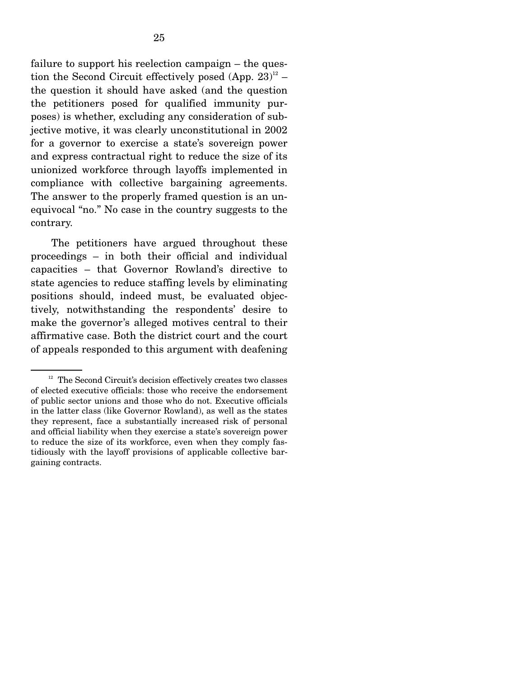failure to support his reelection campaign – the question the Second Circuit effectively posed  $(App. 23)^{12}$  – the question it should have asked (and the question the petitioners posed for qualified immunity purposes) is whether, excluding any consideration of subjective motive, it was clearly unconstitutional in 2002 for a governor to exercise a state's sovereign power and express contractual right to reduce the size of its unionized workforce through layoffs implemented in compliance with collective bargaining agreements. The answer to the properly framed question is an unequivocal "no." No case in the country suggests to the contrary.

 The petitioners have argued throughout these proceedings – in both their official and individual capacities – that Governor Rowland's directive to state agencies to reduce staffing levels by eliminating positions should, indeed must, be evaluated objectively, notwithstanding the respondents' desire to make the governor's alleged motives central to their affirmative case. Both the district court and the court of appeals responded to this argument with deafening

 $12$  The Second Circuit's decision effectively creates two classes of elected executive officials: those who receive the endorsement of public sector unions and those who do not. Executive officials in the latter class (like Governor Rowland), as well as the states they represent, face a substantially increased risk of personal and official liability when they exercise a state's sovereign power to reduce the size of its workforce, even when they comply fastidiously with the layoff provisions of applicable collective bargaining contracts.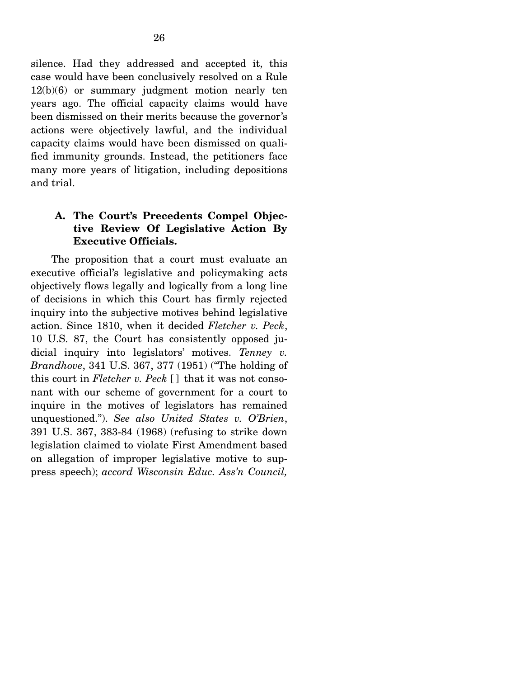silence. Had they addressed and accepted it, this case would have been conclusively resolved on a Rule 12(b)(6) or summary judgment motion nearly ten years ago. The official capacity claims would have been dismissed on their merits because the governor's actions were objectively lawful, and the individual capacity claims would have been dismissed on qualified immunity grounds. Instead, the petitioners face many more years of litigation, including depositions and trial.

## **A. The Court's Precedents Compel Objective Review Of Legislative Action By Executive Officials.**

 The proposition that a court must evaluate an executive official's legislative and policymaking acts objectively flows legally and logically from a long line of decisions in which this Court has firmly rejected inquiry into the subjective motives behind legislative action. Since 1810, when it decided *Fletcher v. Peck*, 10 U.S. 87, the Court has consistently opposed judicial inquiry into legislators' motives. *Tenney v. Brandhove*, 341 U.S. 367, 377 (1951) ("The holding of this court in *Fletcher v. Peck* [ ] that it was not consonant with our scheme of government for a court to inquire in the motives of legislators has remained unquestioned."). *See also United States v. O'Brien*, 391 U.S. 367, 383-84 (1968) (refusing to strike down legislation claimed to violate First Amendment based on allegation of improper legislative motive to suppress speech); *accord Wisconsin Educ. Ass'n Council,*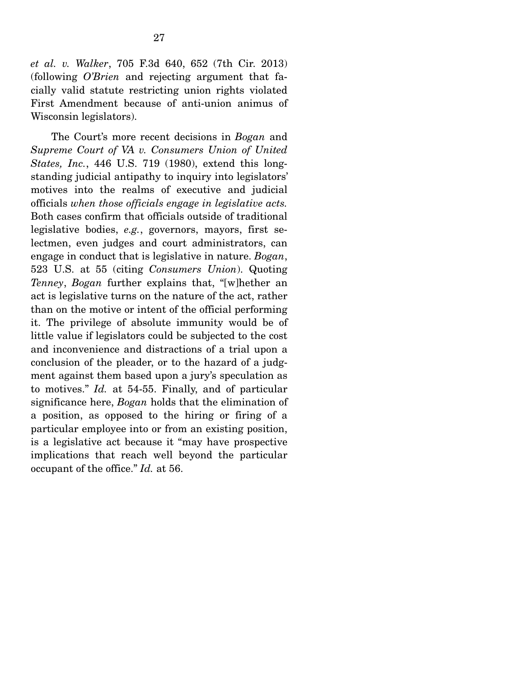*et al. v. Walker*, 705 F.3d 640, 652 (7th Cir. 2013) (following *O'Brien* and rejecting argument that facially valid statute restricting union rights violated First Amendment because of anti-union animus of Wisconsin legislators).

 The Court's more recent decisions in *Bogan* and *Supreme Court of VA v. Consumers Union of United States, Inc.*, 446 U.S. 719 (1980), extend this longstanding judicial antipathy to inquiry into legislators' motives into the realms of executive and judicial officials *when those officials engage in legislative acts.* Both cases confirm that officials outside of traditional legislative bodies, *e.g.*, governors, mayors, first selectmen, even judges and court administrators, can engage in conduct that is legislative in nature. *Bogan*, 523 U.S. at 55 (citing *Consumers Union*). Quoting *Tenney*, *Bogan* further explains that, "[w]hether an act is legislative turns on the nature of the act, rather than on the motive or intent of the official performing it. The privilege of absolute immunity would be of little value if legislators could be subjected to the cost and inconvenience and distractions of a trial upon a conclusion of the pleader, or to the hazard of a judgment against them based upon a jury's speculation as to motives." *Id.* at 54-55. Finally, and of particular significance here, *Bogan* holds that the elimination of a position, as opposed to the hiring or firing of a particular employee into or from an existing position, is a legislative act because it "may have prospective implications that reach well beyond the particular occupant of the office." *Id.* at 56.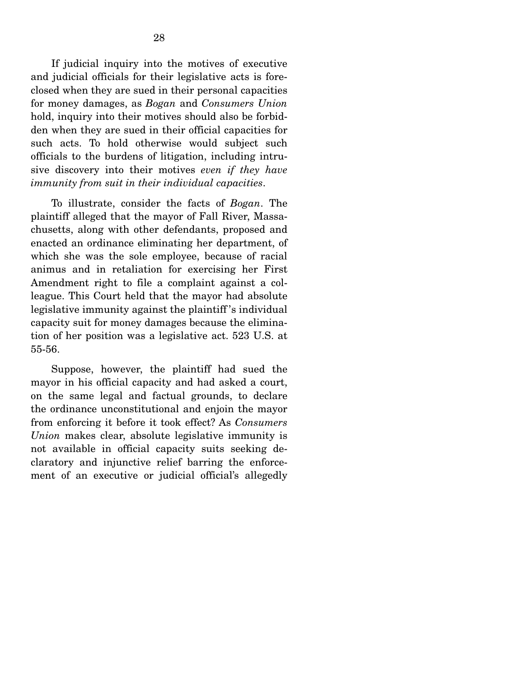If judicial inquiry into the motives of executive and judicial officials for their legislative acts is foreclosed when they are sued in their personal capacities for money damages, as *Bogan* and *Consumers Union* hold, inquiry into their motives should also be forbidden when they are sued in their official capacities for such acts. To hold otherwise would subject such officials to the burdens of litigation, including intrusive discovery into their motives *even if they have immunity from suit in their individual capacities*.

 To illustrate, consider the facts of *Bogan*. The plaintiff alleged that the mayor of Fall River, Massachusetts, along with other defendants, proposed and enacted an ordinance eliminating her department, of which she was the sole employee, because of racial animus and in retaliation for exercising her First Amendment right to file a complaint against a colleague. This Court held that the mayor had absolute legislative immunity against the plaintiff 's individual capacity suit for money damages because the elimination of her position was a legislative act. 523 U.S. at 55-56.

 Suppose, however, the plaintiff had sued the mayor in his official capacity and had asked a court, on the same legal and factual grounds, to declare the ordinance unconstitutional and enjoin the mayor from enforcing it before it took effect? As *Consumers Union* makes clear, absolute legislative immunity is not available in official capacity suits seeking declaratory and injunctive relief barring the enforcement of an executive or judicial official's allegedly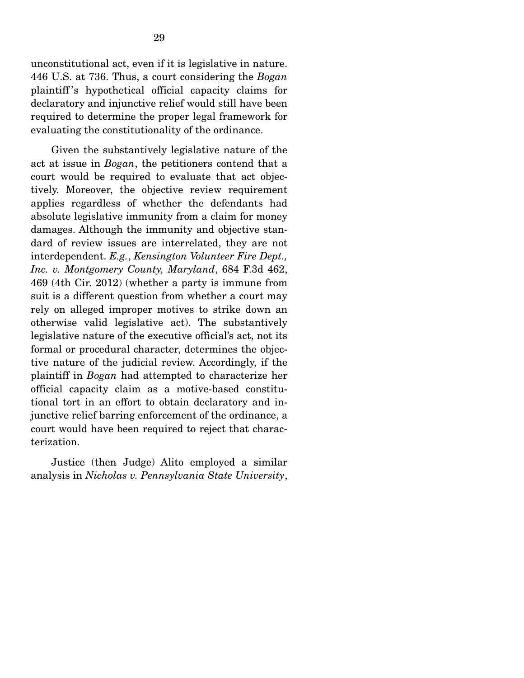unconstitutional act, even if it is legislative in nature. 446 U.S. at 736. Thus, a court considering the *Bogan*  plaintiff 's hypothetical official capacity claims for declaratory and injunctive relief would still have been required to determine the proper legal framework for evaluating the constitutionality of the ordinance.

 Given the substantively legislative nature of the act at issue in *Bogan*, the petitioners contend that a court would be required to evaluate that act objectively. Moreover, the objective review requirement applies regardless of whether the defendants had absolute legislative immunity from a claim for money damages. Although the immunity and objective standard of review issues are interrelated, they are not interdependent. *E.g.*, *Kensington Volunteer Fire Dept., Inc. v. Montgomery County, Maryland*, 684 F.3d 462, 469 (4th Cir. 2012) (whether a party is immune from suit is a different question from whether a court may rely on alleged improper motives to strike down an otherwise valid legislative act). The substantively legislative nature of the executive official's act, not its formal or procedural character, determines the objective nature of the judicial review. Accordingly, if the plaintiff in *Bogan* had attempted to characterize her official capacity claim as a motive-based constitutional tort in an effort to obtain declaratory and injunctive relief barring enforcement of the ordinance, a court would have been required to reject that characterization.

 Justice (then Judge) Alito employed a similar analysis in *Nicholas v. Pennsylvania State University*,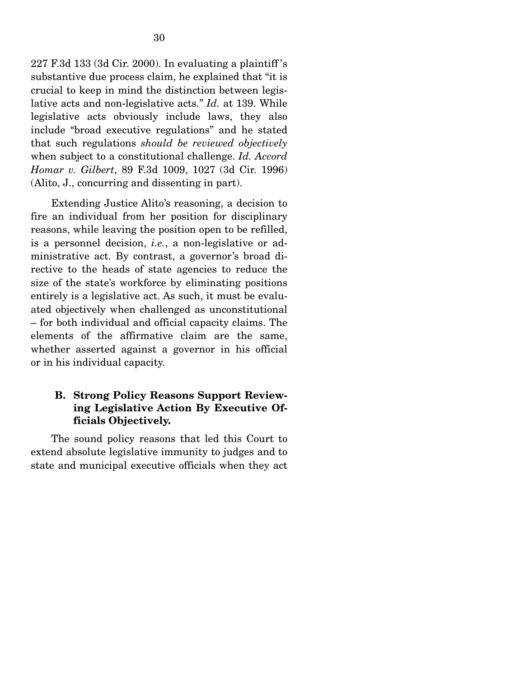227 F.3d 133 (3d Cir. 2000). In evaluating a plaintiff 's substantive due process claim, he explained that "it is crucial to keep in mind the distinction between legislative acts and non-legislative acts." *Id.* at 139. While legislative acts obviously include laws, they also include "broad executive regulations" and he stated that such regulations *should be reviewed objectively*  when subject to a constitutional challenge. *Id. Accord Homar v. Gilbert*, 89 F.3d 1009, 1027 (3d Cir. 1996) (Alito, J., concurring and dissenting in part).

 Extending Justice Alito's reasoning, a decision to fire an individual from her position for disciplinary reasons, while leaving the position open to be refilled, is a personnel decision, *i.e.*, a non-legislative or administrative act. By contrast, a governor's broad directive to the heads of state agencies to reduce the size of the state's workforce by eliminating positions entirely is a legislative act. As such, it must be evaluated objectively when challenged as unconstitutional – for both individual and official capacity claims. The elements of the affirmative claim are the same, whether asserted against a governor in his official or in his individual capacity.

# **B. Strong Policy Reasons Support Reviewing Legislative Action By Executive Officials Objectively.**

 The sound policy reasons that led this Court to extend absolute legislative immunity to judges and to state and municipal executive officials when they act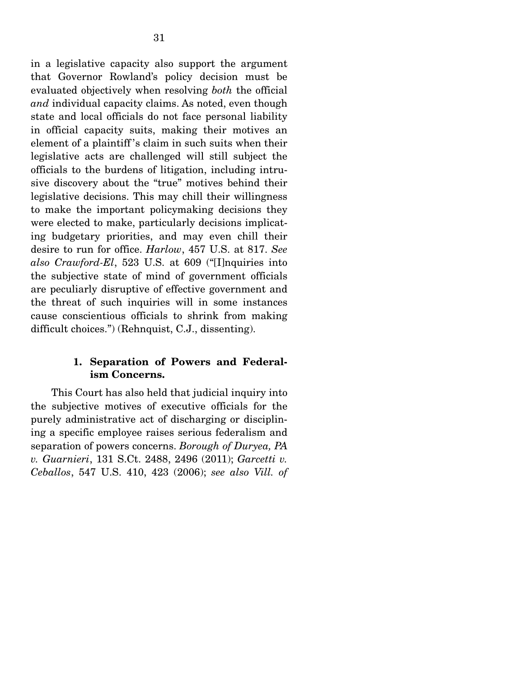in a legislative capacity also support the argument that Governor Rowland's policy decision must be evaluated objectively when resolving *both* the official *and* individual capacity claims. As noted, even though state and local officials do not face personal liability in official capacity suits, making their motives an element of a plaintiff 's claim in such suits when their legislative acts are challenged will still subject the officials to the burdens of litigation, including intrusive discovery about the "true" motives behind their legislative decisions. This may chill their willingness to make the important policymaking decisions they were elected to make, particularly decisions implicating budgetary priorities, and may even chill their desire to run for office. *Harlow*, 457 U.S. at 817. *See also Crawford-El*, 523 U.S. at 609 ("[I]nquiries into the subjective state of mind of government officials are peculiarly disruptive of effective government and the threat of such inquiries will in some instances cause conscientious officials to shrink from making difficult choices.") (Rehnquist, C.J., dissenting).

#### **1. Separation of Powers and Federalism Concerns.**

 This Court has also held that judicial inquiry into the subjective motives of executive officials for the purely administrative act of discharging or disciplining a specific employee raises serious federalism and separation of powers concerns. *Borough of Duryea, PA v. Guarnieri*, 131 S.Ct. 2488, 2496 (2011); *Garcetti v. Ceballos*, 547 U.S. 410, 423 (2006); *see also Vill. of*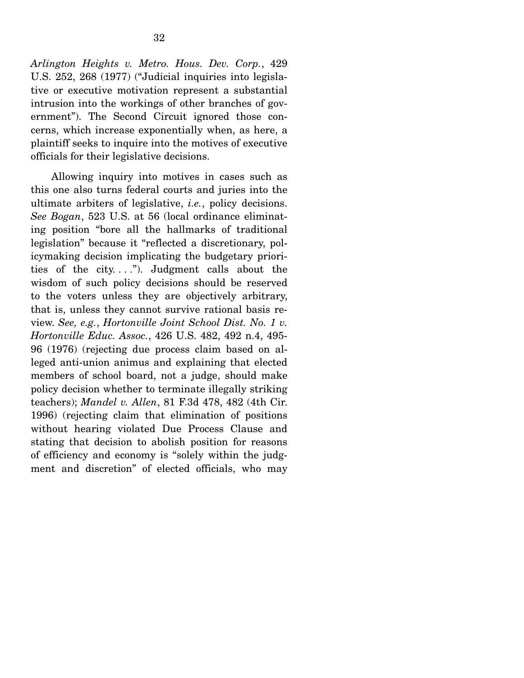*Arlington Heights v. Metro. Hous. Dev. Corp.*, 429 U.S. 252, 268 (1977) ("Judicial inquiries into legislative or executive motivation represent a substantial intrusion into the workings of other branches of government"). The Second Circuit ignored those concerns, which increase exponentially when, as here, a plaintiff seeks to inquire into the motives of executive officials for their legislative decisions.

 Allowing inquiry into motives in cases such as this one also turns federal courts and juries into the ultimate arbiters of legislative, *i.e.*, policy decisions. *See Bogan*, 523 U.S. at 56 (local ordinance eliminating position "bore all the hallmarks of traditional legislation" because it "reflected a discretionary, policymaking decision implicating the budgetary priorities of the city...."). Judgment calls about the wisdom of such policy decisions should be reserved to the voters unless they are objectively arbitrary, that is, unless they cannot survive rational basis review. *See, e.g.*, *Hortonville Joint School Dist. No. 1 v. Hortonville Educ. Assoc.*, 426 U.S. 482, 492 n.4, 495- 96 (1976) (rejecting due process claim based on alleged anti-union animus and explaining that elected members of school board, not a judge, should make policy decision whether to terminate illegally striking teachers); *Mandel v. Allen*, 81 F.3d 478, 482 (4th Cir. 1996) (rejecting claim that elimination of positions without hearing violated Due Process Clause and stating that decision to abolish position for reasons of efficiency and economy is "solely within the judgment and discretion" of elected officials, who may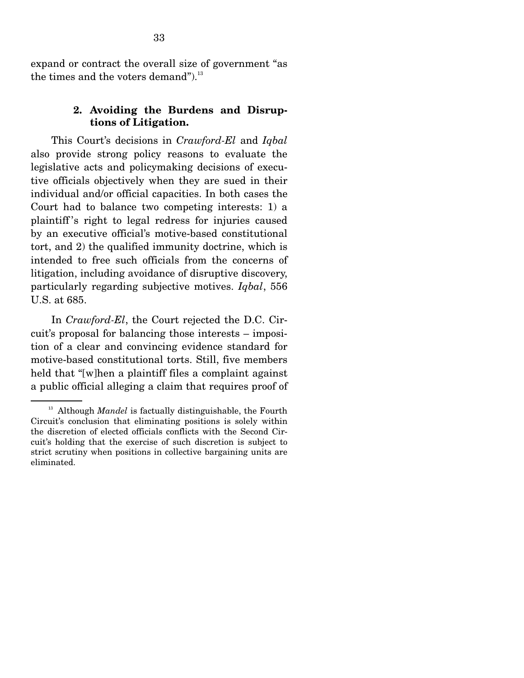expand or contract the overall size of government "as the times and the voters demand"). $^{13}$ 

#### **2. Avoiding the Burdens and Disruptions of Litigation.**

 This Court's decisions in *Crawford-El* and *Iqbal*  also provide strong policy reasons to evaluate the legislative acts and policymaking decisions of executive officials objectively when they are sued in their individual and/or official capacities. In both cases the Court had to balance two competing interests: 1) a plaintiff 's right to legal redress for injuries caused by an executive official's motive-based constitutional tort, and 2) the qualified immunity doctrine, which is intended to free such officials from the concerns of litigation, including avoidance of disruptive discovery, particularly regarding subjective motives. *Iqbal*, 556 U.S. at 685.

 In *Crawford-El*, the Court rejected the D.C. Circuit's proposal for balancing those interests – imposition of a clear and convincing evidence standard for motive-based constitutional torts. Still, five members held that "[w]hen a plaintiff files a complaint against a public official alleging a claim that requires proof of

<sup>&</sup>lt;sup>13</sup> Although *Mandel* is factually distinguishable, the Fourth Circuit's conclusion that eliminating positions is solely within the discretion of elected officials conflicts with the Second Circuit's holding that the exercise of such discretion is subject to strict scrutiny when positions in collective bargaining units are eliminated.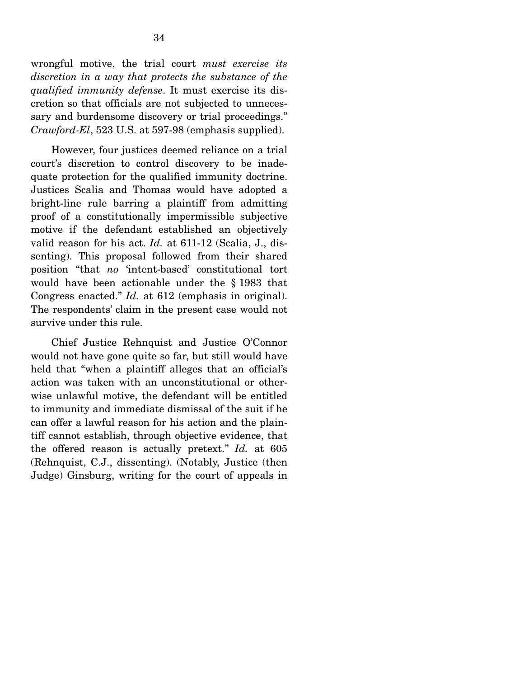wrongful motive, the trial court *must exercise its discretion in a way that protects the substance of the qualified immunity defense*. It must exercise its discretion so that officials are not subjected to unnecessary and burdensome discovery or trial proceedings." *Crawford-El*, 523 U.S. at 597-98 (emphasis supplied).

 However, four justices deemed reliance on a trial court's discretion to control discovery to be inadequate protection for the qualified immunity doctrine. Justices Scalia and Thomas would have adopted a bright-line rule barring a plaintiff from admitting proof of a constitutionally impermissible subjective motive if the defendant established an objectively valid reason for his act. *Id.* at 611-12 (Scalia, J., dissenting). This proposal followed from their shared position "that *no* 'intent-based' constitutional tort would have been actionable under the § 1983 that Congress enacted." *Id.* at 612 (emphasis in original). The respondents' claim in the present case would not survive under this rule.

 Chief Justice Rehnquist and Justice O'Connor would not have gone quite so far, but still would have held that "when a plaintiff alleges that an official's action was taken with an unconstitutional or otherwise unlawful motive, the defendant will be entitled to immunity and immediate dismissal of the suit if he can offer a lawful reason for his action and the plaintiff cannot establish, through objective evidence, that the offered reason is actually pretext." *Id.* at 605 (Rehnquist, C.J., dissenting). (Notably, Justice (then Judge) Ginsburg, writing for the court of appeals in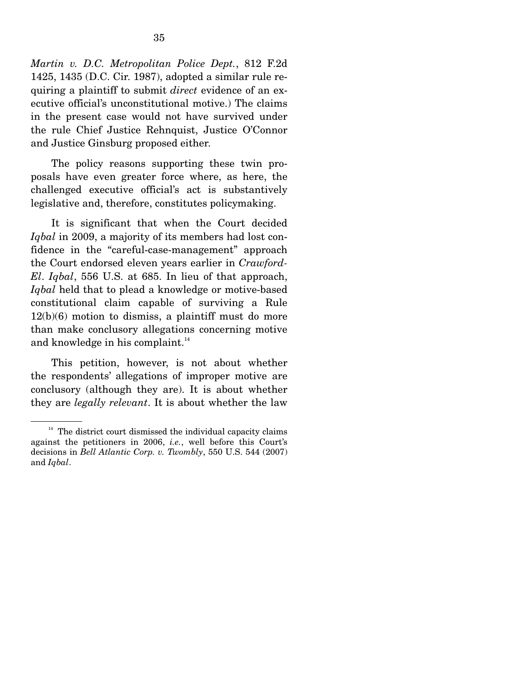*Martin v. D.C. Metropolitan Police Dept.*, 812 F.2d 1425, 1435 (D.C. Cir. 1987), adopted a similar rule requiring a plaintiff to submit *direct* evidence of an executive official's unconstitutional motive.) The claims in the present case would not have survived under the rule Chief Justice Rehnquist, Justice O'Connor and Justice Ginsburg proposed either.

 The policy reasons supporting these twin proposals have even greater force where, as here, the challenged executive official's act is substantively legislative and, therefore, constitutes policymaking.

 It is significant that when the Court decided *Iqbal* in 2009, a majority of its members had lost confidence in the "careful-case-management" approach the Court endorsed eleven years earlier in *Crawford-El*. *Iqbal*, 556 U.S. at 685. In lieu of that approach, *Iqbal* held that to plead a knowledge or motive-based constitutional claim capable of surviving a Rule  $12(b)(6)$  motion to dismiss, a plaintiff must do more than make conclusory allegations concerning motive and knowledge in his complaint.<sup>14</sup>

 This petition, however, is not about whether the respondents' allegations of improper motive are conclusory (although they are). It is about whether they are *legally relevant*. It is about whether the law

 $14$  The district court dismissed the individual capacity claims against the petitioners in 2006, *i.e.*, well before this Court's decisions in *Bell Atlantic Corp. v. Twombly*, 550 U.S. 544 (2007) and *Iqbal*.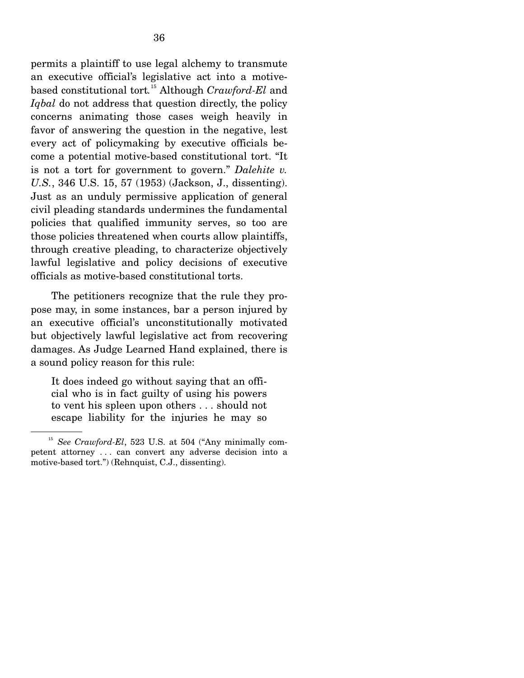permits a plaintiff to use legal alchemy to transmute an executive official's legislative act into a motivebased constitutional tort*.* <sup>15</sup> Although *Crawford-El* and *Iqbal* do not address that question directly, the policy concerns animating those cases weigh heavily in favor of answering the question in the negative, lest every act of policymaking by executive officials become a potential motive-based constitutional tort. "It is not a tort for government to govern." *Dalehite v. U.S.*, 346 U.S. 15, 57 (1953) (Jackson, J., dissenting). Just as an unduly permissive application of general civil pleading standards undermines the fundamental policies that qualified immunity serves, so too are those policies threatened when courts allow plaintiffs, through creative pleading, to characterize objectively lawful legislative and policy decisions of executive officials as motive-based constitutional torts.

 The petitioners recognize that the rule they propose may, in some instances, bar a person injured by an executive official's unconstitutionally motivated but objectively lawful legislative act from recovering damages. As Judge Learned Hand explained, there is a sound policy reason for this rule:

It does indeed go without saying that an official who is in fact guilty of using his powers to vent his spleen upon others . . . should not escape liability for the injuries he may so

<sup>&</sup>lt;sup>15</sup> *See Crawford-El*, 523 U.S. at 504 ("Any minimally competent attorney . . . can convert any adverse decision into a motive-based tort.") (Rehnquist, C.J., dissenting).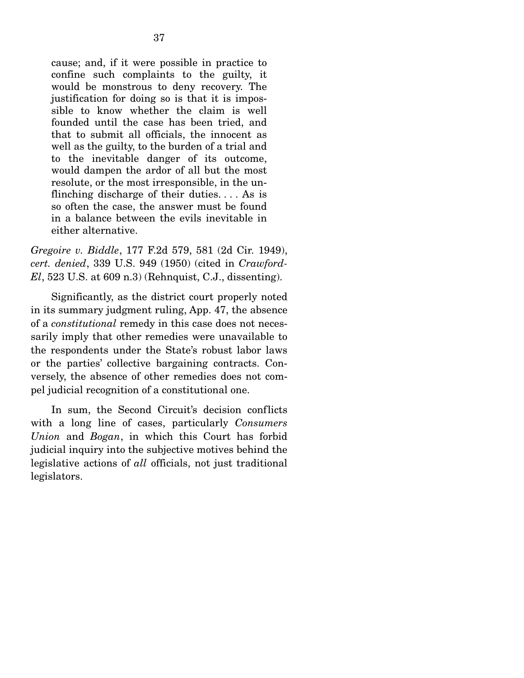cause; and, if it were possible in practice to confine such complaints to the guilty, it would be monstrous to deny recovery. The justification for doing so is that it is impossible to know whether the claim is well founded until the case has been tried, and that to submit all officials, the innocent as well as the guilty, to the burden of a trial and to the inevitable danger of its outcome, would dampen the ardor of all but the most resolute, or the most irresponsible, in the unflinching discharge of their duties. . . . As is so often the case, the answer must be found in a balance between the evils inevitable in either alternative.

*Gregoire v. Biddle*, 177 F.2d 579, 581 (2d Cir. 1949), *cert. denied*, 339 U.S. 949 (1950) (cited in *Crawford-El*, 523 U.S. at 609 n.3) (Rehnquist, C.J., dissenting).

 Significantly, as the district court properly noted in its summary judgment ruling, App. 47, the absence of a *constitutional* remedy in this case does not necessarily imply that other remedies were unavailable to the respondents under the State's robust labor laws or the parties' collective bargaining contracts. Conversely, the absence of other remedies does not compel judicial recognition of a constitutional one.

 In sum, the Second Circuit's decision conflicts with a long line of cases, particularly *Consumers Union* and *Bogan*, in which this Court has forbid judicial inquiry into the subjective motives behind the legislative actions of *all* officials, not just traditional legislators.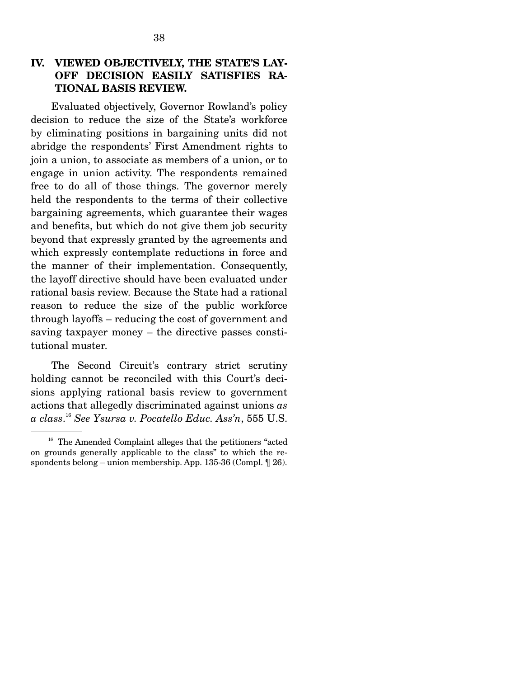# **IV. VIEWED OBJECTIVELY, THE STATE'S LAY-OFF DECISION EASILY SATISFIES RA-TIONAL BASIS REVIEW.**

Evaluated objectively, Governor Rowland's policy decision to reduce the size of the State's workforce by eliminating positions in bargaining units did not abridge the respondents' First Amendment rights to join a union, to associate as members of a union, or to engage in union activity. The respondents remained free to do all of those things. The governor merely held the respondents to the terms of their collective bargaining agreements, which guarantee their wages and benefits, but which do not give them job security beyond that expressly granted by the agreements and which expressly contemplate reductions in force and the manner of their implementation. Consequently, the layoff directive should have been evaluated under rational basis review. Because the State had a rational reason to reduce the size of the public workforce through layoffs – reducing the cost of government and saving taxpayer money – the directive passes constitutional muster.

 The Second Circuit's contrary strict scrutiny holding cannot be reconciled with this Court's decisions applying rational basis review to government actions that allegedly discriminated against unions *as a class*. <sup>16</sup> *See Ysursa v. Pocatello Educ. Ass'n*, 555 U.S.

<sup>&</sup>lt;sup>16</sup> The Amended Complaint alleges that the petitioners "acted on grounds generally applicable to the class" to which the respondents belong – union membership. App. 135-36 (Compl. ¶ 26).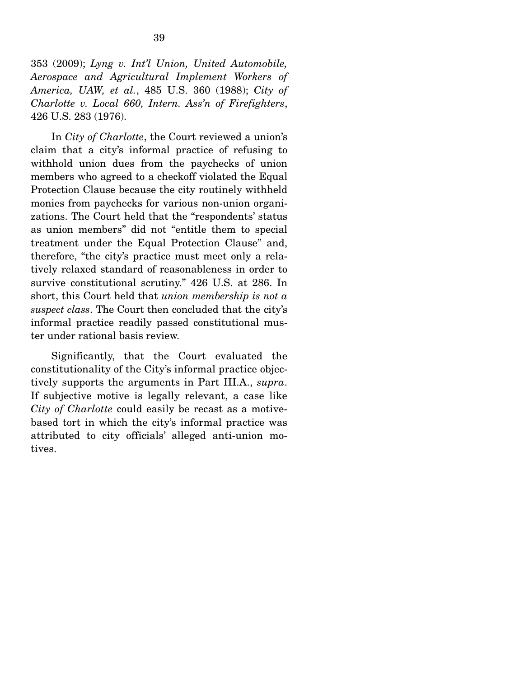353 (2009); *Lyng v. Int'l Union, United Automobile, Aerospace and Agricultural Implement Workers of America, UAW, et al.*, 485 U.S. 360 (1988); *City of Charlotte v. Local 660, Intern. Ass'n of Firefighters*, 426 U.S. 283 (1976).

 In *City of Charlotte*, the Court reviewed a union's claim that a city's informal practice of refusing to withhold union dues from the paychecks of union members who agreed to a checkoff violated the Equal Protection Clause because the city routinely withheld monies from paychecks for various non-union organizations. The Court held that the "respondents' status as union members" did not "entitle them to special treatment under the Equal Protection Clause" and, therefore, "the city's practice must meet only a relatively relaxed standard of reasonableness in order to survive constitutional scrutiny." 426 U.S. at 286. In short, this Court held that *union membership is not a suspect class*. The Court then concluded that the city's informal practice readily passed constitutional muster under rational basis review.

 Significantly, that the Court evaluated the constitutionality of the City's informal practice objectively supports the arguments in Part III.A., *supra*. If subjective motive is legally relevant, a case like *City of Charlotte* could easily be recast as a motivebased tort in which the city's informal practice was attributed to city officials' alleged anti-union motives.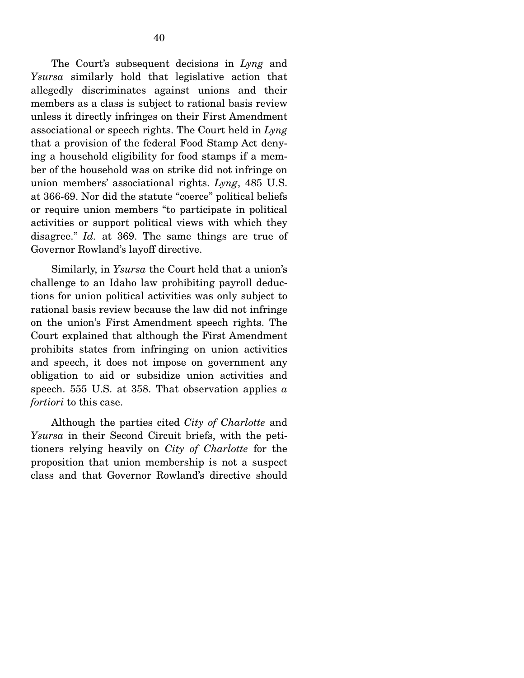The Court's subsequent decisions in *Lyng* and *Ysursa* similarly hold that legislative action that allegedly discriminates against unions and their members as a class is subject to rational basis review unless it directly infringes on their First Amendment associational or speech rights. The Court held in *Lyng*  that a provision of the federal Food Stamp Act denying a household eligibility for food stamps if a member of the household was on strike did not infringe on union members' associational rights. *Lyng*, 485 U.S. at 366-69. Nor did the statute "coerce" political beliefs or require union members "to participate in political activities or support political views with which they disagree." *Id.* at 369. The same things are true of Governor Rowland's layoff directive.

 Similarly, in *Ysursa* the Court held that a union's challenge to an Idaho law prohibiting payroll deductions for union political activities was only subject to rational basis review because the law did not infringe on the union's First Amendment speech rights. The Court explained that although the First Amendment prohibits states from infringing on union activities and speech, it does not impose on government any obligation to aid or subsidize union activities and speech. 555 U.S. at 358. That observation applies *a fortiori* to this case.

 Although the parties cited *City of Charlotte* and *Ysursa* in their Second Circuit briefs, with the petitioners relying heavily on *City of Charlotte* for the proposition that union membership is not a suspect class and that Governor Rowland's directive should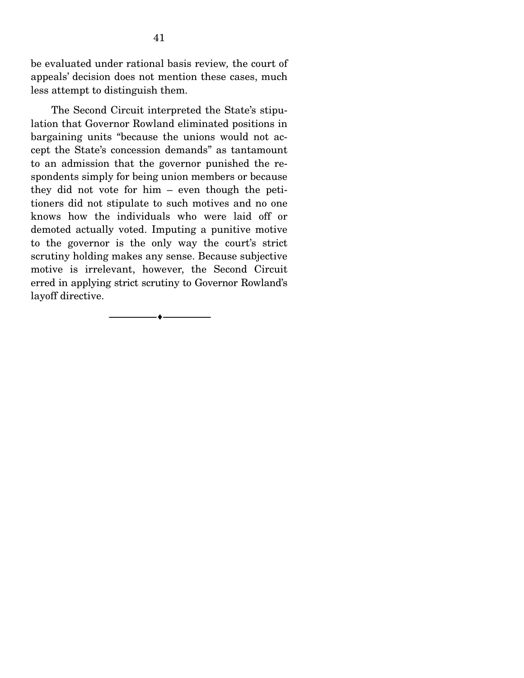be evaluated under rational basis review*,* the court of appeals' decision does not mention these cases, much less attempt to distinguish them.

 The Second Circuit interpreted the State's stipulation that Governor Rowland eliminated positions in bargaining units "because the unions would not accept the State's concession demands" as tantamount to an admission that the governor punished the respondents simply for being union members or because they did not vote for him – even though the petitioners did not stipulate to such motives and no one knows how the individuals who were laid off or demoted actually voted. Imputing a punitive motive to the governor is the only way the court's strict scrutiny holding makes any sense. Because subjective motive is irrelevant, however, the Second Circuit erred in applying strict scrutiny to Governor Rowland's layoff directive.

--------------------------------- ---------------------------------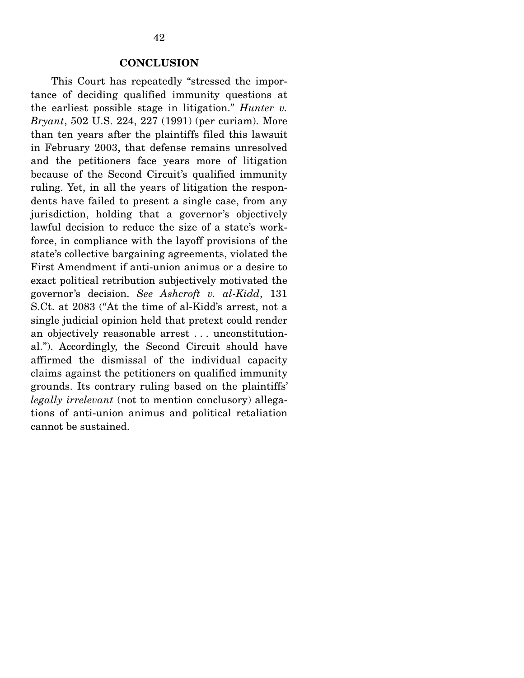#### **CONCLUSION**

 This Court has repeatedly "stressed the importance of deciding qualified immunity questions at the earliest possible stage in litigation." *Hunter v. Bryant*, 502 U.S. 224, 227 (1991) (per curiam). More than ten years after the plaintiffs filed this lawsuit in February 2003, that defense remains unresolved and the petitioners face years more of litigation because of the Second Circuit's qualified immunity ruling. Yet, in all the years of litigation the respondents have failed to present a single case, from any jurisdiction, holding that a governor's objectively lawful decision to reduce the size of a state's workforce, in compliance with the layoff provisions of the state's collective bargaining agreements, violated the First Amendment if anti-union animus or a desire to exact political retribution subjectively motivated the governor's decision. *See Ashcroft v. al-Kidd*, 131 S.Ct. at 2083 ("At the time of al-Kidd's arrest, not a single judicial opinion held that pretext could render an objectively reasonable arrest . . . unconstitutional."). Accordingly, the Second Circuit should have affirmed the dismissal of the individual capacity claims against the petitioners on qualified immunity grounds. Its contrary ruling based on the plaintiffs' *legally irrelevant* (not to mention conclusory) allegations of anti-union animus and political retaliation cannot be sustained.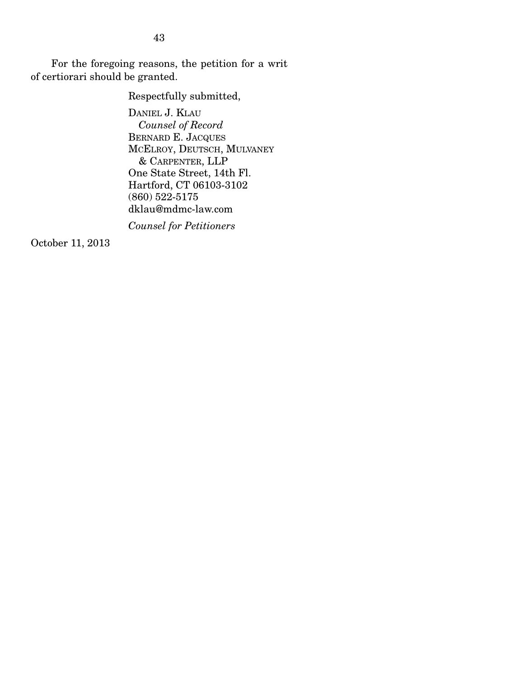For the foregoing reasons, the petition for a writ of certiorari should be granted.

Respectfully submitted,

DANIEL J. KLAU *Counsel of Record*  BERNARD E. JACQUES MCELROY, DEUTSCH, MULVANEY & CARPENTER, LLP One State Street, 14th Fl. Hartford, CT 06103-3102 (860) 522-5175 dklau@mdmc-law.com

*Counsel for Petitioners*

October 11, 2013

43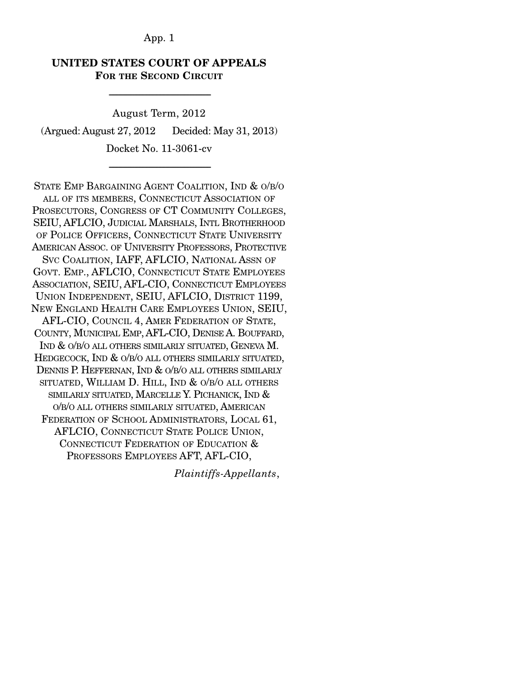## **UNITED STATES COURT OF APPEALS FOR THE SECOND CIRCUIT**

-----------------------------------------------------------------------

August Term, 2012 (Argued: August 27, 2012 Decided: May 31, 2013)

Docket No. 11-3061-cv -----------------------------------------------------------------------

STATE EMP BARGAINING AGENT COALITION, IND & O/B/O ALL OF ITS MEMBERS, CONNECTICUT ASSOCIATION OF PROSECUTORS, CONGRESS OF CT COMMUNITY COLLEGES, SEIU, AFLCIO, JUDICIAL MARSHALS, INTL BROTHERHOOD OF POLICE OFFICERS, CONNECTICUT STATE UNIVERSITY AMERICAN ASSOC. OF UNIVERSITY PROFESSORS, PROTECTIVE SVC COALITION, IAFF, AFLCIO, NATIONAL ASSN OF GOVT. EMP., AFLCIO, CONNECTICUT STATE EMPLOYEES ASSOCIATION, SEIU, AFL-CIO, CONNECTICUT EMPLOYEES UNION INDEPENDENT, SEIU, AFLCIO, DISTRICT 1199, NEW ENGLAND HEALTH CARE EMPLOYEES UNION, SEIU, AFL-CIO, COUNCIL 4, AMER FEDERATION OF STATE, COUNTY, MUNICIPAL EMP, AFL-CIO, DENISE A. BOUFFARD, IND & O/B/O ALL OTHERS SIMILARLY SITUATED, GENEVA M. HEDGECOCK, IND & O/B/O ALL OTHERS SIMILARLY SITUATED, DENNIS P. HEFFERNAN, IND & O/B/O ALL OTHERS SIMILARLY SITUATED, WILLIAM D. HILL, IND & O/B/O ALL OTHERS SIMILARLY SITUATED, MARCELLE Y. PICHANICK, IND & O/B/O ALL OTHERS SIMILARLY SITUATED, AMERICAN FEDERATION OF SCHOOL ADMINISTRATORS, LOCAL 61, AFLCIO, CONNECTICUT STATE POLICE UNION, CONNECTICUT FEDERATION OF EDUCATION & PROFESSORS EMPLOYEES AFT, AFL-CIO,

*Plaintiffs-Appellants*,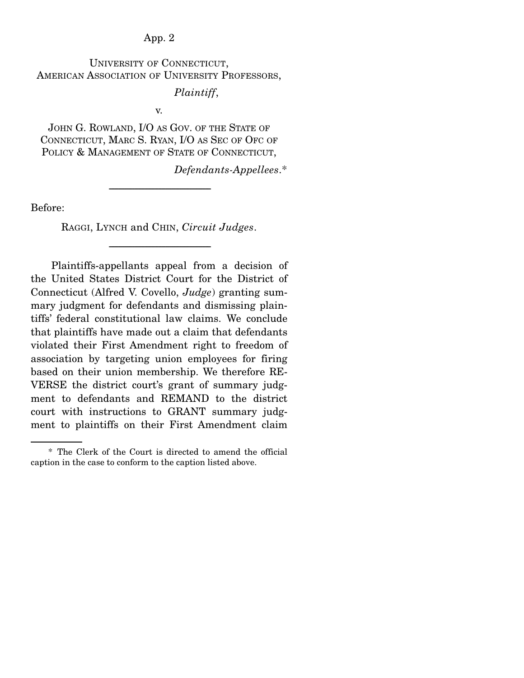UNIVERSITY OF CONNECTICUT, AMERICAN ASSOCIATION OF UNIVERSITY PROFESSORS,

*Plaintiff*,

v.

JOHN G. ROWLAND, I/O AS GOV. OF THE STATE OF CONNECTICUT, MARC S. RYAN, I/O AS SEC OF OFC OF POLICY & MANAGEMENT OF STATE OF CONNECTICUT,

*Defendants-Appellees*.\*

Before:

RAGGI, LYNCH and CHIN, *Circuit Judges*.

-----------------------------------------------------------------------

-----------------------------------------------------------------------

 Plaintiffs-appellants appeal from a decision of the United States District Court for the District of Connecticut (Alfred V. Covello, *Judge*) granting summary judgment for defendants and dismissing plaintiffs' federal constitutional law claims. We conclude that plaintiffs have made out a claim that defendants violated their First Amendment right to freedom of association by targeting union employees for firing based on their union membership. We therefore RE-VERSE the district court's grant of summary judgment to defendants and REMAND to the district court with instructions to GRANT summary judgment to plaintiffs on their First Amendment claim

 <sup>\*</sup> The Clerk of the Court is directed to amend the official caption in the case to conform to the caption listed above.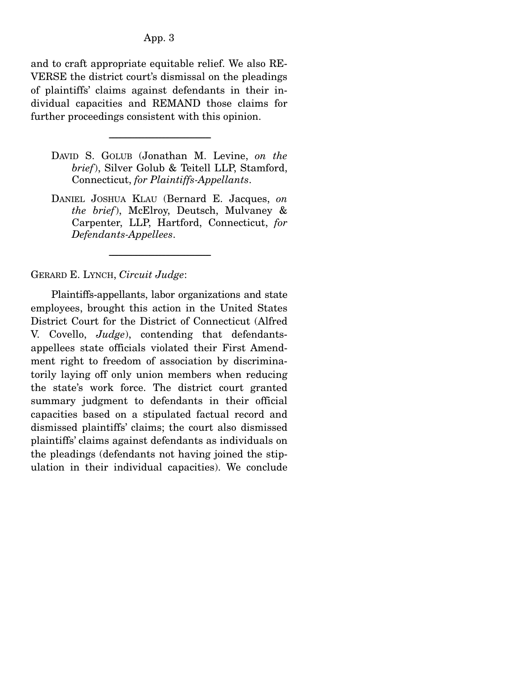and to craft appropriate equitable relief. We also RE-VERSE the district court's dismissal on the pleadings of plaintiffs' claims against defendants in their individual capacities and REMAND those claims for further proceedings consistent with this opinion.

-----------------------------------------------------------------------

- DAVID S. GOLUB (Jonathan M. Levine, *on the brief*), Silver Golub & Teitell LLP, Stamford, Connecticut, *for Plaintiffs-Appellants*.
- DANIEL JOSHUA KLAU (Bernard E. Jacques, *on the brief*), McElroy, Deutsch, Mulvaney & Carpenter, LLP, Hartford, Connecticut, *for Defendants-Appellees*.

-----------------------------------------------------------------------

GERARD E. LYNCH, *Circuit Judge*:

 Plaintiffs-appellants, labor organizations and state employees, brought this action in the United States District Court for the District of Connecticut (Alfred V. Covello, *Judge*), contending that defendantsappellees state officials violated their First Amendment right to freedom of association by discriminatorily laying off only union members when reducing the state's work force. The district court granted summary judgment to defendants in their official capacities based on a stipulated factual record and dismissed plaintiffs' claims; the court also dismissed plaintiffs' claims against defendants as individuals on the pleadings (defendants not having joined the stipulation in their individual capacities). We conclude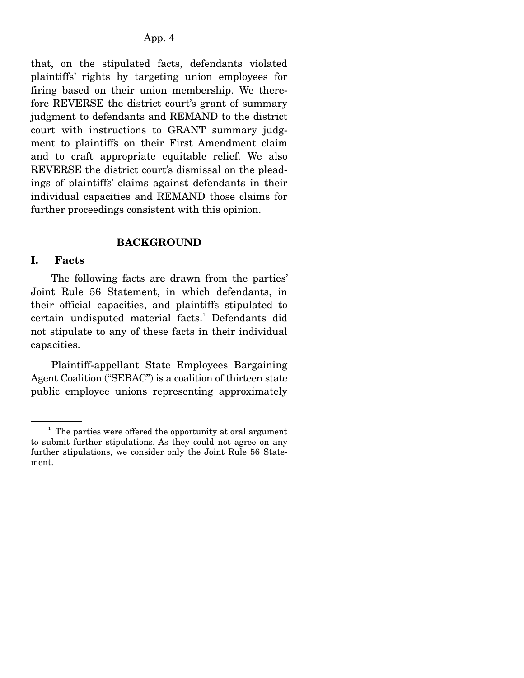that, on the stipulated facts, defendants violated plaintiffs' rights by targeting union employees for firing based on their union membership. We therefore REVERSE the district court's grant of summary judgment to defendants and REMAND to the district court with instructions to GRANT summary judgment to plaintiffs on their First Amendment claim and to craft appropriate equitable relief. We also REVERSE the district court's dismissal on the pleadings of plaintiffs' claims against defendants in their individual capacities and REMAND those claims for further proceedings consistent with this opinion.

### **BACKGROUND**

### **I. Facts**

 The following facts are drawn from the parties' Joint Rule 56 Statement, in which defendants, in their official capacities, and plaintiffs stipulated to certain undisputed material facts.<sup>1</sup> Defendants did not stipulate to any of these facts in their individual capacities.

 Plaintiff-appellant State Employees Bargaining Agent Coalition ("SEBAC") is a coalition of thirteen state public employee unions representing approximately

<sup>&</sup>lt;sup>1</sup> The parties were offered the opportunity at oral argument to submit further stipulations. As they could not agree on any further stipulations, we consider only the Joint Rule 56 Statement.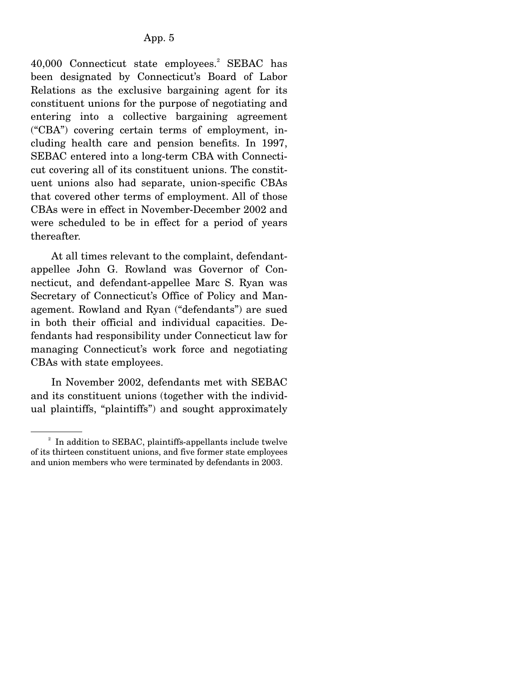40,000 Connecticut state employees.<sup>2</sup> SEBAC has been designated by Connecticut's Board of Labor Relations as the exclusive bargaining agent for its constituent unions for the purpose of negotiating and entering into a collective bargaining agreement ("CBA") covering certain terms of employment, including health care and pension benefits. In 1997, SEBAC entered into a long-term CBA with Connecticut covering all of its constituent unions. The constituent unions also had separate, union-specific CBAs that covered other terms of employment. All of those CBAs were in effect in November-December 2002 and were scheduled to be in effect for a period of years thereafter.

 At all times relevant to the complaint, defendantappellee John G. Rowland was Governor of Connecticut, and defendant-appellee Marc S. Ryan was Secretary of Connecticut's Office of Policy and Management. Rowland and Ryan ("defendants") are sued in both their official and individual capacities. Defendants had responsibility under Connecticut law for managing Connecticut's work force and negotiating CBAs with state employees.

 In November 2002, defendants met with SEBAC and its constituent unions (together with the individual plaintiffs, "plaintiffs") and sought approximately

<sup>&</sup>lt;sup>2</sup> In addition to SEBAC, plaintiffs-appellants include twelve of its thirteen constituent unions, and five former state employees and union members who were terminated by defendants in 2003.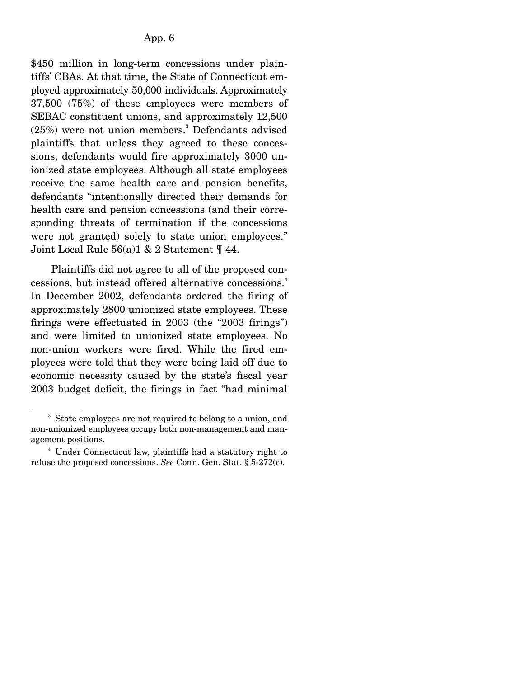\$450 million in long-term concessions under plaintiffs' CBAs. At that time, the State of Connecticut employed approximately 50,000 individuals. Approximately 37,500 (75%) of these employees were members of SEBAC constituent unions, and approximately 12,500  $(25%)$  were not union members.<sup>3</sup> Defendants advised plaintiffs that unless they agreed to these concessions, defendants would fire approximately 3000 unionized state employees. Although all state employees receive the same health care and pension benefits, defendants "intentionally directed their demands for health care and pension concessions (and their corresponding threats of termination if the concessions were not granted) solely to state union employees." Joint Local Rule 56(a)1 & 2 Statement ¶ 44.

 Plaintiffs did not agree to all of the proposed concessions, but instead offered alternative concessions.<sup>4</sup> In December 2002, defendants ordered the firing of approximately 2800 unionized state employees. These firings were effectuated in 2003 (the "2003 firings") and were limited to unionized state employees. No non-union workers were fired. While the fired employees were told that they were being laid off due to economic necessity caused by the state's fiscal year 2003 budget deficit, the firings in fact "had minimal

<sup>&</sup>lt;sup>3</sup> State employees are not required to belong to a union, and non-unionized employees occupy both non-management and management positions.

<sup>4</sup> Under Connecticut law, plaintiffs had a statutory right to refuse the proposed concessions. *See* Conn. Gen. Stat. § 5-272(c).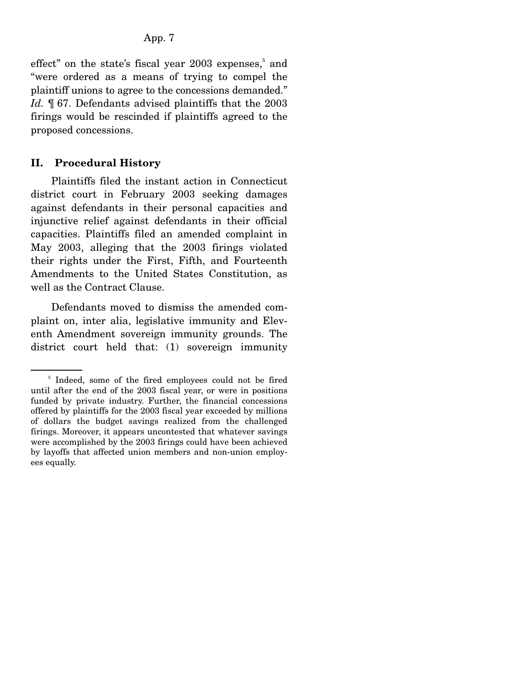effect" on the state's fiscal year 2003 expenses,<sup>5</sup> and "were ordered as a means of trying to compel the plaintiff unions to agree to the concessions demanded." *Id.* ¶ 67. Defendants advised plaintiffs that the 2003 firings would be rescinded if plaintiffs agreed to the proposed concessions.

#### **II. Procedural History**

 Plaintiffs filed the instant action in Connecticut district court in February 2003 seeking damages against defendants in their personal capacities and injunctive relief against defendants in their official capacities. Plaintiffs filed an amended complaint in May 2003, alleging that the 2003 firings violated their rights under the First, Fifth, and Fourteenth Amendments to the United States Constitution, as well as the Contract Clause.

 Defendants moved to dismiss the amended complaint on, inter alia, legislative immunity and Eleventh Amendment sovereign immunity grounds. The district court held that: (1) sovereign immunity

<sup>&</sup>lt;sup>5</sup> Indeed, some of the fired employees could not be fired until after the end of the 2003 fiscal year, or were in positions funded by private industry. Further, the financial concessions offered by plaintiffs for the 2003 fiscal year exceeded by millions of dollars the budget savings realized from the challenged firings. Moreover, it appears uncontested that whatever savings were accomplished by the 2003 firings could have been achieved by layoffs that affected union members and non-union employees equally.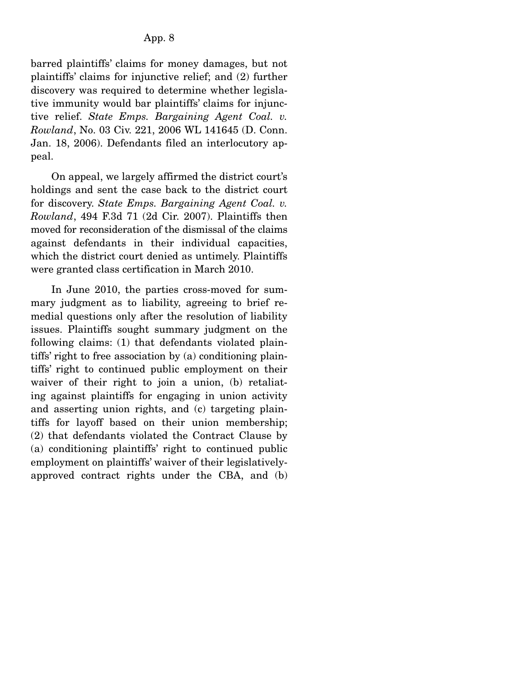barred plaintiffs' claims for money damages, but not plaintiffs' claims for injunctive relief; and (2) further discovery was required to determine whether legislative immunity would bar plaintiffs' claims for injunctive relief. *State Emps. Bargaining Agent Coal. v. Rowland*, No. 03 Civ. 221, 2006 WL 141645 (D. Conn. Jan. 18, 2006). Defendants filed an interlocutory appeal.

 On appeal, we largely affirmed the district court's holdings and sent the case back to the district court for discovery. *State Emps. Bargaining Agent Coal. v. Rowland*, 494 F.3d 71 (2d Cir. 2007). Plaintiffs then moved for reconsideration of the dismissal of the claims against defendants in their individual capacities, which the district court denied as untimely. Plaintiffs were granted class certification in March 2010.

 In June 2010, the parties cross-moved for summary judgment as to liability, agreeing to brief remedial questions only after the resolution of liability issues. Plaintiffs sought summary judgment on the following claims: (1) that defendants violated plaintiffs' right to free association by (a) conditioning plaintiffs' right to continued public employment on their waiver of their right to join a union, (b) retaliating against plaintiffs for engaging in union activity and asserting union rights, and (c) targeting plaintiffs for layoff based on their union membership; (2) that defendants violated the Contract Clause by (a) conditioning plaintiffs' right to continued public employment on plaintiffs' waiver of their legislativelyapproved contract rights under the CBA, and (b)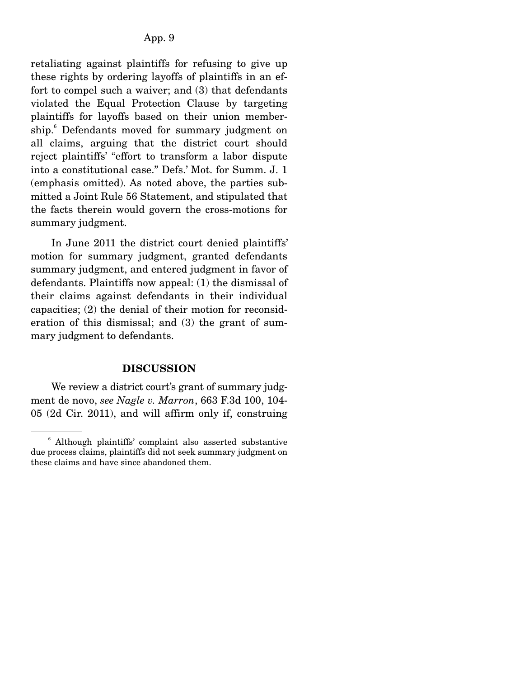retaliating against plaintiffs for refusing to give up these rights by ordering layoffs of plaintiffs in an effort to compel such a waiver; and (3) that defendants violated the Equal Protection Clause by targeting plaintiffs for layoffs based on their union membership.<sup>6</sup> Defendants moved for summary judgment on all claims, arguing that the district court should reject plaintiffs' "effort to transform a labor dispute into a constitutional case." Defs.' Mot. for Summ. J. 1 (emphasis omitted). As noted above, the parties submitted a Joint Rule 56 Statement, and stipulated that the facts therein would govern the cross-motions for summary judgment.

 In June 2011 the district court denied plaintiffs' motion for summary judgment, granted defendants summary judgment, and entered judgment in favor of defendants. Plaintiffs now appeal: (1) the dismissal of their claims against defendants in their individual capacities; (2) the denial of their motion for reconsideration of this dismissal; and (3) the grant of summary judgment to defendants.

#### **DISCUSSION**

We review a district court's grant of summary judgment de novo, *see Nagle v. Marron*, 663 F.3d 100, 104- 05 (2d Cir. 2011), and will affirm only if, construing

<sup>6</sup> Although plaintiffs' complaint also asserted substantive due process claims, plaintiffs did not seek summary judgment on these claims and have since abandoned them.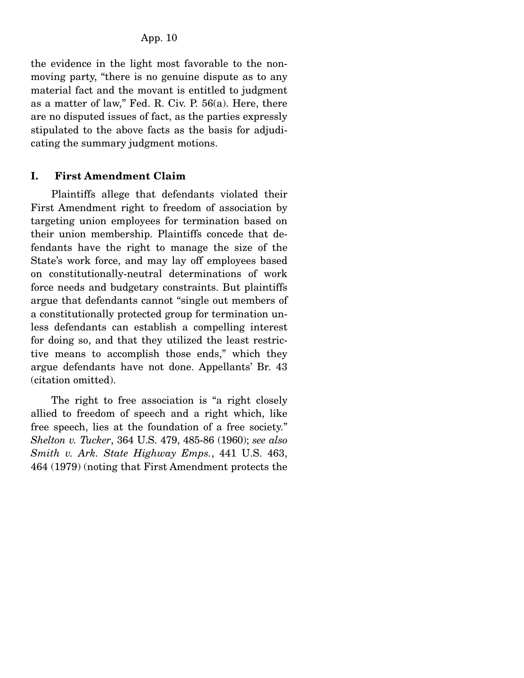the evidence in the light most favorable to the nonmoving party, "there is no genuine dispute as to any material fact and the movant is entitled to judgment as a matter of law," Fed. R. Civ. P. 56(a). Here, there are no disputed issues of fact, as the parties expressly stipulated to the above facts as the basis for adjudicating the summary judgment motions.

# **I. First Amendment Claim**

 Plaintiffs allege that defendants violated their First Amendment right to freedom of association by targeting union employees for termination based on their union membership. Plaintiffs concede that defendants have the right to manage the size of the State's work force, and may lay off employees based on constitutionally-neutral determinations of work force needs and budgetary constraints. But plaintiffs argue that defendants cannot "single out members of a constitutionally protected group for termination unless defendants can establish a compelling interest for doing so, and that they utilized the least restrictive means to accomplish those ends," which they argue defendants have not done. Appellants' Br. 43 (citation omitted).

 The right to free association is "a right closely allied to freedom of speech and a right which, like free speech, lies at the foundation of a free society." *Shelton v. Tucker*, 364 U.S. 479, 485-86 (1960); *see also Smith v. Ark. State Highway Emps.*, 441 U.S. 463, 464 (1979) (noting that First Amendment protects the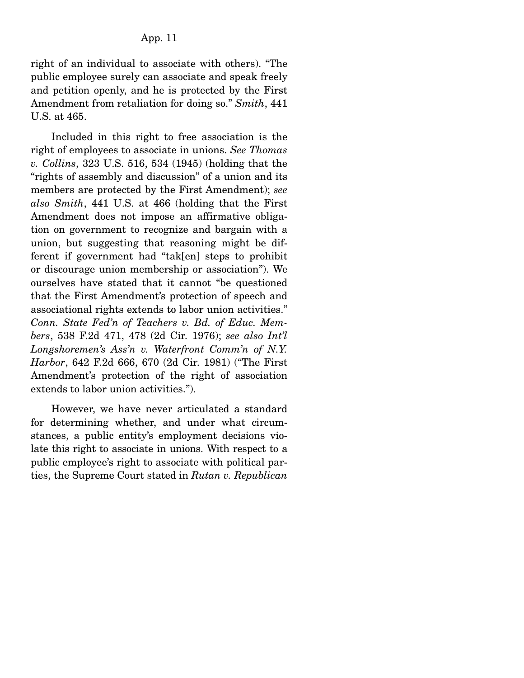right of an individual to associate with others). "The public employee surely can associate and speak freely and petition openly, and he is protected by the First Amendment from retaliation for doing so." *Smith*, 441 U.S. at 465.

 Included in this right to free association is the right of employees to associate in unions. *See Thomas v. Collins*, 323 U.S. 516, 534 (1945) (holding that the "rights of assembly and discussion" of a union and its members are protected by the First Amendment); *see also Smith*, 441 U.S. at 466 (holding that the First Amendment does not impose an affirmative obligation on government to recognize and bargain with a union, but suggesting that reasoning might be different if government had "tak[en] steps to prohibit or discourage union membership or association"). We ourselves have stated that it cannot "be questioned that the First Amendment's protection of speech and associational rights extends to labor union activities." *Conn. State Fed'n of Teachers v. Bd. of Educ. Members*, 538 F.2d 471, 478 (2d Cir. 1976); *see also Int'l Longshoremen's Ass'n v. Waterfront Comm'n of N.Y. Harbor*, 642 F.2d 666, 670 (2d Cir. 1981) ("The First Amendment's protection of the right of association extends to labor union activities.").

 However, we have never articulated a standard for determining whether, and under what circumstances, a public entity's employment decisions violate this right to associate in unions. With respect to a public employee's right to associate with political parties, the Supreme Court stated in *Rutan v. Republican*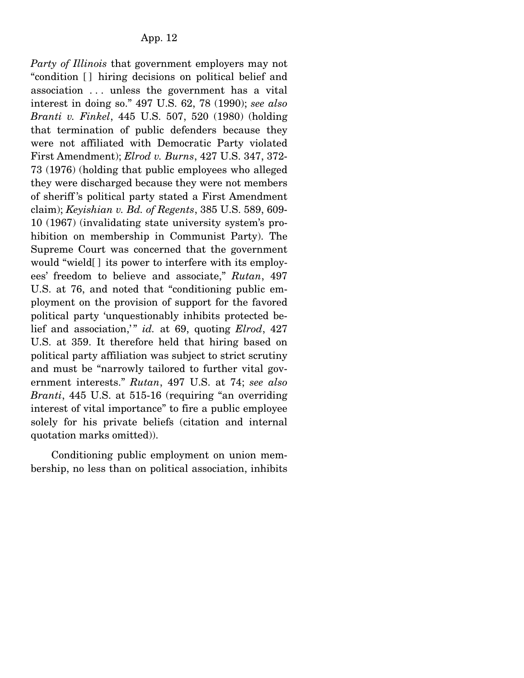*Party of Illinois* that government employers may not "condition [ ] hiring decisions on political belief and association . . . unless the government has a vital interest in doing so." 497 U.S. 62, 78 (1990); *see also Branti v. Finkel*, 445 U.S. 507, 520 (1980) (holding that termination of public defenders because they were not affiliated with Democratic Party violated First Amendment); *Elrod v. Burns*, 427 U.S. 347, 372- 73 (1976) (holding that public employees who alleged they were discharged because they were not members of sheriff 's political party stated a First Amendment claim); *Keyishian v. Bd. of Regents*, 385 U.S. 589, 609- 10 (1967) (invalidating state university system's prohibition on membership in Communist Party). The Supreme Court was concerned that the government would "wield[ ] its power to interfere with its employees' freedom to believe and associate," *Rutan*, 497 U.S. at 76, and noted that "conditioning public employment on the provision of support for the favored political party 'unquestionably inhibits protected belief and association," *id.* at 69, quoting *Elrod*, 427 U.S. at 359. It therefore held that hiring based on political party affiliation was subject to strict scrutiny and must be "narrowly tailored to further vital government interests." *Rutan*, 497 U.S. at 74; *see also Branti*, 445 U.S. at 515-16 (requiring "an overriding interest of vital importance" to fire a public employee solely for his private beliefs (citation and internal quotation marks omitted)).

 Conditioning public employment on union membership, no less than on political association, inhibits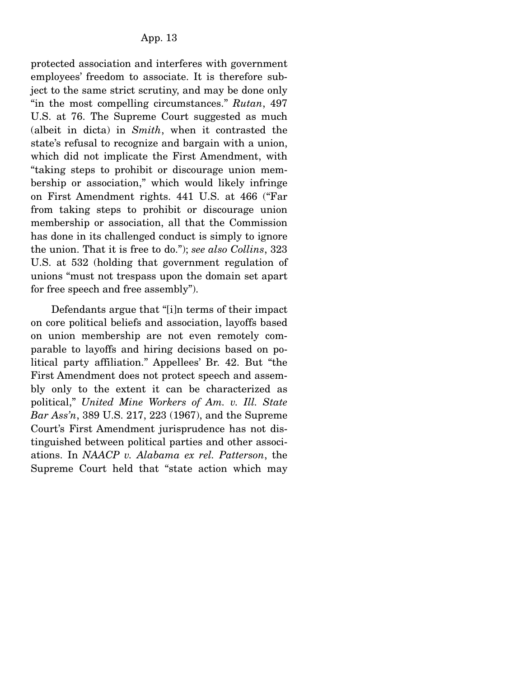protected association and interferes with government employees' freedom to associate. It is therefore subject to the same strict scrutiny, and may be done only "in the most compelling circumstances." *Rutan*, 497 U.S. at 76. The Supreme Court suggested as much (albeit in dicta) in *Smith*, when it contrasted the state's refusal to recognize and bargain with a union, which did not implicate the First Amendment, with "taking steps to prohibit or discourage union membership or association," which would likely infringe on First Amendment rights. 441 U.S. at 466 ("Far from taking steps to prohibit or discourage union membership or association, all that the Commission has done in its challenged conduct is simply to ignore the union. That it is free to do."); *see also Collins*, 323 U.S. at 532 (holding that government regulation of unions "must not trespass upon the domain set apart for free speech and free assembly").

 Defendants argue that "[i]n terms of their impact on core political beliefs and association, layoffs based on union membership are not even remotely comparable to layoffs and hiring decisions based on political party affiliation." Appellees' Br. 42. But "the First Amendment does not protect speech and assembly only to the extent it can be characterized as political," *United Mine Workers of Am. v. Ill. State Bar Ass'n*, 389 U.S. 217, 223 (1967), and the Supreme Court's First Amendment jurisprudence has not distinguished between political parties and other associations. In *NAACP v. Alabama ex rel. Patterson*, the Supreme Court held that "state action which may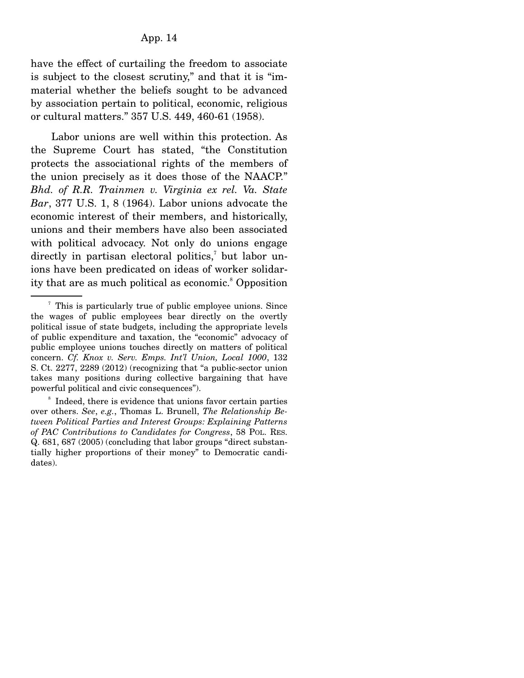have the effect of curtailing the freedom to associate is subject to the closest scrutiny," and that it is "immaterial whether the beliefs sought to be advanced by association pertain to political, economic, religious or cultural matters." 357 U.S. 449, 460-61 (1958).

 Labor unions are well within this protection. As the Supreme Court has stated, "the Constitution protects the associational rights of the members of the union precisely as it does those of the NAACP." *Bhd. of R.R. Trainmen v. Virginia ex rel. Va. State Bar*, 377 U.S. 1, 8 (1964). Labor unions advocate the economic interest of their members, and historically, unions and their members have also been associated with political advocacy. Not only do unions engage directly in partisan electoral politics,<sup>7</sup> but labor unions have been predicated on ideas of worker solidarity that are as much political as economic.<sup>8</sup> Opposition

<sup>&</sup>lt;sup>7</sup> This is particularly true of public employee unions. Since the wages of public employees bear directly on the overtly political issue of state budgets, including the appropriate levels of public expenditure and taxation, the "economic" advocacy of public employee unions touches directly on matters of political concern. *Cf. Knox v. Serv. Emps. Int'l Union, Local 1000*, 132 S. Ct. 2277, 2289 (2012) (recognizing that "a public-sector union takes many positions during collective bargaining that have powerful political and civic consequences").

<sup>&</sup>lt;sup>8</sup> Indeed, there is evidence that unions favor certain parties over others. *See*, *e.g.*, Thomas L. Brunell, *The Relationship Between Political Parties and Interest Groups: Explaining Patterns of PAC Contributions to Candidates for Congress*, 58 POL. RES. Q. 681, 687 (2005) (concluding that labor groups "direct substantially higher proportions of their money" to Democratic candidates).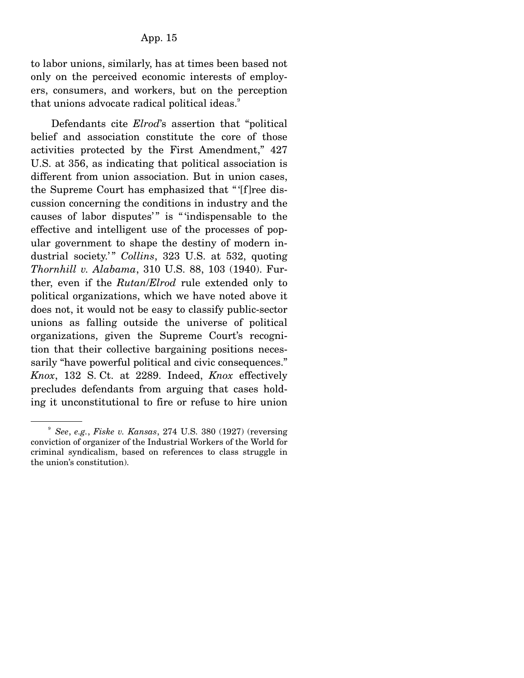to labor unions, similarly, has at times been based not only on the perceived economic interests of employers, consumers, and workers, but on the perception that unions advocate radical political ideas.<sup>9</sup>

 Defendants cite *Elrod*'s assertion that "political belief and association constitute the core of those activities protected by the First Amendment," 427 U.S. at 356, as indicating that political association is different from union association. But in union cases, the Supreme Court has emphasized that " '[f]ree discussion concerning the conditions in industry and the causes of labor disputes'" is "'indispensable to the effective and intelligent use of the processes of popular government to shape the destiny of modern industrial society.'" Collins, 323 U.S. at 532, quoting *Thornhill v. Alabama*, 310 U.S. 88, 103 (1940). Further, even if the *Rutan*/*Elrod* rule extended only to political organizations, which we have noted above it does not, it would not be easy to classify public-sector unions as falling outside the universe of political organizations, given the Supreme Court's recognition that their collective bargaining positions necessarily "have powerful political and civic consequences." *Knox*, 132 S. Ct. at 2289. Indeed, *Knox* effectively precludes defendants from arguing that cases holding it unconstitutional to fire or refuse to hire union

<sup>9</sup> *See*, *e.g.*, *Fiske v. Kansas*, 274 U.S. 380 (1927) (reversing conviction of organizer of the Industrial Workers of the World for criminal syndicalism, based on references to class struggle in the union's constitution).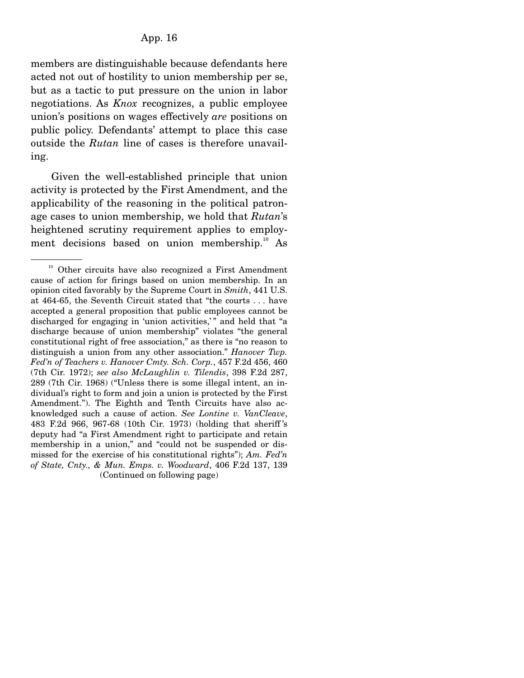members are distinguishable because defendants here acted not out of hostility to union membership per se, but as a tactic to put pressure on the union in labor negotiations. As *Knox* recognizes, a public employee union's positions on wages effectively *are* positions on public policy. Defendants' attempt to place this case outside the *Rutan* line of cases is therefore unavailing.

 Given the well-established principle that union activity is protected by the First Amendment, and the applicability of the reasoning in the political patronage cases to union membership, we hold that *Rutan*'s heightened scrutiny requirement applies to employment decisions based on union membership.<sup>10</sup> As

<sup>&</sup>lt;sup>10</sup> Other circuits have also recognized a First Amendment cause of action for firings based on union membership. In an opinion cited favorably by the Supreme Court in *Smith*, 441 U.S. at 464-65, the Seventh Circuit stated that "the courts . . . have accepted a general proposition that public employees cannot be discharged for engaging in 'union activities,'" and held that "a discharge because of union membership" violates "the general constitutional right of free association," as there is "no reason to distinguish a union from any other association." *Hanover Twp. Fed'n of Teachers v. Hanover Cmty. Sch. Corp.*, 457 F.2d 456, 460 (7th Cir. 1972); *see also McLaughlin v. Tilendis*, 398 F.2d 287, 289 (7th Cir. 1968) ("Unless there is some illegal intent, an individual's right to form and join a union is protected by the First Amendment."). The Eighth and Tenth Circuits have also acknowledged such a cause of action. *See Lontine v. VanCleave*, 483 F.2d 966, 967-68 (10th Cir. 1973) (holding that sheriff 's deputy had "a First Amendment right to participate and retain membership in a union," and "could not be suspended or dismissed for the exercise of his constitutional rights"); *Am. Fed'n of State, Cnty., & Mun. Emps. v. Woodward*, 406 F.2d 137, 139 (Continued on following page)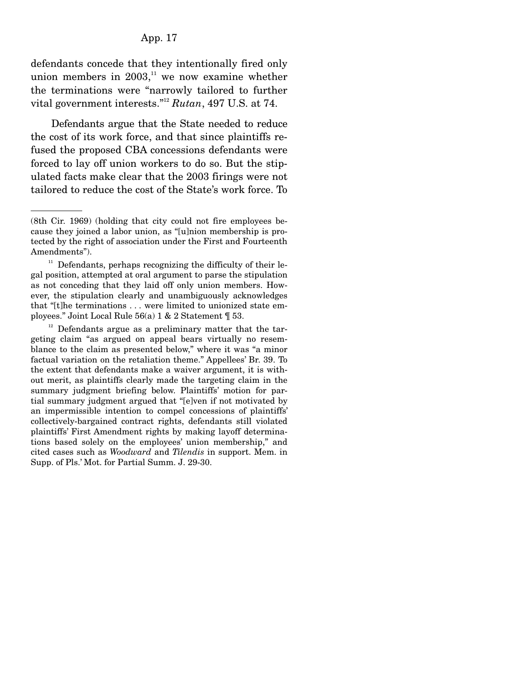defendants concede that they intentionally fired only union members in  $2003$ ,<sup>11</sup> we now examine whether the terminations were "narrowly tailored to further vital government interests."12 *Rutan*, 497 U.S. at 74.

 Defendants argue that the State needed to reduce the cost of its work force, and that since plaintiffs refused the proposed CBA concessions defendants were forced to lay off union workers to do so. But the stipulated facts make clear that the 2003 firings were not tailored to reduce the cost of the State's work force. To

 $12$  Defendants argue as a preliminary matter that the targeting claim "as argued on appeal bears virtually no resemblance to the claim as presented below," where it was "a minor factual variation on the retaliation theme." Appellees' Br. 39. To the extent that defendants make a waiver argument, it is without merit, as plaintiffs clearly made the targeting claim in the summary judgment briefing below. Plaintiffs' motion for partial summary judgment argued that "[e]ven if not motivated by an impermissible intention to compel concessions of plaintiffs' collectively-bargained contract rights, defendants still violated plaintiffs' First Amendment rights by making layoff determinations based solely on the employees' union membership," and cited cases such as *Woodward* and *Tilendis* in support. Mem. in Supp. of Pls.' Mot. for Partial Summ. J. 29-30.

<sup>(8</sup>th Cir. 1969) (holding that city could not fire employees because they joined a labor union, as "[u]nion membership is protected by the right of association under the First and Fourteenth Amendments").

 $^{\rm 11}$  Defendants, perhaps recognizing the difficulty of their legal position, attempted at oral argument to parse the stipulation as not conceding that they laid off only union members. However, the stipulation clearly and unambiguously acknowledges that "[t]he terminations . . . were limited to unionized state employees." Joint Local Rule 56(a) 1 & 2 Statement ¶ 53.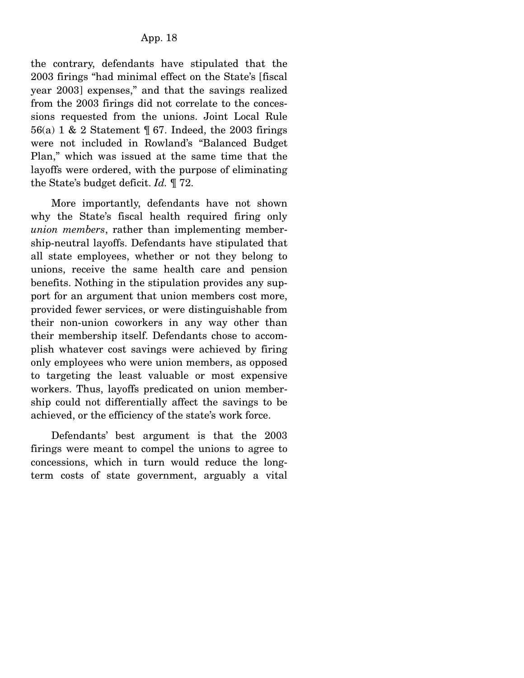the contrary, defendants have stipulated that the 2003 firings "had minimal effect on the State's [fiscal year 2003] expenses," and that the savings realized from the 2003 firings did not correlate to the concessions requested from the unions. Joint Local Rule 56(a) 1 & 2 Statement ¶ 67. Indeed, the 2003 firings were not included in Rowland's "Balanced Budget Plan," which was issued at the same time that the layoffs were ordered, with the purpose of eliminating the State's budget deficit. *Id.* ¶ 72.

 More importantly, defendants have not shown why the State's fiscal health required firing only *union members*, rather than implementing membership-neutral layoffs. Defendants have stipulated that all state employees, whether or not they belong to unions, receive the same health care and pension benefits. Nothing in the stipulation provides any support for an argument that union members cost more, provided fewer services, or were distinguishable from their non-union coworkers in any way other than their membership itself. Defendants chose to accomplish whatever cost savings were achieved by firing only employees who were union members, as opposed to targeting the least valuable or most expensive workers. Thus, layoffs predicated on union membership could not differentially affect the savings to be achieved, or the efficiency of the state's work force.

 Defendants' best argument is that the 2003 firings were meant to compel the unions to agree to concessions, which in turn would reduce the longterm costs of state government, arguably a vital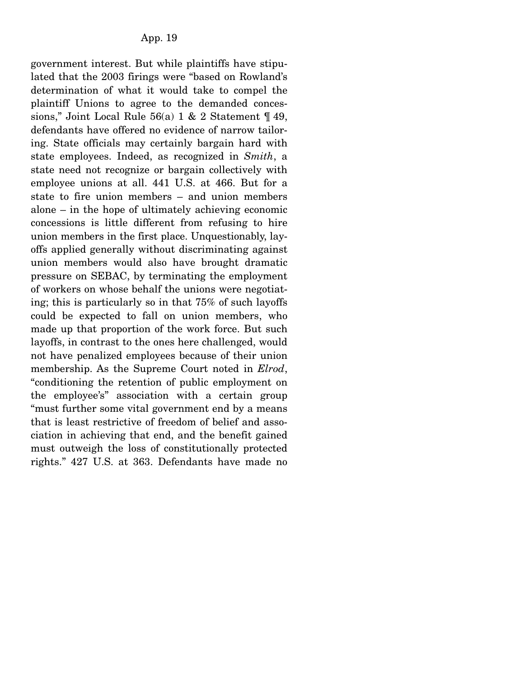government interest. But while plaintiffs have stipulated that the 2003 firings were "based on Rowland's determination of what it would take to compel the plaintiff Unions to agree to the demanded concessions," Joint Local Rule  $56(a)$  1 & 2 Statement  $\P$  49, defendants have offered no evidence of narrow tailoring. State officials may certainly bargain hard with state employees. Indeed, as recognized in *Smith*, a state need not recognize or bargain collectively with employee unions at all. 441 U.S. at 466. But for a state to fire union members – and union members alone – in the hope of ultimately achieving economic concessions is little different from refusing to hire union members in the first place. Unquestionably, layoffs applied generally without discriminating against union members would also have brought dramatic pressure on SEBAC, by terminating the employment of workers on whose behalf the unions were negotiating; this is particularly so in that 75% of such layoffs could be expected to fall on union members, who made up that proportion of the work force. But such layoffs, in contrast to the ones here challenged, would not have penalized employees because of their union membership. As the Supreme Court noted in *Elrod*, "conditioning the retention of public employment on the employee's" association with a certain group "must further some vital government end by a means that is least restrictive of freedom of belief and association in achieving that end, and the benefit gained must outweigh the loss of constitutionally protected rights." 427 U.S. at 363. Defendants have made no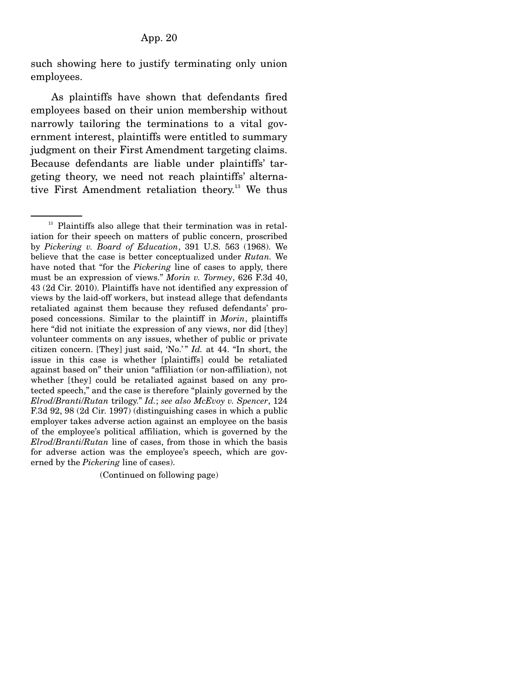such showing here to justify terminating only union employees.

 As plaintiffs have shown that defendants fired employees based on their union membership without narrowly tailoring the terminations to a vital government interest, plaintiffs were entitled to summary judgment on their First Amendment targeting claims. Because defendants are liable under plaintiffs' targeting theory, we need not reach plaintiffs' alternative First Amendment retaliation theory.<sup>13</sup> We thus

(Continued on following page)

<sup>&</sup>lt;sup>13</sup> Plaintiffs also allege that their termination was in retaliation for their speech on matters of public concern, proscribed by *Pickering v. Board of Education*, 391 U.S. 563 (1968). We believe that the case is better conceptualized under *Rutan.* We have noted that "for the *Pickering* line of cases to apply, there must be an expression of views." *Morin v. Tormey*, 626 F.3d 40, 43 (2d Cir. 2010). Plaintiffs have not identified any expression of views by the laid-off workers, but instead allege that defendants retaliated against them because they refused defendants' proposed concessions. Similar to the plaintiff in *Morin*, plaintiffs here "did not initiate the expression of any views, nor did [they] volunteer comments on any issues, whether of public or private citizen concern. [They] just said, 'No.' " *Id.* at 44. "In short, the issue in this case is whether [plaintiffs] could be retaliated against based on" their union "affiliation (or non-affiliation), not whether [they] could be retaliated against based on any protected speech," and the case is therefore "plainly governed by the *Elrod*/*Branti*/*Rutan* trilogy." *Id.*; *see also McEvoy v. Spencer*, 124 F.3d 92, 98 (2d Cir. 1997) (distinguishing cases in which a public employer takes adverse action against an employee on the basis of the employee's political affiliation, which is governed by the *Elrod*/*Branti*/*Rutan* line of cases, from those in which the basis for adverse action was the employee's speech, which are governed by the *Pickering* line of cases).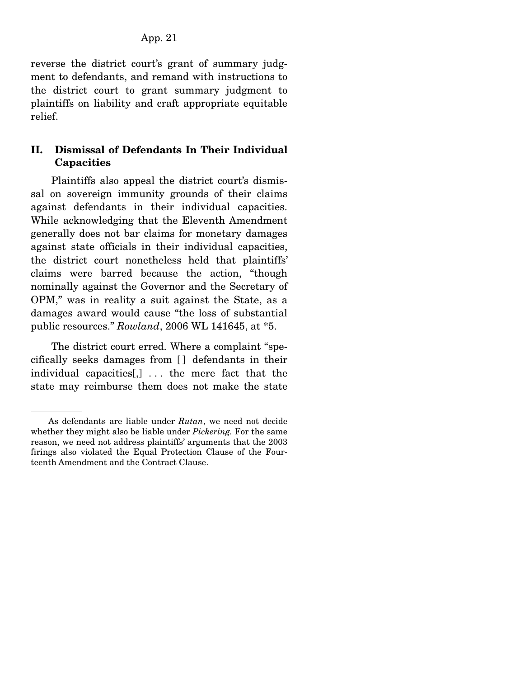reverse the district court's grant of summary judgment to defendants, and remand with instructions to the district court to grant summary judgment to plaintiffs on liability and craft appropriate equitable relief.

# **II. Dismissal of Defendants In Their Individual Capacities**

 Plaintiffs also appeal the district court's dismissal on sovereign immunity grounds of their claims against defendants in their individual capacities. While acknowledging that the Eleventh Amendment generally does not bar claims for monetary damages against state officials in their individual capacities, the district court nonetheless held that plaintiffs' claims were barred because the action, "though nominally against the Governor and the Secretary of OPM," was in reality a suit against the State, as a damages award would cause "the loss of substantial public resources." *Rowland*, 2006 WL 141645, at \*5.

 The district court erred. Where a complaint "specifically seeks damages from [ ] defendants in their individual capacities[,] . . . the mere fact that the state may reimburse them does not make the state

As defendants are liable under *Rutan*, we need not decide whether they might also be liable under *Pickering.* For the same reason, we need not address plaintiffs' arguments that the 2003 firings also violated the Equal Protection Clause of the Fourteenth Amendment and the Contract Clause.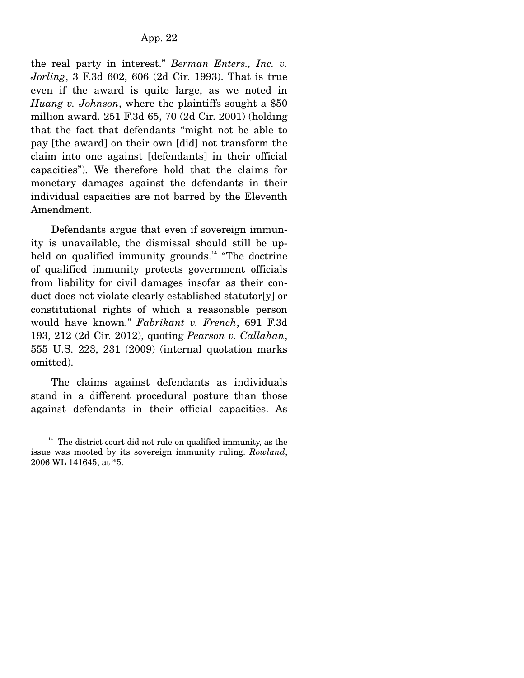the real party in interest." *Berman Enters., Inc. v. Jorling*, 3 F.3d 602, 606 (2d Cir. 1993). That is true even if the award is quite large, as we noted in *Huang v. Johnson*, where the plaintiffs sought a \$50 million award. 251 F.3d 65, 70 (2d Cir. 2001) (holding that the fact that defendants "might not be able to pay [the award] on their own [did] not transform the claim into one against [defendants] in their official capacities"). We therefore hold that the claims for monetary damages against the defendants in their individual capacities are not barred by the Eleventh Amendment.

 Defendants argue that even if sovereign immunity is unavailable, the dismissal should still be upheld on qualified immunity grounds.<sup>14</sup> "The doctrine" of qualified immunity protects government officials from liability for civil damages insofar as their conduct does not violate clearly established statutor[y] or constitutional rights of which a reasonable person would have known." *Fabrikant v. French*, 691 F.3d 193, 212 (2d Cir. 2012), quoting *Pearson v. Callahan*, 555 U.S. 223, 231 (2009) (internal quotation marks omitted).

 The claims against defendants as individuals stand in a different procedural posture than those against defendants in their official capacities. As

 $14$  The district court did not rule on qualified immunity, as the issue was mooted by its sovereign immunity ruling. *Rowland*, 2006 WL 141645, at \*5.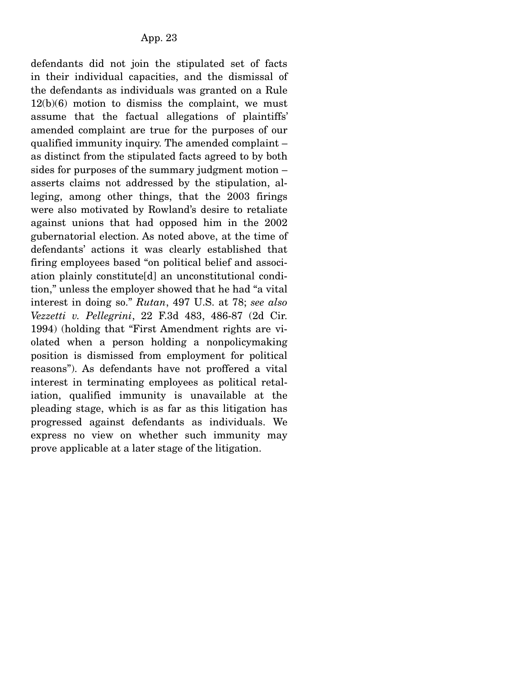defendants did not join the stipulated set of facts in their individual capacities, and the dismissal of the defendants as individuals was granted on a Rule  $12(b)(6)$  motion to dismiss the complaint, we must assume that the factual allegations of plaintiffs' amended complaint are true for the purposes of our qualified immunity inquiry. The amended complaint – as distinct from the stipulated facts agreed to by both sides for purposes of the summary judgment motion – asserts claims not addressed by the stipulation, alleging, among other things, that the 2003 firings were also motivated by Rowland's desire to retaliate against unions that had opposed him in the 2002 gubernatorial election. As noted above, at the time of defendants' actions it was clearly established that firing employees based "on political belief and association plainly constitute[d] an unconstitutional condition," unless the employer showed that he had "a vital interest in doing so." *Rutan*, 497 U.S. at 78; *see also Vezzetti v. Pellegrini*, 22 F.3d 483, 486-87 (2d Cir. 1994) (holding that "First Amendment rights are violated when a person holding a nonpolicymaking position is dismissed from employment for political reasons"). As defendants have not proffered a vital interest in terminating employees as political retaliation, qualified immunity is unavailable at the pleading stage, which is as far as this litigation has progressed against defendants as individuals. We express no view on whether such immunity may prove applicable at a later stage of the litigation.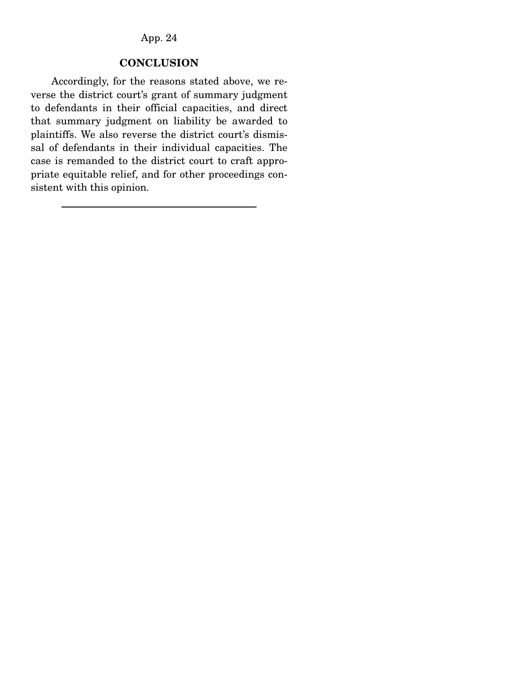# **CONCLUSION**

 Accordingly, for the reasons stated above, we reverse the district court's grant of summary judgment to defendants in their official capacities, and direct that summary judgment on liability be awarded to plaintiffs. We also reverse the district court's dismissal of defendants in their individual capacities. The case is remanded to the district court to craft appropriate equitable relief, and for other proceedings consistent with this opinion.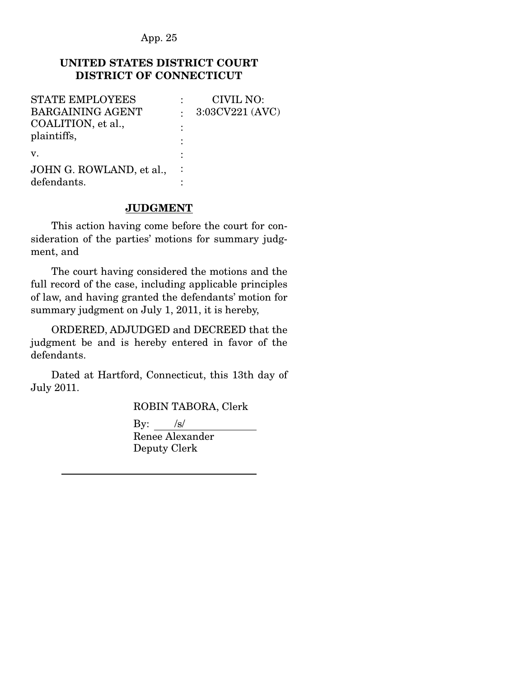# **UNITED STATES DISTRICT COURT DISTRICT OF CONNECTICUT**

| CIVIL NO:       |
|-----------------|
| 3:03CV221 (AVC) |
|                 |
|                 |
|                 |
|                 |
|                 |
|                 |

## **JUDGMENT**

 This action having come before the court for consideration of the parties' motions for summary judgment, and

 The court having considered the motions and the full record of the case, including applicable principles of law, and having granted the defendants' motion for summary judgment on July 1, 2011, it is hereby,

 ORDERED, ADJUDGED and DECREED that the judgment be and is hereby entered in favor of the defendants.

 Dated at Hartford, Connecticut, this 13th day of July 2011.

ROBIN TABORA, Clerk

By:  $/s/$ 

 Renee Alexander Deputy Clerk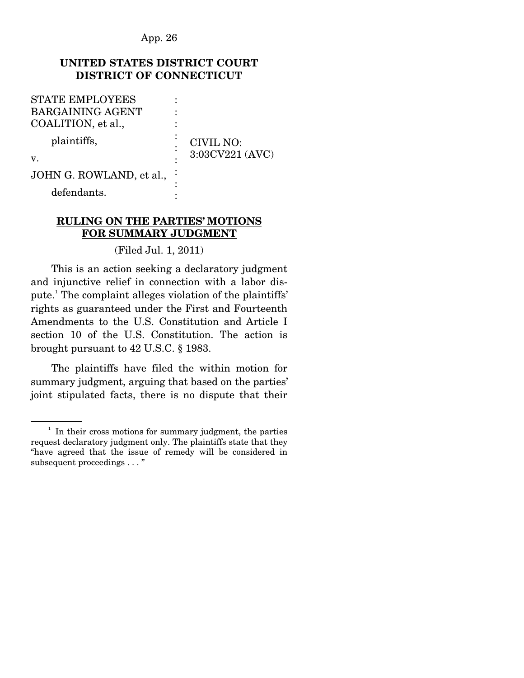## **UNITED STATES DISTRICT COURT DISTRICT OF CONNECTICUT**

| <b>STATE EMPLOYEES</b>   |  |                              |
|--------------------------|--|------------------------------|
| <b>BARGAINING AGENT</b>  |  |                              |
| COALITION, et al.,       |  | CIVIL NO:<br>3:03CV221 (AVC) |
| plaintiffs,              |  |                              |
| $V_{\cdot}$              |  |                              |
| JOHN G. ROWLAND, et al., |  |                              |

defendants.

## **RULING ON THE PARTIES' MOTIONS FOR SUMMARY JUDGMENT**

:

(Filed Jul. 1, 2011)

 This is an action seeking a declaratory judgment and injunctive relief in connection with a labor dispute.<sup>1</sup> The complaint alleges violation of the plaintiffs' rights as guaranteed under the First and Fourteenth Amendments to the U.S. Constitution and Article I section 10 of the U.S. Constitution. The action is brought pursuant to 42 U.S.C. § 1983.

 The plaintiffs have filed the within motion for summary judgment, arguing that based on the parties' joint stipulated facts, there is no dispute that their

<sup>&</sup>lt;sup>1</sup> In their cross motions for summary judgment, the parties request declaratory judgment only. The plaintiffs state that they "have agreed that the issue of remedy will be considered in subsequent proceedings . . . "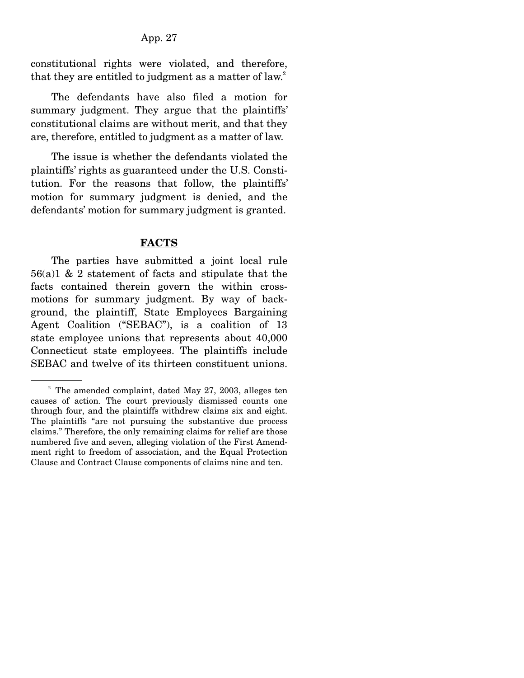constitutional rights were violated, and therefore, that they are entitled to judgment as a matter of law.<sup>2</sup>

 The defendants have also filed a motion for summary judgment. They argue that the plaintiffs' constitutional claims are without merit, and that they are, therefore, entitled to judgment as a matter of law.

 The issue is whether the defendants violated the plaintiffs' rights as guaranteed under the U.S. Constitution. For the reasons that follow, the plaintiffs' motion for summary judgment is denied, and the defendants' motion for summary judgment is granted.

## **FACTS**

 The parties have submitted a joint local rule 56(a)1 & 2 statement of facts and stipulate that the facts contained therein govern the within crossmotions for summary judgment. By way of background, the plaintiff, State Employees Bargaining Agent Coalition ("SEBAC"), is a coalition of 13 state employee unions that represents about 40,000 Connecticut state employees. The plaintiffs include SEBAC and twelve of its thirteen constituent unions.

 $2^2$  The amended complaint, dated May 27, 2003, alleges ten causes of action. The court previously dismissed counts one through four, and the plaintiffs withdrew claims six and eight. The plaintiffs "are not pursuing the substantive due process claims." Therefore, the only remaining claims for relief are those numbered five and seven, alleging violation of the First Amendment right to freedom of association, and the Equal Protection Clause and Contract Clause components of claims nine and ten.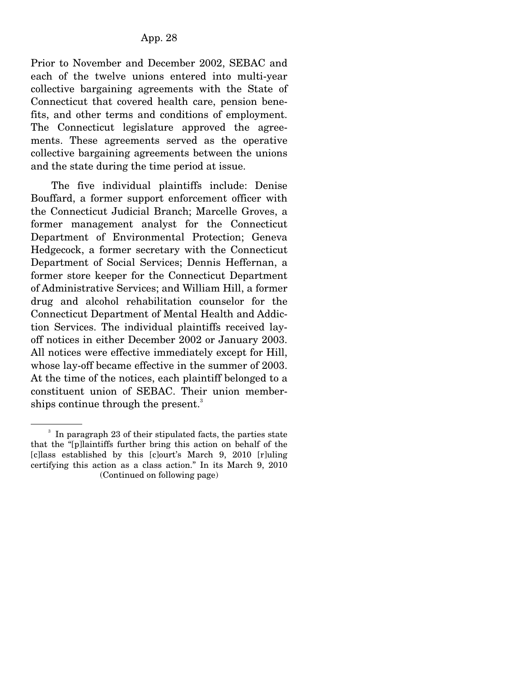Prior to November and December 2002, SEBAC and each of the twelve unions entered into multi-year collective bargaining agreements with the State of Connecticut that covered health care, pension benefits, and other terms and conditions of employment. The Connecticut legislature approved the agreements. These agreements served as the operative collective bargaining agreements between the unions and the state during the time period at issue.

 The five individual plaintiffs include: Denise Bouffard, a former support enforcement officer with the Connecticut Judicial Branch; Marcelle Groves, a former management analyst for the Connecticut Department of Environmental Protection; Geneva Hedgecock, a former secretary with the Connecticut Department of Social Services; Dennis Heffernan, a former store keeper for the Connecticut Department of Administrative Services; and William Hill, a former drug and alcohol rehabilitation counselor for the Connecticut Department of Mental Health and Addiction Services. The individual plaintiffs received layoff notices in either December 2002 or January 2003. All notices were effective immediately except for Hill, whose lay-off became effective in the summer of 2003. At the time of the notices, each plaintiff belonged to a constituent union of SEBAC. Their union memberships continue through the present.<sup>3</sup>

<sup>&</sup>lt;sup>3</sup> In paragraph 23 of their stipulated facts, the parties state that the "[p]laintiffs further bring this action on behalf of the [c]lass established by this [c]ourt's March 9, 2010 [r]uling certifying this action as a class action." In its March 9, 2010 (Continued on following page)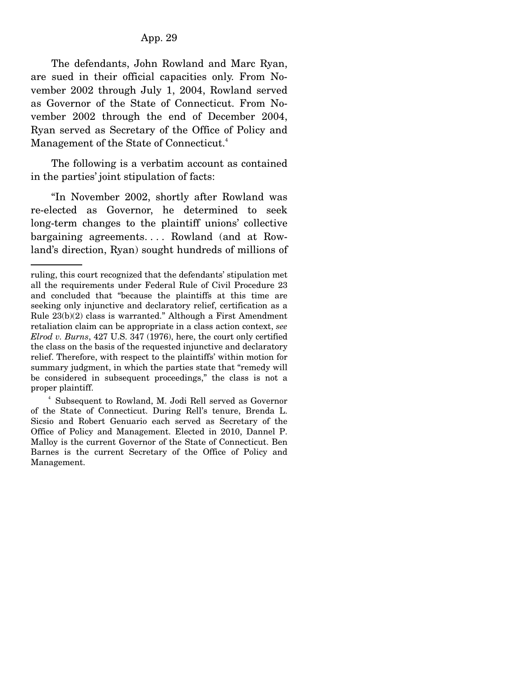The defendants, John Rowland and Marc Ryan, are sued in their official capacities only. From November 2002 through July 1, 2004, Rowland served as Governor of the State of Connecticut. From November 2002 through the end of December 2004, Ryan served as Secretary of the Office of Policy and Management of the State of Connecticut.<sup>4</sup>

 The following is a verbatim account as contained in the parties' joint stipulation of facts:

 "In November 2002, shortly after Rowland was re-elected as Governor, he determined to seek long-term changes to the plaintiff unions' collective bargaining agreements. . . . Rowland (and at Rowland's direction, Ryan) sought hundreds of millions of

ruling, this court recognized that the defendants' stipulation met all the requirements under Federal Rule of Civil Procedure 23 and concluded that "because the plaintiffs at this time are seeking only injunctive and declaratory relief, certification as a Rule 23(b)(2) class is warranted." Although a First Amendment retaliation claim can be appropriate in a class action context, *see Elrod v. Burns*, 427 U.S. 347 (1976), here, the court only certified the class on the basis of the requested injunctive and declaratory relief. Therefore, with respect to the plaintiffs' within motion for summary judgment, in which the parties state that "remedy will be considered in subsequent proceedings," the class is not a proper plaintiff.

<sup>4</sup> Subsequent to Rowland, M. Jodi Rell served as Governor of the State of Connecticut. During Rell's tenure, Brenda L. Sicsio and Robert Genuario each served as Secretary of the Office of Policy and Management. Elected in 2010, Dannel P. Malloy is the current Governor of the State of Connecticut. Ben Barnes is the current Secretary of the Office of Policy and Management.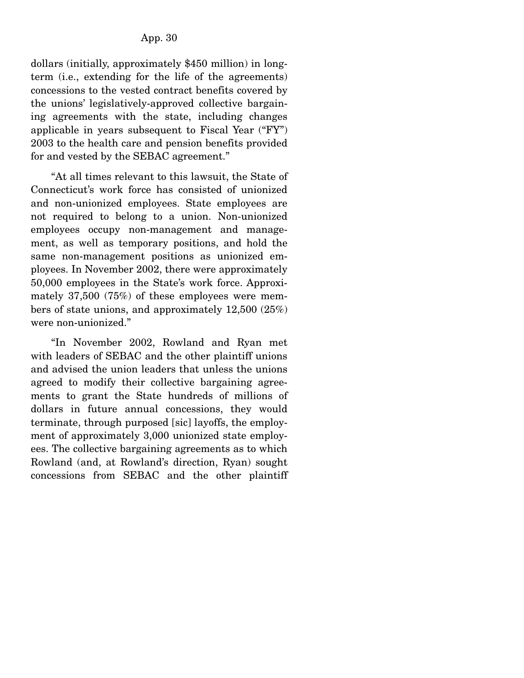dollars (initially, approximately \$450 million) in longterm (i.e., extending for the life of the agreements) concessions to the vested contract benefits covered by the unions' legislatively-approved collective bargaining agreements with the state, including changes applicable in years subsequent to Fiscal Year ("FY") 2003 to the health care and pension benefits provided for and vested by the SEBAC agreement."

 "At all times relevant to this lawsuit, the State of Connecticut's work force has consisted of unionized and non-unionized employees. State employees are not required to belong to a union. Non-unionized employees occupy non-management and management, as well as temporary positions, and hold the same non-management positions as unionized employees. In November 2002, there were approximately 50,000 employees in the State's work force. Approximately 37,500 (75%) of these employees were members of state unions, and approximately 12,500 (25%) were non-unionized."

 "In November 2002, Rowland and Ryan met with leaders of SEBAC and the other plaintiff unions and advised the union leaders that unless the unions agreed to modify their collective bargaining agreements to grant the State hundreds of millions of dollars in future annual concessions, they would terminate, through purposed [sic] layoffs, the employment of approximately 3,000 unionized state employees. The collective bargaining agreements as to which Rowland (and, at Rowland's direction, Ryan) sought concessions from SEBAC and the other plaintiff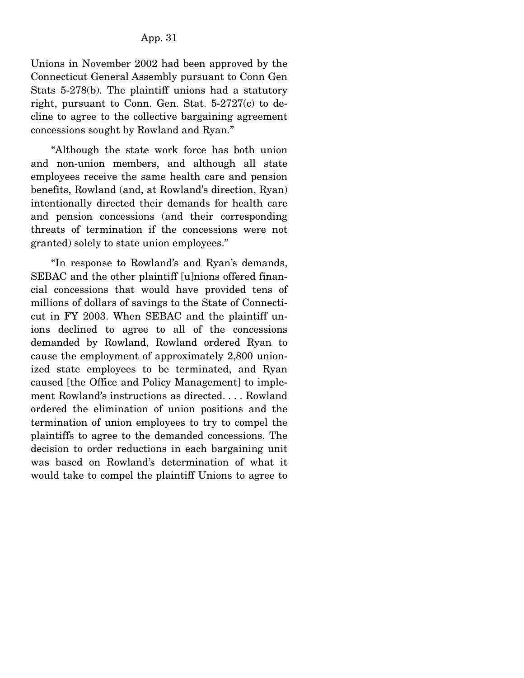Unions in November 2002 had been approved by the Connecticut General Assembly pursuant to Conn Gen Stats 5-278(b). The plaintiff unions had a statutory right, pursuant to Conn. Gen. Stat. 5-2727(c) to decline to agree to the collective bargaining agreement concessions sought by Rowland and Ryan."

 "Although the state work force has both union and non-union members, and although all state employees receive the same health care and pension benefits, Rowland (and, at Rowland's direction, Ryan) intentionally directed their demands for health care and pension concessions (and their corresponding threats of termination if the concessions were not granted) solely to state union employees."

 "In response to Rowland's and Ryan's demands, SEBAC and the other plaintiff [u]nions offered financial concessions that would have provided tens of millions of dollars of savings to the State of Connecticut in FY 2003. When SEBAC and the plaintiff unions declined to agree to all of the concessions demanded by Rowland, Rowland ordered Ryan to cause the employment of approximately 2,800 unionized state employees to be terminated, and Ryan caused [the Office and Policy Management] to implement Rowland's instructions as directed. . . . Rowland ordered the elimination of union positions and the termination of union employees to try to compel the plaintiffs to agree to the demanded concessions. The decision to order reductions in each bargaining unit was based on Rowland's determination of what it would take to compel the plaintiff Unions to agree to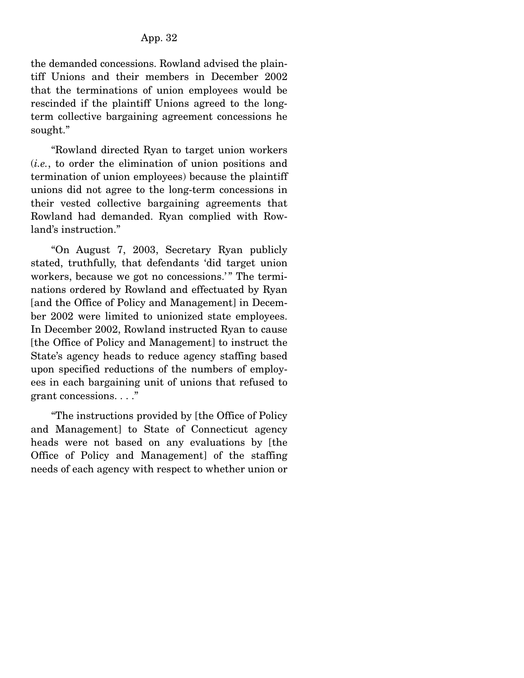the demanded concessions. Rowland advised the plaintiff Unions and their members in December 2002 that the terminations of union employees would be rescinded if the plaintiff Unions agreed to the longterm collective bargaining agreement concessions he sought."

 "Rowland directed Ryan to target union workers (*i.e.*, to order the elimination of union positions and termination of union employees) because the plaintiff unions did not agree to the long-term concessions in their vested collective bargaining agreements that Rowland had demanded. Ryan complied with Rowland's instruction."

 "On August 7, 2003, Secretary Ryan publicly stated, truthfully, that defendants 'did target union workers, because we got no concessions.'" The terminations ordered by Rowland and effectuated by Ryan [and the Office of Policy and Management] in December 2002 were limited to unionized state employees. In December 2002, Rowland instructed Ryan to cause [the Office of Policy and Management] to instruct the State's agency heads to reduce agency staffing based upon specified reductions of the numbers of employees in each bargaining unit of unions that refused to grant concessions. . . ."

 "The instructions provided by [the Office of Policy and Management] to State of Connecticut agency heads were not based on any evaluations by [the Office of Policy and Management] of the staffing needs of each agency with respect to whether union or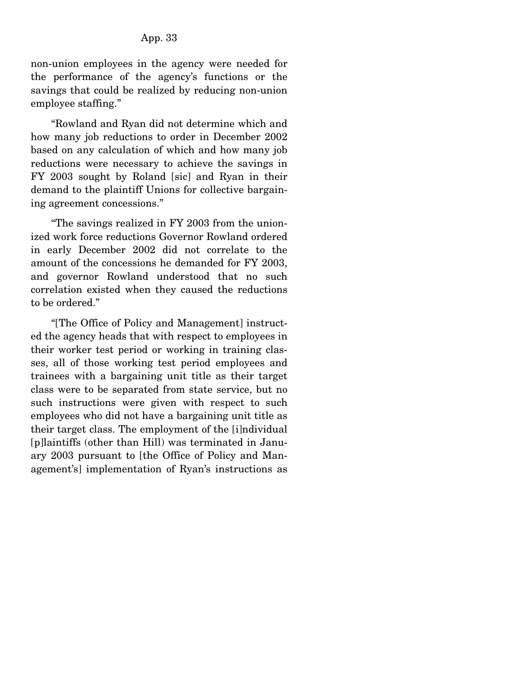non-union employees in the agency were needed for the performance of the agency's functions or the savings that could be realized by reducing non-union employee staffing."

 "Rowland and Ryan did not determine which and how many job reductions to order in December 2002 based on any calculation of which and how many job reductions were necessary to achieve the savings in FY 2003 sought by Roland [sic] and Ryan in their demand to the plaintiff Unions for collective bargaining agreement concessions."

 "The savings realized in FY 2003 from the unionized work force reductions Governor Rowland ordered in early December 2002 did not correlate to the amount of the concessions he demanded for FY 2003, and governor Rowland understood that no such correlation existed when they caused the reductions to be ordered."

 "[The Office of Policy and Management] instructed the agency heads that with respect to employees in their worker test period or working in training classes, all of those working test period employees and trainees with a bargaining unit title as their target class were to be separated from state service, but no such instructions were given with respect to such employees who did not have a bargaining unit title as their target class. The employment of the [i]ndividual [p]laintiffs (other than Hill) was terminated in January 2003 pursuant to [the Office of Policy and Management's] implementation of Ryan's instructions as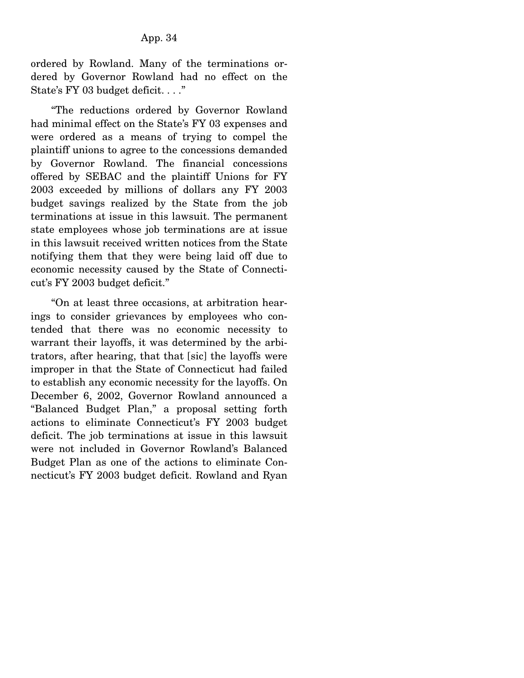ordered by Rowland. Many of the terminations ordered by Governor Rowland had no effect on the State's FY 03 budget deficit. . . ."

 "The reductions ordered by Governor Rowland had minimal effect on the State's FY 03 expenses and were ordered as a means of trying to compel the plaintiff unions to agree to the concessions demanded by Governor Rowland. The financial concessions offered by SEBAC and the plaintiff Unions for FY 2003 exceeded by millions of dollars any FY 2003 budget savings realized by the State from the job terminations at issue in this lawsuit. The permanent state employees whose job terminations are at issue in this lawsuit received written notices from the State notifying them that they were being laid off due to economic necessity caused by the State of Connecticut's FY 2003 budget deficit."

 "On at least three occasions, at arbitration hearings to consider grievances by employees who contended that there was no economic necessity to warrant their layoffs, it was determined by the arbitrators, after hearing, that that [sic] the layoffs were improper in that the State of Connecticut had failed to establish any economic necessity for the layoffs. On December 6, 2002, Governor Rowland announced a "Balanced Budget Plan," a proposal setting forth actions to eliminate Connecticut's FY 2003 budget deficit. The job terminations at issue in this lawsuit were not included in Governor Rowland's Balanced Budget Plan as one of the actions to eliminate Connecticut's FY 2003 budget deficit. Rowland and Ryan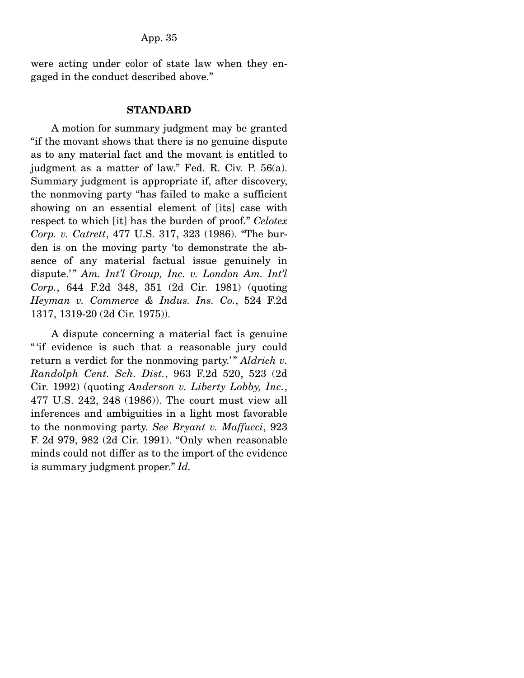were acting under color of state law when they engaged in the conduct described above."

#### **STANDARD**

 A motion for summary judgment may be granted "if the movant shows that there is no genuine dispute as to any material fact and the movant is entitled to judgment as a matter of law." Fed. R. Civ. P. 56(a). Summary judgment is appropriate if, after discovery, the nonmoving party "has failed to make a sufficient showing on an essential element of [its] case with respect to which [it] has the burden of proof." *Celotex Corp. v. Catrett*, 477 U.S. 317, 323 (1986). "The burden is on the moving party 'to demonstrate the absence of any material factual issue genuinely in dispute.'" Am. Int'l Group, Inc. v. London Am. Int'l *Corp.*, 644 F.2d 348, 351 (2d Cir. 1981) (quoting *Heyman v. Commerce & Indus. Ins. Co.*, 524 F.2d 1317, 1319-20 (2d Cir. 1975)).

 A dispute concerning a material fact is genuine " 'if evidence is such that a reasonable jury could return a verdict for the nonmoving party.'" *Aldrich v. Randolph Cent. Sch. Dist.*, 963 F.2d 520, 523 (2d Cir. 1992) (quoting *Anderson v. Liberty Lobby, Inc.*, 477 U.S. 242, 248 (1986)). The court must view all inferences and ambiguities in a light most favorable to the nonmoving party. *See Bryant v. Maffucci*, 923 F. 2d 979, 982 (2d Cir. 1991). "Only when reasonable minds could not differ as to the import of the evidence is summary judgment proper." *Id.*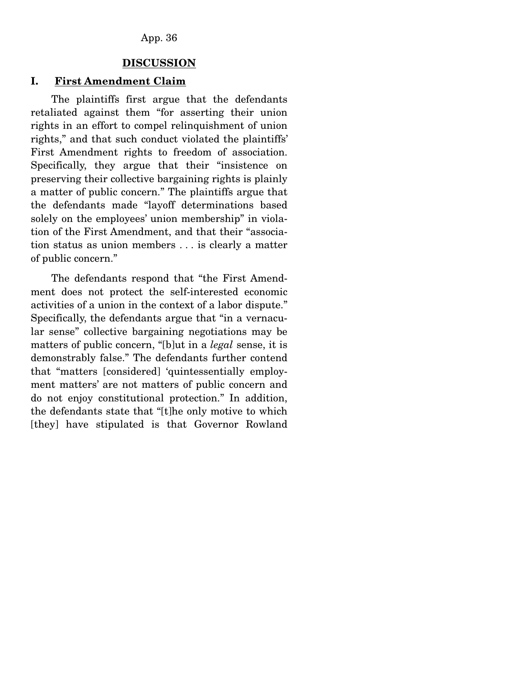#### **DISCUSSION**

## **I. First Amendment Claim**

 The plaintiffs first argue that the defendants retaliated against them "for asserting their union rights in an effort to compel relinquishment of union rights," and that such conduct violated the plaintiffs' First Amendment rights to freedom of association. Specifically, they argue that their "insistence on preserving their collective bargaining rights is plainly a matter of public concern." The plaintiffs argue that the defendants made "layoff determinations based solely on the employees' union membership" in violation of the First Amendment, and that their "association status as union members . . . is clearly a matter of public concern."

 The defendants respond that "the First Amendment does not protect the self-interested economic activities of a union in the context of a labor dispute." Specifically, the defendants argue that "in a vernacular sense" collective bargaining negotiations may be matters of public concern, "[b]ut in a *legal* sense, it is demonstrably false." The defendants further contend that "matters [considered] 'quintessentially employment matters' are not matters of public concern and do not enjoy constitutional protection." In addition, the defendants state that "[t]he only motive to which [they] have stipulated is that Governor Rowland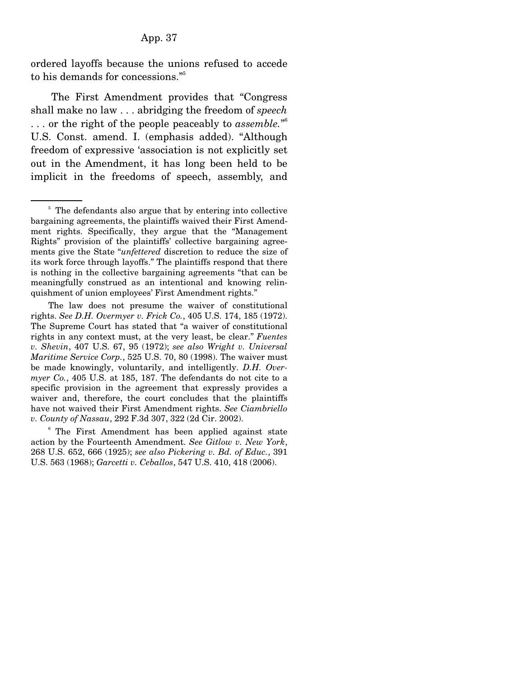ordered layoffs because the unions refused to accede to his demands for concessions."5

 The First Amendment provides that "Congress shall make no law . . . abridging the freedom of *speech* . . . or the right of the people peaceably to *assemble.*" 6 U.S. Const. amend. I. (emphasis added). "Although freedom of expressive 'association is not explicitly set out in the Amendment, it has long been held to be implicit in the freedoms of speech, assembly, and

<sup>&</sup>lt;sup>5</sup> The defendants also argue that by entering into collective bargaining agreements, the plaintiffs waived their First Amendment rights. Specifically, they argue that the "Management Rights" provision of the plaintiffs' collective bargaining agreements give the State "*unfettered* discretion to reduce the size of its work force through layoffs." The plaintiffs respond that there is nothing in the collective bargaining agreements "that can be meaningfully construed as an intentional and knowing relinquishment of union employees' First Amendment rights."

The law does not presume the waiver of constitutional rights. *See D.H. Overmyer v. Frick Co.*, 405 U.S. 174, 185 (1972). The Supreme Court has stated that "a waiver of constitutional rights in any context must, at the very least, be clear." *Fuentes v. Shevin*, 407 U.S. 67, 95 (1972); *see also Wright v. Universal Maritime Service Corp.*, 525 U.S. 70, 80 (1998). The waiver must be made knowingly, voluntarily, and intelligently. *D.H. Overmyer Co.*, 405 U.S. at 185, 187. The defendants do not cite to a specific provision in the agreement that expressly provides a waiver and, therefore, the court concludes that the plaintiffs have not waived their First Amendment rights. *See Ciambriello v. County of Nassau*, 292 F.3d 307, 322 (2d Cir. 2002).

<sup>&</sup>lt;sup>6</sup> The First Amendment has been applied against state action by the Fourteenth Amendment. *See Gitlow v. New York*, 268 U.S. 652, 666 (1925); *see also Pickering v. Bd. of Educ.*, 391 U.S. 563 (1968); *Garcetti v. Ceballos*, 547 U.S. 410, 418 (2006).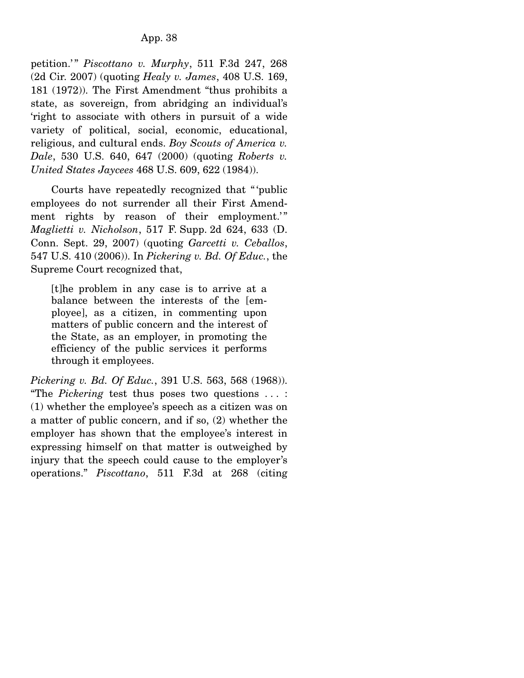petition.'" *Piscottano v. Murphy*, 511 F.3d 247, 268 (2d Cir. 2007) (quoting *Healy v. James*, 408 U.S. 169, 181 (1972)). The First Amendment "thus prohibits a state, as sovereign, from abridging an individual's 'right to associate with others in pursuit of a wide variety of political, social, economic, educational, religious, and cultural ends. *Boy Scouts of America v. Dale*, 530 U.S. 640, 647 (2000) (quoting *Roberts v. United States Jaycees* 468 U.S. 609, 622 (1984)).

 Courts have repeatedly recognized that " 'public employees do not surrender all their First Amendment rights by reason of their employment.'" *Maglietti v. Nicholson*, 517 F. Supp. 2d 624, 633 (D. Conn. Sept. 29, 2007) (quoting *Garcetti v. Ceballos*, 547 U.S. 410 (2006)). In *Pickering v. Bd. Of Educ.*, the Supreme Court recognized that,

[t]he problem in any case is to arrive at a balance between the interests of the [employee], as a citizen, in commenting upon matters of public concern and the interest of the State, as an employer, in promoting the efficiency of the public services it performs through it employees.

*Pickering v. Bd. Of Educ.*, 391 U.S. 563, 568 (1968)). "The *Pickering* test thus poses two questions . . . : (1) whether the employee's speech as a citizen was on a matter of public concern, and if so, (2) whether the employer has shown that the employee's interest in expressing himself on that matter is outweighed by injury that the speech could cause to the employer's operations." *Piscottano*, 511 F.3d at 268 (citing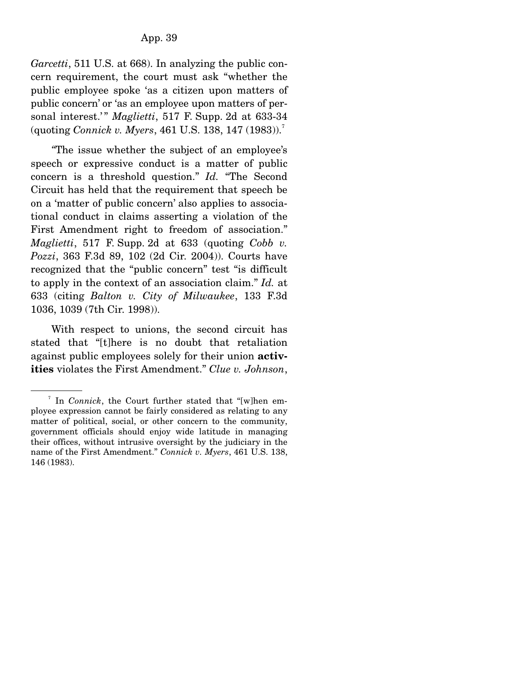*Garcetti*, 511 U.S. at 668. In analyzing the public concern requirement, the court must ask "whether the public employee spoke 'as a citizen upon matters of public concern' or 'as an employee upon matters of personal interest.'" *Maglietti*, 517 F. Supp. 2d at 633-34 (quoting *Connick v. Myers*, 461 U.S. 138, 147 (1983)).7

*"*The issue whether the subject of an employee's speech or expressive conduct is a matter of public concern is a threshold question." *Id.* "The Second Circuit has held that the requirement that speech be on a 'matter of public concern' also applies to associational conduct in claims asserting a violation of the First Amendment right to freedom of association." *Maglietti*, 517 F. Supp. 2d at 633 (quoting *Cobb v. Pozzi*, 363 F.3d 89, 102 (2d Cir. 2004)). Courts have recognized that the "public concern" test "is difficult to apply in the context of an association claim." *Id.* at 633 (citing *Balton v. City of Milwaukee*, 133 F.3d 1036, 1039 (7th Cir. 1998)).

 With respect to unions, the second circuit has stated that "[t]here is no doubt that retaliation against public employees solely for their union **activities** violates the First Amendment." *Clue v. Johnson*,

<sup>7</sup> In *Connick*, the Court further stated that "[w]hen employee expression cannot be fairly considered as relating to any matter of political, social, or other concern to the community, government officials should enjoy wide latitude in managing their offices, without intrusive oversight by the judiciary in the name of the First Amendment." *Connick v. Myers*, 461 U.S. 138, 146 (1983).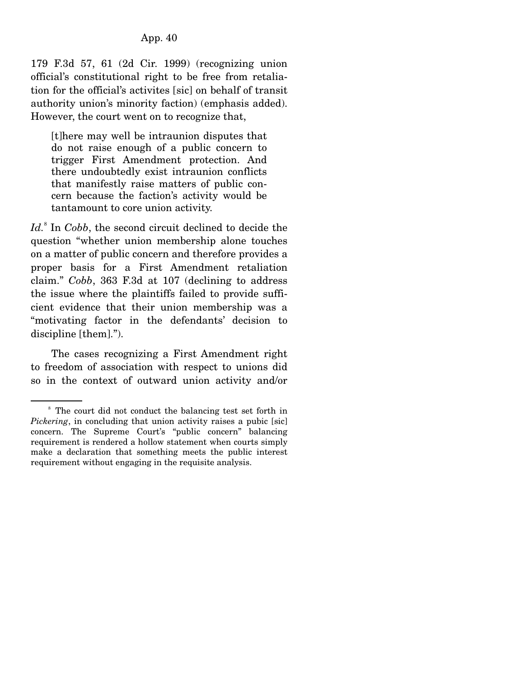179 F.3d 57, 61 (2d Cir. 1999) (recognizing union official's constitutional right to be free from retaliation for the official's activites [sic] on behalf of transit authority union's minority faction) (emphasis added). However, the court went on to recognize that,

[t]here may well be intraunion disputes that do not raise enough of a public concern to trigger First Amendment protection. And there undoubtedly exist intraunion conflicts that manifestly raise matters of public concern because the faction's activity would be tantamount to core union activity.

Id.<sup>8</sup> In *Cobb*, the second circuit declined to decide the question "whether union membership alone touches on a matter of public concern and therefore provides a proper basis for a First Amendment retaliation claim." *Cobb*, 363 F.3d at 107 (declining to address the issue where the plaintiffs failed to provide sufficient evidence that their union membership was a "motivating factor in the defendants' decision to discipline [them].").

 The cases recognizing a First Amendment right to freedom of association with respect to unions did so in the context of outward union activity and/or

<sup>&</sup>lt;sup>8</sup> The court did not conduct the balancing test set forth in *Pickering*, in concluding that union activity raises a pubic [sic] concern. The Supreme Court's "public concern" balancing requirement is rendered a hollow statement when courts simply make a declaration that something meets the public interest requirement without engaging in the requisite analysis.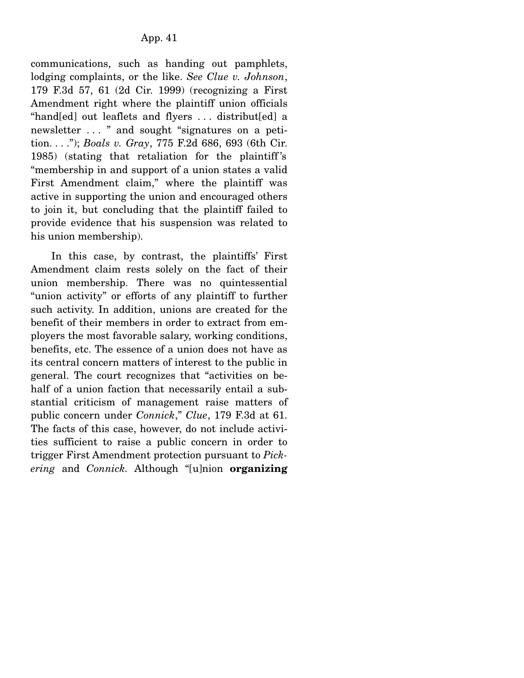communications, such as handing out pamphlets, lodging complaints, or the like. *See Clue v. Johnson*, 179 F.3d 57, 61 (2d Cir. 1999) (recognizing a First Amendment right where the plaintiff union officials "hand[ed] out leaflets and flyers . . . distribut[ed] a newsletter . . . " and sought "signatures on a petition. . . ."); *Boals v. Gray*, 775 F.2d 686, 693 (6th Cir. 1985) (stating that retaliation for the plaintiff 's "membership in and support of a union states a valid First Amendment claim," where the plaintiff was active in supporting the union and encouraged others to join it, but concluding that the plaintiff failed to provide evidence that his suspension was related to his union membership).

 In this case, by contrast, the plaintiffs' First Amendment claim rests solely on the fact of their union membership. There was no quintessential "union activity" or efforts of any plaintiff to further such activity. In addition, unions are created for the benefit of their members in order to extract from employers the most favorable salary, working conditions, benefits, etc. The essence of a union does not have as its central concern matters of interest to the public in general. The court recognizes that "activities on behalf of a union faction that necessarily entail a substantial criticism of management raise matters of public concern under *Connick*," *Clue*, 179 F.3d at 61. The facts of this case, however, do not include activities sufficient to raise a public concern in order to trigger First Amendment protection pursuant to *Pickering* and *Connick.* Although "[u]nion **organizing**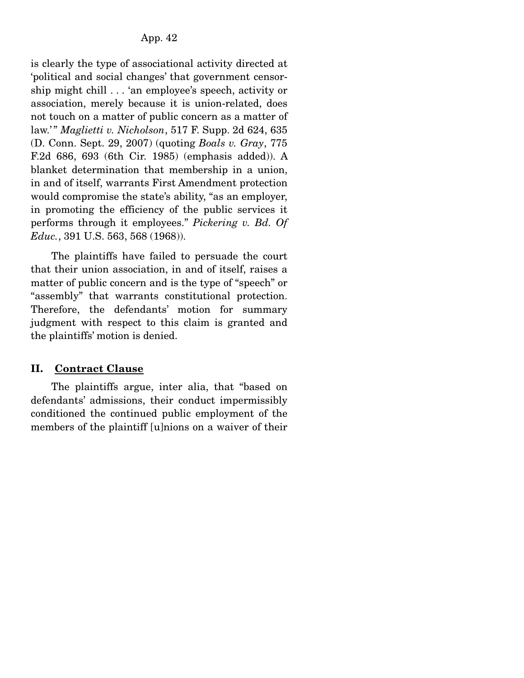is clearly the type of associational activity directed at 'political and social changes' that government censorship might chill . . . 'an employee's speech, activity or association, merely because it is union-related, does not touch on a matter of public concern as a matter of law.' " *Maglietti v. Nicholson*, 517 F. Supp. 2d 624, 635 (D. Conn. Sept. 29, 2007) (quoting *Boals v. Gray*, 775 F.2d 686, 693 (6th Cir. 1985) (emphasis added)). A blanket determination that membership in a union, in and of itself, warrants First Amendment protection would compromise the state's ability, "as an employer, in promoting the efficiency of the public services it performs through it employees." *Pickering v. Bd. Of Educ.*, 391 U.S. 563, 568 (1968)).

 The plaintiffs have failed to persuade the court that their union association, in and of itself, raises a matter of public concern and is the type of "speech" or "assembly" that warrants constitutional protection. Therefore, the defendants' motion for summary judgment with respect to this claim is granted and the plaintiffs' motion is denied.

# **II. Contract Clause**

 The plaintiffs argue, inter alia, that "based on defendants' admissions, their conduct impermissibly conditioned the continued public employment of the members of the plaintiff [u]nions on a waiver of their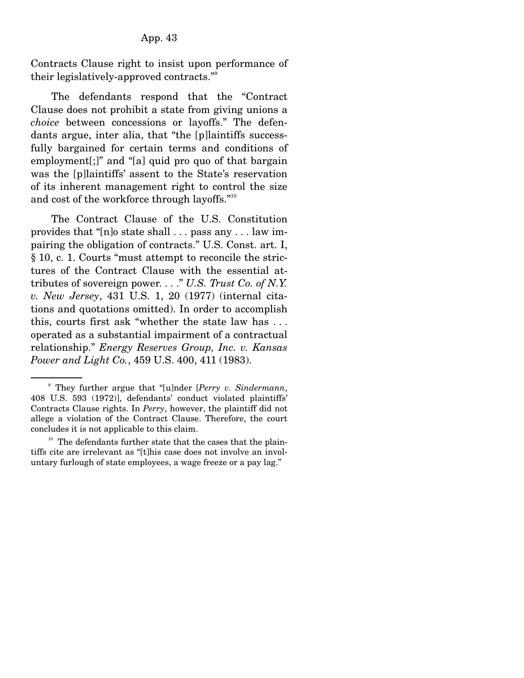Contracts Clause right to insist upon performance of their legislatively-approved contracts."9

 The defendants respond that the "Contract Clause does not prohibit a state from giving unions a *choice* between concessions or layoffs." The defendants argue, inter alia, that "the [p]laintiffs successfully bargained for certain terms and conditions of employment[;]" and "[a] quid pro quo of that bargain was the [p]laintiffs' assent to the State's reservation of its inherent management right to control the size and cost of the workforce through layoffs."10

 The Contract Clause of the U.S. Constitution provides that "[n]o state shall . . . pass any . . . law impairing the obligation of contracts." U.S. Const. art. I, § 10, c. 1. Courts "must attempt to reconcile the strictures of the Contract Clause with the essential attributes of sovereign power. . . ." *U.S. Trust Co. of N.Y. v. New Jersey*, 431 U.S. 1, 20 (1977) (internal citations and quotations omitted). In order to accomplish this, courts first ask "whether the state law has . . . operated as a substantial impairment of a contractual relationship." *Energy Reserves Group, Inc. v. Kansas Power and Light Co.*, 459 U.S. 400, 411 (1983).

<sup>9</sup> They further argue that "[u]nder [*Perry v. Sindermann*, 408 U.S. 593 (1972)], defendants' conduct violated plaintiffs' Contracts Clause rights. In *Perry*, however, the plaintiff did not allege a violation of the Contract Clause. Therefore, the court concludes it is not applicable to this claim.

 $10$  The defendants further state that the cases that the plaintiffs cite are irrelevant as "[t]his case does not involve an involuntary furlough of state employees, a wage freeze or a pay lag."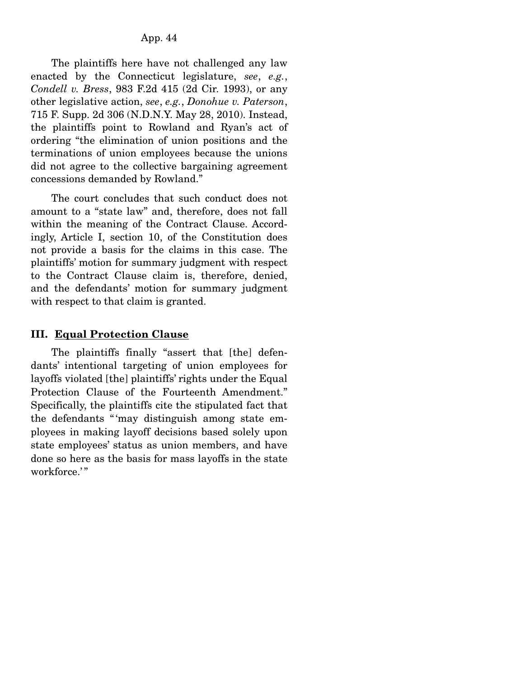The plaintiffs here have not challenged any law enacted by the Connecticut legislature, *see*, *e.g.*, *Condell v. Bress*, 983 F.2d 415 (2d Cir. 1993), or any other legislative action, *see*, *e.g.*, *Donohue v. Paterson*, 715 F. Supp. 2d 306 (N.D.N.Y. May 28, 2010). Instead, the plaintiffs point to Rowland and Ryan's act of ordering "the elimination of union positions and the terminations of union employees because the unions did not agree to the collective bargaining agreement concessions demanded by Rowland."

 The court concludes that such conduct does not amount to a "state law" and, therefore, does not fall within the meaning of the Contract Clause. Accordingly, Article I, section 10, of the Constitution does not provide a basis for the claims in this case. The plaintiffs' motion for summary judgment with respect to the Contract Clause claim is, therefore, denied, and the defendants' motion for summary judgment with respect to that claim is granted.

## **III. Equal Protection Clause**

 The plaintiffs finally "assert that [the] defendants' intentional targeting of union employees for layoffs violated [the] plaintiffs' rights under the Equal Protection Clause of the Fourteenth Amendment." Specifically, the plaintiffs cite the stipulated fact that the defendants " 'may distinguish among state employees in making layoff decisions based solely upon state employees' status as union members, and have done so here as the basis for mass layoffs in the state workforce.'"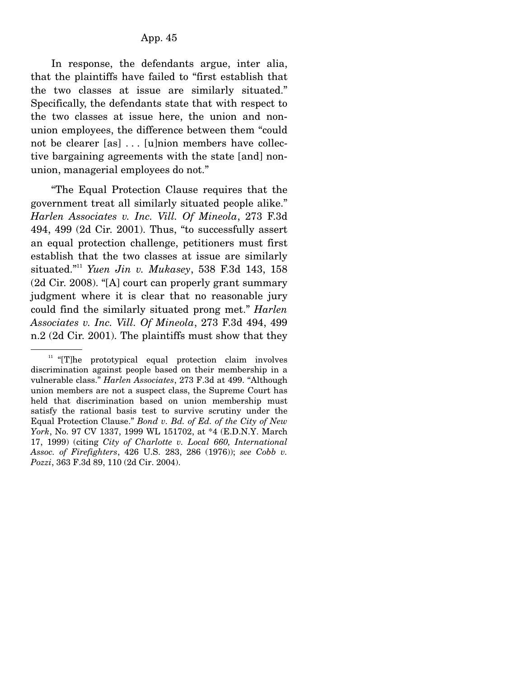In response, the defendants argue, inter alia, that the plaintiffs have failed to "first establish that the two classes at issue are similarly situated." Specifically, the defendants state that with respect to the two classes at issue here, the union and nonunion employees, the difference between them "could not be clearer [as] . . . [u]nion members have collective bargaining agreements with the state [and] nonunion, managerial employees do not."

 "The Equal Protection Clause requires that the government treat all similarly situated people alike." *Harlen Associates v. Inc. Vill. Of Mineola*, 273 F.3d 494, 499 (2d Cir. 2001). Thus, "to successfully assert an equal protection challenge, petitioners must first establish that the two classes at issue are similarly situated."11 *Yuen Jin v. Mukasey*, 538 F.3d 143, 158 (2d Cir. 2008). "[A] court can properly grant summary judgment where it is clear that no reasonable jury could find the similarly situated prong met." *Harlen Associates v. Inc. Vill. Of Mineola*, 273 F.3d 494, 499 n.2 (2d Cir. 2001). The plaintiffs must show that they

<sup>&</sup>lt;sup>11</sup> "[T]he prototypical equal protection claim involves discrimination against people based on their membership in a vulnerable class." *Harlen Associates*, 273 F.3d at 499. "Although union members are not a suspect class, the Supreme Court has held that discrimination based on union membership must satisfy the rational basis test to survive scrutiny under the Equal Protection Clause." *Bond v. Bd. of Ed. of the City of New York*, No. 97 CV 1337, 1999 WL 151702, at \*4 (E.D.N.Y. March 17, 1999) (citing *City of Charlotte v. Local 660, International Assoc. of Firefighters*, 426 U.S. 283, 286 (1976)); *see Cobb v. Pozzi*, 363 F.3d 89, 110 (2d Cir. 2004).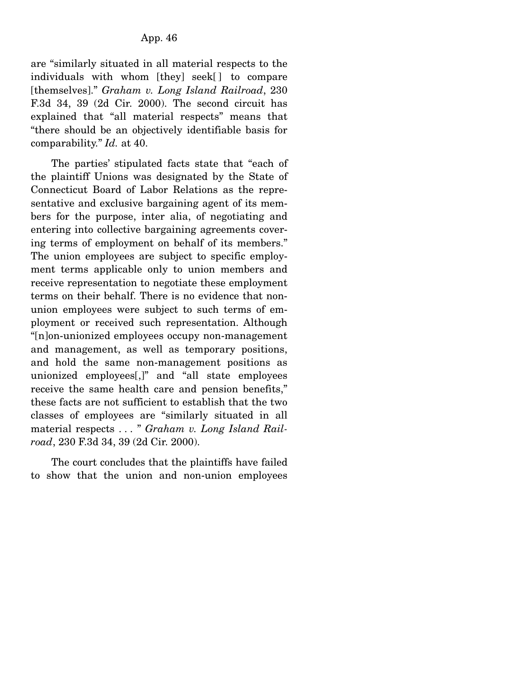are "similarly situated in all material respects to the individuals with whom [they] seek[ ] to compare [themselves]." *Graham v. Long Island Railroad*, 230 F.3d 34, 39 (2d Cir. 2000). The second circuit has explained that "all material respects" means that "there should be an objectively identifiable basis for comparability." *Id.* at 40.

 The parties' stipulated facts state that "each of the plaintiff Unions was designated by the State of Connecticut Board of Labor Relations as the representative and exclusive bargaining agent of its members for the purpose, inter alia, of negotiating and entering into collective bargaining agreements covering terms of employment on behalf of its members." The union employees are subject to specific employment terms applicable only to union members and receive representation to negotiate these employment terms on their behalf. There is no evidence that nonunion employees were subject to such terms of employment or received such representation. Although "[n]on-unionized employees occupy non-management and management, as well as temporary positions, and hold the same non-management positions as unionized employees[,]" and "all state employees receive the same health care and pension benefits," these facts are not sufficient to establish that the two classes of employees are "similarly situated in all material respects . . . " *Graham v. Long Island Railroad*, 230 F.3d 34, 39 (2d Cir. 2000).

 The court concludes that the plaintiffs have failed to show that the union and non-union employees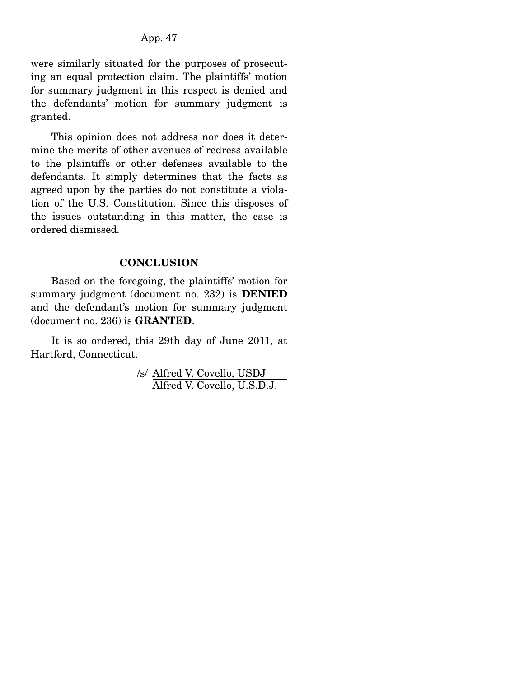were similarly situated for the purposes of prosecuting an equal protection claim. The plaintiffs' motion for summary judgment in this respect is denied and the defendants' motion for summary judgment is granted.

 This opinion does not address nor does it determine the merits of other avenues of redress available to the plaintiffs or other defenses available to the defendants. It simply determines that the facts as agreed upon by the parties do not constitute a violation of the U.S. Constitution. Since this disposes of the issues outstanding in this matter, the case is ordered dismissed.

#### **CONCLUSION**

 Based on the foregoing, the plaintiffs' motion for summary judgment (document no. 232) is **DENIED**  and the defendant's motion for summary judgment (document no. 236) is **GRANTED**.

 It is so ordered, this 29th day of June 2011, at Hartford, Connecticut.

> /s/ Alfred V. Covello, USDJ Alfred V. Covello, U.S.D.J.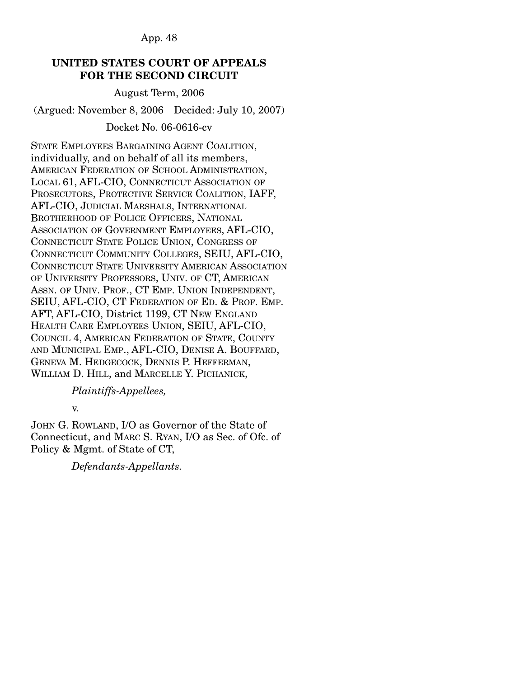## **UNITED STATES COURT OF APPEALS FOR THE SECOND CIRCUIT**

August Term, 2006

(Argued: November 8, 2006 Decided: July 10, 2007)

# Docket No. 06-0616-cv

STATE EMPLOYEES BARGAINING AGENT COALITION, individually, and on behalf of all its members, AMERICAN FEDERATION OF SCHOOL ADMINISTRATION, LOCAL 61, AFL-CIO, CONNECTICUT ASSOCIATION OF PROSECUTORS, PROTECTIVE SERVICE COALITION, IAFF, AFL-CIO, JUDICIAL MARSHALS, INTERNATIONAL BROTHERHOOD OF POLICE OFFICERS, NATIONAL ASSOCIATION OF GOVERNMENT EMPLOYEES, AFL-CIO, CONNECTICUT STATE POLICE UNION, CONGRESS OF CONNECTICUT COMMUNITY COLLEGES, SEIU, AFL-CIO, CONNECTICUT STATE UNIVERSITY AMERICAN ASSOCIATION OF UNIVERSITY PROFESSORS, UNIV. OF CT, AMERICAN ASSN. OF UNIV. PROF., CT EMP. UNION INDEPENDENT, SEIU, AFL-CIO, CT FEDERATION OF ED. & PROF. EMP. AFT, AFL-CIO, District 1199, CT NEW ENGLAND HEALTH CARE EMPLOYEES UNION, SEIU, AFL-CIO, COUNCIL 4, AMERICAN FEDERATION OF STATE, COUNTY AND MUNICIPAL EMP., AFL-CIO, DENISE A. BOUFFARD, GENEVA M. HEDGECOCK, DENNIS P. HEFFERMAN, WILLIAM D. HILL, and MARCELLE Y. PICHANICK,

 *Plaintiffs-Appellees,*

v.

JOHN G. ROWLAND, I/O as Governor of the State of Connecticut, and MARC S. RYAN, I/O as Sec. of Ofc. of Policy & Mgmt. of State of CT,

 *Defendants-Appellants.*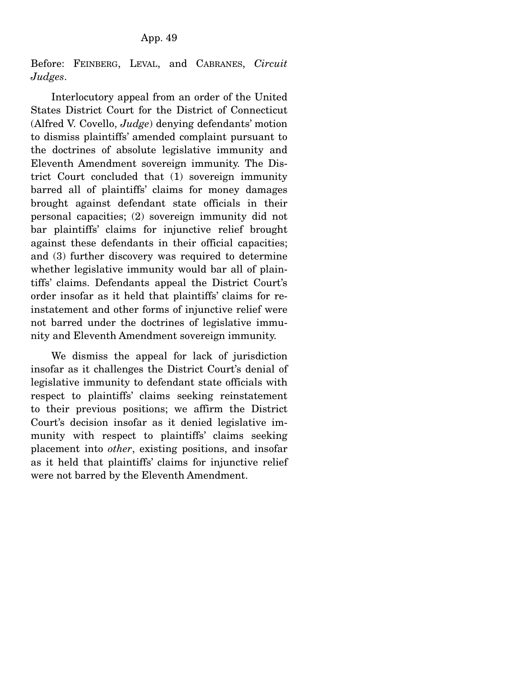Before: FEINBERG, LEVAL, and CABRANES, *Circuit Judges*.

 Interlocutory appeal from an order of the United States District Court for the District of Connecticut (Alfred V. Covello, *Judge*) denying defendants' motion to dismiss plaintiffs' amended complaint pursuant to the doctrines of absolute legislative immunity and Eleventh Amendment sovereign immunity. The District Court concluded that (1) sovereign immunity barred all of plaintiffs' claims for money damages brought against defendant state officials in their personal capacities; (2) sovereign immunity did not bar plaintiffs' claims for injunctive relief brought against these defendants in their official capacities; and (3) further discovery was required to determine whether legislative immunity would bar all of plaintiffs' claims. Defendants appeal the District Court's order insofar as it held that plaintiffs' claims for reinstatement and other forms of injunctive relief were not barred under the doctrines of legislative immunity and Eleventh Amendment sovereign immunity.

 We dismiss the appeal for lack of jurisdiction insofar as it challenges the District Court's denial of legislative immunity to defendant state officials with respect to plaintiffs' claims seeking reinstatement to their previous positions; we affirm the District Court's decision insofar as it denied legislative immunity with respect to plaintiffs' claims seeking placement into *other*, existing positions, and insofar as it held that plaintiffs' claims for injunctive relief were not barred by the Eleventh Amendment.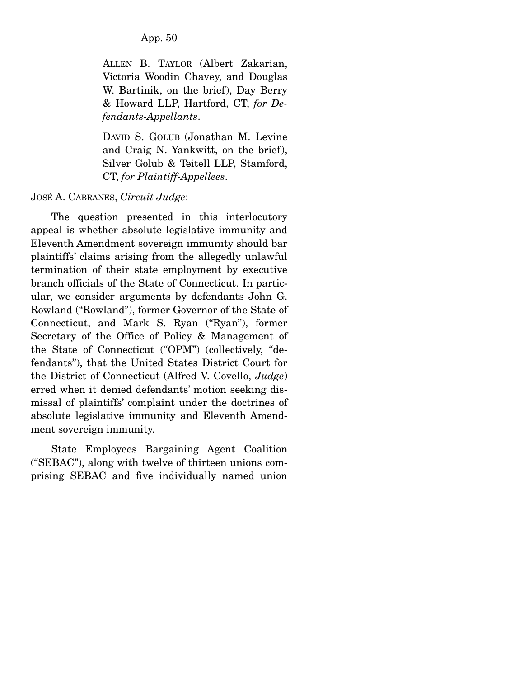ALLEN B. TAYLOR (Albert Zakarian, Victoria Woodin Chavey, and Douglas W. Bartinik, on the brief), Day Berry & Howard LLP, Hartford, CT, *for Defendants-Appellants*.

DAVID S. GOLUB (Jonathan M. Levine and Craig N. Yankwitt, on the brief), Silver Golub & Teitell LLP, Stamford, CT, *for Plaintiff-Appellees*.

## JOSÉ A. CABRANES, *Circuit Judge*:

 The question presented in this interlocutory appeal is whether absolute legislative immunity and Eleventh Amendment sovereign immunity should bar plaintiffs' claims arising from the allegedly unlawful termination of their state employment by executive branch officials of the State of Connecticut. In particular, we consider arguments by defendants John G. Rowland ("Rowland"), former Governor of the State of Connecticut, and Mark S. Ryan ("Ryan"), former Secretary of the Office of Policy & Management of the State of Connecticut ("OPM") (collectively, "defendants"), that the United States District Court for the District of Connecticut (Alfred V. Covello, *Judge*) erred when it denied defendants' motion seeking dismissal of plaintiffs' complaint under the doctrines of absolute legislative immunity and Eleventh Amendment sovereign immunity.

 State Employees Bargaining Agent Coalition ("SEBAC"), along with twelve of thirteen unions comprising SEBAC and five individually named union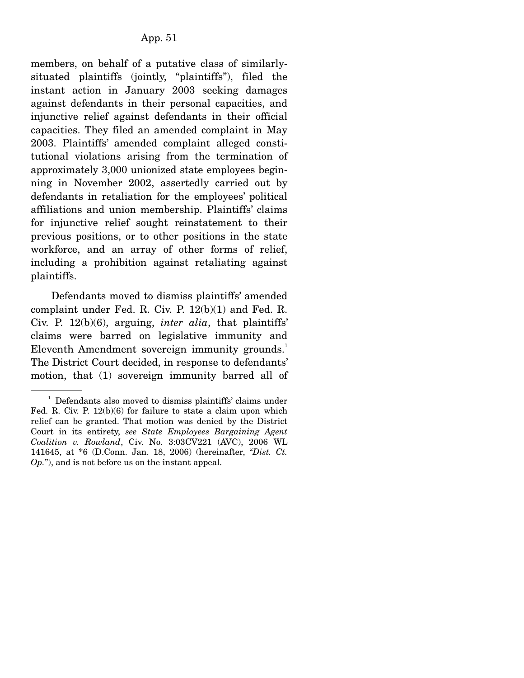members, on behalf of a putative class of similarlysituated plaintiffs (jointly, "plaintiffs"), filed the instant action in January 2003 seeking damages against defendants in their personal capacities, and injunctive relief against defendants in their official capacities. They filed an amended complaint in May 2003. Plaintiffs' amended complaint alleged constitutional violations arising from the termination of approximately 3,000 unionized state employees beginning in November 2002, assertedly carried out by defendants in retaliation for the employees' political affiliations and union membership. Plaintiffs' claims for injunctive relief sought reinstatement to their previous positions, or to other positions in the state workforce, and an array of other forms of relief, including a prohibition against retaliating against plaintiffs.

 Defendants moved to dismiss plaintiffs' amended complaint under Fed. R. Civ. P. 12(b)(1) and Fed. R. Civ. P. 12(b)(6), arguing, *inter alia*, that plaintiffs' claims were barred on legislative immunity and Eleventh Amendment sovereign immunity grounds.<sup>1</sup> The District Court decided, in response to defendants' motion, that (1) sovereign immunity barred all of

<sup>&</sup>lt;sup>1</sup> Defendants also moved to dismiss plaintiffs' claims under Fed. R. Civ. P. 12(b)(6) for failure to state a claim upon which relief can be granted. That motion was denied by the District Court in its entirety, *see State Employees Bargaining Agent Coalition v. Rowland*, Civ. No. 3:03CV221 (AVC), 2006 WL 141645, at \*6 (D.Conn. Jan. 18, 2006) (hereinafter, "*Dist. Ct. Op.*"), and is not before us on the instant appeal.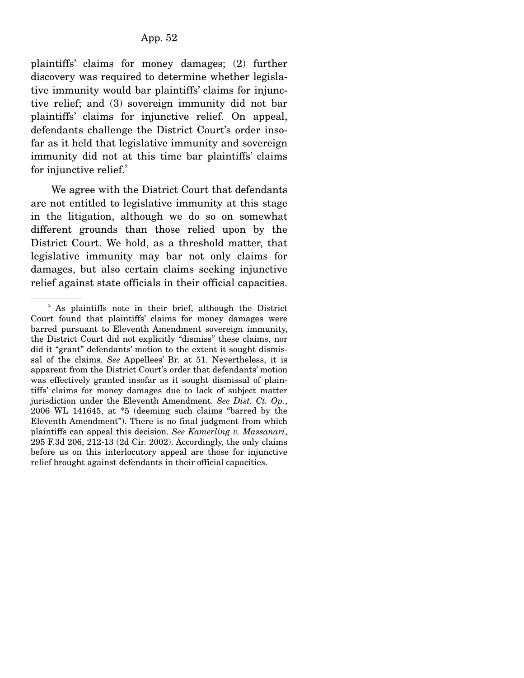plaintiffs' claims for money damages; (2) further discovery was required to determine whether legislative immunity would bar plaintiffs' claims for injunctive relief; and (3) sovereign immunity did not bar plaintiffs' claims for injunctive relief. On appeal, defendants challenge the District Court's order insofar as it held that legislative immunity and sovereign immunity did not at this time bar plaintiffs' claims for injunctive relief. $2^2$ 

 We agree with the District Court that defendants are not entitled to legislative immunity at this stage in the litigation, although we do so on somewhat different grounds than those relied upon by the District Court. We hold, as a threshold matter, that legislative immunity may bar not only claims for damages, but also certain claims seeking injunctive relief against state officials in their official capacities.

<sup>&</sup>lt;sup>2</sup> As plaintiffs note in their brief, although the District Court found that plaintiffs' claims for money damages were barred pursuant to Eleventh Amendment sovereign immunity, the District Court did not explicitly "dismiss" these claims, nor did it "grant" defendants' motion to the extent it sought dismissal of the claims. *See* Appellees' Br. at 51. Nevertheless, it is apparent from the District Court's order that defendants' motion was effectively granted insofar as it sought dismissal of plaintiffs' claims for money damages due to lack of subject matter jurisdiction under the Eleventh Amendment. *See Dist. Ct. Op.*, 2006 WL 141645, at \*5 (deeming such claims "barred by the Eleventh Amendment"). There is no final judgment from which plaintiffs can appeal this decision. *See Kamerling v. Massanari*, 295 F.3d 206, 212-13 (2d Cir. 2002). Accordingly, the only claims before us on this interlocutory appeal are those for injunctive relief brought against defendants in their official capacities.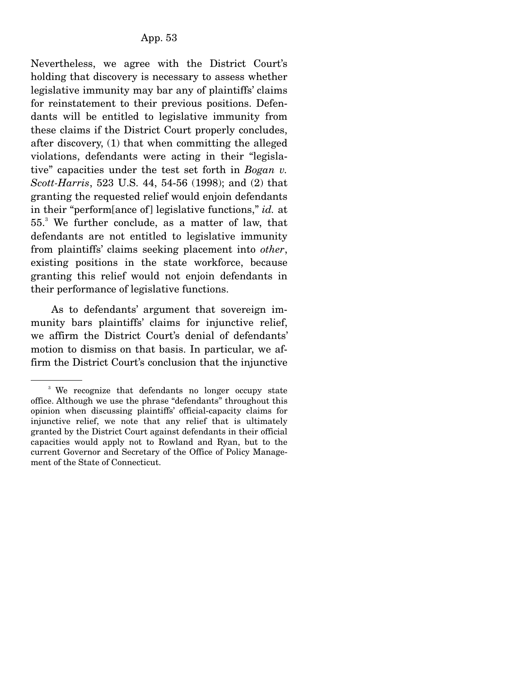Nevertheless, we agree with the District Court's holding that discovery is necessary to assess whether legislative immunity may bar any of plaintiffs' claims for reinstatement to their previous positions. Defendants will be entitled to legislative immunity from these claims if the District Court properly concludes, after discovery, (1) that when committing the alleged violations, defendants were acting in their "legislative" capacities under the test set forth in *Bogan v. Scott-Harris*, 523 U.S. 44, 54-56 (1998); and (2) that granting the requested relief would enjoin defendants in their "perform[ance of] legislative functions," *id.* at 55.<sup>3</sup> We further conclude, as a matter of law, that defendants are not entitled to legislative immunity from plaintiffs' claims seeking placement into *other*, existing positions in the state workforce, because granting this relief would not enjoin defendants in their performance of legislative functions.

 As to defendants' argument that sovereign immunity bars plaintiffs' claims for injunctive relief, we affirm the District Court's denial of defendants' motion to dismiss on that basis. In particular, we affirm the District Court's conclusion that the injunctive

<sup>&</sup>lt;sup>3</sup> We recognize that defendants no longer occupy state office. Although we use the phrase "defendants" throughout this opinion when discussing plaintiffs' official-capacity claims for injunctive relief, we note that any relief that is ultimately granted by the District Court against defendants in their official capacities would apply not to Rowland and Ryan, but to the current Governor and Secretary of the Office of Policy Management of the State of Connecticut.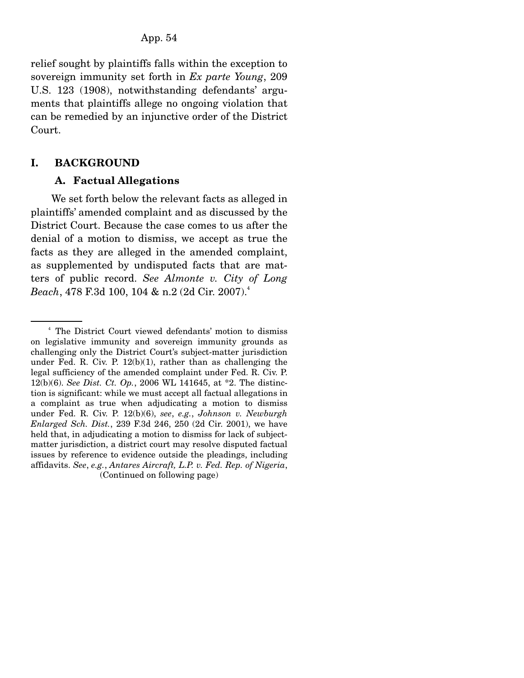relief sought by plaintiffs falls within the exception to sovereign immunity set forth in *Ex parte Young*, 209 U.S. 123 (1908), notwithstanding defendants' arguments that plaintiffs allege no ongoing violation that can be remedied by an injunctive order of the District Court.

## **I. BACKGROUND**

## **A. Factual Allegations**

 We set forth below the relevant facts as alleged in plaintiffs' amended complaint and as discussed by the District Court. Because the case comes to us after the denial of a motion to dismiss, we accept as true the facts as they are alleged in the amended complaint, as supplemented by undisputed facts that are matters of public record. *See Almonte v. City of Long Beach*, 478 F.3d 100, 104 & n.2 (2d Cir. 2007).<sup>4</sup>

<sup>4</sup> The District Court viewed defendants' motion to dismiss on legislative immunity and sovereign immunity grounds as challenging only the District Court's subject-matter jurisdiction under Fed. R. Civ. P. 12(b)(1), rather than as challenging the legal sufficiency of the amended complaint under Fed. R. Civ. P. 12(b)(6). *See Dist. Ct. Op.*, 2006 WL 141645, at \*2. The distinction is significant: while we must accept all factual allegations in a complaint as true when adjudicating a motion to dismiss under Fed. R. Civ. P. 12(b)(6), *see*, *e.g.*, *Johnson v. Newburgh Enlarged Sch. Dist.*, 239 F.3d 246, 250 (2d Cir. 2001), we have held that, in adjudicating a motion to dismiss for lack of subjectmatter jurisdiction, a district court may resolve disputed factual issues by reference to evidence outside the pleadings, including affidavits. *See*, *e.g.*, *Antares Aircraft, L.P. v. Fed. Rep. of Nigeria*, (Continued on following page)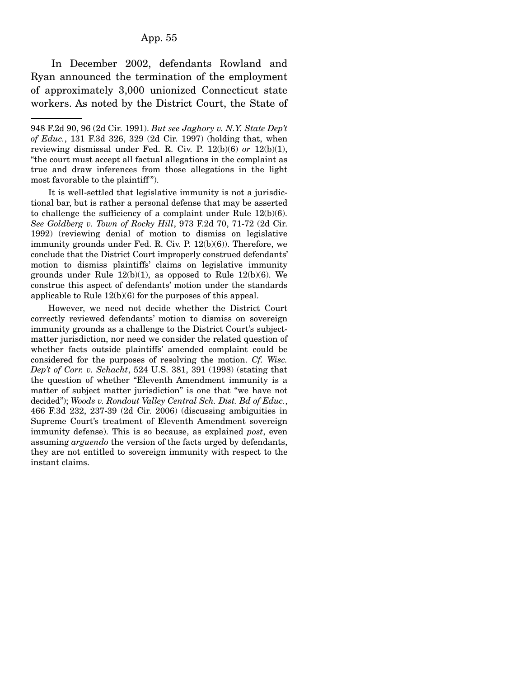#### App. 55

 In December 2002, defendants Rowland and Ryan announced the termination of the employment of approximately 3,000 unionized Connecticut state workers. As noted by the District Court, the State of

 It is well-settled that legislative immunity is not a jurisdictional bar, but is rather a personal defense that may be asserted to challenge the sufficiency of a complaint under Rule 12(b)(6). *See Goldberg v. Town of Rocky Hill*, 973 F.2d 70, 71-72 (2d Cir. 1992) (reviewing denial of motion to dismiss on legislative immunity grounds under Fed. R. Civ. P. 12(b)(6)). Therefore, we conclude that the District Court improperly construed defendants' motion to dismiss plaintiffs' claims on legislative immunity grounds under Rule  $12(b)(1)$ , as opposed to Rule  $12(b)(6)$ . We construe this aspect of defendants' motion under the standards applicable to Rule 12(b)(6) for the purposes of this appeal.

 However, we need not decide whether the District Court correctly reviewed defendants' motion to dismiss on sovereign immunity grounds as a challenge to the District Court's subjectmatter jurisdiction, nor need we consider the related question of whether facts outside plaintiffs' amended complaint could be considered for the purposes of resolving the motion. *Cf. Wisc. Dep't of Corr. v. Schacht*, 524 U.S. 381, 391 (1998) (stating that the question of whether "Eleventh Amendment immunity is a matter of subject matter jurisdiction" is one that "we have not decided"); *Woods v. Rondout Valley Central Sch. Dist. Bd of Educ.*, 466 F.3d 232, 237-39 (2d Cir. 2006) (discussing ambiguities in Supreme Court's treatment of Eleventh Amendment sovereign immunity defense). This is so because, as explained *post*, even assuming *arguendo* the version of the facts urged by defendants, they are not entitled to sovereign immunity with respect to the instant claims.

<sup>948</sup> F.2d 90, 96 (2d Cir. 1991). *But see Jaghory v. N.Y. State Dep't of Educ.*, 131 F.3d 326, 329 (2d Cir. 1997) (holding that, when reviewing dismissal under Fed. R. Civ. P. 12(b)(6) *or* 12(b)(1), "the court must accept all factual allegations in the complaint as true and draw inferences from those allegations in the light most favorable to the plaintiff ").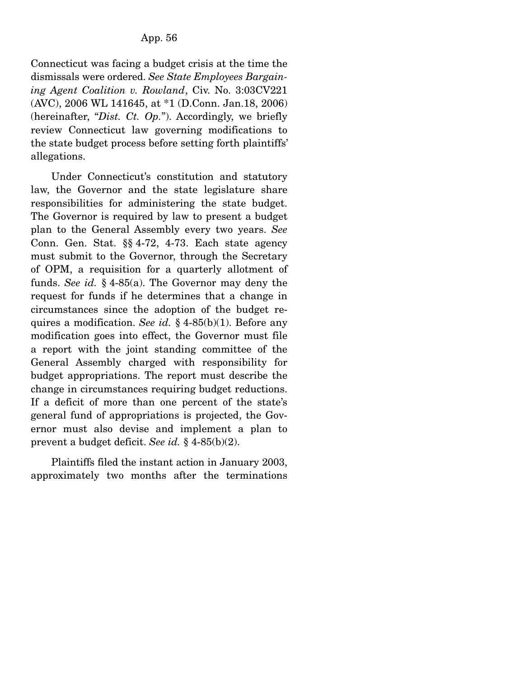Connecticut was facing a budget crisis at the time the dismissals were ordered. *See State Employees Bargaining Agent Coalition v. Rowland*, Civ. No. 3:03CV221 (AVC), 2006 WL 141645, at \*1 (D.Conn. Jan.18, 2006) (hereinafter, "*Dist. Ct. Op.*"). Accordingly, we briefly review Connecticut law governing modifications to the state budget process before setting forth plaintiffs' allegations.

 Under Connecticut's constitution and statutory law, the Governor and the state legislature share responsibilities for administering the state budget. The Governor is required by law to present a budget plan to the General Assembly every two years. *See* Conn. Gen. Stat. §§ 4-72, 4-73. Each state agency must submit to the Governor, through the Secretary of OPM, a requisition for a quarterly allotment of funds. *See id.* § 4-85(a). The Governor may deny the request for funds if he determines that a change in circumstances since the adoption of the budget requires a modification. *See id.* § 4-85(b)(1). Before any modification goes into effect, the Governor must file a report with the joint standing committee of the General Assembly charged with responsibility for budget appropriations. The report must describe the change in circumstances requiring budget reductions. If a deficit of more than one percent of the state's general fund of appropriations is projected, the Governor must also devise and implement a plan to prevent a budget deficit. *See id.* § 4-85(b)(2).

 Plaintiffs filed the instant action in January 2003, approximately two months after the terminations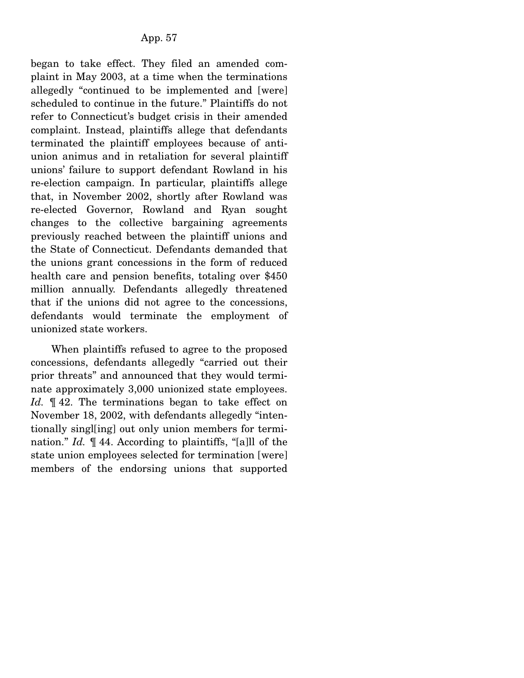began to take effect. They filed an amended complaint in May 2003, at a time when the terminations allegedly "continued to be implemented and [were] scheduled to continue in the future." Plaintiffs do not refer to Connecticut's budget crisis in their amended complaint. Instead, plaintiffs allege that defendants terminated the plaintiff employees because of antiunion animus and in retaliation for several plaintiff unions' failure to support defendant Rowland in his re-election campaign. In particular, plaintiffs allege that, in November 2002, shortly after Rowland was re-elected Governor, Rowland and Ryan sought changes to the collective bargaining agreements previously reached between the plaintiff unions and the State of Connecticut. Defendants demanded that the unions grant concessions in the form of reduced health care and pension benefits, totaling over \$450 million annually. Defendants allegedly threatened that if the unions did not agree to the concessions, defendants would terminate the employment of unionized state workers.

 When plaintiffs refused to agree to the proposed concessions, defendants allegedly "carried out their prior threats" and announced that they would terminate approximately 3,000 unionized state employees. Id.  $\mathbb{I}$  42. The terminations began to take effect on November 18, 2002, with defendants allegedly "intentionally singl[ing] out only union members for termination." *Id.* ¶ 44. According to plaintiffs, "[a]ll of the state union employees selected for termination [were] members of the endorsing unions that supported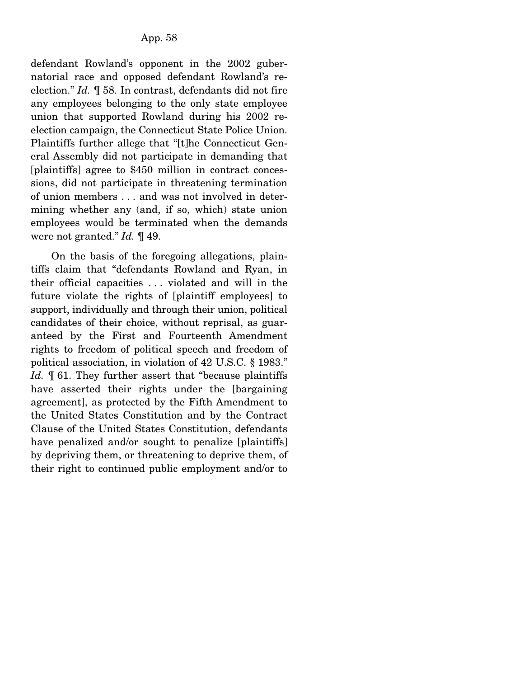defendant Rowland's opponent in the 2002 gubernatorial race and opposed defendant Rowland's reelection." *Id.* ¶ 58. In contrast, defendants did not fire any employees belonging to the only state employee union that supported Rowland during his 2002 reelection campaign, the Connecticut State Police Union. Plaintiffs further allege that "[t]he Connecticut General Assembly did not participate in demanding that [plaintiffs] agree to \$450 million in contract concessions, did not participate in threatening termination of union members . . . and was not involved in determining whether any (and, if so, which) state union employees would be terminated when the demands were not granted." *Id.* ¶ 49.

 On the basis of the foregoing allegations, plaintiffs claim that "defendants Rowland and Ryan, in their official capacities . . . violated and will in the future violate the rights of [plaintiff employees] to support, individually and through their union, political candidates of their choice, without reprisal, as guaranteed by the First and Fourteenth Amendment rights to freedom of political speech and freedom of political association, in violation of 42 U.S.C. § 1983." *Id.* **[61.** They further assert that "because plaintiffs" have asserted their rights under the [bargaining agreement], as protected by the Fifth Amendment to the United States Constitution and by the Contract Clause of the United States Constitution, defendants have penalized and/or sought to penalize [plaintiffs] by depriving them, or threatening to deprive them, of their right to continued public employment and/or to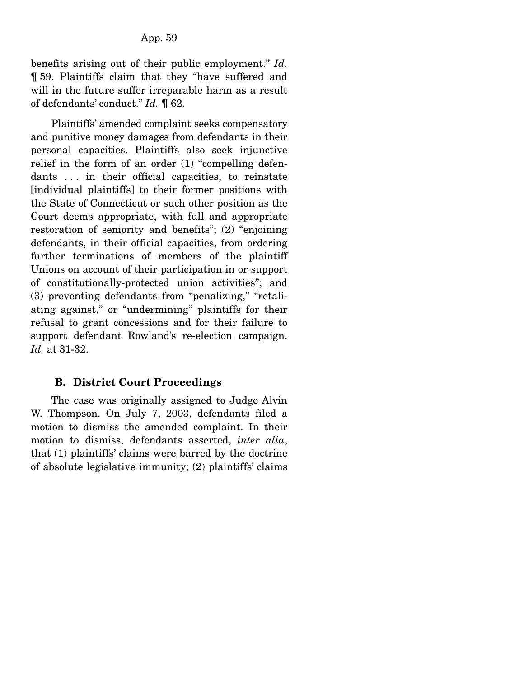benefits arising out of their public employment." *Id.* ¶ 59. Plaintiffs claim that they "have suffered and will in the future suffer irreparable harm as a result of defendants' conduct." *Id.* ¶ 62.

 Plaintiffs' amended complaint seeks compensatory and punitive money damages from defendants in their personal capacities. Plaintiffs also seek injunctive relief in the form of an order (1) "compelling defendants . . . in their official capacities, to reinstate [individual plaintiffs] to their former positions with the State of Connecticut or such other position as the Court deems appropriate, with full and appropriate restoration of seniority and benefits"; (2) "enjoining defendants, in their official capacities, from ordering further terminations of members of the plaintiff Unions on account of their participation in or support of constitutionally-protected union activities"; and (3) preventing defendants from "penalizing," "retaliating against," or "undermining" plaintiffs for their refusal to grant concessions and for their failure to support defendant Rowland's re-election campaign. *Id.* at 31-32.

#### **B. District Court Proceedings**

 The case was originally assigned to Judge Alvin W. Thompson. On July 7, 2003, defendants filed a motion to dismiss the amended complaint. In their motion to dismiss, defendants asserted, *inter alia*, that (1) plaintiffs' claims were barred by the doctrine of absolute legislative immunity; (2) plaintiffs' claims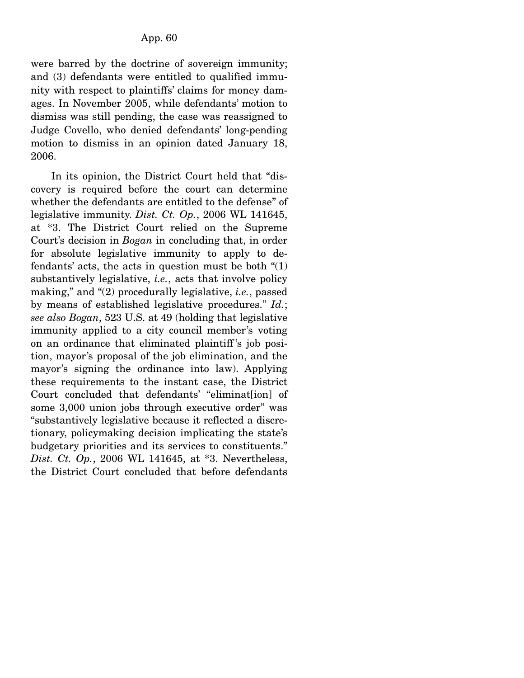were barred by the doctrine of sovereign immunity; and (3) defendants were entitled to qualified immunity with respect to plaintiffs' claims for money damages. In November 2005, while defendants' motion to dismiss was still pending, the case was reassigned to Judge Covello, who denied defendants' long-pending motion to dismiss in an opinion dated January 18, 2006.

 In its opinion, the District Court held that "discovery is required before the court can determine whether the defendants are entitled to the defense" of legislative immunity. *Dist. Ct. Op.*, 2006 WL 141645, at \*3. The District Court relied on the Supreme Court's decision in *Bogan* in concluding that, in order for absolute legislative immunity to apply to defendants' acts, the acts in question must be both  $\degree(1)$ substantively legislative, *i.e.*, acts that involve policy making," and "(2) procedurally legislative, *i.e.*, passed by means of established legislative procedures." *Id.*; *see also Bogan*, 523 U.S. at 49 (holding that legislative immunity applied to a city council member's voting on an ordinance that eliminated plaintiff 's job position, mayor's proposal of the job elimination, and the mayor's signing the ordinance into law). Applying these requirements to the instant case, the District Court concluded that defendants' "eliminat[ion] of some 3,000 union jobs through executive order" was "substantively legislative because it reflected a discretionary, policymaking decision implicating the state's budgetary priorities and its services to constituents." *Dist. Ct. Op.*, 2006 WL 141645, at \*3. Nevertheless, the District Court concluded that before defendants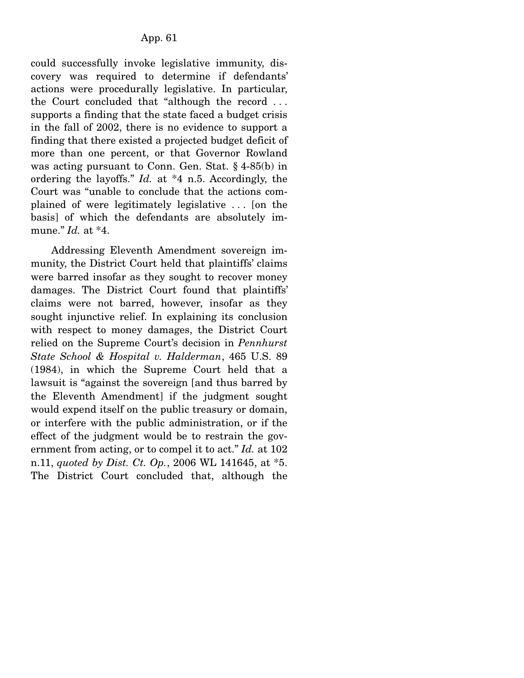could successfully invoke legislative immunity, discovery was required to determine if defendants' actions were procedurally legislative. In particular, the Court concluded that "although the record . . . supports a finding that the state faced a budget crisis in the fall of 2002, there is no evidence to support a finding that there existed a projected budget deficit of more than one percent, or that Governor Rowland was acting pursuant to Conn. Gen. Stat. § 4-85(b) in ordering the layoffs." *Id.* at \*4 n.5. Accordingly, the Court was "unable to conclude that the actions complained of were legitimately legislative . . . [on the basis] of which the defendants are absolutely immune." *Id.* at \*4.

 Addressing Eleventh Amendment sovereign immunity, the District Court held that plaintiffs' claims were barred insofar as they sought to recover money damages. The District Court found that plaintiffs' claims were not barred, however, insofar as they sought injunctive relief. In explaining its conclusion with respect to money damages, the District Court relied on the Supreme Court's decision in *Pennhurst State School & Hospital v. Halderman*, 465 U.S. 89 (1984), in which the Supreme Court held that a lawsuit is "against the sovereign [and thus barred by the Eleventh Amendment] if the judgment sought would expend itself on the public treasury or domain, or interfere with the public administration, or if the effect of the judgment would be to restrain the government from acting, or to compel it to act." *Id.* at 102 n.11, *quoted by Dist. Ct. Op.*, 2006 WL 141645, at \*5. The District Court concluded that, although the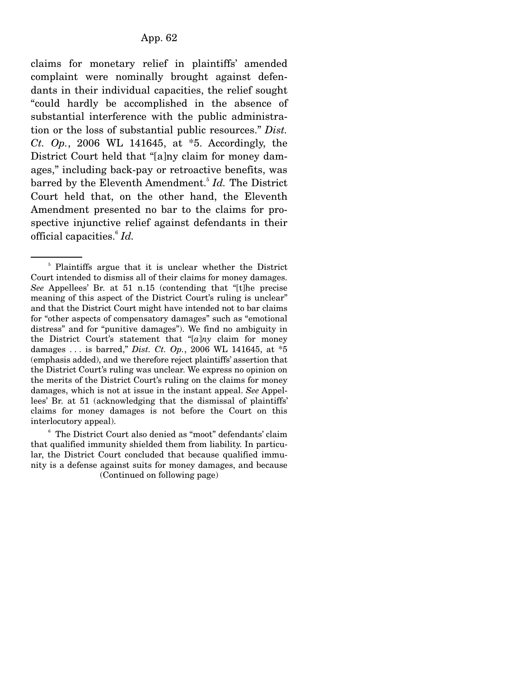claims for monetary relief in plaintiffs' amended complaint were nominally brought against defendants in their individual capacities, the relief sought "could hardly be accomplished in the absence of substantial interference with the public administration or the loss of substantial public resources." *Dist. Ct. Op.*, 2006 WL 141645, at \*5. Accordingly, the District Court held that "[a]ny claim for money damages," including back-pay or retroactive benefits, was barred by the Eleventh Amendment.<sup>5</sup> *Id.* The District Court held that, on the other hand, the Eleventh Amendment presented no bar to the claims for prospective injunctive relief against defendants in their official capacities.6 *Id.*

6 The District Court also denied as "moot" defendants' claim that qualified immunity shielded them from liability. In particular, the District Court concluded that because qualified immunity is a defense against suits for money damages, and because (Continued on following page)

<sup>&</sup>lt;sup>5</sup> Plaintiffs argue that it is unclear whether the District Court intended to dismiss all of their claims for money damages. *See* Appellees' Br. at 51 n.15 (contending that "[t]he precise meaning of this aspect of the District Court's ruling is unclear" and that the District Court might have intended not to bar claims for "other aspects of compensatory damages" such as "emotional distress" and for "punitive damages"). We find no ambiguity in the District Court's statement that "[*a*]*ny* claim for money damages . . . is barred," *Dist. Ct. Op.*, 2006 WL 141645, at \*5 (emphasis added), and we therefore reject plaintiffs' assertion that the District Court's ruling was unclear. We express no opinion on the merits of the District Court's ruling on the claims for money damages, which is not at issue in the instant appeal. *See* Appellees' Br. at 51 (acknowledging that the dismissal of plaintiffs' claims for money damages is not before the Court on this interlocutory appeal).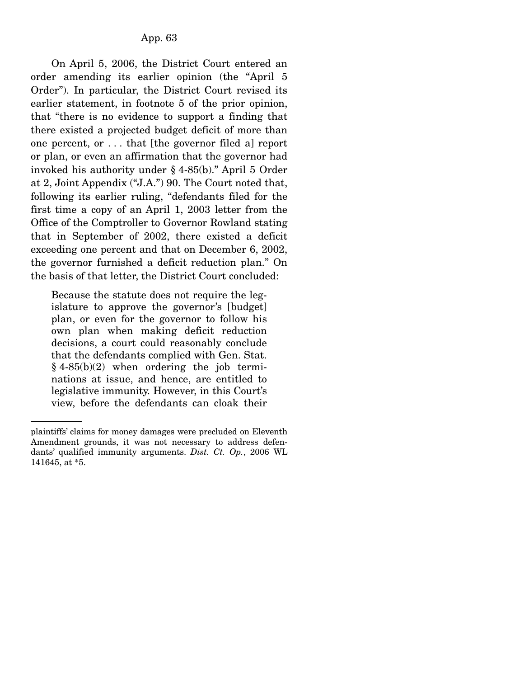On April 5, 2006, the District Court entered an order amending its earlier opinion (the "April 5 Order"). In particular, the District Court revised its earlier statement, in footnote 5 of the prior opinion, that "there is no evidence to support a finding that there existed a projected budget deficit of more than one percent, or . . . that [the governor filed a] report or plan, or even an affirmation that the governor had invoked his authority under § 4-85(b)." April 5 Order at 2, Joint Appendix ("J.A.") 90. The Court noted that, following its earlier ruling, "defendants filed for the first time a copy of an April 1, 2003 letter from the Office of the Comptroller to Governor Rowland stating that in September of 2002, there existed a deficit exceeding one percent and that on December 6, 2002, the governor furnished a deficit reduction plan." On the basis of that letter, the District Court concluded:

Because the statute does not require the legislature to approve the governor's [budget] plan, or even for the governor to follow his own plan when making deficit reduction decisions, a court could reasonably conclude that the defendants complied with Gen. Stat.  $§ 4-85(b)(2)$  when ordering the job terminations at issue, and hence, are entitled to legislative immunity. However, in this Court's view, before the defendants can cloak their

plaintiffs' claims for money damages were precluded on Eleventh Amendment grounds, it was not necessary to address defendants' qualified immunity arguments. *Dist. Ct. Op.*, 2006 WL 141645, at \*5.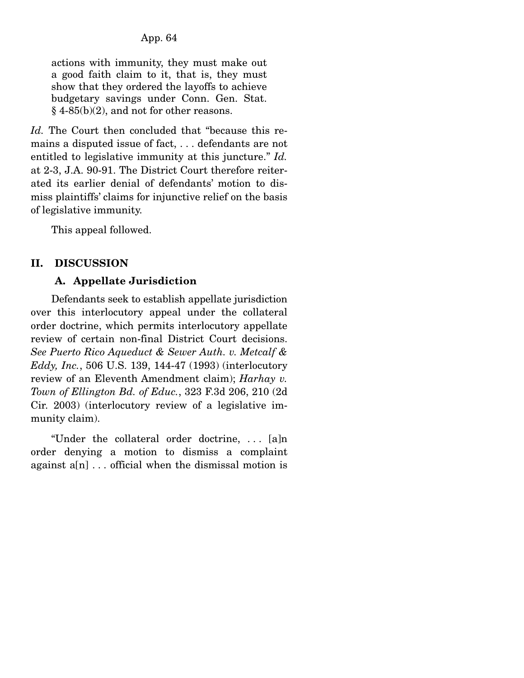actions with immunity, they must make out a good faith claim to it, that is, they must show that they ordered the layoffs to achieve budgetary savings under Conn. Gen. Stat.  $§$  4-85(b)(2), and not for other reasons.

*Id.* The Court then concluded that "because this remains a disputed issue of fact, . . . defendants are not entitled to legislative immunity at this juncture." *Id.* at 2-3, J.A. 90-91. The District Court therefore reiterated its earlier denial of defendants' motion to dismiss plaintiffs' claims for injunctive relief on the basis of legislative immunity.

This appeal followed.

# **II. DISCUSSION**

## **A. Appellate Jurisdiction**

 Defendants seek to establish appellate jurisdiction over this interlocutory appeal under the collateral order doctrine, which permits interlocutory appellate review of certain non-final District Court decisions. *See Puerto Rico Aqueduct & Sewer Auth. v. Metcalf & Eddy, Inc.*, 506 U.S. 139, 144-47 (1993) (interlocutory review of an Eleventh Amendment claim); *Harhay v. Town of Ellington Bd. of Educ.*, 323 F.3d 206, 210 (2d Cir. 2003) (interlocutory review of a legislative immunity claim).

 "Under the collateral order doctrine, . . . [a]n order denying a motion to dismiss a complaint against  $a[n]$ ... official when the dismissal motion is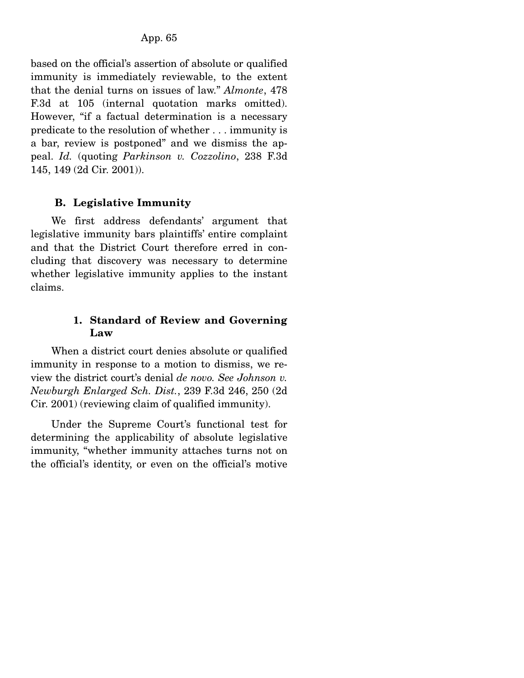based on the official's assertion of absolute or qualified immunity is immediately reviewable, to the extent that the denial turns on issues of law." *Almonte*, 478 F.3d at 105 (internal quotation marks omitted). However, "if a factual determination is a necessary predicate to the resolution of whether . . . immunity is a bar, review is postponed" and we dismiss the appeal. *Id.* (quoting *Parkinson v. Cozzolino*, 238 F.3d 145, 149 (2d Cir. 2001)).

### **B. Legislative Immunity**

 We first address defendants' argument that legislative immunity bars plaintiffs' entire complaint and that the District Court therefore erred in concluding that discovery was necessary to determine whether legislative immunity applies to the instant claims.

### **1. Standard of Review and Governing Law**

 When a district court denies absolute or qualified immunity in response to a motion to dismiss, we review the district court's denial *de novo. See Johnson v. Newburgh Enlarged Sch. Dist.*, 239 F.3d 246, 250 (2d Cir. 2001) (reviewing claim of qualified immunity).

 Under the Supreme Court's functional test for determining the applicability of absolute legislative immunity, "whether immunity attaches turns not on the official's identity, or even on the official's motive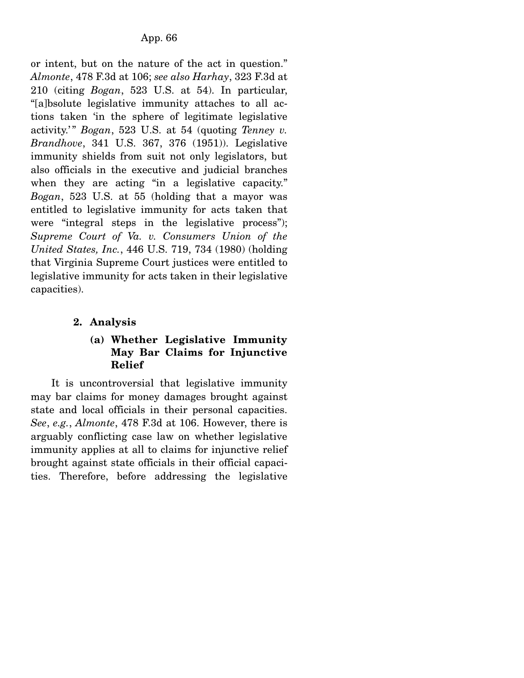or intent, but on the nature of the act in question." *Almonte*, 478 F.3d at 106; *see also Harhay*, 323 F.3d at 210 (citing *Bogan*, 523 U.S. at 54). In particular, "[a]bsolute legislative immunity attaches to all actions taken 'in the sphere of legitimate legislative activity.'" *Bogan*, 523 U.S. at 54 (quoting *Tenney v. Brandhove*, 341 U.S. 367, 376 (1951)). Legislative immunity shields from suit not only legislators, but also officials in the executive and judicial branches when they are acting "in a legislative capacity." *Bogan*, 523 U.S. at 55 (holding that a mayor was entitled to legislative immunity for acts taken that were "integral steps in the legislative process"); *Supreme Court of Va. v. Consumers Union of the United States, Inc.*, 446 U.S. 719, 734 (1980) (holding that Virginia Supreme Court justices were entitled to legislative immunity for acts taken in their legislative capacities).

## **2. Analysis**

### **(a) Whether Legislative Immunity May Bar Claims for Injunctive Relief**

 It is uncontroversial that legislative immunity may bar claims for money damages brought against state and local officials in their personal capacities. *See*, *e.g.*, *Almonte*, 478 F.3d at 106. However, there is arguably conflicting case law on whether legislative immunity applies at all to claims for injunctive relief brought against state officials in their official capacities. Therefore, before addressing the legislative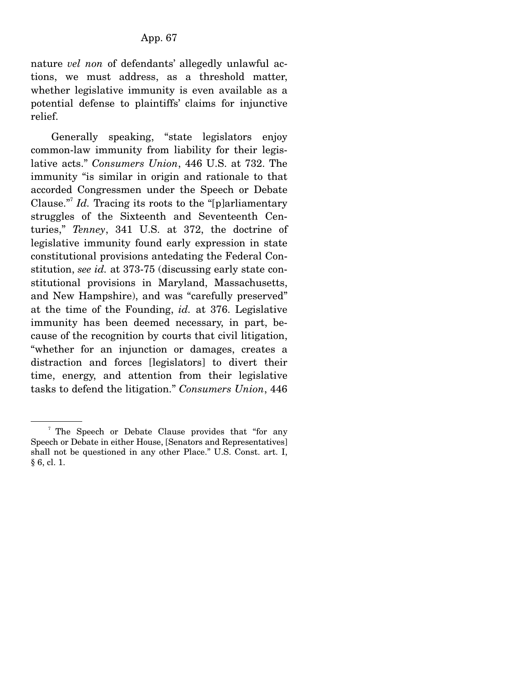nature *vel non* of defendants' allegedly unlawful actions, we must address, as a threshold matter, whether legislative immunity is even available as a potential defense to plaintiffs' claims for injunctive relief.

 Generally speaking, "state legislators enjoy common-law immunity from liability for their legislative acts." *Consumers Union*, 446 U.S. at 732. The immunity "is similar in origin and rationale to that accorded Congressmen under the Speech or Debate Clause."<sup>7</sup> Id. Tracing its roots to the "[p]arliamentary struggles of the Sixteenth and Seventeenth Centuries," *Tenney*, 341 U.S. at 372, the doctrine of legislative immunity found early expression in state constitutional provisions antedating the Federal Constitution, *see id.* at 373-75 (discussing early state constitutional provisions in Maryland, Massachusetts, and New Hampshire), and was "carefully preserved" at the time of the Founding, *id.* at 376. Legislative immunity has been deemed necessary, in part, because of the recognition by courts that civil litigation, "whether for an injunction or damages, creates a distraction and forces [legislators] to divert their time, energy, and attention from their legislative tasks to defend the litigation." *Consumers Union*, 446

<sup>&</sup>lt;sup>7</sup> The Speech or Debate Clause provides that "for any Speech or Debate in either House, [Senators and Representatives] shall not be questioned in any other Place." U.S. Const. art. I, § 6, cl. 1.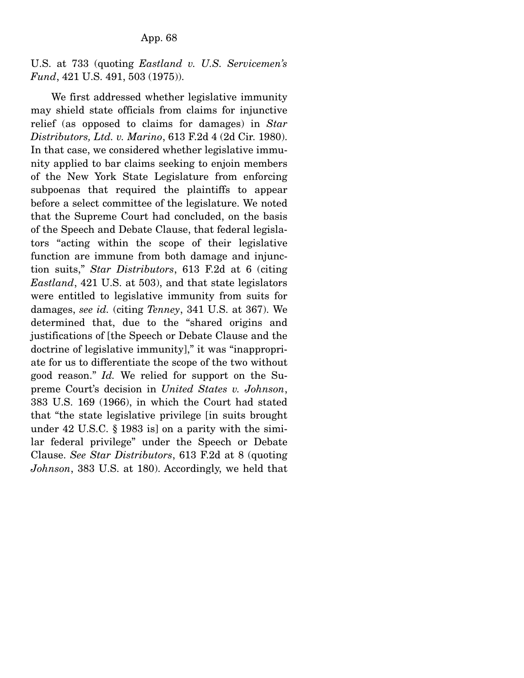U.S. at 733 (quoting *Eastland v. U.S. Servicemen's Fund*, 421 U.S. 491, 503 (1975)).

 We first addressed whether legislative immunity may shield state officials from claims for injunctive relief (as opposed to claims for damages) in *Star Distributors, Ltd. v. Marino*, 613 F.2d 4 (2d Cir. 1980). In that case, we considered whether legislative immunity applied to bar claims seeking to enjoin members of the New York State Legislature from enforcing subpoenas that required the plaintiffs to appear before a select committee of the legislature. We noted that the Supreme Court had concluded, on the basis of the Speech and Debate Clause, that federal legislators "acting within the scope of their legislative function are immune from both damage and injunction suits," *Star Distributors*, 613 F.2d at 6 (citing *Eastland*, 421 U.S. at 503), and that state legislators were entitled to legislative immunity from suits for damages, *see id.* (citing *Tenney*, 341 U.S. at 367). We determined that, due to the "shared origins and justifications of [the Speech or Debate Clause and the doctrine of legislative immunity]," it was "inappropriate for us to differentiate the scope of the two without good reason." *Id.* We relied for support on the Supreme Court's decision in *United States v. Johnson*, 383 U.S. 169 (1966), in which the Court had stated that "the state legislative privilege [in suits brought under 42 U.S.C. § 1983 is] on a parity with the similar federal privilege" under the Speech or Debate Clause. *See Star Distributors*, 613 F.2d at 8 (quoting *Johnson*, 383 U.S. at 180). Accordingly, we held that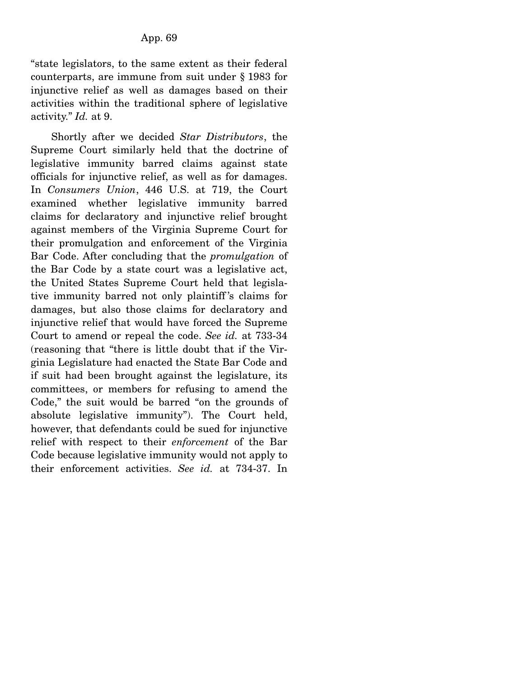"state legislators, to the same extent as their federal counterparts, are immune from suit under § 1983 for injunctive relief as well as damages based on their activities within the traditional sphere of legislative activity." *Id.* at 9.

 Shortly after we decided *Star Distributors*, the Supreme Court similarly held that the doctrine of legislative immunity barred claims against state officials for injunctive relief, as well as for damages. In *Consumers Union*, 446 U.S. at 719, the Court examined whether legislative immunity barred claims for declaratory and injunctive relief brought against members of the Virginia Supreme Court for their promulgation and enforcement of the Virginia Bar Code. After concluding that the *promulgation* of the Bar Code by a state court was a legislative act, the United States Supreme Court held that legislative immunity barred not only plaintiff 's claims for damages, but also those claims for declaratory and injunctive relief that would have forced the Supreme Court to amend or repeal the code. *See id.* at 733-34 (reasoning that "there is little doubt that if the Virginia Legislature had enacted the State Bar Code and if suit had been brought against the legislature, its committees, or members for refusing to amend the Code," the suit would be barred "on the grounds of absolute legislative immunity"). The Court held, however, that defendants could be sued for injunctive relief with respect to their *enforcement* of the Bar Code because legislative immunity would not apply to their enforcement activities. *See id.* at 734-37. In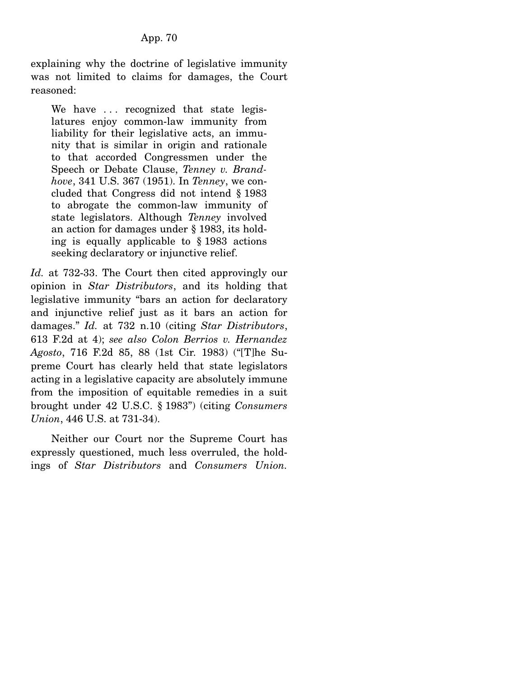explaining why the doctrine of legislative immunity was not limited to claims for damages, the Court reasoned:

We have ... recognized that state legislatures enjoy common-law immunity from liability for their legislative acts, an immunity that is similar in origin and rationale to that accorded Congressmen under the Speech or Debate Clause, *Tenney v. Brandhove*, 341 U.S. 367 (1951). In *Tenney*, we concluded that Congress did not intend § 1983 to abrogate the common-law immunity of state legislators. Although *Tenney* involved an action for damages under § 1983, its holding is equally applicable to § 1983 actions seeking declaratory or injunctive relief.

*Id.* at 732-33. The Court then cited approvingly our opinion in *Star Distributors*, and its holding that legislative immunity "bars an action for declaratory and injunctive relief just as it bars an action for damages." *Id.* at 732 n.10 (citing *Star Distributors*, 613 F.2d at 4); *see also Colon Berrios v. Hernandez Agosto*, 716 F.2d 85, 88 (1st Cir. 1983) ("[T]he Supreme Court has clearly held that state legislators acting in a legislative capacity are absolutely immune from the imposition of equitable remedies in a suit brought under 42 U.S.C. § 1983") (citing *Consumers Union*, 446 U.S. at 731-34).

 Neither our Court nor the Supreme Court has expressly questioned, much less overruled, the holdings of *Star Distributors* and *Consumers Union.*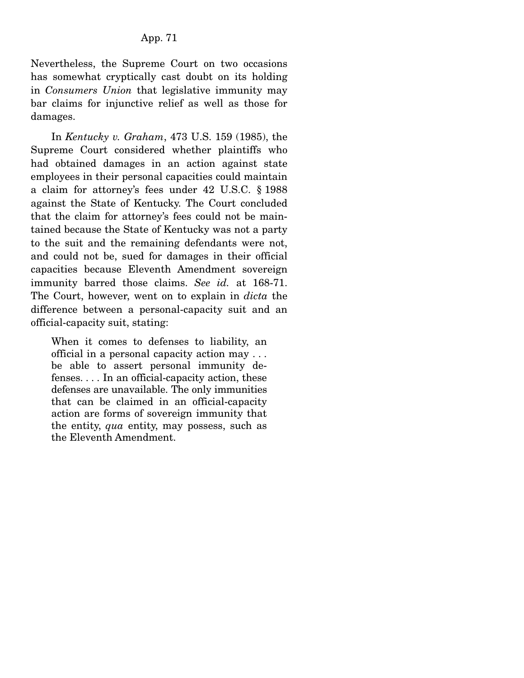Nevertheless, the Supreme Court on two occasions has somewhat cryptically cast doubt on its holding in *Consumers Union* that legislative immunity may bar claims for injunctive relief as well as those for damages.

 In *Kentucky v. Graham*, 473 U.S. 159 (1985), the Supreme Court considered whether plaintiffs who had obtained damages in an action against state employees in their personal capacities could maintain a claim for attorney's fees under 42 U.S.C. § 1988 against the State of Kentucky. The Court concluded that the claim for attorney's fees could not be maintained because the State of Kentucky was not a party to the suit and the remaining defendants were not, and could not be, sued for damages in their official capacities because Eleventh Amendment sovereign immunity barred those claims. *See id.* at 168-71. The Court, however, went on to explain in *dicta* the difference between a personal-capacity suit and an official-capacity suit, stating:

When it comes to defenses to liability, an official in a personal capacity action may . . . be able to assert personal immunity defenses. . . . In an official-capacity action, these defenses are unavailable. The only immunities that can be claimed in an official-capacity action are forms of sovereign immunity that the entity, *qua* entity, may possess, such as the Eleventh Amendment.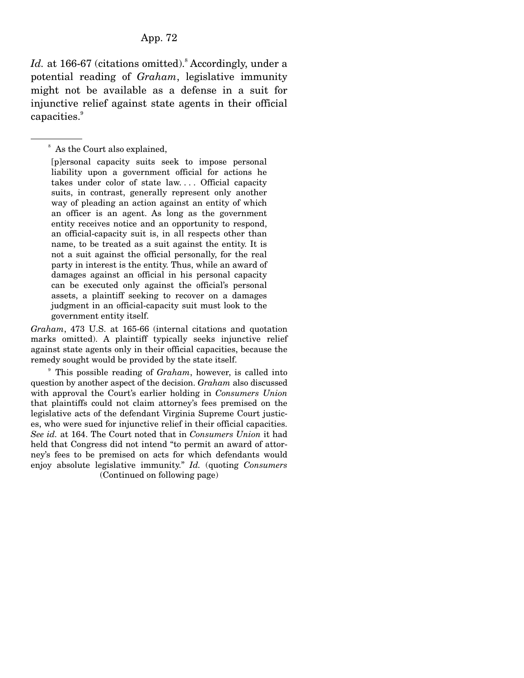### App. 72

Id. at 166-67 (citations omitted).<sup>8</sup> Accordingly, under a potential reading of *Graham*, legislative immunity might not be available as a defense in a suit for injunctive relief against state agents in their official capacities.<sup>9</sup>

[p]ersonal capacity suits seek to impose personal liability upon a government official for actions he takes under color of state law.... Official capacity suits, in contrast, generally represent only another way of pleading an action against an entity of which an officer is an agent. As long as the government entity receives notice and an opportunity to respond, an official-capacity suit is, in all respects other than name, to be treated as a suit against the entity. It is not a suit against the official personally, for the real party in interest is the entity. Thus, while an award of damages against an official in his personal capacity can be executed only against the official's personal assets, a plaintiff seeking to recover on a damages judgment in an official-capacity suit must look to the government entity itself.

*Graham*, 473 U.S. at 165-66 (internal citations and quotation marks omitted). A plaintiff typically seeks injunctive relief against state agents only in their official capacities, because the remedy sought would be provided by the state itself.

9 This possible reading of *Graham*, however, is called into question by another aspect of the decision. *Graham* also discussed with approval the Court's earlier holding in *Consumers Union* that plaintiffs could not claim attorney's fees premised on the legislative acts of the defendant Virginia Supreme Court justices, who were sued for injunctive relief in their official capacities. *See id.* at 164. The Court noted that in *Consumers Union* it had held that Congress did not intend "to permit an award of attorney's fees to be premised on acts for which defendants would enjoy absolute legislative immunity." *Id.* (quoting *Consumers*  (Continued on following page)

<sup>8</sup> As the Court also explained,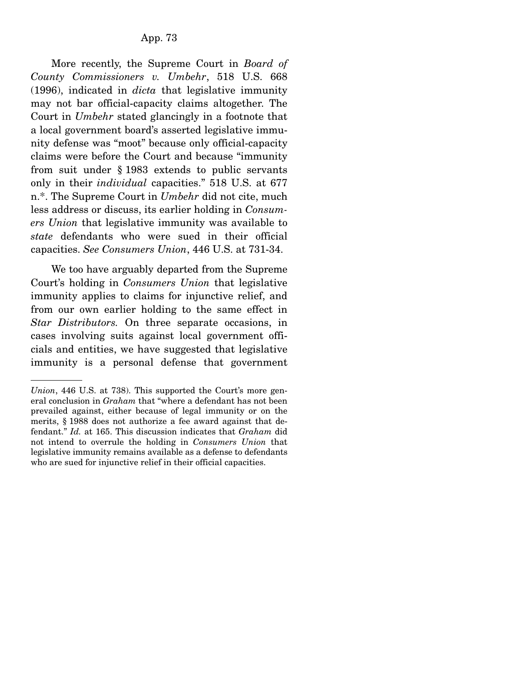More recently, the Supreme Court in *Board of County Commissioners v. Umbehr*, 518 U.S. 668 (1996), indicated in *dicta* that legislative immunity may not bar official-capacity claims altogether. The Court in *Umbehr* stated glancingly in a footnote that a local government board's asserted legislative immunity defense was "moot" because only official-capacity claims were before the Court and because "immunity from suit under § 1983 extends to public servants only in their *individual* capacities." 518 U.S. at 677 n.\*. The Supreme Court in *Umbehr* did not cite, much less address or discuss, its earlier holding in *Consumers Union* that legislative immunity was available to *state* defendants who were sued in their official capacities. *See Consumers Union*, 446 U.S. at 731-34.

 We too have arguably departed from the Supreme Court's holding in *Consumers Union* that legislative immunity applies to claims for injunctive relief, and from our own earlier holding to the same effect in *Star Distributors.* On three separate occasions, in cases involving suits against local government officials and entities, we have suggested that legislative immunity is a personal defense that government

*Union*, 446 U.S. at 738). This supported the Court's more general conclusion in *Graham* that "where a defendant has not been prevailed against, either because of legal immunity or on the merits, § 1988 does not authorize a fee award against that defendant." *Id.* at 165. This discussion indicates that *Graham* did not intend to overrule the holding in *Consumers Union* that legislative immunity remains available as a defense to defendants who are sued for injunctive relief in their official capacities.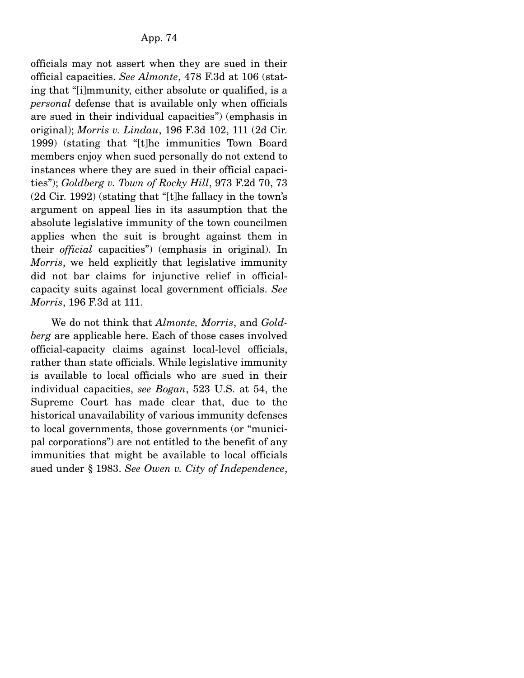officials may not assert when they are sued in their official capacities. *See Almonte*, 478 F.3d at 106 (stating that "[i]mmunity, either absolute or qualified, is a *personal* defense that is available only when officials are sued in their individual capacities") (emphasis in original); *Morris v. Lindau*, 196 F.3d 102, 111 (2d Cir. 1999) (stating that "[t]he immunities Town Board members enjoy when sued personally do not extend to instances where they are sued in their official capacities"); *Goldberg v. Town of Rocky Hill*, 973 F.2d 70, 73 (2d Cir. 1992) (stating that "[t]he fallacy in the town's argument on appeal lies in its assumption that the absolute legislative immunity of the town councilmen applies when the suit is brought against them in their *official* capacities") (emphasis in original). In *Morris*, we held explicitly that legislative immunity did not bar claims for injunctive relief in officialcapacity suits against local government officials. *See Morris*, 196 F.3d at 111.

 We do not think that *Almonte, Morris*, and *Goldberg* are applicable here. Each of those cases involved official-capacity claims against local-level officials, rather than state officials. While legislative immunity is available to local officials who are sued in their individual capacities, *see Bogan*, 523 U.S. at 54, the Supreme Court has made clear that, due to the historical unavailability of various immunity defenses to local governments, those governments (or "municipal corporations") are not entitled to the benefit of any immunities that might be available to local officials sued under § 1983. *See Owen v. City of Independence*,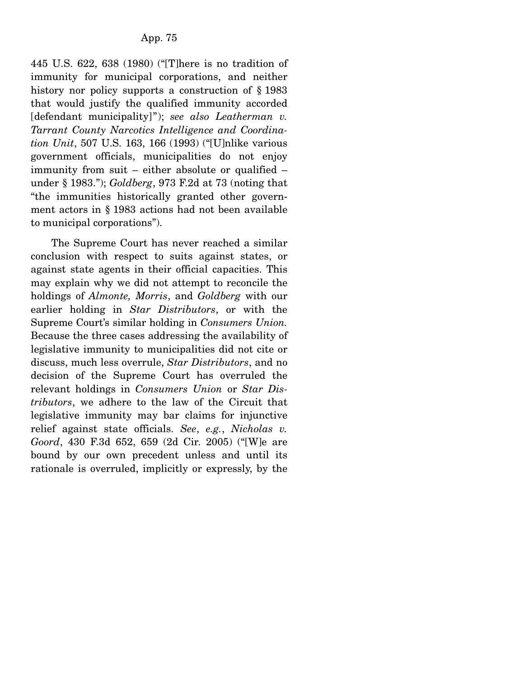445 U.S. 622, 638 (1980) ("[T]here is no tradition of immunity for municipal corporations, and neither history nor policy supports a construction of § 1983 that would justify the qualified immunity accorded [defendant municipality]"); *see also Leatherman v. Tarrant County Narcotics Intelligence and Coordination Unit*, 507 U.S. 163, 166 (1993) ("[U]nlike various government officials, municipalities do not enjoy immunity from suit – either absolute or qualified – under § 1983."); *Goldberg*, 973 F.2d at 73 (noting that "the immunities historically granted other government actors in § 1983 actions had not been available to municipal corporations").

 The Supreme Court has never reached a similar conclusion with respect to suits against states, or against state agents in their official capacities. This may explain why we did not attempt to reconcile the holdings of *Almonte, Morris*, and *Goldberg* with our earlier holding in *Star Distributors*, or with the Supreme Court's similar holding in *Consumers Union.* Because the three cases addressing the availability of legislative immunity to municipalities did not cite or discuss, much less overrule, *Star Distributors*, and no decision of the Supreme Court has overruled the relevant holdings in *Consumers Union* or *Star Distributors*, we adhere to the law of the Circuit that legislative immunity may bar claims for injunctive relief against state officials. *See*, *e.g.*, *Nicholas v. Goord*, 430 F.3d 652, 659 (2d Cir. 2005) ("[W]e are bound by our own precedent unless and until its rationale is overruled, implicitly or expressly, by the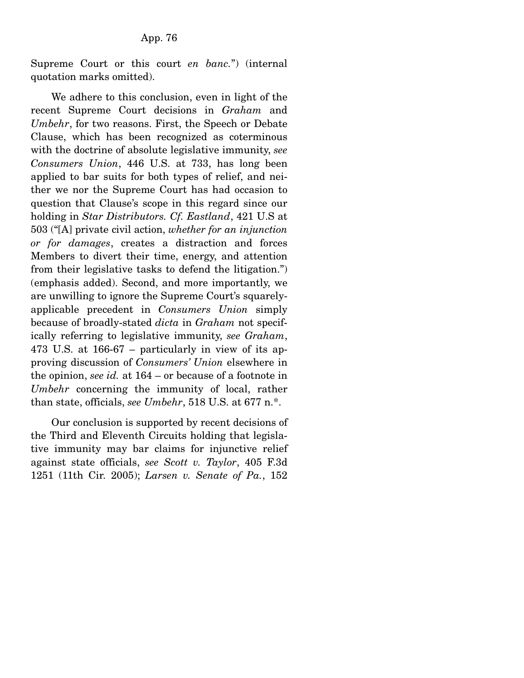Supreme Court or this court *en banc.*") (internal quotation marks omitted).

 We adhere to this conclusion, even in light of the recent Supreme Court decisions in *Graham* and *Umbehr*, for two reasons. First, the Speech or Debate Clause, which has been recognized as coterminous with the doctrine of absolute legislative immunity, *see Consumers Union*, 446 U.S. at 733, has long been applied to bar suits for both types of relief, and neither we nor the Supreme Court has had occasion to question that Clause's scope in this regard since our holding in *Star Distributors. Cf. Eastland*, 421 U.S at 503 ("[A] private civil action, *whether for an injunction or for damages*, creates a distraction and forces Members to divert their time, energy, and attention from their legislative tasks to defend the litigation.") (emphasis added). Second, and more importantly, we are unwilling to ignore the Supreme Court's squarelyapplicable precedent in *Consumers Union* simply because of broadly-stated *dicta* in *Graham* not specifically referring to legislative immunity, *see Graham*, 473 U.S. at 166-67 – particularly in view of its approving discussion of *Consumers' Union* elsewhere in the opinion, *see id.* at 164 – or because of a footnote in *Umbehr* concerning the immunity of local, rather than state, officials, *see Umbehr*, 518 U.S. at 677 n.\*.

 Our conclusion is supported by recent decisions of the Third and Eleventh Circuits holding that legislative immunity may bar claims for injunctive relief against state officials, *see Scott v. Taylor*, 405 F.3d 1251 (11th Cir. 2005); *Larsen v. Senate of Pa.*, 152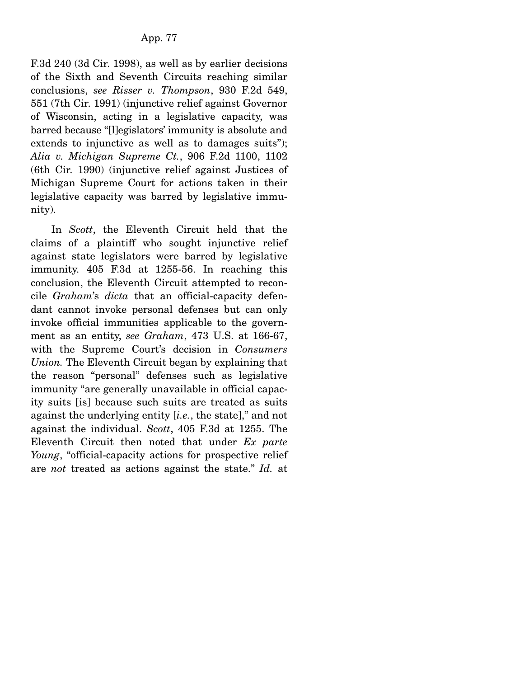F.3d 240 (3d Cir. 1998), as well as by earlier decisions of the Sixth and Seventh Circuits reaching similar conclusions, *see Risser v. Thompson*, 930 F.2d 549, 551 (7th Cir. 1991) (injunctive relief against Governor of Wisconsin, acting in a legislative capacity, was barred because "[l]egislators' immunity is absolute and extends to injunctive as well as to damages suits"); *Alia v. Michigan Supreme Ct.*, 906 F.2d 1100, 1102 (6th Cir. 1990) (injunctive relief against Justices of Michigan Supreme Court for actions taken in their legislative capacity was barred by legislative immunity).

 In *Scott*, the Eleventh Circuit held that the claims of a plaintiff who sought injunctive relief against state legislators were barred by legislative immunity. 405 F.3d at 1255-56. In reaching this conclusion, the Eleventh Circuit attempted to reconcile *Graham*'s *dicta* that an official-capacity defendant cannot invoke personal defenses but can only invoke official immunities applicable to the government as an entity, *see Graham*, 473 U.S. at 166-67, with the Supreme Court's decision in *Consumers Union.* The Eleventh Circuit began by explaining that the reason "personal" defenses such as legislative immunity "are generally unavailable in official capacity suits [is] because such suits are treated as suits against the underlying entity [*i.e.*, the state]," and not against the individual. *Scott*, 405 F.3d at 1255. The Eleventh Circuit then noted that under *Ex parte Young*, "official-capacity actions for prospective relief are *not* treated as actions against the state." *Id.* at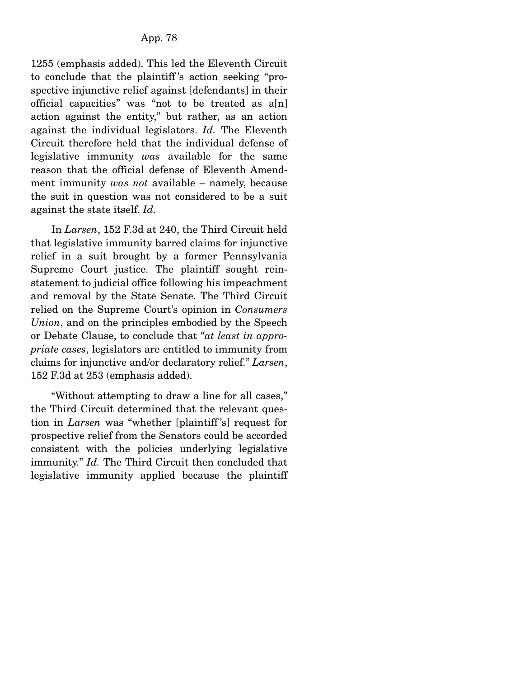1255 (emphasis added). This led the Eleventh Circuit to conclude that the plaintiff 's action seeking "prospective injunctive relief against [defendants] in their official capacities" was "not to be treated as a[n] action against the entity," but rather, as an action against the individual legislators. *Id.* The Eleventh Circuit therefore held that the individual defense of legislative immunity *was* available for the same reason that the official defense of Eleventh Amendment immunity *was not* available – namely, because the suit in question was not considered to be a suit against the state itself. *Id.*

 In *Larsen*, 152 F.3d at 240, the Third Circuit held that legislative immunity barred claims for injunctive relief in a suit brought by a former Pennsylvania Supreme Court justice. The plaintiff sought reinstatement to judicial office following his impeachment and removal by the State Senate. The Third Circuit relied on the Supreme Court's opinion in *Consumers Union*, and on the principles embodied by the Speech or Debate Clause, to conclude that "*at least in appropriate cases*, legislators are entitled to immunity from claims for injunctive and/or declaratory relief." *Larsen*, 152 F.3d at 253 (emphasis added).

 "Without attempting to draw a line for all cases," the Third Circuit determined that the relevant question in *Larsen* was "whether [plaintiff 's] request for prospective relief from the Senators could be accorded consistent with the policies underlying legislative immunity." *Id.* The Third Circuit then concluded that legislative immunity applied because the plaintiff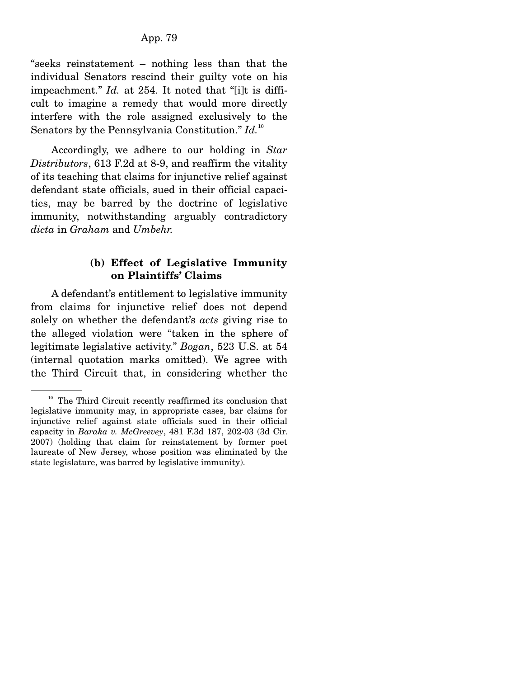"seeks reinstatement – nothing less than that the individual Senators rescind their guilty vote on his impeachment." *Id.* at 254. It noted that "[i]t is difficult to imagine a remedy that would more directly interfere with the role assigned exclusively to the Senators by the Pennsylvania Constitution." *Id.*<sup>10</sup>

 Accordingly, we adhere to our holding in *Star Distributors*, 613 F.2d at 8-9, and reaffirm the vitality of its teaching that claims for injunctive relief against defendant state officials, sued in their official capacities, may be barred by the doctrine of legislative immunity, notwithstanding arguably contradictory *dicta* in *Graham* and *Umbehr.*

### **(b) Effect of Legislative Immunity on Plaintiffs' Claims**

 A defendant's entitlement to legislative immunity from claims for injunctive relief does not depend solely on whether the defendant's *acts* giving rise to the alleged violation were "taken in the sphere of legitimate legislative activity." *Bogan*, 523 U.S. at 54 (internal quotation marks omitted). We agree with the Third Circuit that, in considering whether the

<sup>&</sup>lt;sup>10</sup> The Third Circuit recently reaffirmed its conclusion that legislative immunity may, in appropriate cases, bar claims for injunctive relief against state officials sued in their official capacity in *Baraka v. McGreevey*, 481 F.3d 187, 202-03 (3d Cir. 2007) (holding that claim for reinstatement by former poet laureate of New Jersey, whose position was eliminated by the state legislature, was barred by legislative immunity).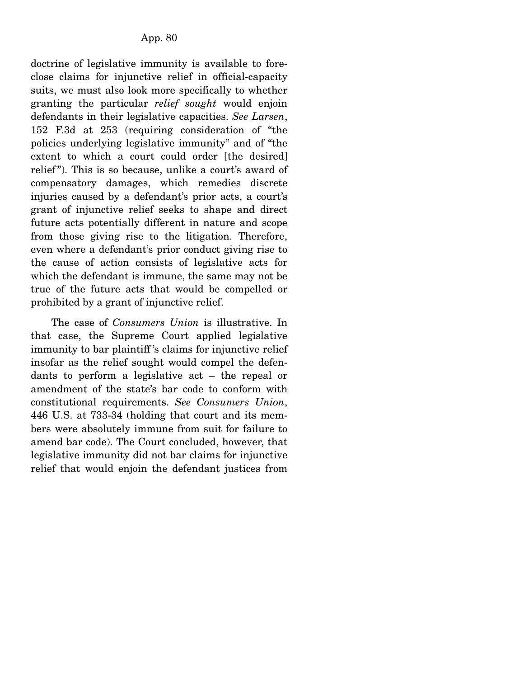doctrine of legislative immunity is available to foreclose claims for injunctive relief in official-capacity suits, we must also look more specifically to whether granting the particular *relief sought* would enjoin defendants in their legislative capacities. *See Larsen*, 152 F.3d at 253 (requiring consideration of "the policies underlying legislative immunity" and of "the extent to which a court could order [the desired] relief"). This is so because, unlike a court's award of compensatory damages, which remedies discrete injuries caused by a defendant's prior acts, a court's grant of injunctive relief seeks to shape and direct future acts potentially different in nature and scope from those giving rise to the litigation. Therefore, even where a defendant's prior conduct giving rise to the cause of action consists of legislative acts for which the defendant is immune, the same may not be true of the future acts that would be compelled or prohibited by a grant of injunctive relief.

 The case of *Consumers Union* is illustrative. In that case, the Supreme Court applied legislative immunity to bar plaintiff 's claims for injunctive relief insofar as the relief sought would compel the defendants to perform a legislative act – the repeal or amendment of the state's bar code to conform with constitutional requirements. *See Consumers Union*, 446 U.S. at 733-34 (holding that court and its members were absolutely immune from suit for failure to amend bar code). The Court concluded, however, that legislative immunity did not bar claims for injunctive relief that would enjoin the defendant justices from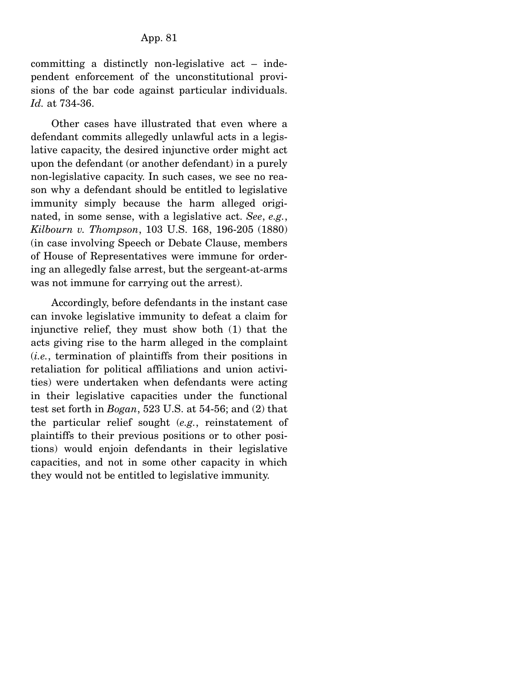committing a distinctly non-legislative act – independent enforcement of the unconstitutional provisions of the bar code against particular individuals. *Id.* at 734-36.

 Other cases have illustrated that even where a defendant commits allegedly unlawful acts in a legislative capacity, the desired injunctive order might act upon the defendant (or another defendant) in a purely non-legislative capacity. In such cases, we see no reason why a defendant should be entitled to legislative immunity simply because the harm alleged originated, in some sense, with a legislative act. *See*, *e.g.*, *Kilbourn v. Thompson*, 103 U.S. 168, 196-205 (1880) (in case involving Speech or Debate Clause, members of House of Representatives were immune for ordering an allegedly false arrest, but the sergeant-at-arms was not immune for carrying out the arrest).

 Accordingly, before defendants in the instant case can invoke legislative immunity to defeat a claim for injunctive relief, they must show both (1) that the acts giving rise to the harm alleged in the complaint (*i.e.*, termination of plaintiffs from their positions in retaliation for political affiliations and union activities) were undertaken when defendants were acting in their legislative capacities under the functional test set forth in *Bogan*, 523 U.S. at 54-56; and (2) that the particular relief sought (*e.g.*, reinstatement of plaintiffs to their previous positions or to other positions) would enjoin defendants in their legislative capacities, and not in some other capacity in which they would not be entitled to legislative immunity.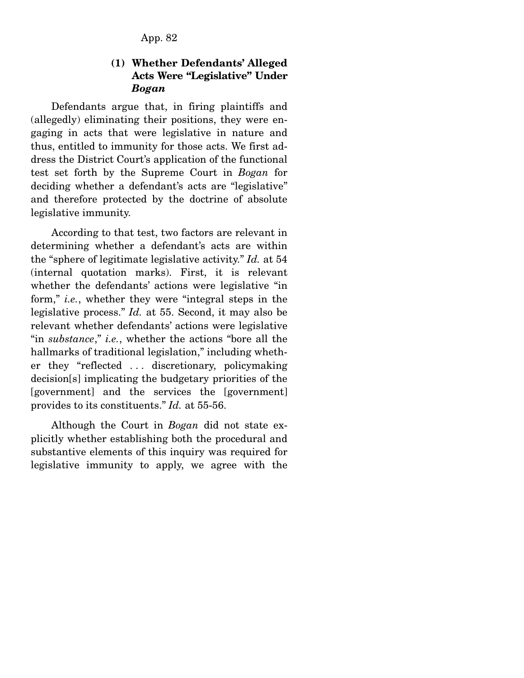App. 82

### **(1) Whether Defendants' Alleged Acts Were "Legislative" Under**  *Bogan*

 Defendants argue that, in firing plaintiffs and (allegedly) eliminating their positions, they were engaging in acts that were legislative in nature and thus, entitled to immunity for those acts. We first address the District Court's application of the functional test set forth by the Supreme Court in *Bogan* for deciding whether a defendant's acts are "legislative" and therefore protected by the doctrine of absolute legislative immunity.

 According to that test, two factors are relevant in determining whether a defendant's acts are within the "sphere of legitimate legislative activity." *Id.* at 54 (internal quotation marks). First, it is relevant whether the defendants' actions were legislative "in form," *i.e.*, whether they were "integral steps in the legislative process." *Id.* at 55. Second, it may also be relevant whether defendants' actions were legislative "in *substance*," *i.e.*, whether the actions "bore all the hallmarks of traditional legislation," including whether they "reflected . . . discretionary, policymaking decision[s] implicating the budgetary priorities of the [government] and the services the [government] provides to its constituents." *Id.* at 55-56.

 Although the Court in *Bogan* did not state explicitly whether establishing both the procedural and substantive elements of this inquiry was required for legislative immunity to apply, we agree with the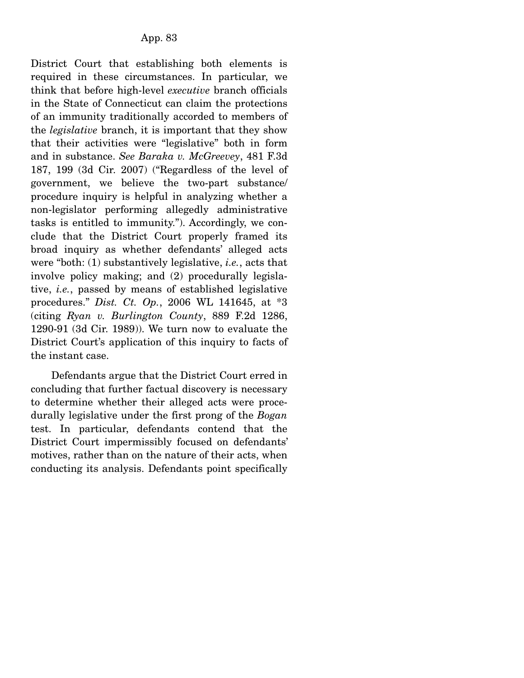District Court that establishing both elements is required in these circumstances. In particular, we think that before high-level *executive* branch officials in the State of Connecticut can claim the protections of an immunity traditionally accorded to members of the *legislative* branch, it is important that they show that their activities were "legislative" both in form and in substance. *See Baraka v. McGreevey*, 481 F.3d 187, 199 (3d Cir. 2007) ("Regardless of the level of government, we believe the two-part substance/ procedure inquiry is helpful in analyzing whether a non-legislator performing allegedly administrative tasks is entitled to immunity."). Accordingly, we conclude that the District Court properly framed its broad inquiry as whether defendants' alleged acts were "both: (1) substantively legislative, *i.e.*, acts that involve policy making; and (2) procedurally legislative, *i.e.*, passed by means of established legislative procedures." *Dist. Ct. Op.*, 2006 WL 141645, at \*3 (citing *Ryan v. Burlington County*, 889 F.2d 1286, 1290-91 (3d Cir. 1989)). We turn now to evaluate the District Court's application of this inquiry to facts of the instant case.

 Defendants argue that the District Court erred in concluding that further factual discovery is necessary to determine whether their alleged acts were procedurally legislative under the first prong of the *Bogan* test. In particular, defendants contend that the District Court impermissibly focused on defendants' motives, rather than on the nature of their acts, when conducting its analysis. Defendants point specifically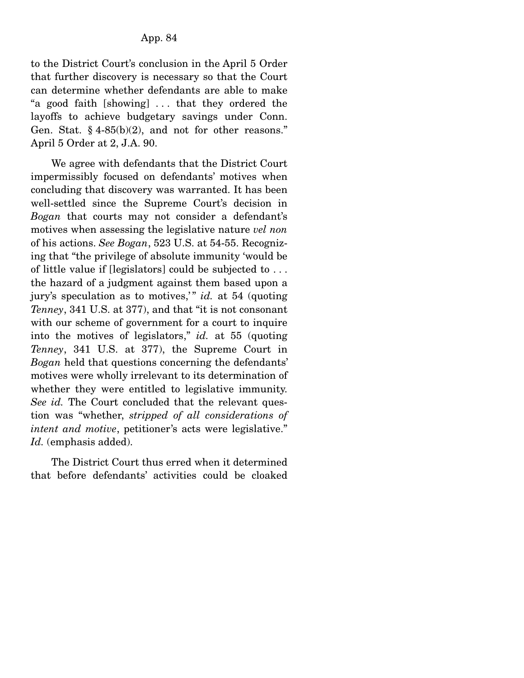to the District Court's conclusion in the April 5 Order that further discovery is necessary so that the Court can determine whether defendants are able to make "a good faith [showing] . . . that they ordered the layoffs to achieve budgetary savings under Conn. Gen. Stat.  $§$  4-85(b)(2), and not for other reasons." April 5 Order at 2, J.A. 90.

 We agree with defendants that the District Court impermissibly focused on defendants' motives when concluding that discovery was warranted. It has been well-settled since the Supreme Court's decision in *Bogan* that courts may not consider a defendant's motives when assessing the legislative nature *vel non* of his actions. *See Bogan*, 523 U.S. at 54-55. Recognizing that "the privilege of absolute immunity 'would be of little value if [legislators] could be subjected to . . . the hazard of a judgment against them based upon a jury's speculation as to motives," *id.* at 54 (quoting *Tenney*, 341 U.S. at 377), and that "it is not consonant with our scheme of government for a court to inquire into the motives of legislators," *id.* at 55 (quoting *Tenney*, 341 U.S. at 377), the Supreme Court in *Bogan* held that questions concerning the defendants' motives were wholly irrelevant to its determination of whether they were entitled to legislative immunity. *See id.* The Court concluded that the relevant question was "whether, *stripped of all considerations of intent and motive*, petitioner's acts were legislative." *Id.* (emphasis added).

 The District Court thus erred when it determined that before defendants' activities could be cloaked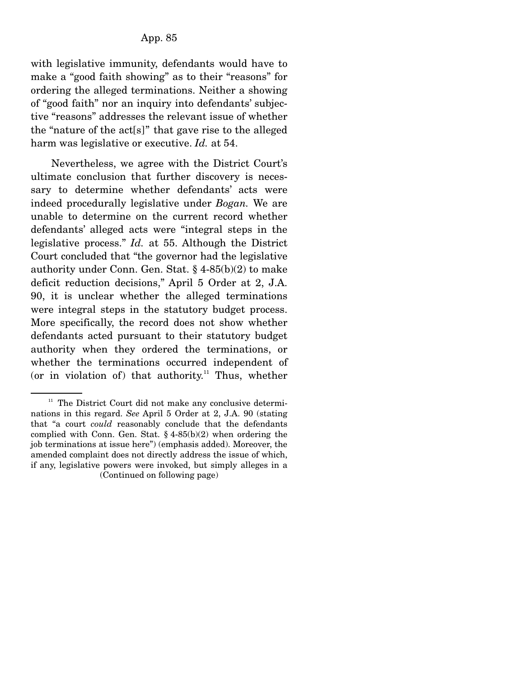with legislative immunity, defendants would have to make a "good faith showing" as to their "reasons" for ordering the alleged terminations. Neither a showing of "good faith" nor an inquiry into defendants' subjective "reasons" addresses the relevant issue of whether the "nature of the act[s]" that gave rise to the alleged harm was legislative or executive. *Id.* at 54.

 Nevertheless, we agree with the District Court's ultimate conclusion that further discovery is necessary to determine whether defendants' acts were indeed procedurally legislative under *Bogan.* We are unable to determine on the current record whether defendants' alleged acts were "integral steps in the legislative process." *Id.* at 55. Although the District Court concluded that "the governor had the legislative authority under Conn. Gen. Stat. § 4-85(b)(2) to make deficit reduction decisions," April 5 Order at 2, J.A. 90, it is unclear whether the alleged terminations were integral steps in the statutory budget process. More specifically, the record does not show whether defendants acted pursuant to their statutory budget authority when they ordered the terminations, or whether the terminations occurred independent of (or in violation of) that authority.<sup>11</sup> Thus, whether

 $11$  The District Court did not make any conclusive determinations in this regard. *See* April 5 Order at 2, J.A. 90 (stating that "a court *could* reasonably conclude that the defendants complied with Conn. Gen. Stat.  $\S$  4-85(b)(2) when ordering the job terminations at issue here") (emphasis added). Moreover, the amended complaint does not directly address the issue of which, if any, legislative powers were invoked, but simply alleges in a (Continued on following page)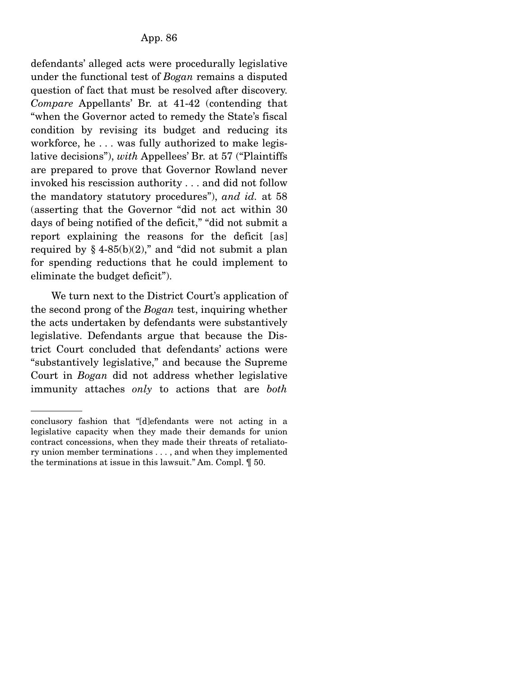defendants' alleged acts were procedurally legislative under the functional test of *Bogan* remains a disputed question of fact that must be resolved after discovery. *Compare* Appellants' Br. at 41-42 (contending that "when the Governor acted to remedy the State's fiscal condition by revising its budget and reducing its workforce, he . . . was fully authorized to make legislative decisions"), *with* Appellees' Br. at 57 ("Plaintiffs are prepared to prove that Governor Rowland never invoked his rescission authority . . . and did not follow the mandatory statutory procedures"), *and id.* at 58 (asserting that the Governor "did not act within 30 days of being notified of the deficit," "did not submit a report explaining the reasons for the deficit [as] required by  $§$  4-85(b)(2)," and "did not submit a plan for spending reductions that he could implement to eliminate the budget deficit").

 We turn next to the District Court's application of the second prong of the *Bogan* test, inquiring whether the acts undertaken by defendants were substantively legislative. Defendants argue that because the District Court concluded that defendants' actions were "substantively legislative," and because the Supreme Court in *Bogan* did not address whether legislative immunity attaches *only* to actions that are *both*

conclusory fashion that "[d]efendants were not acting in a legislative capacity when they made their demands for union contract concessions, when they made their threats of retaliatory union member terminations . . . , and when they implemented the terminations at issue in this lawsuit." Am. Compl. ¶ 50.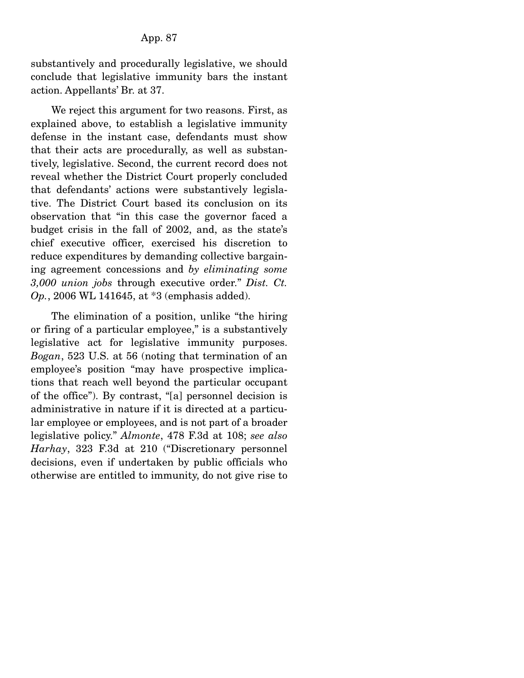substantively and procedurally legislative, we should conclude that legislative immunity bars the instant action. Appellants' Br. at 37.

 We reject this argument for two reasons. First, as explained above, to establish a legislative immunity defense in the instant case, defendants must show that their acts are procedurally, as well as substantively, legislative. Second, the current record does not reveal whether the District Court properly concluded that defendants' actions were substantively legislative. The District Court based its conclusion on its observation that "in this case the governor faced a budget crisis in the fall of 2002, and, as the state's chief executive officer, exercised his discretion to reduce expenditures by demanding collective bargaining agreement concessions and *by eliminating some 3,000 union jobs* through executive order." *Dist. Ct. Op.*, 2006 WL 141645, at \*3 (emphasis added).

 The elimination of a position, unlike "the hiring or firing of a particular employee," is a substantively legislative act for legislative immunity purposes. *Bogan*, 523 U.S. at 56 (noting that termination of an employee's position "may have prospective implications that reach well beyond the particular occupant of the office"). By contrast, "[a] personnel decision is administrative in nature if it is directed at a particular employee or employees, and is not part of a broader legislative policy." *Almonte*, 478 F.3d at 108; *see also Harhay*, 323 F.3d at 210 ("Discretionary personnel decisions, even if undertaken by public officials who otherwise are entitled to immunity, do not give rise to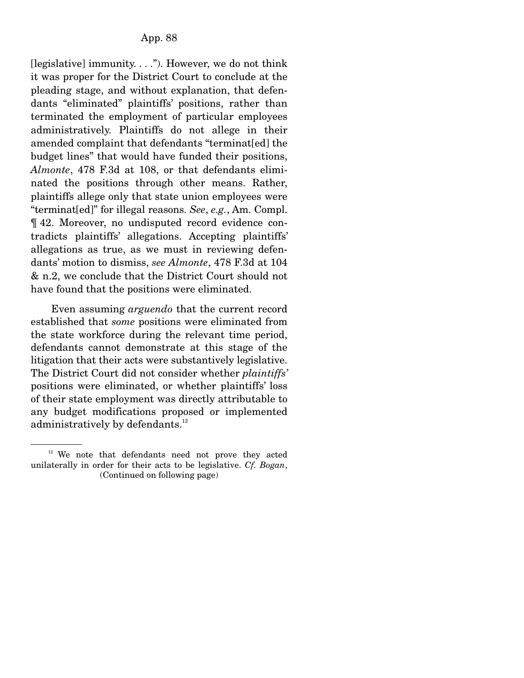[legislative] immunity. . . ."). However, we do not think it was proper for the District Court to conclude at the pleading stage, and without explanation, that defendants "eliminated" plaintiffs' positions, rather than terminated the employment of particular employees administratively. Plaintiffs do not allege in their amended complaint that defendants "terminat[ed] the budget lines" that would have funded their positions, *Almonte*, 478 F.3d at 108, or that defendants eliminated the positions through other means. Rather, plaintiffs allege only that state union employees were "terminat[ed]" for illegal reasons. *See*, *e.g.*, Am. Compl. ¶ 42. Moreover, no undisputed record evidence contradicts plaintiffs' allegations. Accepting plaintiffs' allegations as true, as we must in reviewing defendants' motion to dismiss, *see Almonte*, 478 F.3d at 104 & n.2, we conclude that the District Court should not have found that the positions were eliminated.

 Even assuming *arguendo* that the current record established that *some* positions were eliminated from the state workforce during the relevant time period, defendants cannot demonstrate at this stage of the litigation that their acts were substantively legislative. The District Court did not consider whether *plaintiffs'*  positions were eliminated, or whether plaintiffs' loss of their state employment was directly attributable to any budget modifications proposed or implemented administratively by defendants. $^{12}$ 

 $12$  We note that defendants need not prove they acted unilaterally in order for their acts to be legislative. *Cf. Bogan*, (Continued on following page)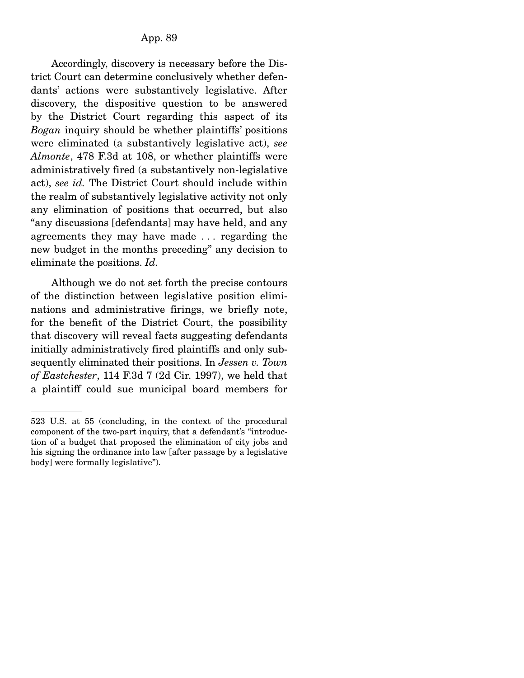Accordingly, discovery is necessary before the District Court can determine conclusively whether defendants' actions were substantively legislative. After discovery, the dispositive question to be answered by the District Court regarding this aspect of its *Bogan* inquiry should be whether plaintiffs' positions were eliminated (a substantively legislative act), *see Almonte*, 478 F.3d at 108, or whether plaintiffs were administratively fired (a substantively non-legislative act), *see id.* The District Court should include within the realm of substantively legislative activity not only any elimination of positions that occurred, but also "any discussions [defendants] may have held, and any agreements they may have made . . . regarding the new budget in the months preceding" any decision to eliminate the positions. *Id.*

 Although we do not set forth the precise contours of the distinction between legislative position eliminations and administrative firings, we briefly note, for the benefit of the District Court, the possibility that discovery will reveal facts suggesting defendants initially administratively fired plaintiffs and only subsequently eliminated their positions. In *Jessen v. Town of Eastchester*, 114 F.3d 7 (2d Cir. 1997), we held that a plaintiff could sue municipal board members for

<sup>523</sup> U.S. at 55 (concluding, in the context of the procedural component of the two-part inquiry, that a defendant's "introduction of a budget that proposed the elimination of city jobs and his signing the ordinance into law [after passage by a legislative body] were formally legislative").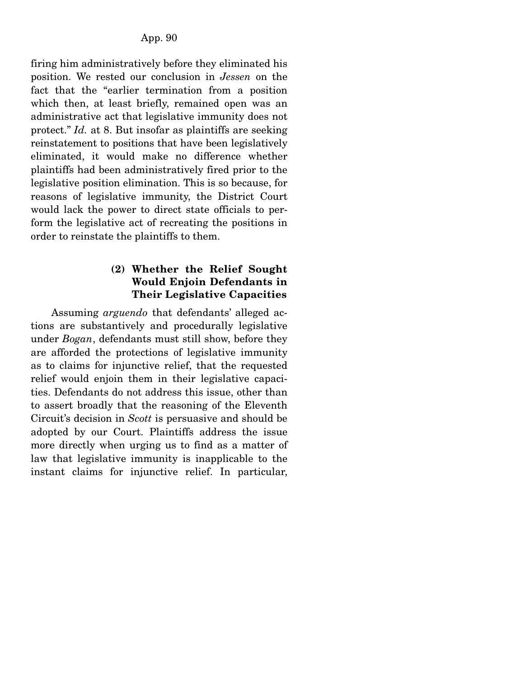firing him administratively before they eliminated his position. We rested our conclusion in *Jessen* on the fact that the "earlier termination from a position which then, at least briefly, remained open was an administrative act that legislative immunity does not protect." *Id.* at 8. But insofar as plaintiffs are seeking reinstatement to positions that have been legislatively eliminated, it would make no difference whether plaintiffs had been administratively fired prior to the legislative position elimination. This is so because, for reasons of legislative immunity, the District Court would lack the power to direct state officials to perform the legislative act of recreating the positions in order to reinstate the plaintiffs to them.

### **(2) Whether the Relief Sought Would Enjoin Defendants in Their Legislative Capacities**

 Assuming *arguendo* that defendants' alleged actions are substantively and procedurally legislative under *Bogan*, defendants must still show, before they are afforded the protections of legislative immunity as to claims for injunctive relief, that the requested relief would enjoin them in their legislative capacities. Defendants do not address this issue, other than to assert broadly that the reasoning of the Eleventh Circuit's decision in *Scott* is persuasive and should be adopted by our Court. Plaintiffs address the issue more directly when urging us to find as a matter of law that legislative immunity is inapplicable to the instant claims for injunctive relief. In particular,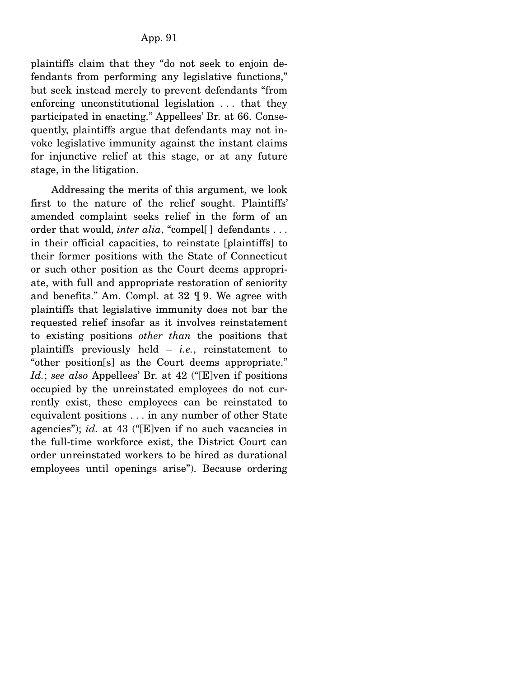plaintiffs claim that they "do not seek to enjoin defendants from performing any legislative functions," but seek instead merely to prevent defendants "from enforcing unconstitutional legislation . . . that they participated in enacting." Appellees' Br. at 66. Consequently, plaintiffs argue that defendants may not invoke legislative immunity against the instant claims for injunctive relief at this stage, or at any future stage, in the litigation.

 Addressing the merits of this argument, we look first to the nature of the relief sought. Plaintiffs' amended complaint seeks relief in the form of an order that would, *inter alia*, "compel[] defendants . . . in their official capacities, to reinstate [plaintiffs] to their former positions with the State of Connecticut or such other position as the Court deems appropriate, with full and appropriate restoration of seniority and benefits." Am. Compl. at 32 ¶ 9. We agree with plaintiffs that legislative immunity does not bar the requested relief insofar as it involves reinstatement to existing positions *other than* the positions that plaintiffs previously held – *i.e.*, reinstatement to "other position[s] as the Court deems appropriate." *Id.*; *see also* Appellees' Br. at 42 ("[E]ven if positions occupied by the unreinstated employees do not currently exist, these employees can be reinstated to equivalent positions . . . in any number of other State agencies"); *id.* at 43 ("[E]ven if no such vacancies in the full-time workforce exist, the District Court can order unreinstated workers to be hired as durational employees until openings arise"). Because ordering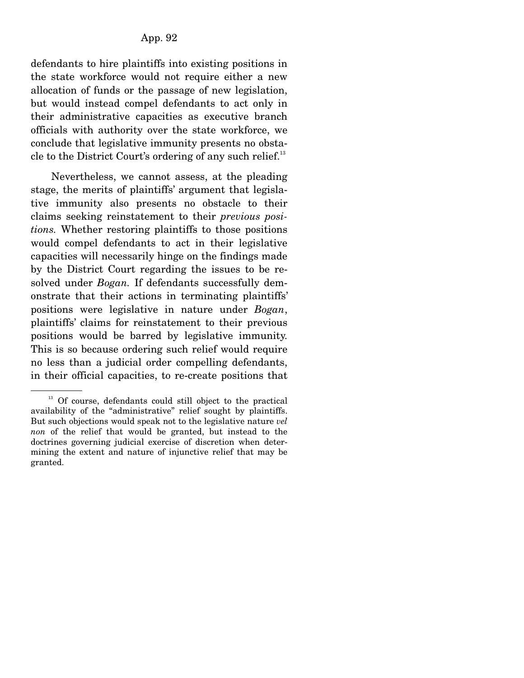defendants to hire plaintiffs into existing positions in the state workforce would not require either a new allocation of funds or the passage of new legislation, but would instead compel defendants to act only in their administrative capacities as executive branch officials with authority over the state workforce, we conclude that legislative immunity presents no obstacle to the District Court's ordering of any such relief. $^{13}$ 

 Nevertheless, we cannot assess, at the pleading stage, the merits of plaintiffs' argument that legislative immunity also presents no obstacle to their claims seeking reinstatement to their *previous positions.* Whether restoring plaintiffs to those positions would compel defendants to act in their legislative capacities will necessarily hinge on the findings made by the District Court regarding the issues to be resolved under *Bogan.* If defendants successfully demonstrate that their actions in terminating plaintiffs' positions were legislative in nature under *Bogan*, plaintiffs' claims for reinstatement to their previous positions would be barred by legislative immunity. This is so because ordering such relief would require no less than a judicial order compelling defendants, in their official capacities, to re-create positions that

 $13$  Of course, defendants could still object to the practical availability of the "administrative" relief sought by plaintiffs. But such objections would speak not to the legislative nature *vel non* of the relief that would be granted, but instead to the doctrines governing judicial exercise of discretion when determining the extent and nature of injunctive relief that may be granted.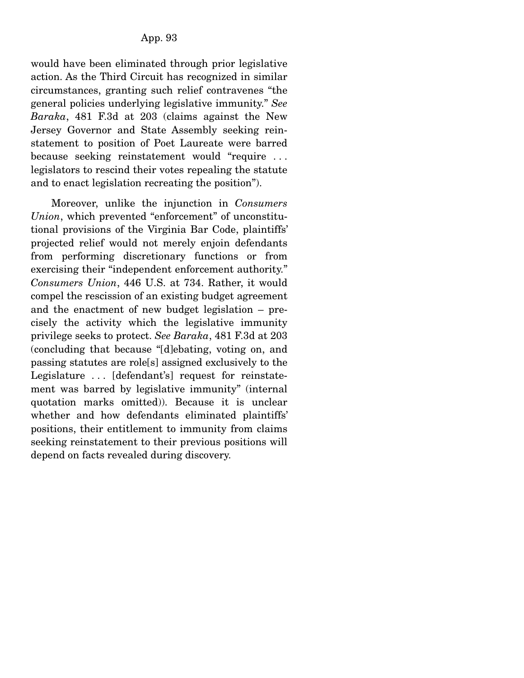would have been eliminated through prior legislative action. As the Third Circuit has recognized in similar circumstances, granting such relief contravenes "the general policies underlying legislative immunity." *See Baraka*, 481 F.3d at 203 (claims against the New Jersey Governor and State Assembly seeking reinstatement to position of Poet Laureate were barred because seeking reinstatement would "require . . . legislators to rescind their votes repealing the statute and to enact legislation recreating the position").

 Moreover, unlike the injunction in *Consumers Union*, which prevented "enforcement" of unconstitutional provisions of the Virginia Bar Code, plaintiffs' projected relief would not merely enjoin defendants from performing discretionary functions or from exercising their "independent enforcement authority." *Consumers Union*, 446 U.S. at 734. Rather, it would compel the rescission of an existing budget agreement and the enactment of new budget legislation – precisely the activity which the legislative immunity privilege seeks to protect. *See Baraka*, 481 F.3d at 203 (concluding that because "[d]ebating, voting on, and passing statutes are role[s] assigned exclusively to the Legislature . . . [defendant's] request for reinstatement was barred by legislative immunity" (internal quotation marks omitted)). Because it is unclear whether and how defendants eliminated plaintiffs' positions, their entitlement to immunity from claims seeking reinstatement to their previous positions will depend on facts revealed during discovery.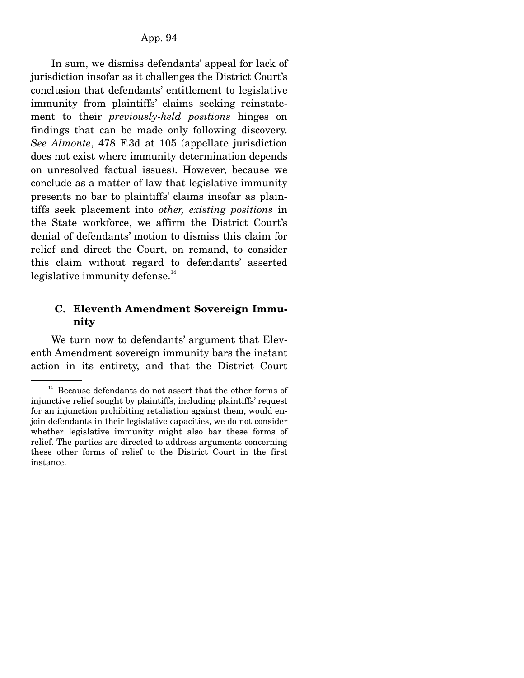In sum, we dismiss defendants' appeal for lack of jurisdiction insofar as it challenges the District Court's conclusion that defendants' entitlement to legislative immunity from plaintiffs' claims seeking reinstatement to their *previously-held positions* hinges on findings that can be made only following discovery. *See Almonte*, 478 F.3d at 105 (appellate jurisdiction does not exist where immunity determination depends on unresolved factual issues). However, because we conclude as a matter of law that legislative immunity presents no bar to plaintiffs' claims insofar as plaintiffs seek placement into *other, existing positions* in the State workforce, we affirm the District Court's denial of defendants' motion to dismiss this claim for relief and direct the Court, on remand, to consider this claim without regard to defendants' asserted legislative immunity defense.<sup>14</sup>

## **C. Eleventh Amendment Sovereign Immunity**

 We turn now to defendants' argument that Eleventh Amendment sovereign immunity bars the instant action in its entirety, and that the District Court

<sup>&</sup>lt;sup>14</sup> Because defendants do not assert that the other forms of injunctive relief sought by plaintiffs, including plaintiffs' request for an injunction prohibiting retaliation against them, would enjoin defendants in their legislative capacities, we do not consider whether legislative immunity might also bar these forms of relief. The parties are directed to address arguments concerning these other forms of relief to the District Court in the first instance.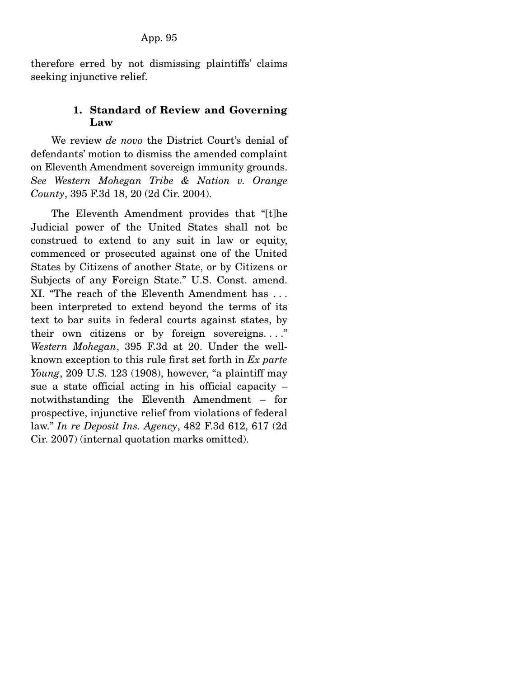therefore erred by not dismissing plaintiffs' claims seeking injunctive relief.

## **1. Standard of Review and Governing Law**

 We review *de novo* the District Court's denial of defendants' motion to dismiss the amended complaint on Eleventh Amendment sovereign immunity grounds. *See Western Mohegan Tribe & Nation v. Orange County*, 395 F.3d 18, 20 (2d Cir. 2004).

 The Eleventh Amendment provides that "[t]he Judicial power of the United States shall not be construed to extend to any suit in law or equity, commenced or prosecuted against one of the United States by Citizens of another State, or by Citizens or Subjects of any Foreign State." U.S. Const. amend. XI. "The reach of the Eleventh Amendment has . . . been interpreted to extend beyond the terms of its text to bar suits in federal courts against states, by their own citizens or by foreign sovereigns. . . ." *Western Mohegan*, 395 F.3d at 20. Under the wellknown exception to this rule first set forth in *Ex parte Young*, 209 U.S. 123 (1908), however, "a plaintiff may sue a state official acting in his official capacity – notwithstanding the Eleventh Amendment – for prospective, injunctive relief from violations of federal law." *In re Deposit Ins. Agency*, 482 F.3d 612, 617 (2d Cir. 2007) (internal quotation marks omitted).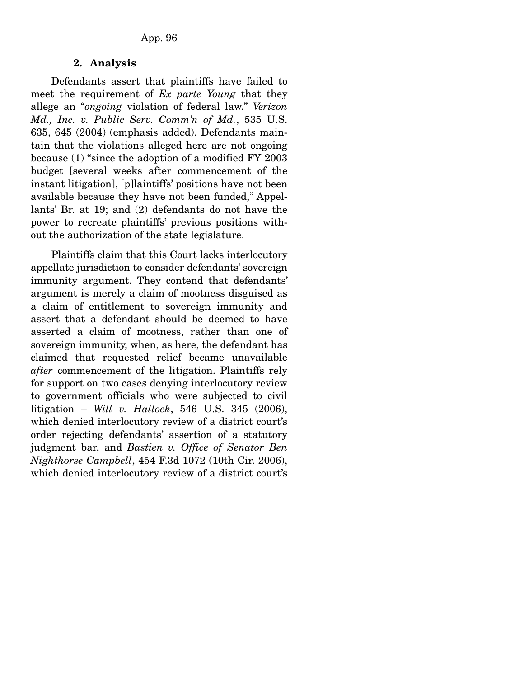#### **2. Analysis**

 Defendants assert that plaintiffs have failed to meet the requirement of *Ex parte Young* that they allege an "*ongoing* violation of federal law." *Verizon Md., Inc. v. Public Serv. Comm'n of Md.*, 535 U.S. 635, 645 (2004) (emphasis added). Defendants maintain that the violations alleged here are not ongoing because (1) "since the adoption of a modified FY 2003 budget [several weeks after commencement of the instant litigation], [p]laintiffs' positions have not been available because they have not been funded," Appellants' Br. at 19; and (2) defendants do not have the power to recreate plaintiffs' previous positions without the authorization of the state legislature.

 Plaintiffs claim that this Court lacks interlocutory appellate jurisdiction to consider defendants' sovereign immunity argument. They contend that defendants' argument is merely a claim of mootness disguised as a claim of entitlement to sovereign immunity and assert that a defendant should be deemed to have asserted a claim of mootness, rather than one of sovereign immunity, when, as here, the defendant has claimed that requested relief became unavailable *after* commencement of the litigation. Plaintiffs rely for support on two cases denying interlocutory review to government officials who were subjected to civil litigation – *Will v. Hallock*, 546 U.S. 345 (2006), which denied interlocutory review of a district court's order rejecting defendants' assertion of a statutory judgment bar, and *Bastien v. Office of Senator Ben Nighthorse Campbell*, 454 F.3d 1072 (10th Cir. 2006), which denied interlocutory review of a district court's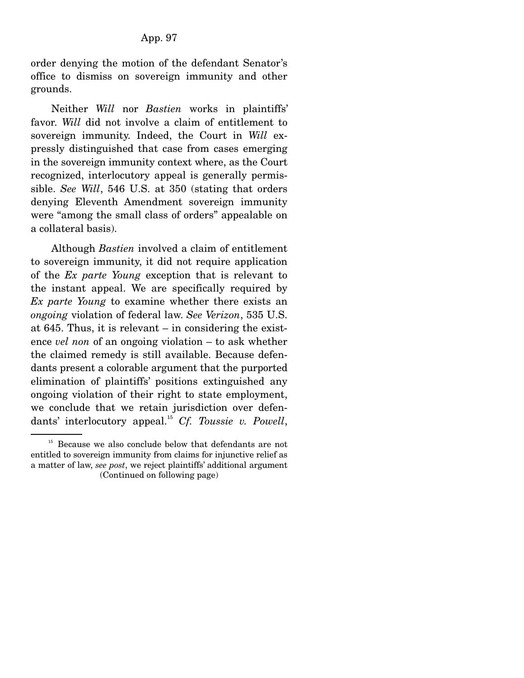order denying the motion of the defendant Senator's office to dismiss on sovereign immunity and other grounds.

 Neither *Will* nor *Bastien* works in plaintiffs' favor. *Will* did not involve a claim of entitlement to sovereign immunity. Indeed, the Court in *Will* expressly distinguished that case from cases emerging in the sovereign immunity context where, as the Court recognized, interlocutory appeal is generally permissible. *See Will*, 546 U.S. at 350 (stating that orders denying Eleventh Amendment sovereign immunity were "among the small class of orders" appealable on a collateral basis).

 Although *Bastien* involved a claim of entitlement to sovereign immunity, it did not require application of the *Ex parte Young* exception that is relevant to the instant appeal. We are specifically required by *Ex parte Young* to examine whether there exists an *ongoing* violation of federal law. *See Verizon*, 535 U.S. at 645. Thus, it is relevant – in considering the existence *vel non* of an ongoing violation – to ask whether the claimed remedy is still available. Because defendants present a colorable argument that the purported elimination of plaintiffs' positions extinguished any ongoing violation of their right to state employment, we conclude that we retain jurisdiction over defendants' interlocutory appeal.15 *Cf. Toussie v. Powell*,

<sup>&</sup>lt;sup>15</sup> Because we also conclude below that defendants are not entitled to sovereign immunity from claims for injunctive relief as a matter of law, *see post*, we reject plaintiffs' additional argument (Continued on following page)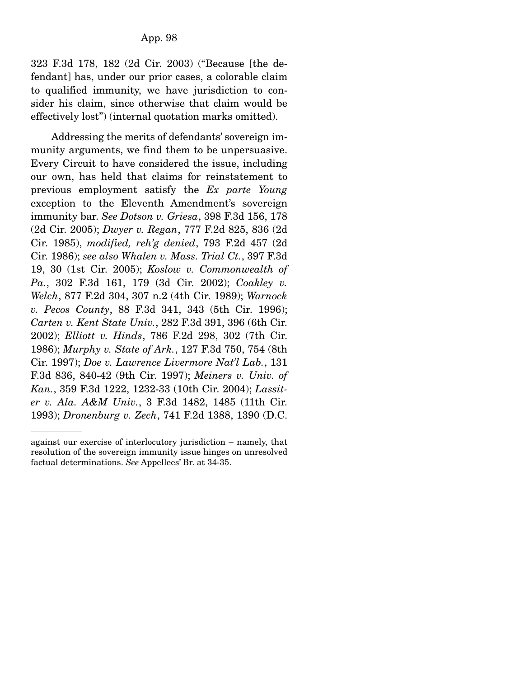323 F.3d 178, 182 (2d Cir. 2003) ("Because [the defendant] has, under our prior cases, a colorable claim to qualified immunity, we have jurisdiction to consider his claim, since otherwise that claim would be effectively lost") (internal quotation marks omitted).

 Addressing the merits of defendants' sovereign immunity arguments, we find them to be unpersuasive. Every Circuit to have considered the issue, including our own, has held that claims for reinstatement to previous employment satisfy the *Ex parte Young* exception to the Eleventh Amendment's sovereign immunity bar. *See Dotson v. Griesa*, 398 F.3d 156, 178 (2d Cir. 2005); *Dwyer v. Regan*, 777 F.2d 825, 836 (2d Cir. 1985), *modified, reh'g denied*, 793 F.2d 457 (2d Cir. 1986); *see also Whalen v. Mass. Trial Ct.*, 397 F.3d 19, 30 (1st Cir. 2005); *Koslow v. Commonwealth of Pa.*, 302 F.3d 161, 179 (3d Cir. 2002); *Coakley v. Welch*, 877 F.2d 304, 307 n.2 (4th Cir. 1989); *Warnock v. Pecos County*, 88 F.3d 341, 343 (5th Cir. 1996); *Carten v. Kent State Univ.*, 282 F.3d 391, 396 (6th Cir. 2002); *Elliott v. Hinds*, 786 F.2d 298, 302 (7th Cir. 1986); *Murphy v. State of Ark.*, 127 F.3d 750, 754 (8th Cir. 1997); *Doe v. Lawrence Livermore Nat'l Lab.*, 131 F.3d 836, 840-42 (9th Cir. 1997); *Meiners v. Univ. of Kan.*, 359 F.3d 1222, 1232-33 (10th Cir. 2004); *Lassiter v. Ala. A&M Univ.*, 3 F.3d 1482, 1485 (11th Cir. 1993); *Dronenburg v. Zech*, 741 F.2d 1388, 1390 (D.C.

against our exercise of interlocutory jurisdiction – namely, that resolution of the sovereign immunity issue hinges on unresolved factual determinations. *See* Appellees' Br. at 34-35.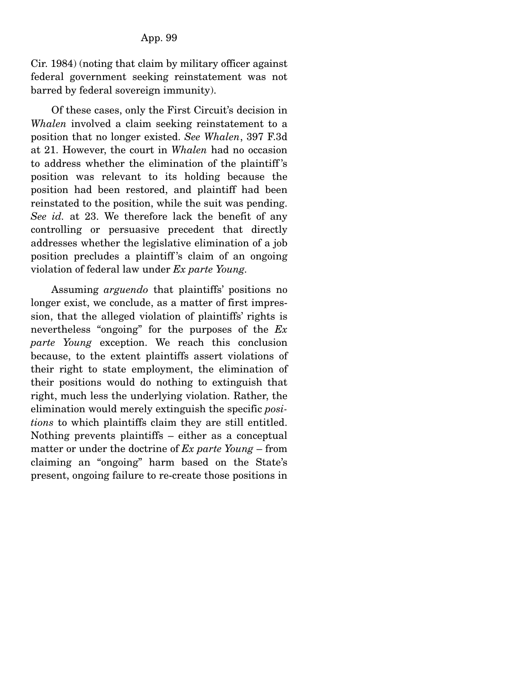Cir. 1984) (noting that claim by military officer against federal government seeking reinstatement was not barred by federal sovereign immunity).

 Of these cases, only the First Circuit's decision in *Whalen* involved a claim seeking reinstatement to a position that no longer existed. *See Whalen*, 397 F.3d at 21. However, the court in *Whalen* had no occasion to address whether the elimination of the plaintiff 's position was relevant to its holding because the position had been restored, and plaintiff had been reinstated to the position, while the suit was pending. *See id.* at 23. We therefore lack the benefit of any controlling or persuasive precedent that directly addresses whether the legislative elimination of a job position precludes a plaintiff 's claim of an ongoing violation of federal law under *Ex parte Young.*

 Assuming *arguendo* that plaintiffs' positions no longer exist, we conclude, as a matter of first impression, that the alleged violation of plaintiffs' rights is nevertheless "ongoing" for the purposes of the *Ex parte Young* exception. We reach this conclusion because, to the extent plaintiffs assert violations of their right to state employment, the elimination of their positions would do nothing to extinguish that right, much less the underlying violation. Rather, the elimination would merely extinguish the specific *positions* to which plaintiffs claim they are still entitled. Nothing prevents plaintiffs – either as a conceptual matter or under the doctrine of *Ex parte Young* – from claiming an "ongoing" harm based on the State's present, ongoing failure to re-create those positions in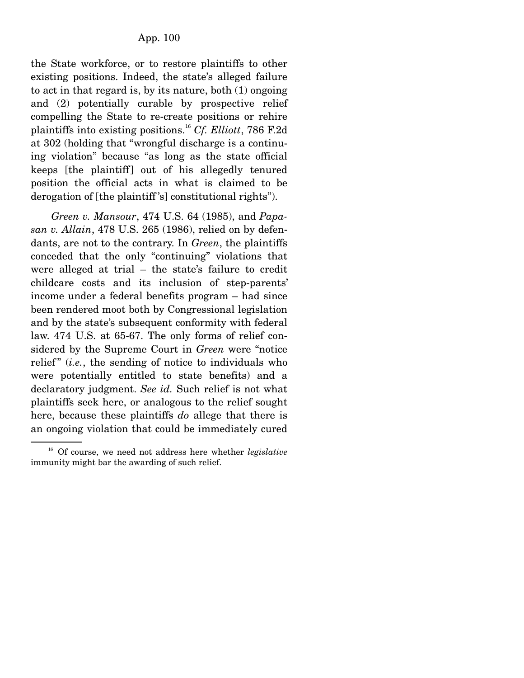the State workforce, or to restore plaintiffs to other existing positions. Indeed, the state's alleged failure to act in that regard is, by its nature, both (1) ongoing and (2) potentially curable by prospective relief compelling the State to re-create positions or rehire plaintiffs into existing positions.<sup>16</sup> *Cf. Elliott*, 786 F.2d at 302 (holding that "wrongful discharge is a continuing violation" because "as long as the state official keeps [the plaintiff] out of his allegedly tenured position the official acts in what is claimed to be derogation of [the plaintiff 's] constitutional rights").

*Green v. Mansour*, 474 U.S. 64 (1985), and *Papasan v. Allain*, 478 U.S. 265 (1986), relied on by defendants, are not to the contrary. In *Green*, the plaintiffs conceded that the only "continuing" violations that were alleged at trial – the state's failure to credit childcare costs and its inclusion of step-parents' income under a federal benefits program – had since been rendered moot both by Congressional legislation and by the state's subsequent conformity with federal law. 474 U.S. at 65-67. The only forms of relief considered by the Supreme Court in *Green* were "notice relief" (*i.e.*, the sending of notice to individuals who were potentially entitled to state benefits) and a declaratory judgment. *See id.* Such relief is not what plaintiffs seek here, or analogous to the relief sought here, because these plaintiffs *do* allege that there is an ongoing violation that could be immediately cured

<sup>16</sup> Of course, we need not address here whether *legislative* immunity might bar the awarding of such relief.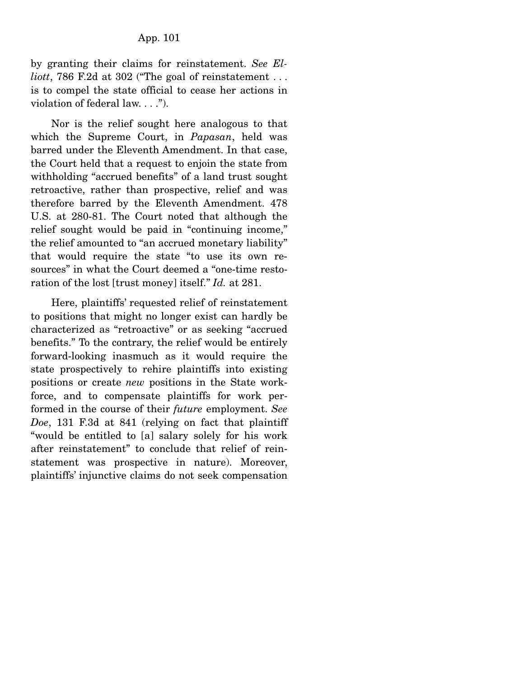by granting their claims for reinstatement. *See Elliott*, 786 F.2d at 302 ("The goal of reinstatement . . . is to compel the state official to cease her actions in violation of federal law. . . .").

 Nor is the relief sought here analogous to that which the Supreme Court, in *Papasan*, held was barred under the Eleventh Amendment. In that case, the Court held that a request to enjoin the state from withholding "accrued benefits" of a land trust sought retroactive, rather than prospective, relief and was therefore barred by the Eleventh Amendment. 478 U.S. at 280-81. The Court noted that although the relief sought would be paid in "continuing income," the relief amounted to "an accrued monetary liability" that would require the state "to use its own resources" in what the Court deemed a "one-time restoration of the lost [trust money] itself." *Id.* at 281.

 Here, plaintiffs' requested relief of reinstatement to positions that might no longer exist can hardly be characterized as "retroactive" or as seeking "accrued benefits." To the contrary, the relief would be entirely forward-looking inasmuch as it would require the state prospectively to rehire plaintiffs into existing positions or create *new* positions in the State workforce, and to compensate plaintiffs for work performed in the course of their *future* employment. *See Doe*, 131 F.3d at 841 (relying on fact that plaintiff "would be entitled to [a] salary solely for his work after reinstatement" to conclude that relief of reinstatement was prospective in nature). Moreover, plaintiffs' injunctive claims do not seek compensation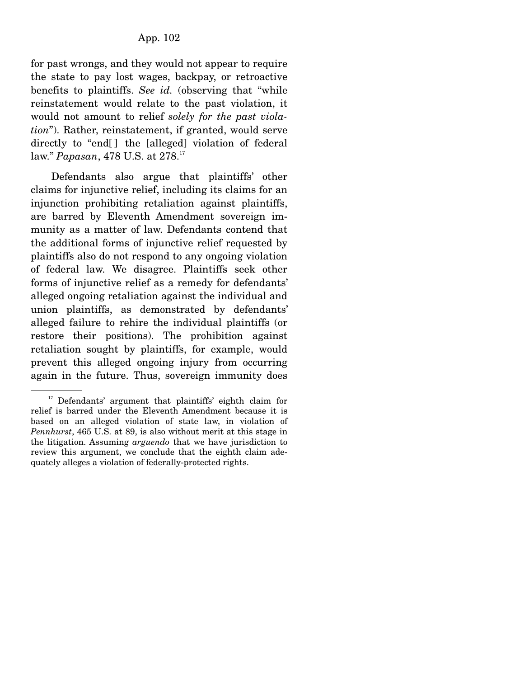for past wrongs, and they would not appear to require the state to pay lost wages, backpay, or retroactive benefits to plaintiffs. *See id.* (observing that "while reinstatement would relate to the past violation, it would not amount to relief *solely for the past violation*"). Rather, reinstatement, if granted, would serve directly to "end[] the [alleged] violation of federal law." *Papasan*, 478 U.S. at 278.<sup>17</sup>

 Defendants also argue that plaintiffs' other claims for injunctive relief, including its claims for an injunction prohibiting retaliation against plaintiffs, are barred by Eleventh Amendment sovereign immunity as a matter of law. Defendants contend that the additional forms of injunctive relief requested by plaintiffs also do not respond to any ongoing violation of federal law. We disagree. Plaintiffs seek other forms of injunctive relief as a remedy for defendants' alleged ongoing retaliation against the individual and union plaintiffs, as demonstrated by defendants' alleged failure to rehire the individual plaintiffs (or restore their positions). The prohibition against retaliation sought by plaintiffs, for example, would prevent this alleged ongoing injury from occurring again in the future. Thus, sovereign immunity does

<sup>&</sup>lt;sup>17</sup> Defendants' argument that plaintiffs' eighth claim for relief is barred under the Eleventh Amendment because it is based on an alleged violation of state law, in violation of *Pennhurst*, 465 U.S. at 89, is also without merit at this stage in the litigation. Assuming *arguendo* that we have jurisdiction to review this argument, we conclude that the eighth claim adequately alleges a violation of federally-protected rights.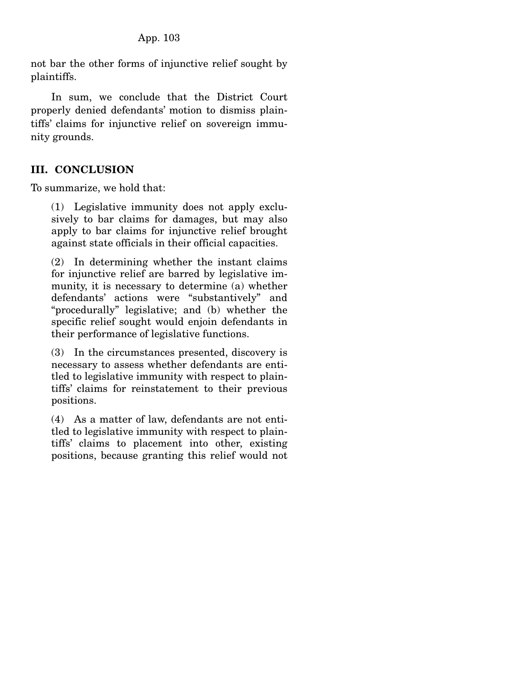not bar the other forms of injunctive relief sought by plaintiffs.

 In sum, we conclude that the District Court properly denied defendants' motion to dismiss plaintiffs' claims for injunctive relief on sovereign immunity grounds.

## **III. CONCLUSION**

To summarize, we hold that:

(1) Legislative immunity does not apply exclusively to bar claims for damages, but may also apply to bar claims for injunctive relief brought against state officials in their official capacities.

(2) In determining whether the instant claims for injunctive relief are barred by legislative immunity, it is necessary to determine (a) whether defendants' actions were "substantively" and "procedurally" legislative; and (b) whether the specific relief sought would enjoin defendants in their performance of legislative functions.

(3) In the circumstances presented, discovery is necessary to assess whether defendants are entitled to legislative immunity with respect to plaintiffs' claims for reinstatement to their previous positions.

(4) As a matter of law, defendants are not entitled to legislative immunity with respect to plaintiffs' claims to placement into other, existing positions, because granting this relief would not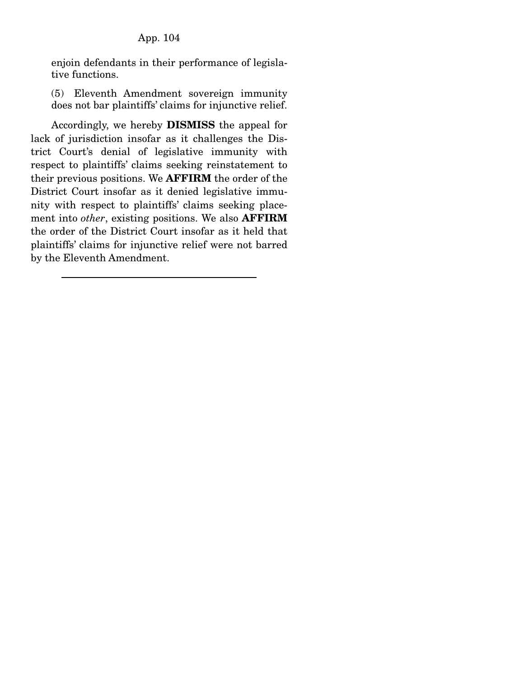enjoin defendants in their performance of legislative functions.

(5) Eleventh Amendment sovereign immunity does not bar plaintiffs' claims for injunctive relief.

 Accordingly, we hereby **DISMISS** the appeal for lack of jurisdiction insofar as it challenges the District Court's denial of legislative immunity with respect to plaintiffs' claims seeking reinstatement to their previous positions. We **AFFIRM** the order of the District Court insofar as it denied legislative immunity with respect to plaintiffs' claims seeking placement into *other*, existing positions. We also **AFFIRM** the order of the District Court insofar as it held that plaintiffs' claims for injunctive relief were not barred by the Eleventh Amendment.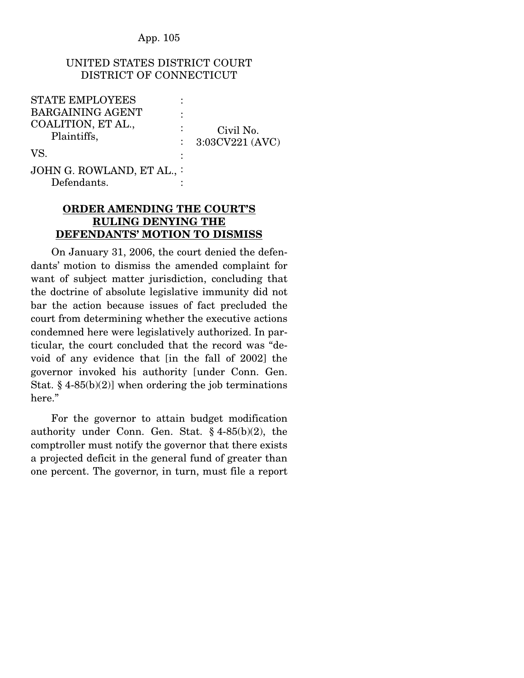## UNITED STATES DISTRICT COURT DISTRICT OF CONNECTICUT

| <b>STATE EMPLOYEES</b>     |                 |
|----------------------------|-----------------|
| <b>BARGAINING AGENT</b>    |                 |
| COALITION, ET AL.,         | Civil No.       |
| Plaintiffs,                | 3:03CV221 (AVC) |
| VS.                        |                 |
|                            |                 |
| JOHN G. ROWLAND, ET AL., : |                 |
| Defendants.                |                 |

## **ORDER AMENDING THE COURT'S RULING DENYING THE DEFENDANTS' MOTION TO DISMISS**

 On January 31, 2006, the court denied the defendants' motion to dismiss the amended complaint for want of subject matter jurisdiction, concluding that the doctrine of absolute legislative immunity did not bar the action because issues of fact precluded the court from determining whether the executive actions condemned here were legislatively authorized. In particular, the court concluded that the record was "devoid of any evidence that [in the fall of 2002] the governor invoked his authority [under Conn. Gen. Stat.  $\S$  4-85(b)(2)] when ordering the job terminations here."

 For the governor to attain budget modification authority under Conn. Gen. Stat. § 4-85(b)(2), the comptroller must notify the governor that there exists a projected deficit in the general fund of greater than one percent. The governor, in turn, must file a report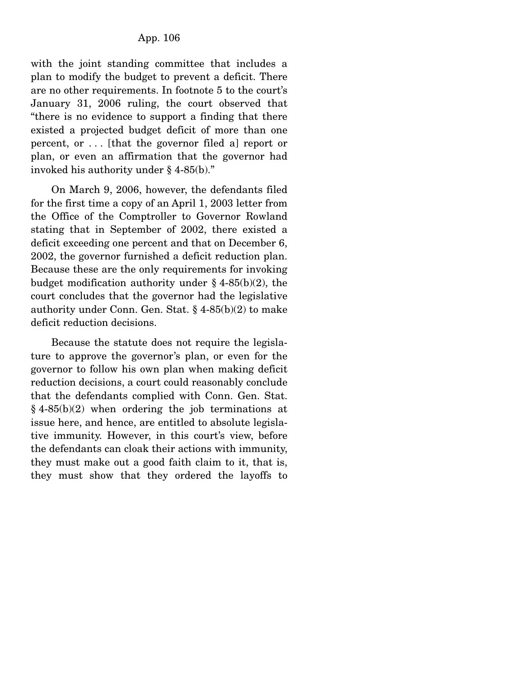with the joint standing committee that includes a plan to modify the budget to prevent a deficit. There are no other requirements. In footnote 5 to the court's January 31, 2006 ruling, the court observed that "there is no evidence to support a finding that there existed a projected budget deficit of more than one percent, or . . . [that the governor filed a] report or plan, or even an affirmation that the governor had invoked his authority under § 4-85(b)."

 On March 9, 2006, however, the defendants filed for the first time a copy of an April 1, 2003 letter from the Office of the Comptroller to Governor Rowland stating that in September of 2002, there existed a deficit exceeding one percent and that on December 6, 2002, the governor furnished a deficit reduction plan. Because these are the only requirements for invoking budget modification authority under  $§$  4-85(b)(2), the court concludes that the governor had the legislative authority under Conn. Gen. Stat. § 4-85(b)(2) to make deficit reduction decisions.

 Because the statute does not require the legislature to approve the governor's plan, or even for the governor to follow his own plan when making deficit reduction decisions, a court could reasonably conclude that the defendants complied with Conn. Gen. Stat.  $§$  4-85(b)(2) when ordering the job terminations at issue here, and hence, are entitled to absolute legislative immunity. However, in this court's view, before the defendants can cloak their actions with immunity, they must make out a good faith claim to it, that is, they must show that they ordered the layoffs to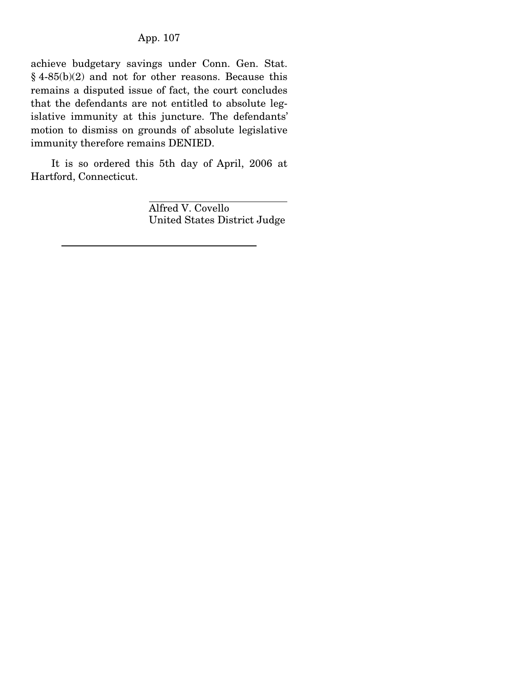achieve budgetary savings under Conn. Gen. Stat. § 4-85(b)(2) and not for other reasons. Because this remains a disputed issue of fact, the court concludes that the defendants are not entitled to absolute legislative immunity at this juncture. The defendants' motion to dismiss on grounds of absolute legislative immunity therefore remains DENIED.

 It is so ordered this 5th day of April, 2006 at Hartford, Connecticut.

> Alfred V. Covello United States District Judge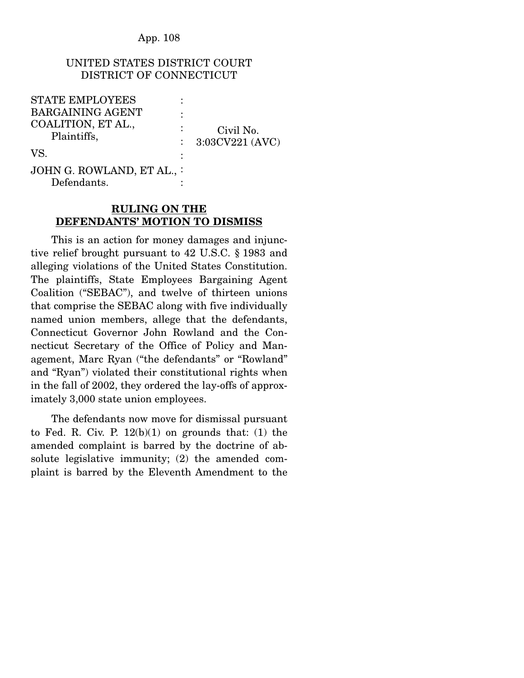## UNITED STATES DISTRICT COURT DISTRICT OF CONNECTICUT

| <b>STATE EMPLOYEES</b>    |                 |
|---------------------------|-----------------|
| <b>BARGAINING AGENT</b>   |                 |
| COALITION, ET AL.,        | Civil No.       |
| Plaintiffs,               | 3:03CV221 (AVC) |
| VS.                       |                 |
| JOHN G. ROWLAND, ET AL.,: |                 |
| Defendants.               |                 |

## **RULING ON THE DEFENDANTS' MOTION TO DISMISS**

 This is an action for money damages and injunctive relief brought pursuant to 42 U.S.C. § 1983 and alleging violations of the United States Constitution. The plaintiffs, State Employees Bargaining Agent Coalition ("SEBAC"), and twelve of thirteen unions that comprise the SEBAC along with five individually named union members, allege that the defendants, Connecticut Governor John Rowland and the Connecticut Secretary of the Office of Policy and Management, Marc Ryan ("the defendants" or "Rowland" and "Ryan") violated their constitutional rights when in the fall of 2002, they ordered the lay-offs of approximately 3,000 state union employees.

 The defendants now move for dismissal pursuant to Fed. R. Civ. P.  $12(b)(1)$  on grounds that: (1) the amended complaint is barred by the doctrine of absolute legislative immunity; (2) the amended complaint is barred by the Eleventh Amendment to the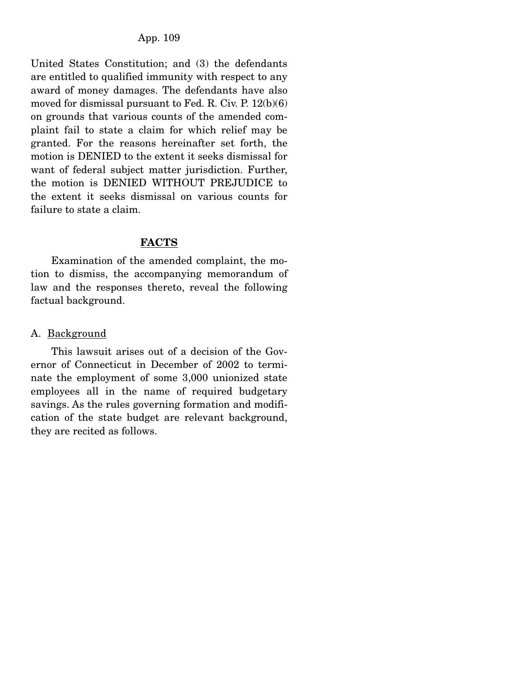United States Constitution; and (3) the defendants are entitled to qualified immunity with respect to any award of money damages. The defendants have also moved for dismissal pursuant to Fed. R. Civ. P. 12(b)(6) on grounds that various counts of the amended complaint fail to state a claim for which relief may be granted. For the reasons hereinafter set forth, the motion is DENIED to the extent it seeks dismissal for want of federal subject matter jurisdiction. Further, the motion is DENIED WITHOUT PREJUDICE to the extent it seeks dismissal on various counts for failure to state a claim.

#### **FACTS**

Examination of the amended complaint, the motion to dismiss, the accompanying memorandum of law and the responses thereto, reveal the following factual background.

#### A. Background

 This lawsuit arises out of a decision of the Governor of Connecticut in December of 2002 to terminate the employment of some 3,000 unionized state employees all in the name of required budgetary savings. As the rules governing formation and modification of the state budget are relevant background, they are recited as follows.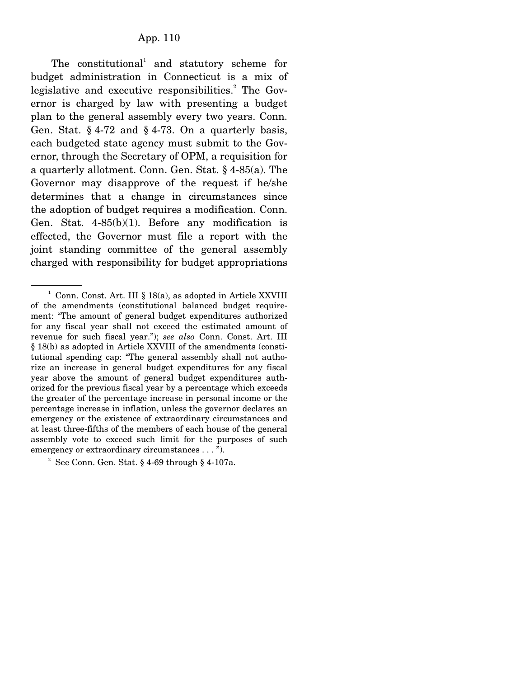The constitutional<sup>1</sup> and statutory scheme for budget administration in Connecticut is a mix of legislative and executive responsibilities.<sup>2</sup> The Governor is charged by law with presenting a budget plan to the general assembly every two years. Conn. Gen. Stat.  $\S 4$ -72 and  $\S 4$ -73. On a quarterly basis, each budgeted state agency must submit to the Governor, through the Secretary of OPM, a requisition for a quarterly allotment. Conn. Gen. Stat. § 4-85(a). The Governor may disapprove of the request if he/she determines that a change in circumstances since the adoption of budget requires a modification. Conn. Gen. Stat. 4-85(b)(1). Before any modification is effected, the Governor must file a report with the joint standing committee of the general assembly charged with responsibility for budget appropriations

 $2^2$  See Conn. Gen. Stat. § 4-69 through § 4-107a.

<sup>&</sup>lt;sup>1</sup> Conn. Const. Art. III § 18(a), as adopted in Article XXVIII of the amendments (constitutional balanced budget requirement: "The amount of general budget expenditures authorized for any fiscal year shall not exceed the estimated amount of revenue for such fiscal year."); *see also* Conn. Const. Art. III § 18(b) as adopted in Article XXVIII of the amendments (constitutional spending cap: "The general assembly shall not authorize an increase in general budget expenditures for any fiscal year above the amount of general budget expenditures authorized for the previous fiscal year by a percentage which exceeds the greater of the percentage increase in personal income or the percentage increase in inflation, unless the governor declares an emergency or the existence of extraordinary circumstances and at least three-fifths of the members of each house of the general assembly vote to exceed such limit for the purposes of such emergency or extraordinary circumstances . . . ").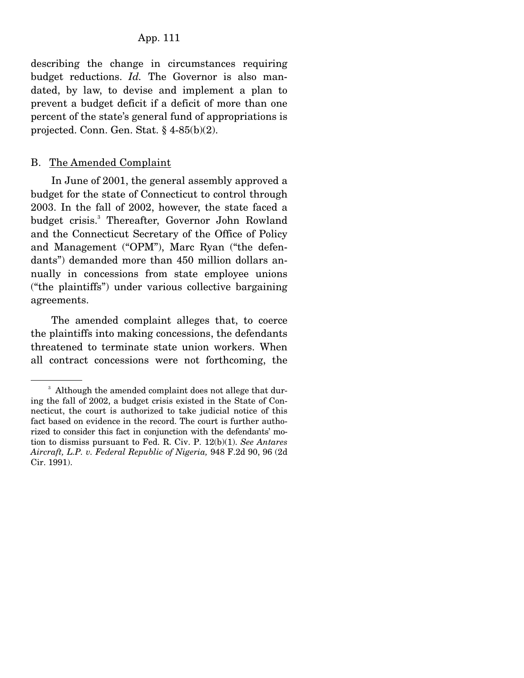describing the change in circumstances requiring budget reductions. *Id.* The Governor is also mandated, by law, to devise and implement a plan to prevent a budget deficit if a deficit of more than one percent of the state's general fund of appropriations is projected. Conn. Gen. Stat. § 4-85(b)(2).

#### B. The Amended Complaint

 In June of 2001, the general assembly approved a budget for the state of Connecticut to control through 2003. In the fall of 2002, however, the state faced a budget crisis.<sup>3</sup> Thereafter, Governor John Rowland and the Connecticut Secretary of the Office of Policy and Management ("OPM"), Marc Ryan ("the defendants") demanded more than 450 million dollars annually in concessions from state employee unions ("the plaintiffs") under various collective bargaining agreements.

 The amended complaint alleges that, to coerce the plaintiffs into making concessions, the defendants threatened to terminate state union workers. When all contract concessions were not forthcoming, the

<sup>&</sup>lt;sup>3</sup> Although the amended complaint does not allege that during the fall of 2002, a budget crisis existed in the State of Connecticut, the court is authorized to take judicial notice of this fact based on evidence in the record. The court is further authorized to consider this fact in conjunction with the defendants' motion to dismiss pursuant to Fed. R. Civ. P. 12(b)(1). *See Antares Aircraft, L.P. v. Federal Republic of Nigeria,* 948 F.2d 90, 96 (2d Cir. 1991).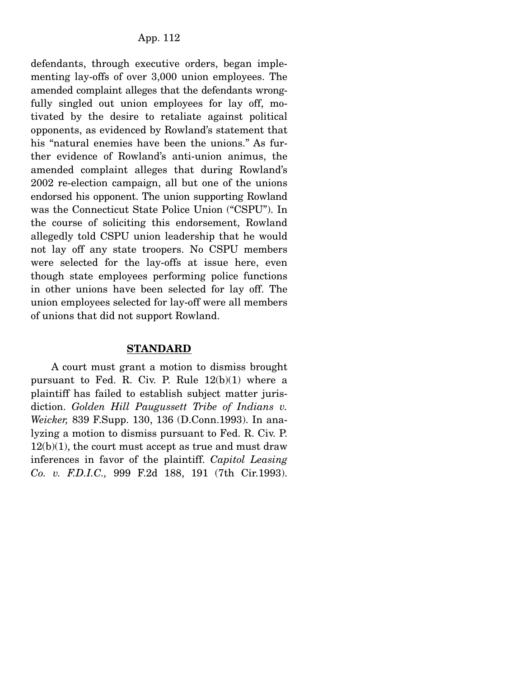defendants, through executive orders, began implementing lay-offs of over 3,000 union employees. The amended complaint alleges that the defendants wrongfully singled out union employees for lay off, motivated by the desire to retaliate against political opponents, as evidenced by Rowland's statement that his "natural enemies have been the unions." As further evidence of Rowland's anti-union animus, the amended complaint alleges that during Rowland's 2002 re-election campaign, all but one of the unions endorsed his opponent. The union supporting Rowland was the Connecticut State Police Union ("CSPU"). In the course of soliciting this endorsement, Rowland allegedly told CSPU union leadership that he would not lay off any state troopers. No CSPU members were selected for the lay-offs at issue here, even though state employees performing police functions in other unions have been selected for lay off. The union employees selected for lay-off were all members of unions that did not support Rowland.

#### **STANDARD**

 A court must grant a motion to dismiss brought pursuant to Fed. R. Civ. P. Rule  $12(b)(1)$  where a plaintiff has failed to establish subject matter jurisdiction. *Golden Hill Paugussett Tribe of Indians v. Weicker,* 839 F.Supp. 130, 136 (D.Conn.1993). In analyzing a motion to dismiss pursuant to Fed. R. Civ. P.  $12(b)(1)$ , the court must accept as true and must draw inferences in favor of the plaintiff. *Capitol Leasing Co. v. F.D.I.C.,* 999 F.2d 188, 191 (7th Cir.1993).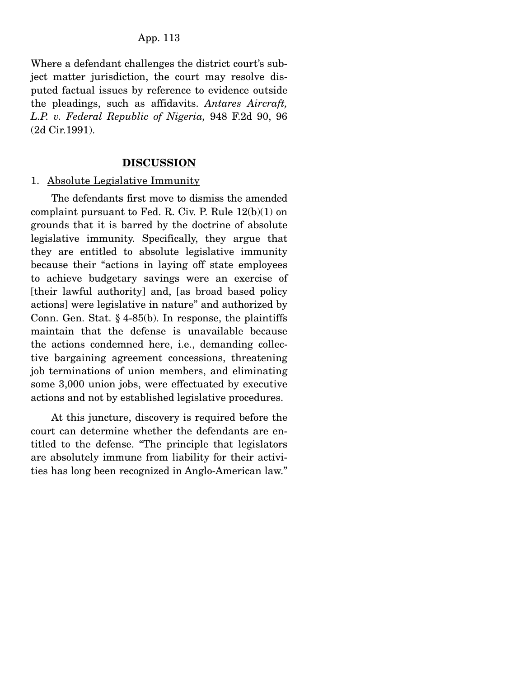Where a defendant challenges the district court's subject matter jurisdiction, the court may resolve disputed factual issues by reference to evidence outside the pleadings, such as affidavits. *Antares Aircraft, L.P. v. Federal Republic of Nigeria,* 948 F.2d 90, 96 (2d Cir.1991).

#### **DISCUSSION**

#### 1. Absolute Legislative Immunity

 The defendants first move to dismiss the amended complaint pursuant to Fed. R. Civ. P. Rule 12(b)(1) on grounds that it is barred by the doctrine of absolute legislative immunity. Specifically, they argue that they are entitled to absolute legislative immunity because their "actions in laying off state employees to achieve budgetary savings were an exercise of [their lawful authority] and, [as broad based policy actions] were legislative in nature" and authorized by Conn. Gen. Stat. § 4-85(b). In response, the plaintiffs maintain that the defense is unavailable because the actions condemned here, i.e., demanding collective bargaining agreement concessions, threatening job terminations of union members, and eliminating some 3,000 union jobs, were effectuated by executive actions and not by established legislative procedures.

 At this juncture, discovery is required before the court can determine whether the defendants are entitled to the defense. "The principle that legislators are absolutely immune from liability for their activities has long been recognized in Anglo-American law."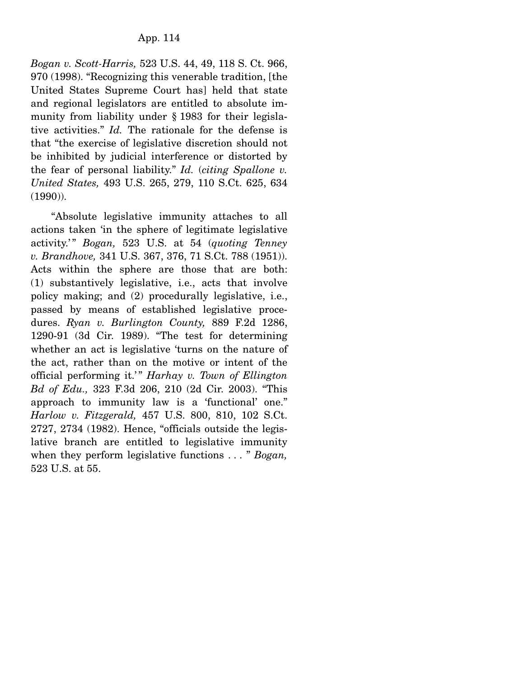*Bogan v. Scott-Harris,* 523 U.S. 44, 49, 118 S. Ct. 966, 970 (1998). "Recognizing this venerable tradition, [the United States Supreme Court has] held that state and regional legislators are entitled to absolute immunity from liability under § 1983 for their legislative activities." *Id.* The rationale for the defense is that "the exercise of legislative discretion should not be inhibited by judicial interference or distorted by the fear of personal liability." *Id.* (*citing Spallone v. United States,* 493 U.S. 265, 279, 110 S.Ct. 625, 634 (1990)).

 "Absolute legislative immunity attaches to all actions taken 'in the sphere of legitimate legislative activity.' " *Bogan,* 523 U.S. at 54 (*quoting Tenney v. Brandhove,* 341 U.S. 367, 376, 71 S.Ct. 788 (1951)). Acts within the sphere are those that are both: (1) substantively legislative, i.e., acts that involve policy making; and (2) procedurally legislative, i.e., passed by means of established legislative procedures. *Ryan v. Burlington County,* 889 F.2d 1286, 1290-91 (3d Cir. 1989). "The test for determining whether an act is legislative 'turns on the nature of the act, rather than on the motive or intent of the official performing it.'" *Harhay v. Town of Ellington Bd of Edu.,* 323 F.3d 206, 210 (2d Cir. 2003). "This approach to immunity law is a 'functional' one." *Harlow v. Fitzgerald,* 457 U.S. 800, 810, 102 S.Ct. 2727, 2734 (1982). Hence, "officials outside the legislative branch are entitled to legislative immunity when they perform legislative functions . . . " *Bogan,* 523 U.S. at 55.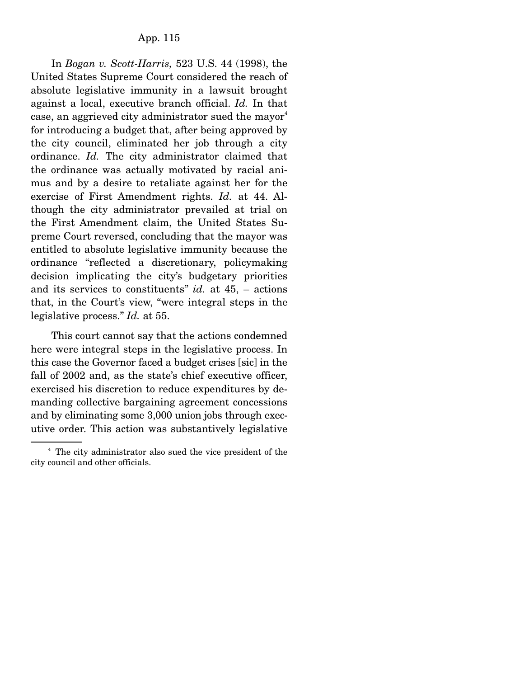In *Bogan v. Scott-Harris,* 523 U.S. 44 (1998), the United States Supreme Court considered the reach of absolute legislative immunity in a lawsuit brought against a local, executive branch official. *Id.* In that case, an aggrieved city administrator sued the mayor<sup>4</sup> for introducing a budget that, after being approved by the city council, eliminated her job through a city ordinance. *Id.* The city administrator claimed that the ordinance was actually motivated by racial animus and by a desire to retaliate against her for the exercise of First Amendment rights. *Id.* at 44. Although the city administrator prevailed at trial on the First Amendment claim, the United States Supreme Court reversed, concluding that the mayor was entitled to absolute legislative immunity because the ordinance "reflected a discretionary, policymaking decision implicating the city's budgetary priorities and its services to constituents" *id.* at 45, – actions that, in the Court's view, "were integral steps in the legislative process." *Id.* at 55.

 This court cannot say that the actions condemned here were integral steps in the legislative process. In this case the Governor faced a budget crises [sic] in the fall of 2002 and, as the state's chief executive officer, exercised his discretion to reduce expenditures by demanding collective bargaining agreement concessions and by eliminating some 3,000 union jobs through executive order. This action was substantively legislative

<sup>4</sup> The city administrator also sued the vice president of the city council and other officials.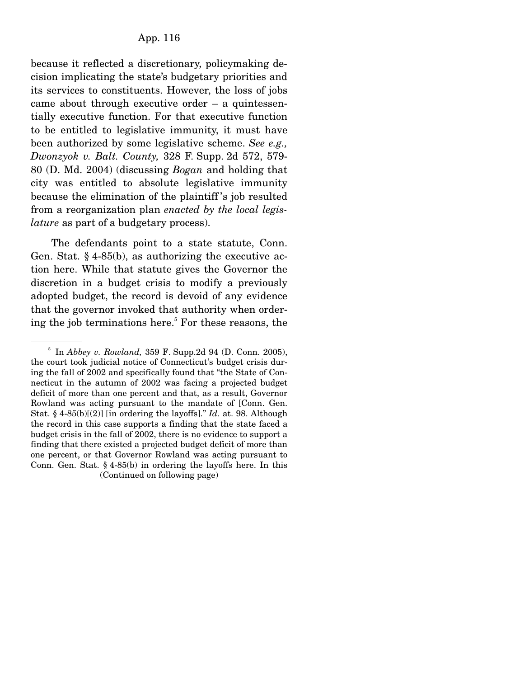because it reflected a discretionary, policymaking decision implicating the state's budgetary priorities and its services to constituents. However, the loss of jobs came about through executive order – a quintessentially executive function. For that executive function to be entitled to legislative immunity, it must have been authorized by some legislative scheme. *See e.g., Dwonzyok v. Balt. County,* 328 F. Supp. 2d 572, 579- 80 (D. Md. 2004) (discussing *Bogan* and holding that city was entitled to absolute legislative immunity because the elimination of the plaintiff 's job resulted from a reorganization plan *enacted by the local legislature* as part of a budgetary process).

 The defendants point to a state statute, Conn. Gen. Stat. § 4-85(b), as authorizing the executive action here. While that statute gives the Governor the discretion in a budget crisis to modify a previously adopted budget, the record is devoid of any evidence that the governor invoked that authority when ordering the job terminations here.<sup>5</sup> For these reasons, the

<sup>5</sup> In *Abbey v. Rowland,* 359 F. Supp.2d 94 (D. Conn. 2005), the court took judicial notice of Connecticut's budget crisis during the fall of 2002 and specifically found that "the State of Connecticut in the autumn of 2002 was facing a projected budget deficit of more than one percent and that, as a result, Governor Rowland was acting pursuant to the mandate of [Conn. Gen. Stat. § 4-85(b)[(2)] [in ordering the layoffs]." *Id.* at. 98. Although the record in this case supports a finding that the state faced a budget crisis in the fall of 2002, there is no evidence to support a finding that there existed a projected budget deficit of more than one percent, or that Governor Rowland was acting pursuant to Conn. Gen. Stat. § 4-85(b) in ordering the layoffs here. In this (Continued on following page)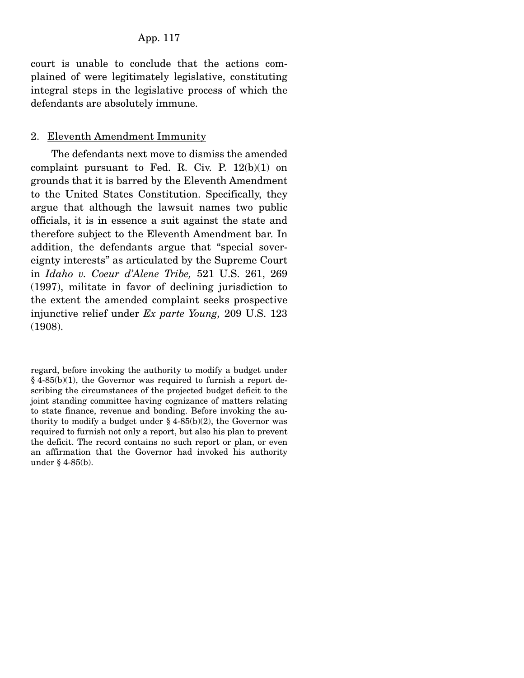court is unable to conclude that the actions complained of were legitimately legislative, constituting integral steps in the legislative process of which the defendants are absolutely immune.

#### 2. Eleventh Amendment Immunity

 The defendants next move to dismiss the amended complaint pursuant to Fed. R. Civ. P.  $12(b)(1)$  on grounds that it is barred by the Eleventh Amendment to the United States Constitution. Specifically, they argue that although the lawsuit names two public officials, it is in essence a suit against the state and therefore subject to the Eleventh Amendment bar. In addition, the defendants argue that "special sovereignty interests" as articulated by the Supreme Court in *Idaho v. Coeur d'Alene Tribe,* 521 U.S. 261, 269 (1997), militate in favor of declining jurisdiction to the extent the amended complaint seeks prospective injunctive relief under *Ex parte Young,* 209 U.S. 123 (1908).

regard, before invoking the authority to modify a budget under § 4-85(b)(1), the Governor was required to furnish a report describing the circumstances of the projected budget deficit to the joint standing committee having cognizance of matters relating to state finance, revenue and bonding. Before invoking the authority to modify a budget under  $\S$  4-85(b)(2), the Governor was required to furnish not only a report, but also his plan to prevent the deficit. The record contains no such report or plan, or even an affirmation that the Governor had invoked his authority under § 4-85(b).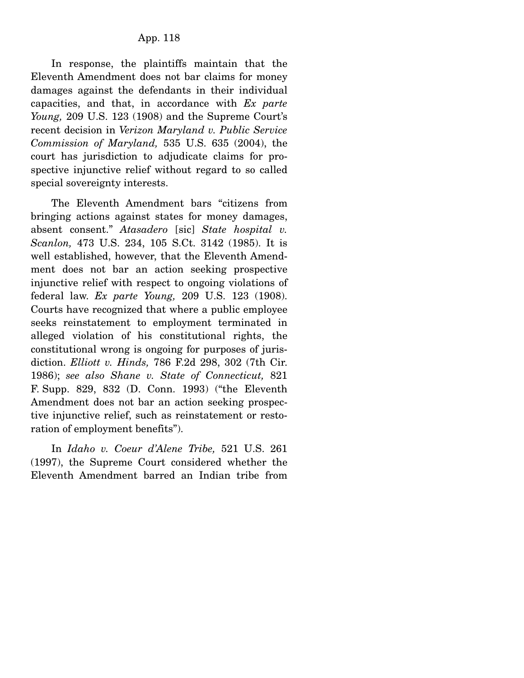In response, the plaintiffs maintain that the Eleventh Amendment does not bar claims for money damages against the defendants in their individual capacities, and that, in accordance with *Ex parte Young,* 209 U.S. 123 (1908) and the Supreme Court's recent decision in *Verizon Maryland v. Public Service Commission of Maryland,* 535 U.S. 635 (2004), the court has jurisdiction to adjudicate claims for prospective injunctive relief without regard to so called special sovereignty interests.

 The Eleventh Amendment bars "citizens from bringing actions against states for money damages, absent consent." *Atasadero* [sic] *State hospital v. Scanlon,* 473 U.S. 234, 105 S.Ct. 3142 (1985). It is well established, however, that the Eleventh Amendment does not bar an action seeking prospective injunctive relief with respect to ongoing violations of federal law. *Ex parte Young,* 209 U.S. 123 (1908). Courts have recognized that where a public employee seeks reinstatement to employment terminated in alleged violation of his constitutional rights, the constitutional wrong is ongoing for purposes of jurisdiction. *Elliott v. Hinds,* 786 F.2d 298, 302 (7th Cir. 1986); *see also Shane v. State of Connecticut,* 821 F. Supp. 829, 832 (D. Conn. 1993) ("the Eleventh Amendment does not bar an action seeking prospective injunctive relief, such as reinstatement or restoration of employment benefits").

 In *Idaho v. Coeur d'Alene Tribe,* 521 U.S. 261 (1997), the Supreme Court considered whether the Eleventh Amendment barred an Indian tribe from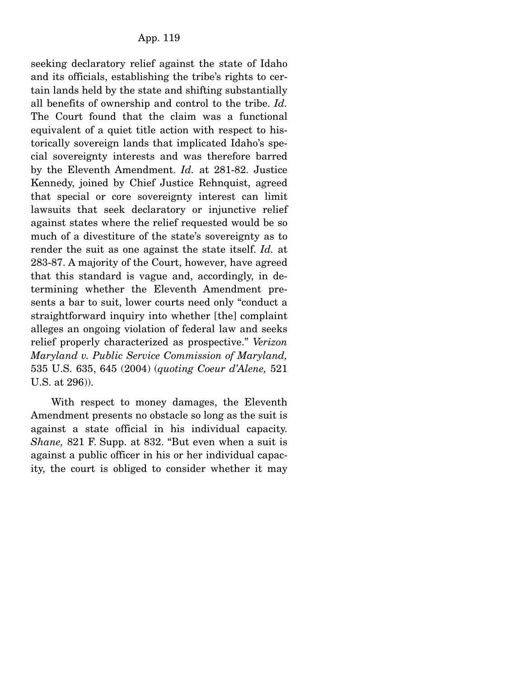seeking declaratory relief against the state of Idaho and its officials, establishing the tribe's rights to certain lands held by the state and shifting substantially all benefits of ownership and control to the tribe. *Id.* The Court found that the claim was a functional equivalent of a quiet title action with respect to historically sovereign lands that implicated Idaho's special sovereignty interests and was therefore barred by the Eleventh Amendment. *Id.* at 281-82. Justice Kennedy, joined by Chief Justice Rehnquist, agreed that special or core sovereignty interest can limit lawsuits that seek declaratory or injunctive relief against states where the relief requested would be so much of a divestiture of the state's sovereignty as to render the suit as one against the state itself. *Id.* at 283-87. A majority of the Court, however, have agreed that this standard is vague and, accordingly, in determining whether the Eleventh Amendment presents a bar to suit, lower courts need only "conduct a straightforward inquiry into whether [the] complaint alleges an ongoing violation of federal law and seeks relief properly characterized as prospective." *Verizon Maryland v. Public Service Commission of Maryland,* 535 U.S. 635, 645 (2004) (*quoting Coeur d'Alene,* 521 U.S. at 296)).

 With respect to money damages, the Eleventh Amendment presents no obstacle so long as the suit is against a state official in his individual capacity. *Shane,* 821 F. Supp. at 832. "But even when a suit is against a public officer in his or her individual capacity, the court is obliged to consider whether it may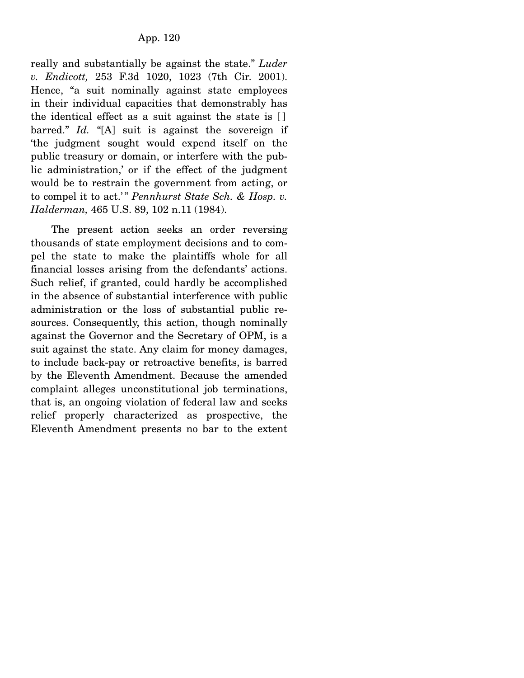really and substantially be against the state." *Luder v. Endicott,* 253 F.3d 1020, 1023 (7th Cir. 2001). Hence, "a suit nominally against state employees in their individual capacities that demonstrably has the identical effect as a suit against the state is [ ] barred." *Id.* "[A] suit is against the sovereign if 'the judgment sought would expend itself on the public treasury or domain, or interfere with the public administration,' or if the effect of the judgment would be to restrain the government from acting, or to compel it to act.'" *Pennhurst State Sch. & Hosp. v. Halderman,* 465 U.S. 89, 102 n.11 (1984).

 The present action seeks an order reversing thousands of state employment decisions and to compel the state to make the plaintiffs whole for all financial losses arising from the defendants' actions. Such relief, if granted, could hardly be accomplished in the absence of substantial interference with public administration or the loss of substantial public resources. Consequently, this action, though nominally against the Governor and the Secretary of OPM, is a suit against the state. Any claim for money damages, to include back-pay or retroactive benefits, is barred by the Eleventh Amendment. Because the amended complaint alleges unconstitutional job terminations, that is, an ongoing violation of federal law and seeks relief properly characterized as prospective, the Eleventh Amendment presents no bar to the extent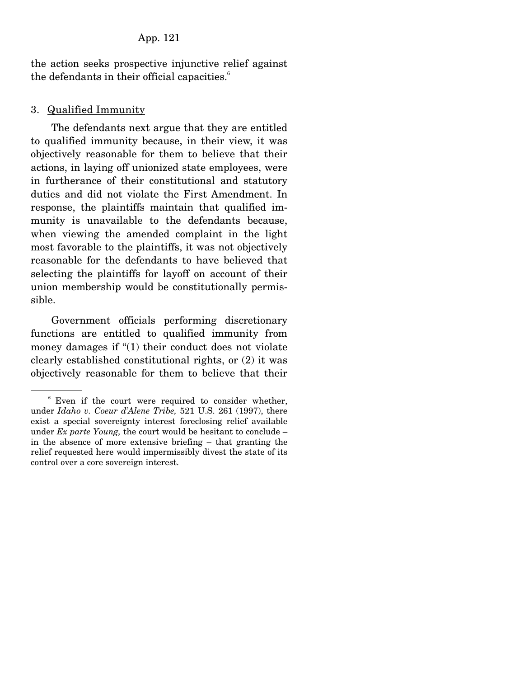the action seeks prospective injunctive relief against the defendants in their official capacities. $<sup>6</sup>$ </sup>

## 3. Qualified Immunity

 The defendants next argue that they are entitled to qualified immunity because, in their view, it was objectively reasonable for them to believe that their actions, in laying off unionized state employees, were in furtherance of their constitutional and statutory duties and did not violate the First Amendment. In response, the plaintiffs maintain that qualified immunity is unavailable to the defendants because, when viewing the amended complaint in the light most favorable to the plaintiffs, it was not objectively reasonable for the defendants to have believed that selecting the plaintiffs for layoff on account of their union membership would be constitutionally permissible.

 Government officials performing discretionary functions are entitled to qualified immunity from money damages if "(1) their conduct does not violate clearly established constitutional rights, or (2) it was objectively reasonable for them to believe that their

<sup>6</sup> Even if the court were required to consider whether, under *Idaho v. Coeur d'Alene Tribe,* 521 U.S. 261 (1997), there exist a special sovereignty interest foreclosing relief available under *Ex parte Young,* the court would be hesitant to conclude – in the absence of more extensive briefing – that granting the relief requested here would impermissibly divest the state of its control over a core sovereign interest.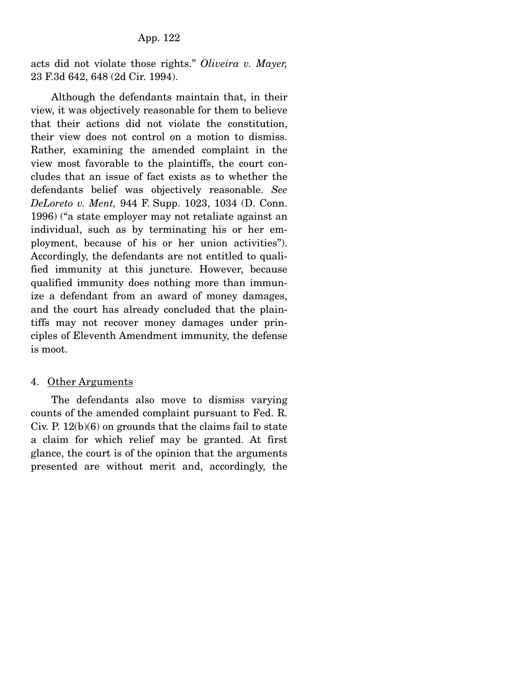acts did not violate those rights." *Oliveira v. Mayer,* 23 F.3d 642, 648 (2d Cir. 1994).

 Although the defendants maintain that, in their view, it was objectively reasonable for them to believe that their actions did not violate the constitution, their view does not control on a motion to dismiss. Rather, examining the amended complaint in the view most favorable to the plaintiffs, the court concludes that an issue of fact exists as to whether the defendants belief was objectively reasonable. *See DeLoreto v. Ment,* 944 F. Supp. 1023, 1034 (D. Conn. 1996) ("a state employer may not retaliate against an individual, such as by terminating his or her employment, because of his or her union activities"). Accordingly, the defendants are not entitled to qualified immunity at this juncture. However, because qualified immunity does nothing more than immunize a defendant from an award of money damages, and the court has already concluded that the plaintiffs may not recover money damages under principles of Eleventh Amendment immunity, the defense is moot.

## 4. Other Arguments

 The defendants also move to dismiss varying counts of the amended complaint pursuant to Fed. R. Civ. P. 12(b)(6) on grounds that the claims fail to state a claim for which relief may be granted. At first glance, the court is of the opinion that the arguments presented are without merit and, accordingly, the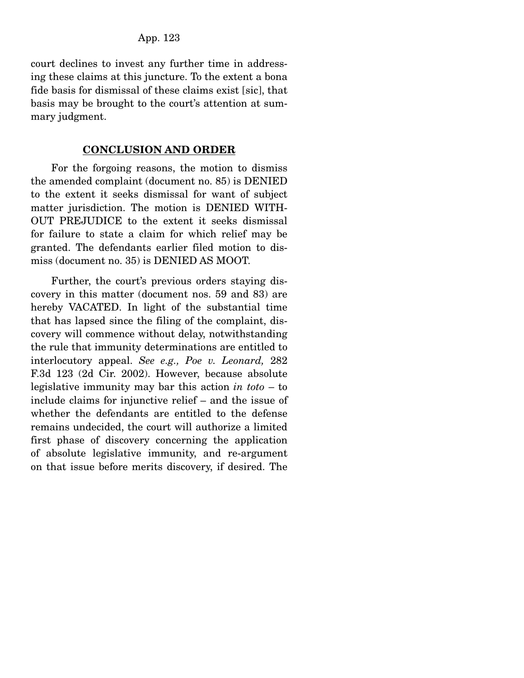court declines to invest any further time in addressing these claims at this juncture. To the extent a bona fide basis for dismissal of these claims exist [sic], that basis may be brought to the court's attention at summary judgment.

#### **CONCLUSION AND ORDER**

For the forgoing reasons, the motion to dismiss the amended complaint (document no. 85) is DENIED to the extent it seeks dismissal for want of subject matter jurisdiction. The motion is DENIED WITH-OUT PREJUDICE to the extent it seeks dismissal for failure to state a claim for which relief may be granted. The defendants earlier filed motion to dismiss (document no. 35) is DENIED AS MOOT.

 Further, the court's previous orders staying discovery in this matter (document nos. 59 and 83) are hereby VACATED. In light of the substantial time that has lapsed since the filing of the complaint, discovery will commence without delay, notwithstanding the rule that immunity determinations are entitled to interlocutory appeal. *See e.g., Poe v. Leonard,* 282 F.3d 123 (2d Cir. 2002). However, because absolute legislative immunity may bar this action *in toto* – to include claims for injunctive relief – and the issue of whether the defendants are entitled to the defense remains undecided, the court will authorize a limited first phase of discovery concerning the application of absolute legislative immunity, and re-argument on that issue before merits discovery, if desired. The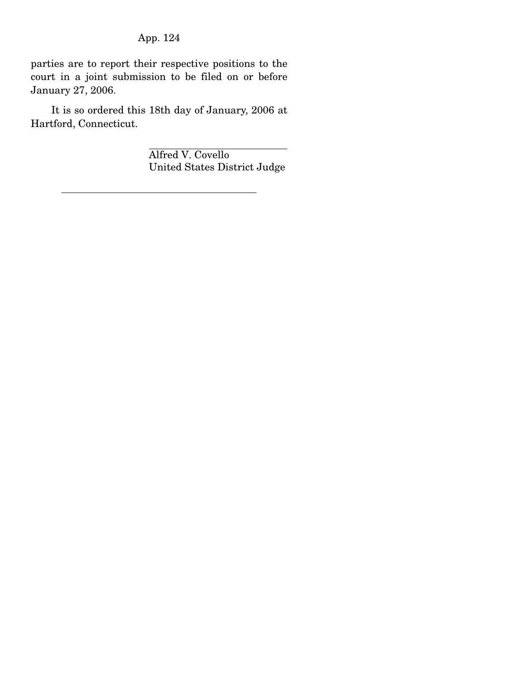parties are to report their respective positions to the court in a joint submission to be filed on or before January 27, 2006.

 It is so ordered this 18th day of January, 2006 at Hartford, Connecticut.

> Alfred V. Covello United States District Judge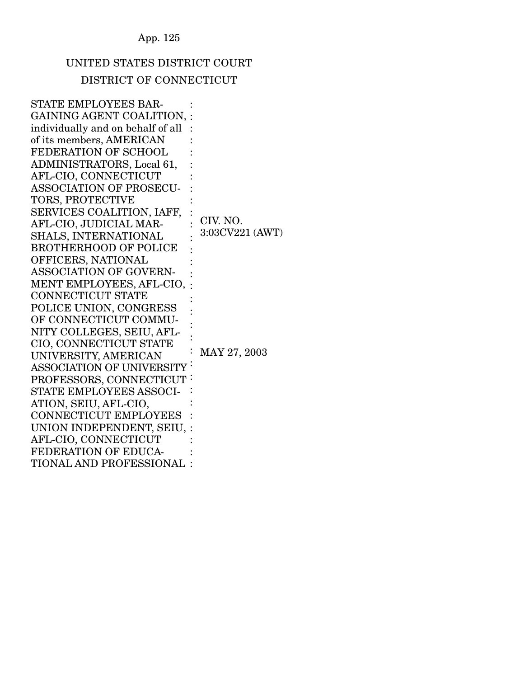# UNITED STATES DISTRICT COURT DISTRICT OF CONNECTICUT

| <b>STATE EMPLOYEES BAR-</b>       |                 |
|-----------------------------------|-----------------|
| GAINING AGENT COALITION,          |                 |
| individually and on behalf of all |                 |
| of its members, AMERICAN          |                 |
| FEDERATION OF SCHOOL              |                 |
| ADMINISTRATORS, Local 61,         |                 |
| AFL-CIO, CONNECTICUT              |                 |
| <b>ASSOCIATION OF PROSECU-</b>    |                 |
| TORS, PROTECTIVE                  |                 |
| SERVICES COALITION, IAFF,         |                 |
| AFL-CIO, JUDICIAL MAR-            | CIV. NO.        |
| SHALS, INTERNATIONAL              | 3:03CV221 (AWT) |
| <b>BROTHERHOOD OF POLICE</b>      |                 |
| OFFICERS, NATIONAL                |                 |
| ASSOCIATION OF GOVERN-            |                 |
| MENT EMPLOYEES, AFL-CIO,          |                 |
| <b>CONNECTICUT STATE</b>          |                 |
| POLICE UNION, CONGRESS            |                 |
| OF CONNECTICUT COMMU-             |                 |
| NITY COLLEGES, SEIU, AFL-         |                 |
| CIO, CONNECTICUT STATE            |                 |
| UNIVERSITY, AMERICAN              | MAY 27, 2003    |
| <b>ASSOCIATION OF UNIVERSITY</b>  |                 |
| PROFESSORS, CONNECTICUT           |                 |
| STATE EMPLOYEES ASSOCI-           |                 |
| ATION, SEIU, AFL-CIO,             |                 |
| <b>CONNECTICUT EMPLOYEES</b>      |                 |
| UNION INDEPENDENT, SEIU,          |                 |
| AFL-CIO, CONNECTICUT              |                 |
| FEDERATION OF EDUCA-              |                 |
| TIONAL AND PROFESSIONAL           |                 |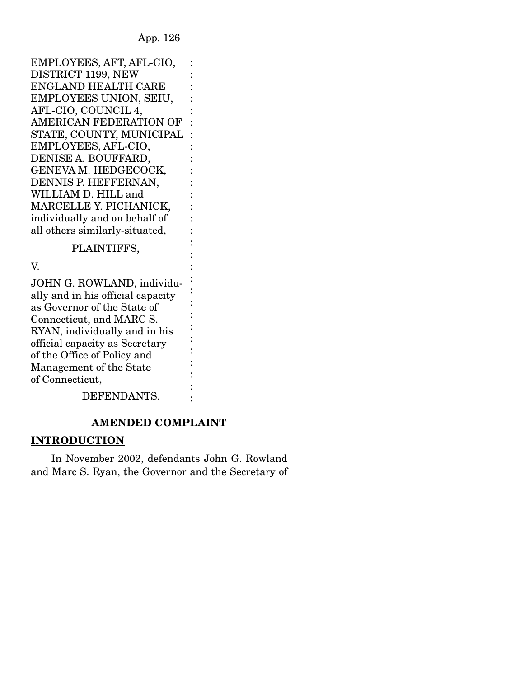: : : :

> : : : : :

: : : : :

:

EMPLOYEES, AFT, AFL-CIO, DISTRICT 1199, NEW ENGLAND HEALTH CARE EMPLOYEES UNION, SEIU, AFL-CIO, COUNCIL 4, AMERICAN FEDERATION OF : STATE, COUNTY, MUNICIPAL : EMPLOYEES, AFL-CIO, DENISE A. BOUFFARD, GENEVA M. HEDGECOCK, DENNIS P. HEFFERNAN, WILLIAM D. HILL and MARCELLE Y. PICHANICK, individually and on behalf of all others similarly-situated, : :

#### PLAINTIFFS,

V.

JOHN G. ROWLAND, individually and in his official capacity as Governor of the State of Connecticut, and MARC S. RYAN, individually and in his official capacity as Secretary of the Office of Policy and Management of the State of Connecticut, DEFENDANTS. : : : : : : : : : :

## **AMENDED COMPLAINT**

## **INTRODUCTION**

In November 2002, defendants John G. Rowland and Marc S. Ryan, the Governor and the Secretary of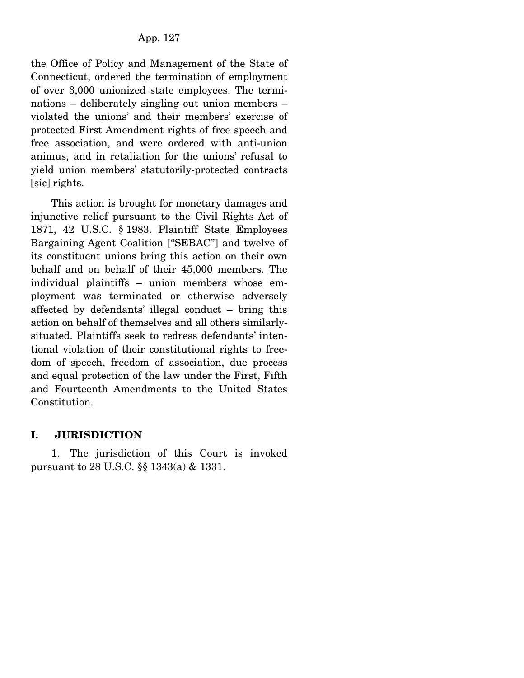the Office of Policy and Management of the State of Connecticut, ordered the termination of employment of over 3,000 unionized state employees. The terminations – deliberately singling out union members – violated the unions' and their members' exercise of protected First Amendment rights of free speech and free association, and were ordered with anti-union animus, and in retaliation for the unions' refusal to yield union members' statutorily-protected contracts [sic] rights.

 This action is brought for monetary damages and injunctive relief pursuant to the Civil Rights Act of 1871, 42 U.S.C. § 1983. Plaintiff State Employees Bargaining Agent Coalition ["SEBAC"] and twelve of its constituent unions bring this action on their own behalf and on behalf of their 45,000 members. The individual plaintiffs – union members whose employment was terminated or otherwise adversely affected by defendants' illegal conduct – bring this action on behalf of themselves and all others similarlysituated. Plaintiffs seek to redress defendants' intentional violation of their constitutional rights to freedom of speech, freedom of association, due process and equal protection of the law under the First, Fifth and Fourteenth Amendments to the United States Constitution.

### **I. JURISDICTION**

 1. The jurisdiction of this Court is invoked pursuant to 28 U.S.C. §§ 1343(a) & 1331.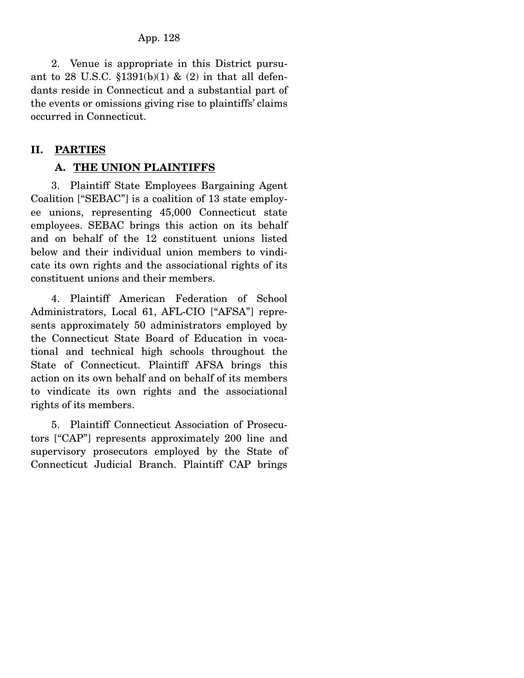2. Venue is appropriate in this District pursuant to 28 U.S.C.  $$1391(b)(1) \& (2)$  in that all defendants reside in Connecticut and a substantial part of the events or omissions giving rise to plaintiffs' claims occurred in Connecticut.

## **II. PARTIES**

## **A. THE UNION PLAINTIFFS**

 3. Plaintiff State Employees Bargaining Agent Coalition ["SEBAC"] is a coalition of 13 state employee unions, representing 45,000 Connecticut state employees. SEBAC brings this action on its behalf and on behalf of the 12 constituent unions listed below and their individual union members to vindicate its own rights and the associational rights of its constituent unions and their members.

 4. Plaintiff American Federation of School Administrators, Local 61, AFL-CIO ["AFSA"] represents approximately 50 administrators employed by the Connecticut State Board of Education in vocational and technical high schools throughout the State of Connecticut. Plaintiff AFSA brings this action on its own behalf and on behalf of its members to vindicate its own rights and the associational rights of its members.

 5. Plaintiff Connecticut Association of Prosecutors ["CAP"] represents approximately 200 line and supervisory prosecutors employed by the State of Connecticut Judicial Branch. Plaintiff CAP brings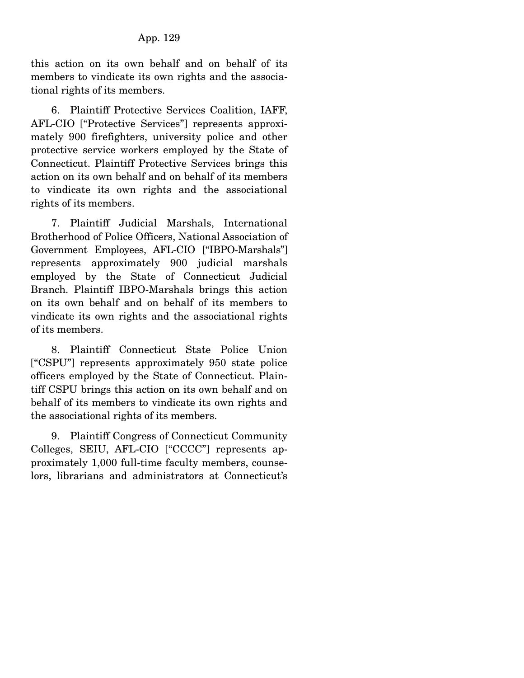this action on its own behalf and on behalf of its members to vindicate its own rights and the associational rights of its members.

 6. Plaintiff Protective Services Coalition, IAFF, AFL-CIO ["Protective Services"] represents approximately 900 firefighters, university police and other protective service workers employed by the State of Connecticut. Plaintiff Protective Services brings this action on its own behalf and on behalf of its members to vindicate its own rights and the associational rights of its members.

 7. Plaintiff Judicial Marshals, International Brotherhood of Police Officers, National Association of Government Employees, AFL-CIO ["IBPO-Marshals"] represents approximately 900 judicial marshals employed by the State of Connecticut Judicial Branch. Plaintiff IBPO-Marshals brings this action on its own behalf and on behalf of its members to vindicate its own rights and the associational rights of its members.

 8. Plaintiff Connecticut State Police Union ["CSPU"] represents approximately 950 state police officers employed by the State of Connecticut. Plaintiff CSPU brings this action on its own behalf and on behalf of its members to vindicate its own rights and the associational rights of its members.

 9. Plaintiff Congress of Connecticut Community Colleges, SEIU, AFL-CIO ["CCCC"] represents approximately 1,000 full-time faculty members, counselors, librarians and administrators at Connecticut's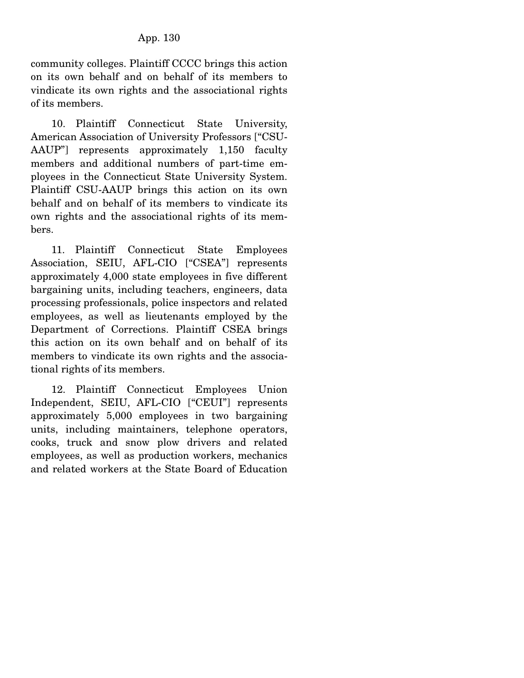community colleges. Plaintiff CCCC brings this action on its own behalf and on behalf of its members to vindicate its own rights and the associational rights of its members.

 10. Plaintiff Connecticut State University, American Association of University Professors ["CSU-AAUP"] represents approximately 1,150 faculty members and additional numbers of part-time employees in the Connecticut State University System. Plaintiff CSU-AAUP brings this action on its own behalf and on behalf of its members to vindicate its own rights and the associational rights of its members.

 11. Plaintiff Connecticut State Employees Association, SEIU, AFL-CIO ["CSEA"] represents approximately 4,000 state employees in five different bargaining units, including teachers, engineers, data processing professionals, police inspectors and related employees, as well as lieutenants employed by the Department of Corrections. Plaintiff CSEA brings this action on its own behalf and on behalf of its members to vindicate its own rights and the associational rights of its members.

 12. Plaintiff Connecticut Employees Union Independent, SEIU, AFL-CIO ["CEUI"] represents approximately 5,000 employees in two bargaining units, including maintainers, telephone operators, cooks, truck and snow plow drivers and related employees, as well as production workers, mechanics and related workers at the State Board of Education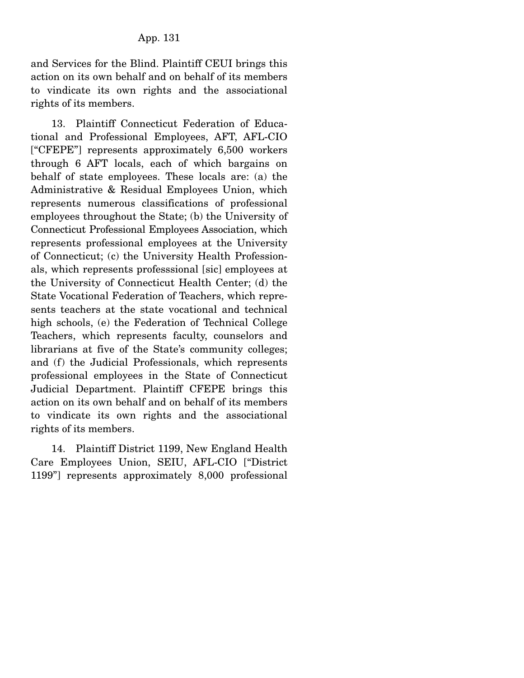and Services for the Blind. Plaintiff CEUI brings this action on its own behalf and on behalf of its members to vindicate its own rights and the associational rights of its members.

 13. Plaintiff Connecticut Federation of Educational and Professional Employees, AFT, AFL-CIO ["CFEPE"] represents approximately 6,500 workers through 6 AFT locals, each of which bargains on behalf of state employees. These locals are: (a) the Administrative & Residual Employees Union, which represents numerous classifications of professional employees throughout the State; (b) the University of Connecticut Professional Employees Association, which represents professional employees at the University of Connecticut; (c) the University Health Professionals, which represents professsional [sic] employees at the University of Connecticut Health Center; (d) the State Vocational Federation of Teachers, which represents teachers at the state vocational and technical high schools, (e) the Federation of Technical College Teachers, which represents faculty, counselors and librarians at five of the State's community colleges; and (f) the Judicial Professionals, which represents professional employees in the State of Connecticut Judicial Department. Plaintiff CFEPE brings this action on its own behalf and on behalf of its members to vindicate its own rights and the associational rights of its members.

 14. Plaintiff District 1199, New England Health Care Employees Union, SEIU, AFL-CIO ["District 1199"] represents approximately 8,000 professional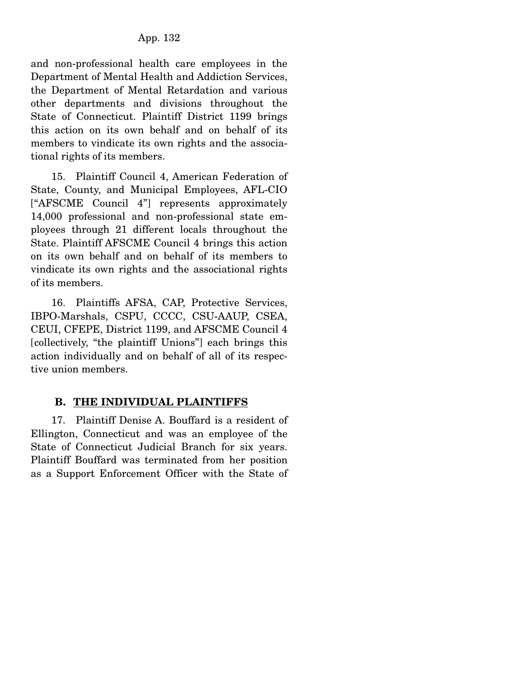and non-professional health care employees in the Department of Mental Health and Addiction Services, the Department of Mental Retardation and various other departments and divisions throughout the State of Connecticut. Plaintiff District 1199 brings this action on its own behalf and on behalf of its members to vindicate its own rights and the associational rights of its members.

 15. Plaintiff Council 4, American Federation of State, County, and Municipal Employees, AFL-CIO ["AFSCME Council 4"] represents approximately 14,000 professional and non-professional state employees through 21 different locals throughout the State. Plaintiff AFSCME Council 4 brings this action on its own behalf and on behalf of its members to vindicate its own rights and the associational rights of its members.

 16. Plaintiffs AFSA, CAP, Protective Services, IBPO-Marshals, CSPU, CCCC, CSU-AAUP, CSEA, CEUI, CFEPE, District 1199, and AFSCME Council 4 [collectively, "the plaintiff Unions"] each brings this action individually and on behalf of all of its respective union members.

# **B. THE INDIVIDUAL PLAINTIFFS**

 17. Plaintiff Denise A. Bouffard is a resident of Ellington, Connecticut and was an employee of the State of Connecticut Judicial Branch for six years. Plaintiff Bouffard was terminated from her position as a Support Enforcement Officer with the State of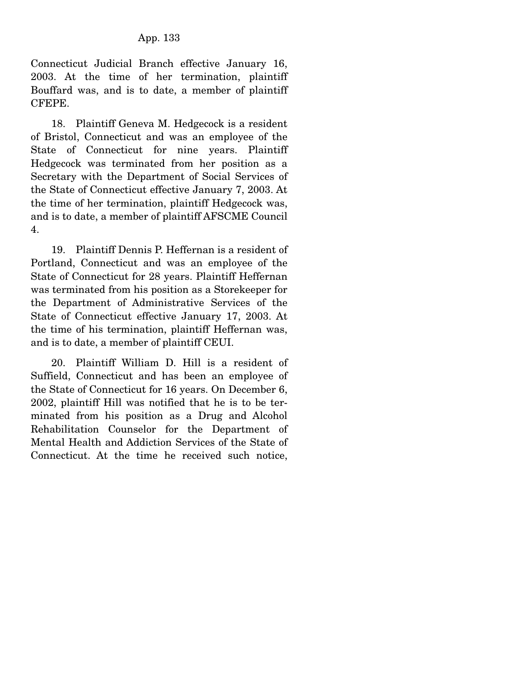Connecticut Judicial Branch effective January 16, 2003. At the time of her termination, plaintiff Bouffard was, and is to date, a member of plaintiff CFEPE.

 18. Plaintiff Geneva M. Hedgecock is a resident of Bristol, Connecticut and was an employee of the State of Connecticut for nine years. Plaintiff Hedgecock was terminated from her position as a Secretary with the Department of Social Services of the State of Connecticut effective January 7, 2003. At the time of her termination, plaintiff Hedgecock was, and is to date, a member of plaintiff AFSCME Council 4.

 19. Plaintiff Dennis P. Heffernan is a resident of Portland, Connecticut and was an employee of the State of Connecticut for 28 years. Plaintiff Heffernan was terminated from his position as a Storekeeper for the Department of Administrative Services of the State of Connecticut effective January 17, 2003. At the time of his termination, plaintiff Heffernan was, and is to date, a member of plaintiff CEUI.

 20. Plaintiff William D. Hill is a resident of Suffield, Connecticut and has been an employee of the State of Connecticut for 16 years. On December 6, 2002, plaintiff Hill was notified that he is to be terminated from his position as a Drug and Alcohol Rehabilitation Counselor for the Department of Mental Health and Addiction Services of the State of Connecticut. At the time he received such notice,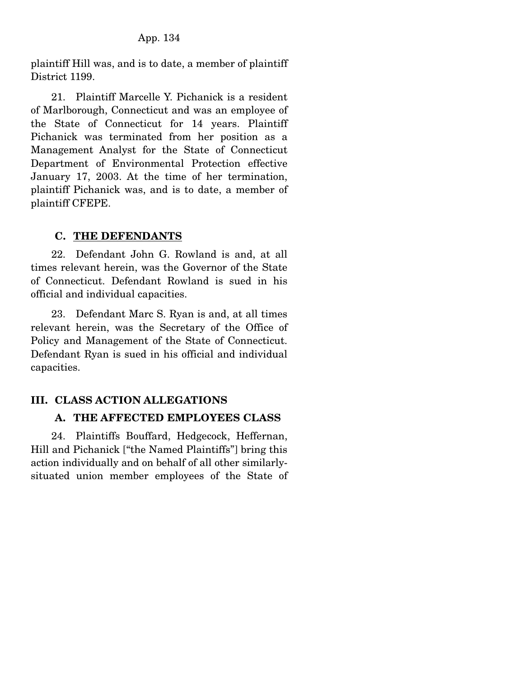plaintiff Hill was, and is to date, a member of plaintiff District 1199.

 21. Plaintiff Marcelle Y. Pichanick is a resident of Marlborough, Connecticut and was an employee of the State of Connecticut for 14 years. Plaintiff Pichanick was terminated from her position as a Management Analyst for the State of Connecticut Department of Environmental Protection effective January 17, 2003. At the time of her termination, plaintiff Pichanick was, and is to date, a member of plaintiff CFEPE.

### **C. THE DEFENDANTS**

 22. Defendant John G. Rowland is and, at all times relevant herein, was the Governor of the State of Connecticut. Defendant Rowland is sued in his official and individual capacities.

 23. Defendant Marc S. Ryan is and, at all times relevant herein, was the Secretary of the Office of Policy and Management of the State of Connecticut. Defendant Ryan is sued in his official and individual capacities.

### **III. CLASS ACTION ALLEGATIONS**

### **A. THE AFFECTED EMPLOYEES CLASS**

 24. Plaintiffs Bouffard, Hedgecock, Heffernan, Hill and Pichanick ["the Named Plaintiffs"] bring this action individually and on behalf of all other similarlysituated union member employees of the State of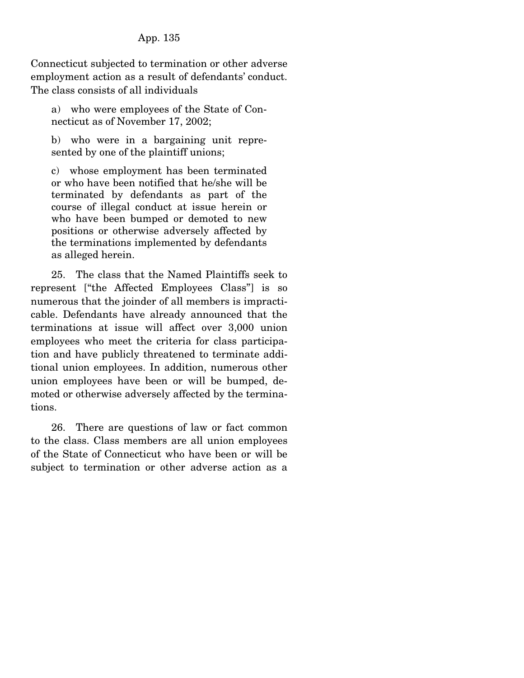Connecticut subjected to termination or other adverse employment action as a result of defendants' conduct. The class consists of all individuals

a) who were employees of the State of Connecticut as of November 17, 2002;

b) who were in a bargaining unit represented by one of the plaintiff unions;

c) whose employment has been terminated or who have been notified that he/she will be terminated by defendants as part of the course of illegal conduct at issue herein or who have been bumped or demoted to new positions or otherwise adversely affected by the terminations implemented by defendants as alleged herein.

 25. The class that the Named Plaintiffs seek to represent ["the Affected Employees Class"] is so numerous that the joinder of all members is impracticable. Defendants have already announced that the terminations at issue will affect over 3,000 union employees who meet the criteria for class participation and have publicly threatened to terminate additional union employees. In addition, numerous other union employees have been or will be bumped, demoted or otherwise adversely affected by the terminations.

 26. There are questions of law or fact common to the class. Class members are all union employees of the State of Connecticut who have been or will be subject to termination or other adverse action as a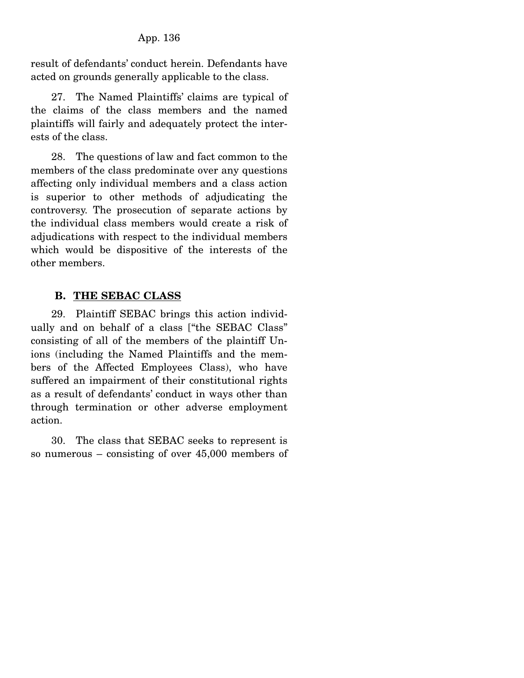result of defendants' conduct herein. Defendants have acted on grounds generally applicable to the class.

 27. The Named Plaintiffs' claims are typical of the claims of the class members and the named plaintiffs will fairly and adequately protect the interests of the class.

 28. The questions of law and fact common to the members of the class predominate over any questions affecting only individual members and a class action is superior to other methods of adjudicating the controversy. The prosecution of separate actions by the individual class members would create a risk of adjudications with respect to the individual members which would be dispositive of the interests of the other members.

### **B. THE SEBAC CLASS**

 29. Plaintiff SEBAC brings this action individually and on behalf of a class ["the SEBAC Class" consisting of all of the members of the plaintiff Unions (including the Named Plaintiffs and the members of the Affected Employees Class), who have suffered an impairment of their constitutional rights as a result of defendants' conduct in ways other than through termination or other adverse employment action.

 30. The class that SEBAC seeks to represent is so numerous – consisting of over 45,000 members of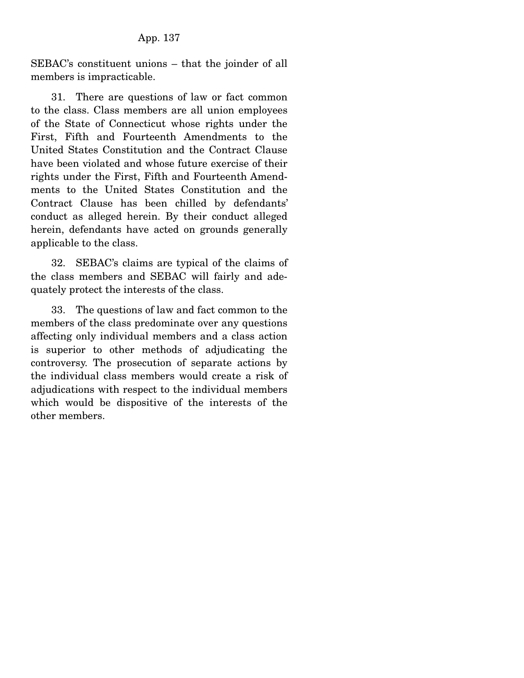SEBAC's constituent unions – that the joinder of all members is impracticable.

 31. There are questions of law or fact common to the class. Class members are all union employees of the State of Connecticut whose rights under the First, Fifth and Fourteenth Amendments to the United States Constitution and the Contract Clause have been violated and whose future exercise of their rights under the First, Fifth and Fourteenth Amendments to the United States Constitution and the Contract Clause has been chilled by defendants' conduct as alleged herein. By their conduct alleged herein, defendants have acted on grounds generally applicable to the class.

 32. SEBAC's claims are typical of the claims of the class members and SEBAC will fairly and adequately protect the interests of the class.

 33. The questions of law and fact common to the members of the class predominate over any questions affecting only individual members and a class action is superior to other methods of adjudicating the controversy. The prosecution of separate actions by the individual class members would create a risk of adjudications with respect to the individual members which would be dispositive of the interests of the other members.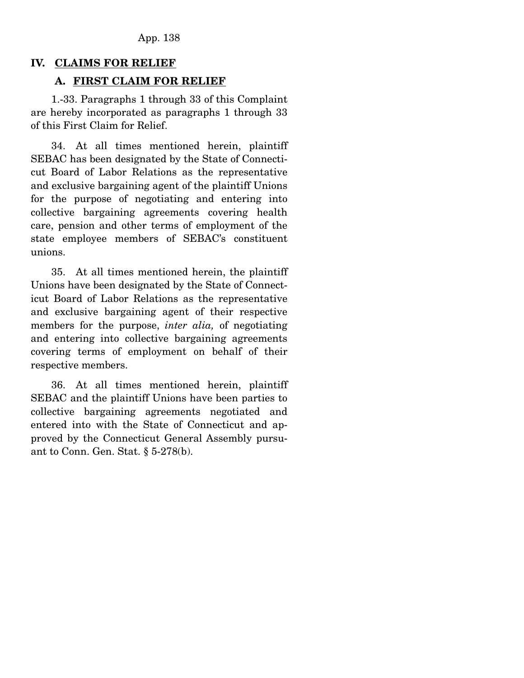### **IV. CLAIMS FOR RELIEF**

#### **A. FIRST CLAIM FOR RELIEF**

 1.-33. Paragraphs 1 through 33 of this Complaint are hereby incorporated as paragraphs 1 through 33 of this First Claim for Relief.

 34. At all times mentioned herein, plaintiff SEBAC has been designated by the State of Connecticut Board of Labor Relations as the representative and exclusive bargaining agent of the plaintiff Unions for the purpose of negotiating and entering into collective bargaining agreements covering health care, pension and other terms of employment of the state employee members of SEBAC's constituent unions.

 35. At all times mentioned herein, the plaintiff Unions have been designated by the State of Connecticut Board of Labor Relations as the representative and exclusive bargaining agent of their respective members for the purpose, *inter alia,* of negotiating and entering into collective bargaining agreements covering terms of employment on behalf of their respective members.

 36. At all times mentioned herein, plaintiff SEBAC and the plaintiff Unions have been parties to collective bargaining agreements negotiated and entered into with the State of Connecticut and approved by the Connecticut General Assembly pursuant to Conn. Gen. Stat. § 5-278(b).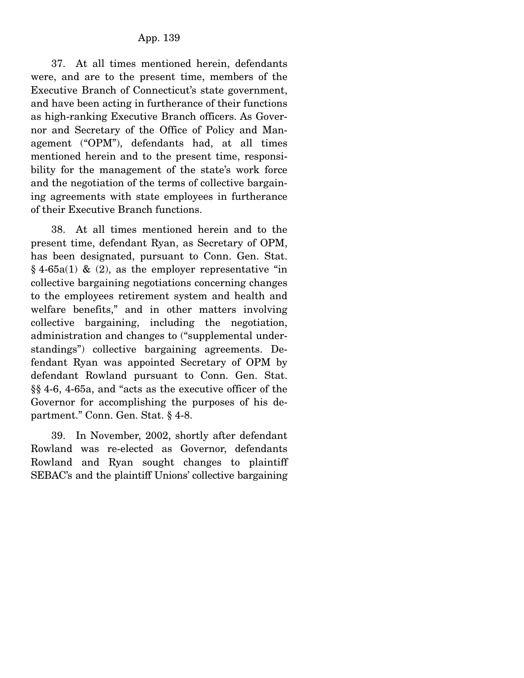37. At all times mentioned herein, defendants were, and are to the present time, members of the Executive Branch of Connecticut's state government, and have been acting in furtherance of their functions as high-ranking Executive Branch officers. As Governor and Secretary of the Office of Policy and Management ("OPM"), defendants had, at all times mentioned herein and to the present time, responsibility for the management of the state's work force and the negotiation of the terms of collective bargaining agreements with state employees in furtherance of their Executive Branch functions.

 38. At all times mentioned herein and to the present time, defendant Ryan, as Secretary of OPM, has been designated, pursuant to Conn. Gen. Stat.  $§$  4-65a(1) & (2), as the employer representative "in collective bargaining negotiations concerning changes to the employees retirement system and health and welfare benefits," and in other matters involving collective bargaining, including the negotiation, administration and changes to ("supplemental understandings") collective bargaining agreements. Defendant Ryan was appointed Secretary of OPM by defendant Rowland pursuant to Conn. Gen. Stat. §§ 4-6, 4-65a, and "acts as the executive officer of the Governor for accomplishing the purposes of his department." Conn. Gen. Stat. § 4-8.

 39. In November, 2002, shortly after defendant Rowland was re-elected as Governor, defendants Rowland and Ryan sought changes to plaintiff SEBAC's and the plaintiff Unions' collective bargaining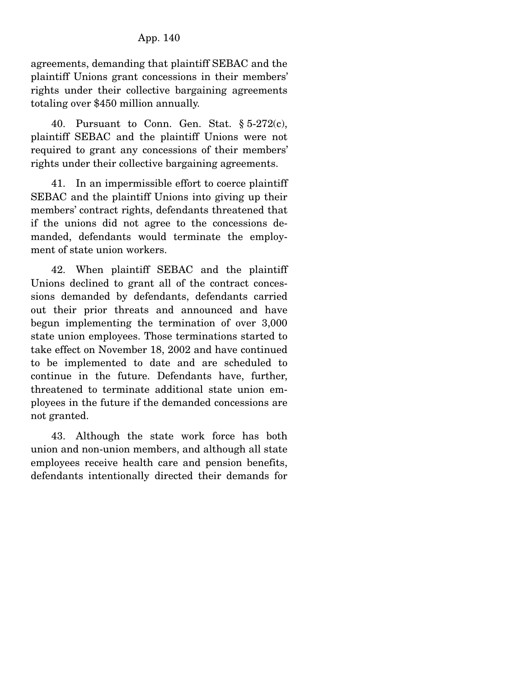agreements, demanding that plaintiff SEBAC and the plaintiff Unions grant concessions in their members' rights under their collective bargaining agreements totaling over \$450 million annually.

 40. Pursuant to Conn. Gen. Stat. § 5-272(c), plaintiff SEBAC and the plaintiff Unions were not required to grant any concessions of their members' rights under their collective bargaining agreements.

 41. In an impermissible effort to coerce plaintiff SEBAC and the plaintiff Unions into giving up their members' contract rights, defendants threatened that if the unions did not agree to the concessions demanded, defendants would terminate the employment of state union workers.

 42. When plaintiff SEBAC and the plaintiff Unions declined to grant all of the contract concessions demanded by defendants, defendants carried out their prior threats and announced and have begun implementing the termination of over 3,000 state union employees. Those terminations started to take effect on November 18, 2002 and have continued to be implemented to date and are scheduled to continue in the future. Defendants have, further, threatened to terminate additional state union employees in the future if the demanded concessions are not granted.

 43. Although the state work force has both union and non-union members, and although all state employees receive health care and pension benefits, defendants intentionally directed their demands for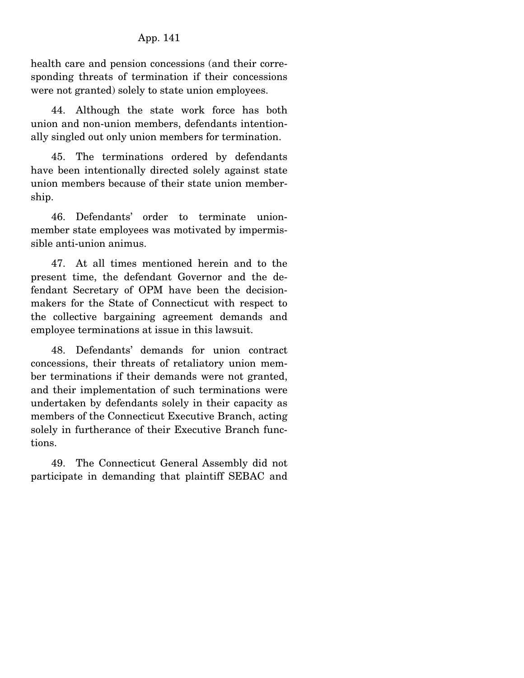health care and pension concessions (and their corresponding threats of termination if their concessions were not granted) solely to state union employees.

 44. Although the state work force has both union and non-union members, defendants intentionally singled out only union members for termination.

 45. The terminations ordered by defendants have been intentionally directed solely against state union members because of their state union membership.

 46. Defendants' order to terminate unionmember state employees was motivated by impermissible anti-union animus.

 47. At all times mentioned herein and to the present time, the defendant Governor and the defendant Secretary of OPM have been the decisionmakers for the State of Connecticut with respect to the collective bargaining agreement demands and employee terminations at issue in this lawsuit.

 48. Defendants' demands for union contract concessions, their threats of retaliatory union member terminations if their demands were not granted, and their implementation of such terminations were undertaken by defendants solely in their capacity as members of the Connecticut Executive Branch, acting solely in furtherance of their Executive Branch functions.

 49. The Connecticut General Assembly did not participate in demanding that plaintiff SEBAC and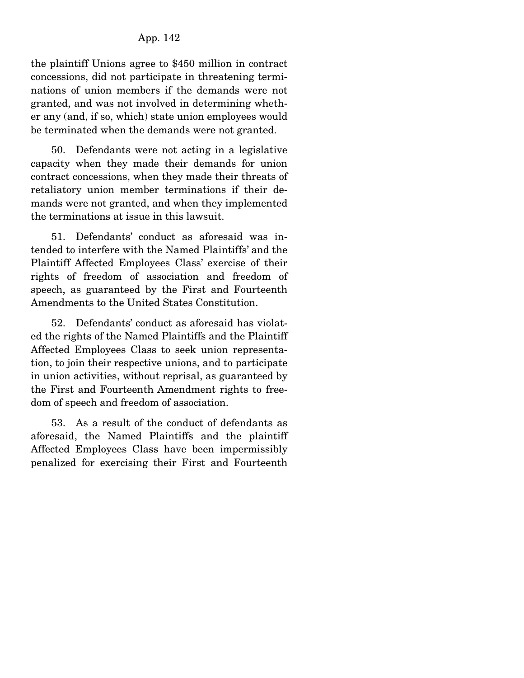the plaintiff Unions agree to \$450 million in contract concessions, did not participate in threatening terminations of union members if the demands were not granted, and was not involved in determining whether any (and, if so, which) state union employees would be terminated when the demands were not granted.

 50. Defendants were not acting in a legislative capacity when they made their demands for union contract concessions, when they made their threats of retaliatory union member terminations if their demands were not granted, and when they implemented the terminations at issue in this lawsuit.

 51. Defendants' conduct as aforesaid was intended to interfere with the Named Plaintiffs' and the Plaintiff Affected Employees Class' exercise of their rights of freedom of association and freedom of speech, as guaranteed by the First and Fourteenth Amendments to the United States Constitution.

 52. Defendants' conduct as aforesaid has violated the rights of the Named Plaintiffs and the Plaintiff Affected Employees Class to seek union representation, to join their respective unions, and to participate in union activities, without reprisal, as guaranteed by the First and Fourteenth Amendment rights to freedom of speech and freedom of association.

 53. As a result of the conduct of defendants as aforesaid, the Named Plaintiffs and the plaintiff Affected Employees Class have been impermissibly penalized for exercising their First and Fourteenth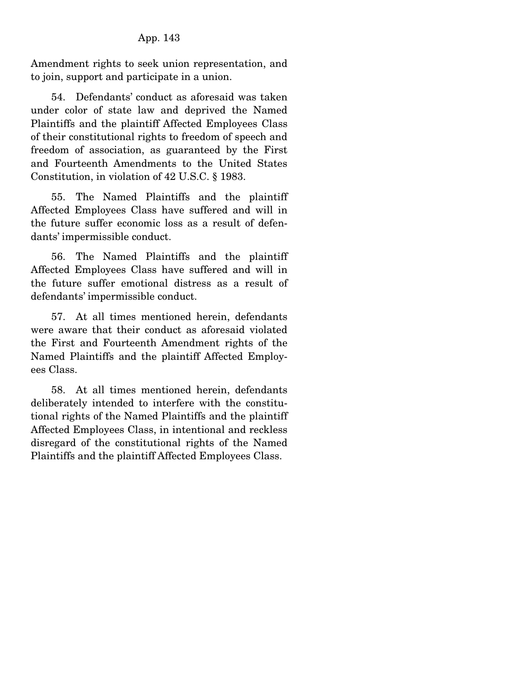Amendment rights to seek union representation, and to join, support and participate in a union.

 54. Defendants' conduct as aforesaid was taken under color of state law and deprived the Named Plaintiffs and the plaintiff Affected Employees Class of their constitutional rights to freedom of speech and freedom of association, as guaranteed by the First and Fourteenth Amendments to the United States Constitution, in violation of 42 U.S.C. § 1983.

 55. The Named Plaintiffs and the plaintiff Affected Employees Class have suffered and will in the future suffer economic loss as a result of defendants' impermissible conduct.

 56. The Named Plaintiffs and the plaintiff Affected Employees Class have suffered and will in the future suffer emotional distress as a result of defendants' impermissible conduct.

 57. At all times mentioned herein, defendants were aware that their conduct as aforesaid violated the First and Fourteenth Amendment rights of the Named Plaintiffs and the plaintiff Affected Employees Class.

 58. At all times mentioned herein, defendants deliberately intended to interfere with the constitutional rights of the Named Plaintiffs and the plaintiff Affected Employees Class, in intentional and reckless disregard of the constitutional rights of the Named Plaintiffs and the plaintiff Affected Employees Class.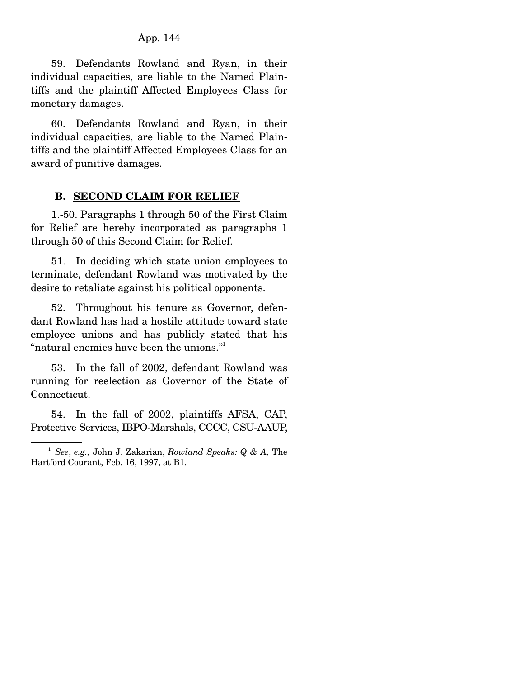59. Defendants Rowland and Ryan, in their individual capacities, are liable to the Named Plaintiffs and the plaintiff Affected Employees Class for monetary damages.

 60. Defendants Rowland and Ryan, in their individual capacities, are liable to the Named Plaintiffs and the plaintiff Affected Employees Class for an award of punitive damages.

#### **B. SECOND CLAIM FOR RELIEF**

1.-50. Paragraphs 1 through 50 of the First Claim for Relief are hereby incorporated as paragraphs 1 through 50 of this Second Claim for Relief.

 51. In deciding which state union employees to terminate, defendant Rowland was motivated by the desire to retaliate against his political opponents.

 52. Throughout his tenure as Governor, defendant Rowland has had a hostile attitude toward state employee unions and has publicly stated that his "natural enemies have been the unions."

 53. In the fall of 2002, defendant Rowland was running for reelection as Governor of the State of Connecticut.

 54. In the fall of 2002, plaintiffs AFSA, CAP, Protective Services, IBPO-Marshals, CCCC, CSU-AAUP,

<sup>1</sup> *See*, *e.g.,* John J. Zakarian, *Rowland Speaks: Q & A,* The Hartford Courant, Feb. 16, 1997, at B1.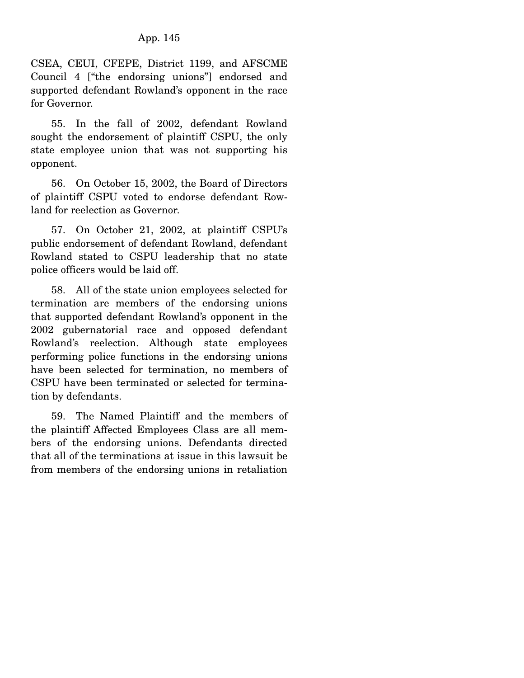CSEA, CEUI, CFEPE, District 1199, and AFSCME Council 4 ["the endorsing unions"] endorsed and supported defendant Rowland's opponent in the race for Governor.

 55. In the fall of 2002, defendant Rowland sought the endorsement of plaintiff CSPU, the only state employee union that was not supporting his opponent.

 56. On October 15, 2002, the Board of Directors of plaintiff CSPU voted to endorse defendant Rowland for reelection as Governor.

 57. On October 21, 2002, at plaintiff CSPU's public endorsement of defendant Rowland, defendant Rowland stated to CSPU leadership that no state police officers would be laid off.

 58. All of the state union employees selected for termination are members of the endorsing unions that supported defendant Rowland's opponent in the 2002 gubernatorial race and opposed defendant Rowland's reelection. Although state employees performing police functions in the endorsing unions have been selected for termination, no members of CSPU have been terminated or selected for termination by defendants.

 59. The Named Plaintiff and the members of the plaintiff Affected Employees Class are all members of the endorsing unions. Defendants directed that all of the terminations at issue in this lawsuit be from members of the endorsing unions in retaliation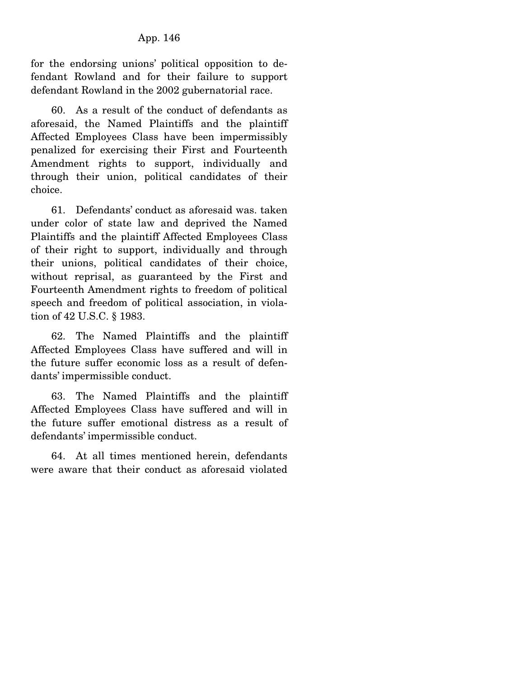for the endorsing unions' political opposition to defendant Rowland and for their failure to support defendant Rowland in the 2002 gubernatorial race.

 60. As a result of the conduct of defendants as aforesaid, the Named Plaintiffs and the plaintiff Affected Employees Class have been impermissibly penalized for exercising their First and Fourteenth Amendment rights to support, individually and through their union, political candidates of their choice.

 61. Defendants' conduct as aforesaid was. taken under color of state law and deprived the Named Plaintiffs and the plaintiff Affected Employees Class of their right to support, individually and through their unions, political candidates of their choice, without reprisal, as guaranteed by the First and Fourteenth Amendment rights to freedom of political speech and freedom of political association, in violation of 42 U.S.C. § 1983.

 62. The Named Plaintiffs and the plaintiff Affected Employees Class have suffered and will in the future suffer economic loss as a result of defendants' impermissible conduct.

 63. The Named Plaintiffs and the plaintiff Affected Employees Class have suffered and will in the future suffer emotional distress as a result of defendants' impermissible conduct.

 64. At all times mentioned herein, defendants were aware that their conduct as aforesaid violated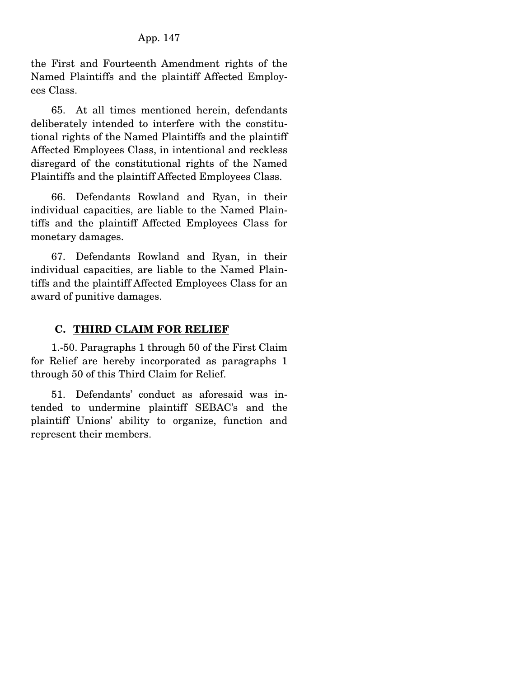the First and Fourteenth Amendment rights of the Named Plaintiffs and the plaintiff Affected Employees Class.

 65. At all times mentioned herein, defendants deliberately intended to interfere with the constitutional rights of the Named Plaintiffs and the plaintiff Affected Employees Class, in intentional and reckless disregard of the constitutional rights of the Named Plaintiffs and the plaintiff Affected Employees Class.

 66. Defendants Rowland and Ryan, in their individual capacities, are liable to the Named Plaintiffs and the plaintiff Affected Employees Class for monetary damages.

 67. Defendants Rowland and Ryan, in their individual capacities, are liable to the Named Plaintiffs and the plaintiff Affected Employees Class for an award of punitive damages.

## **C. THIRD CLAIM FOR RELIEF**

 1.-50. Paragraphs 1 through 50 of the First Claim for Relief are hereby incorporated as paragraphs 1 through 50 of this Third Claim for Relief.

 51. Defendants' conduct as aforesaid was intended to undermine plaintiff SEBAC's and the plaintiff Unions' ability to organize, function and represent their members.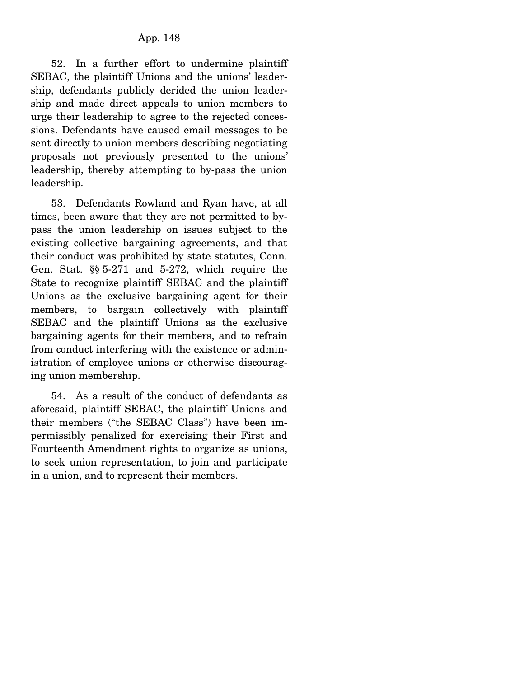52. In a further effort to undermine plaintiff SEBAC, the plaintiff Unions and the unions' leadership, defendants publicly derided the union leadership and made direct appeals to union members to urge their leadership to agree to the rejected concessions. Defendants have caused email messages to be sent directly to union members describing negotiating proposals not previously presented to the unions' leadership, thereby attempting to by-pass the union leadership.

 53. Defendants Rowland and Ryan have, at all times, been aware that they are not permitted to bypass the union leadership on issues subject to the existing collective bargaining agreements, and that their conduct was prohibited by state statutes, Conn. Gen. Stat. §§ 5-271 and 5-272, which require the State to recognize plaintiff SEBAC and the plaintiff Unions as the exclusive bargaining agent for their members, to bargain collectively with plaintiff SEBAC and the plaintiff Unions as the exclusive bargaining agents for their members, and to refrain from conduct interfering with the existence or administration of employee unions or otherwise discouraging union membership.

 54. As a result of the conduct of defendants as aforesaid, plaintiff SEBAC, the plaintiff Unions and their members ("the SEBAC Class") have been impermissibly penalized for exercising their First and Fourteenth Amendment rights to organize as unions, to seek union representation, to join and participate in a union, and to represent their members.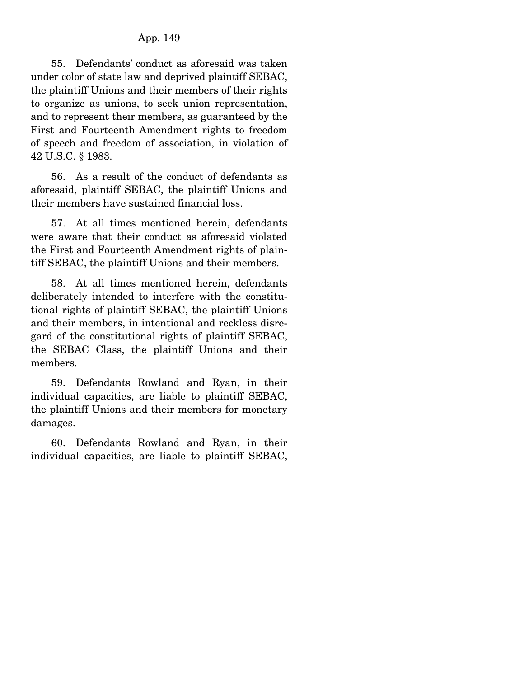55. Defendants' conduct as aforesaid was taken under color of state law and deprived plaintiff SEBAC, the plaintiff Unions and their members of their rights to organize as unions, to seek union representation, and to represent their members, as guaranteed by the First and Fourteenth Amendment rights to freedom of speech and freedom of association, in violation of 42 U.S.C. § 1983.

 56. As a result of the conduct of defendants as aforesaid, plaintiff SEBAC, the plaintiff Unions and their members have sustained financial loss.

 57. At all times mentioned herein, defendants were aware that their conduct as aforesaid violated the First and Fourteenth Amendment rights of plaintiff SEBAC, the plaintiff Unions and their members.

 58. At all times mentioned herein, defendants deliberately intended to interfere with the constitutional rights of plaintiff SEBAC, the plaintiff Unions and their members, in intentional and reckless disregard of the constitutional rights of plaintiff SEBAC, the SEBAC Class, the plaintiff Unions and their members.

 59. Defendants Rowland and Ryan, in their individual capacities, are liable to plaintiff SEBAC, the plaintiff Unions and their members for monetary damages.

 60. Defendants Rowland and Ryan, in their individual capacities, are liable to plaintiff SEBAC,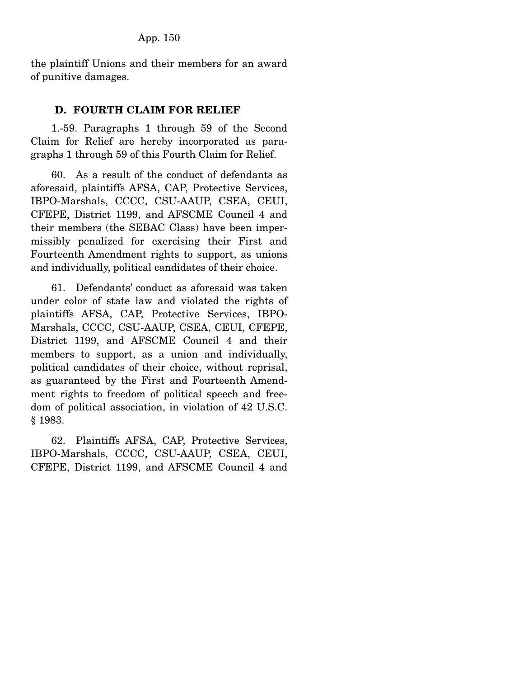the plaintiff Unions and their members for an award of punitive damages.

### **D. FOURTH CLAIM FOR RELIEF**

1.-59. Paragraphs 1 through 59 of the Second Claim for Relief are hereby incorporated as paragraphs 1 through 59 of this Fourth Claim for Relief.

 60. As a result of the conduct of defendants as aforesaid, plaintiffs AFSA, CAP, Protective Services, IBPO-Marshals, CCCC, CSU-AAUP, CSEA, CEUI, CFEPE, District 1199, and AFSCME Council 4 and their members (the SEBAC Class) have been impermissibly penalized for exercising their First and Fourteenth Amendment rights to support, as unions and individually, political candidates of their choice.

 61. Defendants' conduct as aforesaid was taken under color of state law and violated the rights of plaintiffs AFSA, CAP, Protective Services, IBPO-Marshals, CCCC, CSU-AAUP, CSEA, CEUI, CFEPE, District 1199, and AFSCME Council 4 and their members to support, as a union and individually, political candidates of their choice, without reprisal, as guaranteed by the First and Fourteenth Amendment rights to freedom of political speech and freedom of political association, in violation of 42 U.S.C. § 1983.

 62. Plaintiffs AFSA, CAP, Protective Services, IBPO-Marshals, CCCC, CSU-AAUP, CSEA, CEUI, CFEPE, District 1199, and AFSCME Council 4 and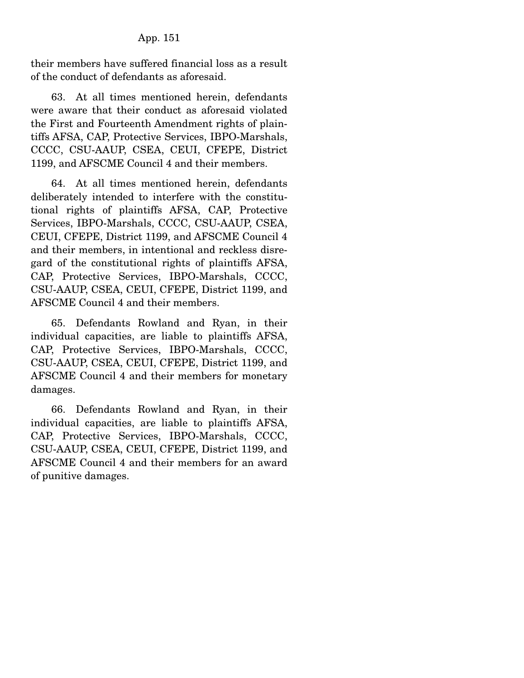their members have suffered financial loss as a result of the conduct of defendants as aforesaid.

 63. At all times mentioned herein, defendants were aware that their conduct as aforesaid violated the First and Fourteenth Amendment rights of plaintiffs AFSA, CAP, Protective Services, IBPO-Marshals, CCCC, CSU-AAUP, CSEA, CEUI, CFEPE, District 1199, and AFSCME Council 4 and their members.

 64. At all times mentioned herein, defendants deliberately intended to interfere with the constitutional rights of plaintiffs AFSA, CAP, Protective Services, IBPO-Marshals, CCCC, CSU-AAUP, CSEA, CEUI, CFEPE, District 1199, and AFSCME Council 4 and their members, in intentional and reckless disregard of the constitutional rights of plaintiffs AFSA, CAP, Protective Services, IBPO-Marshals, CCCC, CSU-AAUP, CSEA, CEUI, CFEPE, District 1199, and AFSCME Council 4 and their members.

 65. Defendants Rowland and Ryan, in their individual capacities, are liable to plaintiffs AFSA, CAP, Protective Services, IBPO-Marshals, CCCC, CSU-AAUP, CSEA, CEUI, CFEPE, District 1199, and AFSCME Council 4 and their members for monetary damages.

 66. Defendants Rowland and Ryan, in their individual capacities, are liable to plaintiffs AFSA, CAP, Protective Services, IBPO-Marshals, CCCC, CSU-AAUP, CSEA, CEUI, CFEPE, District 1199, and AFSCME Council 4 and their members for an award of punitive damages.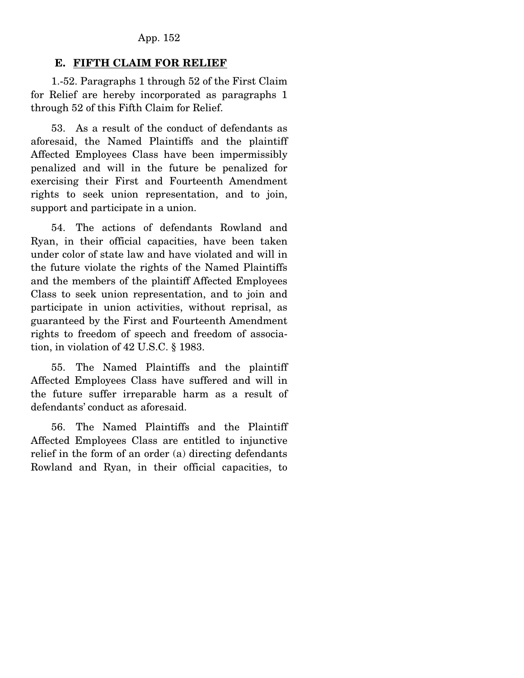### **E. FIFTH CLAIM FOR RELIEF**

 1.-52. Paragraphs 1 through 52 of the First Claim for Relief are hereby incorporated as paragraphs 1 through 52 of this Fifth Claim for Relief.

 53. As a result of the conduct of defendants as aforesaid, the Named Plaintiffs and the plaintiff Affected Employees Class have been impermissibly penalized and will in the future be penalized for exercising their First and Fourteenth Amendment rights to seek union representation, and to join, support and participate in a union.

 54. The actions of defendants Rowland and Ryan, in their official capacities, have been taken under color of state law and have violated and will in the future violate the rights of the Named Plaintiffs and the members of the plaintiff Affected Employees Class to seek union representation, and to join and participate in union activities, without reprisal, as guaranteed by the First and Fourteenth Amendment rights to freedom of speech and freedom of association, in violation of 42 U.S.C. § 1983.

 55. The Named Plaintiffs and the plaintiff Affected Employees Class have suffered and will in the future suffer irreparable harm as a result of defendants' conduct as aforesaid.

 56. The Named Plaintiffs and the Plaintiff Affected Employees Class are entitled to injunctive relief in the form of an order (a) directing defendants Rowland and Ryan, in their official capacities, to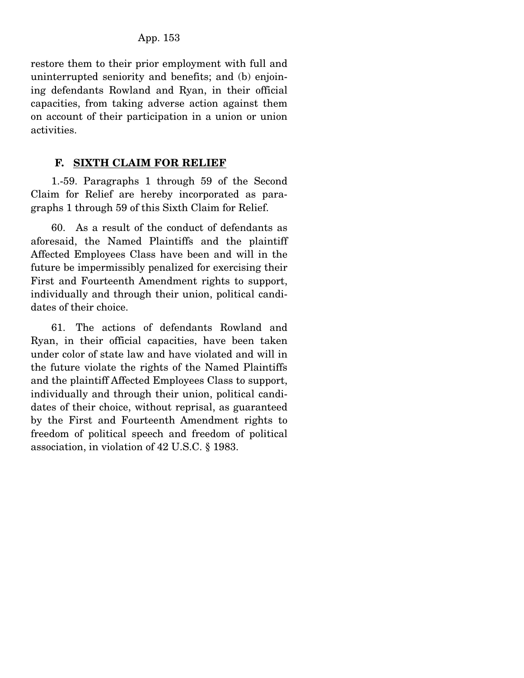restore them to their prior employment with full and uninterrupted seniority and benefits; and (b) enjoining defendants Rowland and Ryan, in their official capacities, from taking adverse action against them on account of their participation in a union or union activities.

## **F. SIXTH CLAIM FOR RELIEF**

 1.-59. Paragraphs 1 through 59 of the Second Claim for Relief are hereby incorporated as paragraphs 1 through 59 of this Sixth Claim for Relief.

 60. As a result of the conduct of defendants as aforesaid, the Named Plaintiffs and the plaintiff Affected Employees Class have been and will in the future be impermissibly penalized for exercising their First and Fourteenth Amendment rights to support, individually and through their union, political candidates of their choice.

 61. The actions of defendants Rowland and Ryan, in their official capacities, have been taken under color of state law and have violated and will in the future violate the rights of the Named Plaintiffs and the plaintiff Affected Employees Class to support, individually and through their union, political candidates of their choice, without reprisal, as guaranteed by the First and Fourteenth Amendment rights to freedom of political speech and freedom of political association, in violation of 42 U.S.C. § 1983.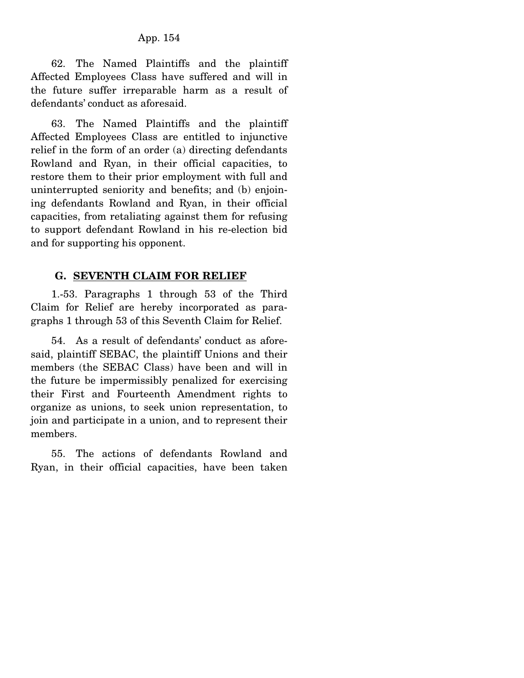62. The Named Plaintiffs and the plaintiff Affected Employees Class have suffered and will in the future suffer irreparable harm as a result of defendants' conduct as aforesaid.

 63. The Named Plaintiffs and the plaintiff Affected Employees Class are entitled to injunctive relief in the form of an order (a) directing defendants Rowland and Ryan, in their official capacities, to restore them to their prior employment with full and uninterrupted seniority and benefits; and (b) enjoining defendants Rowland and Ryan, in their official capacities, from retaliating against them for refusing to support defendant Rowland in his re-election bid and for supporting his opponent.

#### **G. SEVENTH CLAIM FOR RELIEF**

 1.-53. Paragraphs 1 through 53 of the Third Claim for Relief are hereby incorporated as paragraphs 1 through 53 of this Seventh Claim for Relief.

 54. As a result of defendants' conduct as aforesaid, plaintiff SEBAC, the plaintiff Unions and their members (the SEBAC Class) have been and will in the future be impermissibly penalized for exercising their First and Fourteenth Amendment rights to organize as unions, to seek union representation, to join and participate in a union, and to represent their members.

 55. The actions of defendants Rowland and Ryan, in their official capacities, have been taken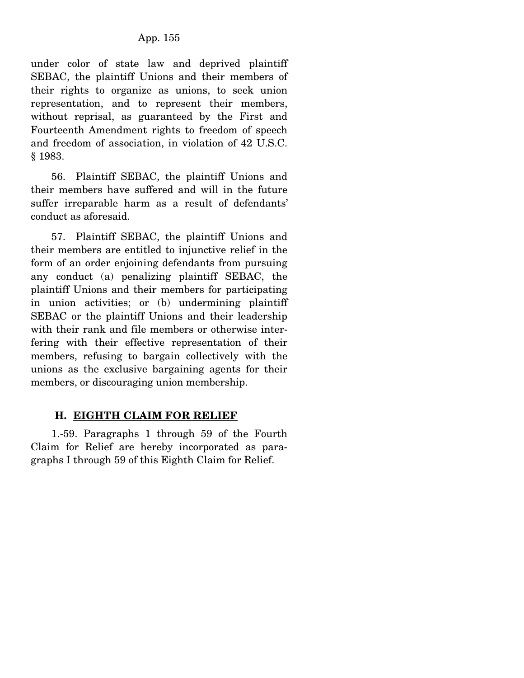under color of state law and deprived plaintiff SEBAC, the plaintiff Unions and their members of their rights to organize as unions, to seek union representation, and to represent their members, without reprisal, as guaranteed by the First and Fourteenth Amendment rights to freedom of speech and freedom of association, in violation of 42 U.S.C. § 1983.

 56. Plaintiff SEBAC, the plaintiff Unions and their members have suffered and will in the future suffer irreparable harm as a result of defendants' conduct as aforesaid.

 57. Plaintiff SEBAC, the plaintiff Unions and their members are entitled to injunctive relief in the form of an order enjoining defendants from pursuing any conduct (a) penalizing plaintiff SEBAC, the plaintiff Unions and their members for participating in union activities; or (b) undermining plaintiff SEBAC or the plaintiff Unions and their leadership with their rank and file members or otherwise interfering with their effective representation of their members, refusing to bargain collectively with the unions as the exclusive bargaining agents for their members, or discouraging union membership.

### **H. EIGHTH CLAIM FOR RELIEF**

1.-59. Paragraphs 1 through 59 of the Fourth Claim for Relief are hereby incorporated as paragraphs I through 59 of this Eighth Claim for Relief.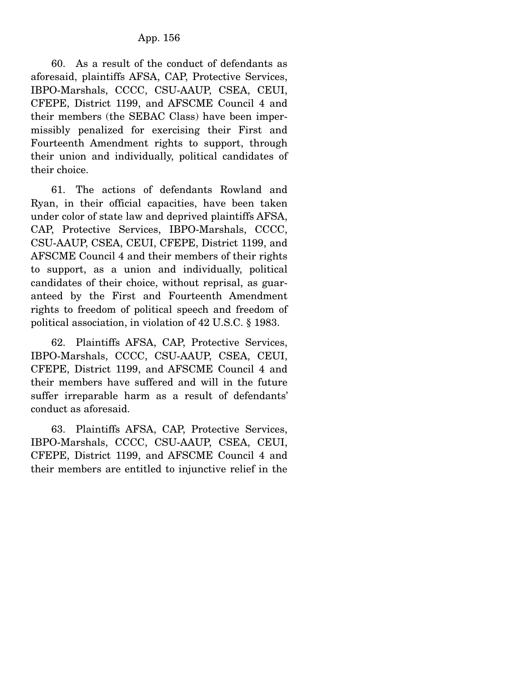60. As a result of the conduct of defendants as aforesaid, plaintiffs AFSA, CAP, Protective Services, IBPO-Marshals, CCCC, CSU-AAUP, CSEA, CEUI, CFEPE, District 1199, and AFSCME Council 4 and their members (the SEBAC Class) have been impermissibly penalized for exercising their First and Fourteenth Amendment rights to support, through their union and individually, political candidates of their choice.

 61. The actions of defendants Rowland and Ryan, in their official capacities, have been taken under color of state law and deprived plaintiffs AFSA, CAP, Protective Services, IBPO-Marshals, CCCC, CSU-AAUP, CSEA, CEUI, CFEPE, District 1199, and AFSCME Council 4 and their members of their rights to support, as a union and individually, political candidates of their choice, without reprisal, as guaranteed by the First and Fourteenth Amendment rights to freedom of political speech and freedom of political association, in violation of 42 U.S.C. § 1983.

 62. Plaintiffs AFSA, CAP, Protective Services, IBPO-Marshals, CCCC, CSU-AAUP, CSEA, CEUI, CFEPE, District 1199, and AFSCME Council 4 and their members have suffered and will in the future suffer irreparable harm as a result of defendants' conduct as aforesaid.

 63. Plaintiffs AFSA, CAP, Protective Services, IBPO-Marshals, CCCC, CSU-AAUP, CSEA, CEUI, CFEPE, District 1199, and AFSCME Council 4 and their members are entitled to injunctive relief in the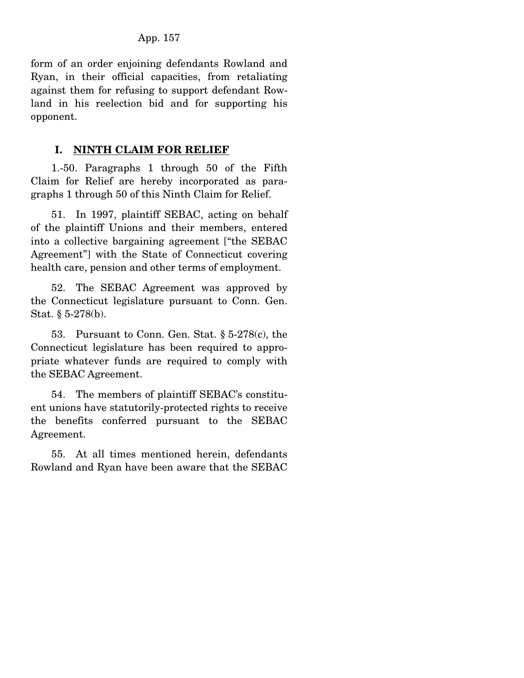form of an order enjoining defendants Rowland and Ryan, in their official capacities, from retaliating against them for refusing to support defendant Rowland in his reelection bid and for supporting his opponent.

### **I. NINTH CLAIM FOR RELIEF**

 1.-50. Paragraphs 1 through 50 of the Fifth Claim for Relief are hereby incorporated as paragraphs 1 through 50 of this Ninth Claim for Relief.

 51. In 1997, plaintiff SEBAC, acting on behalf of the plaintiff Unions and their members, entered into a collective bargaining agreement ["the SEBAC Agreement"] with the State of Connecticut covering health care, pension and other terms of employment.

 52. The SEBAC Agreement was approved by the Connecticut legislature pursuant to Conn. Gen. Stat. § 5-278(b).

 53. Pursuant to Conn. Gen. Stat. § 5-278(c), the Connecticut legislature has been required to appropriate whatever funds are required to comply with the SEBAC Agreement.

 54. The members of plaintiff SEBAC's constituent unions have statutorily-protected rights to receive the benefits conferred pursuant to the SEBAC Agreement.

 55. At all times mentioned herein, defendants Rowland and Ryan have been aware that the SEBAC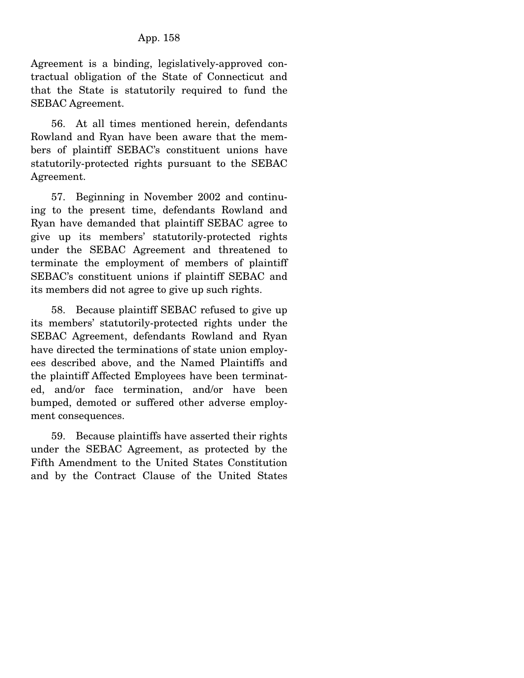Agreement is a binding, legislatively-approved contractual obligation of the State of Connecticut and that the State is statutorily required to fund the SEBAC Agreement.

 56. At all times mentioned herein, defendants Rowland and Ryan have been aware that the members of plaintiff SEBAC's constituent unions have statutorily-protected rights pursuant to the SEBAC Agreement.

 57. Beginning in November 2002 and continuing to the present time, defendants Rowland and Ryan have demanded that plaintiff SEBAC agree to give up its members' statutorily-protected rights under the SEBAC Agreement and threatened to terminate the employment of members of plaintiff SEBAC's constituent unions if plaintiff SEBAC and its members did not agree to give up such rights.

 58. Because plaintiff SEBAC refused to give up its members' statutorily-protected rights under the SEBAC Agreement, defendants Rowland and Ryan have directed the terminations of state union employees described above, and the Named Plaintiffs and the plaintiff Affected Employees have been terminated, and/or face termination, and/or have been bumped, demoted or suffered other adverse employment consequences.

 59. Because plaintiffs have asserted their rights under the SEBAC Agreement, as protected by the Fifth Amendment to the United States Constitution and by the Contract Clause of the United States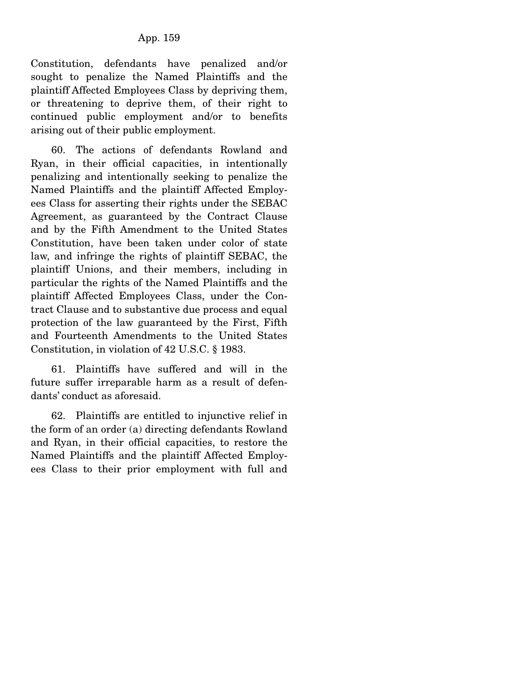Constitution, defendants have penalized and/or sought to penalize the Named Plaintiffs and the plaintiff Affected Employees Class by depriving them, or threatening to deprive them, of their right to continued public employment and/or to benefits arising out of their public employment.

 60. The actions of defendants Rowland and Ryan, in their official capacities, in intentionally penalizing and intentionally seeking to penalize the Named Plaintiffs and the plaintiff Affected Employees Class for asserting their rights under the SEBAC Agreement, as guaranteed by the Contract Clause and by the Fifth Amendment to the United States Constitution, have been taken under color of state law, and infringe the rights of plaintiff SEBAC, the plaintiff Unions, and their members, including in particular the rights of the Named Plaintiffs and the plaintiff Affected Employees Class, under the Contract Clause and to substantive due process and equal protection of the law guaranteed by the First, Fifth and Fourteenth Amendments to the United States Constitution, in violation of 42 U.S.C. § 1983.

 61. Plaintiffs have suffered and will in the future suffer irreparable harm as a result of defendants' conduct as aforesaid.

 62. Plaintiffs are entitled to injunctive relief in the form of an order (a) directing defendants Rowland and Ryan, in their official capacities, to restore the Named Plaintiffs and the plaintiff Affected Employees Class to their prior employment with full and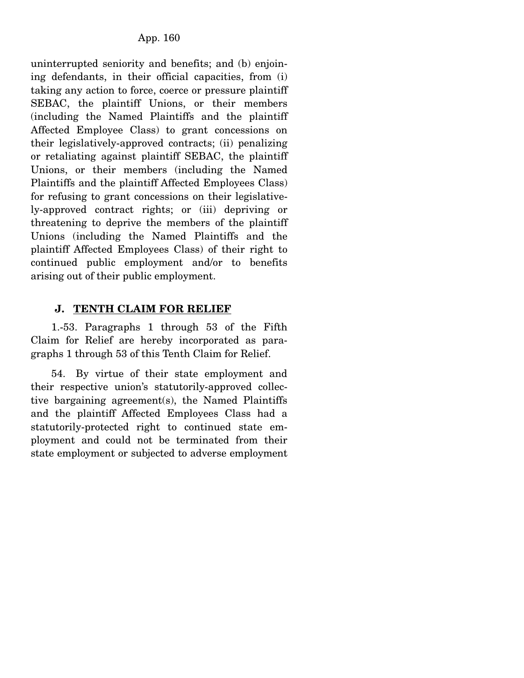uninterrupted seniority and benefits; and (b) enjoining defendants, in their official capacities, from (i) taking any action to force, coerce or pressure plaintiff SEBAC, the plaintiff Unions, or their members (including the Named Plaintiffs and the plaintiff Affected Employee Class) to grant concessions on their legislatively-approved contracts; (ii) penalizing or retaliating against plaintiff SEBAC, the plaintiff Unions, or their members (including the Named Plaintiffs and the plaintiff Affected Employees Class) for refusing to grant concessions on their legislatively-approved contract rights; or (iii) depriving or threatening to deprive the members of the plaintiff Unions (including the Named Plaintiffs and the plaintiff Affected Employees Class) of their right to continued public employment and/or to benefits arising out of their public employment.

## **J. TENTH CLAIM FOR RELIEF**

 1.-53. Paragraphs 1 through 53 of the Fifth Claim for Relief are hereby incorporated as paragraphs 1 through 53 of this Tenth Claim for Relief.

 54. By virtue of their state employment and their respective union's statutorily-approved collective bargaining agreement(s), the Named Plaintiffs and the plaintiff Affected Employees Class had a statutorily-protected right to continued state employment and could not be terminated from their state employment or subjected to adverse employment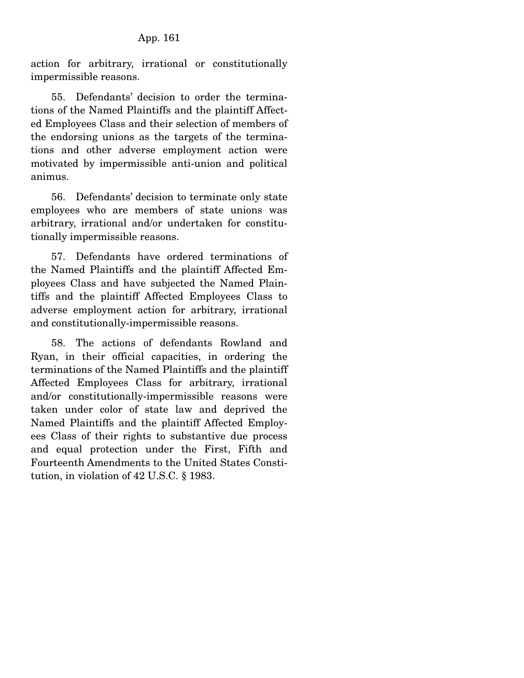action for arbitrary, irrational or constitutionally impermissible reasons.

 55. Defendants' decision to order the terminations of the Named Plaintiffs and the plaintiff Affected Employees Class and their selection of members of the endorsing unions as the targets of the terminations and other adverse employment action were motivated by impermissible anti-union and political animus.

 56. Defendants' decision to terminate only state employees who are members of state unions was arbitrary, irrational and/or undertaken for constitutionally impermissible reasons.

 57. Defendants have ordered terminations of the Named Plaintiffs and the plaintiff Affected Employees Class and have subjected the Named Plaintiffs and the plaintiff Affected Employees Class to adverse employment action for arbitrary, irrational and constitutionally-impermissible reasons.

 58. The actions of defendants Rowland and Ryan, in their official capacities, in ordering the terminations of the Named Plaintiffs and the plaintiff Affected Employees Class for arbitrary, irrational and/or constitutionally-impermissible reasons were taken under color of state law and deprived the Named Plaintiffs and the plaintiff Affected Employees Class of their rights to substantive due process and equal protection under the First, Fifth and Fourteenth Amendments to the United States Constitution, in violation of 42 U.S.C. § 1983.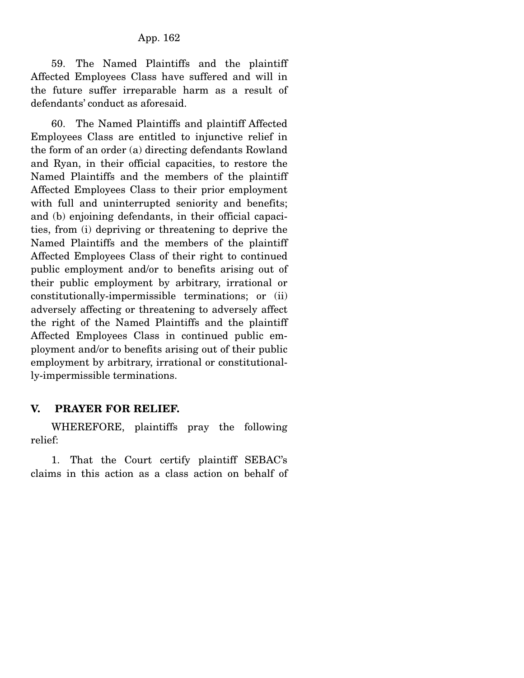59. The Named Plaintiffs and the plaintiff Affected Employees Class have suffered and will in the future suffer irreparable harm as a result of defendants' conduct as aforesaid.

 60. The Named Plaintiffs and plaintiff Affected Employees Class are entitled to injunctive relief in the form of an order (a) directing defendants Rowland and Ryan, in their official capacities, to restore the Named Plaintiffs and the members of the plaintiff Affected Employees Class to their prior employment with full and uninterrupted seniority and benefits; and (b) enjoining defendants, in their official capacities, from (i) depriving or threatening to deprive the Named Plaintiffs and the members of the plaintiff Affected Employees Class of their right to continued public employment and/or to benefits arising out of their public employment by arbitrary, irrational or constitutionally-impermissible terminations; or (ii) adversely affecting or threatening to adversely affect the right of the Named Plaintiffs and the plaintiff Affected Employees Class in continued public employment and/or to benefits arising out of their public employment by arbitrary, irrational or constitutionally-impermissible terminations.

#### **V. PRAYER FOR RELIEF.**

 WHEREFORE, plaintiffs pray the following relief:

 1. That the Court certify plaintiff SEBAC's claims in this action as a class action on behalf of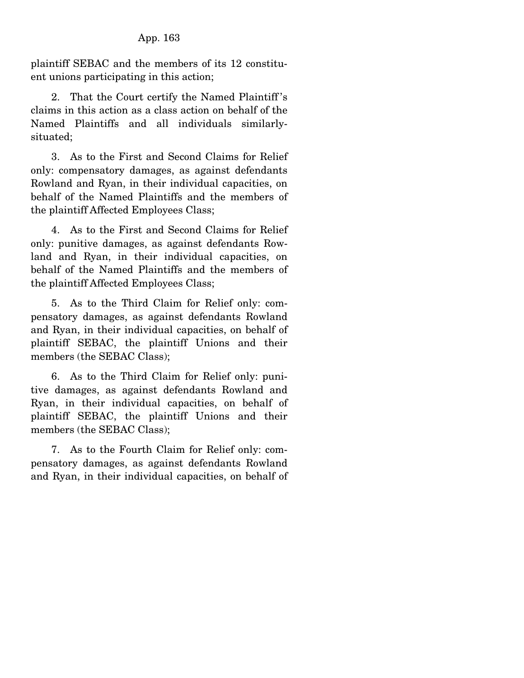plaintiff SEBAC and the members of its 12 constituent unions participating in this action;

 2. That the Court certify the Named Plaintiff 's claims in this action as a class action on behalf of the Named Plaintiffs and all individuals similarlysituated;

 3. As to the First and Second Claims for Relief only: compensatory damages, as against defendants Rowland and Ryan, in their individual capacities, on behalf of the Named Plaintiffs and the members of the plaintiff Affected Employees Class;

 4. As to the First and Second Claims for Relief only: punitive damages, as against defendants Rowland and Ryan, in their individual capacities, on behalf of the Named Plaintiffs and the members of the plaintiff Affected Employees Class;

 5. As to the Third Claim for Relief only: compensatory damages, as against defendants Rowland and Ryan, in their individual capacities, on behalf of plaintiff SEBAC, the plaintiff Unions and their members (the SEBAC Class);

 6. As to the Third Claim for Relief only: punitive damages, as against defendants Rowland and Ryan, in their individual capacities, on behalf of plaintiff SEBAC, the plaintiff Unions and their members (the SEBAC Class);

 7. As to the Fourth Claim for Relief only: compensatory damages, as against defendants Rowland and Ryan, in their individual capacities, on behalf of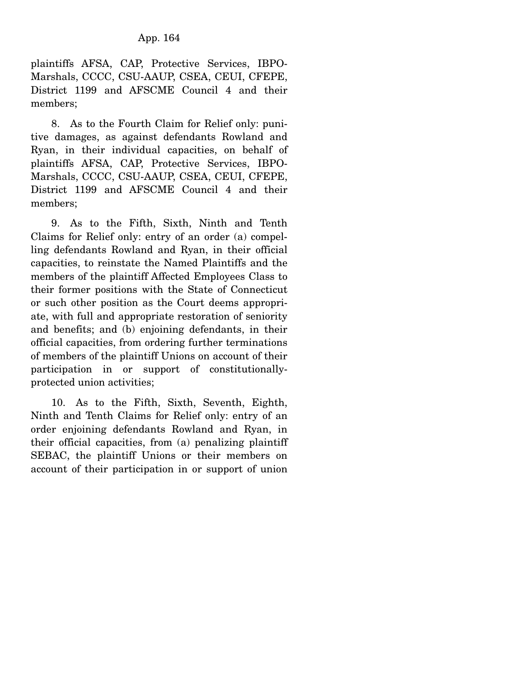plaintiffs AFSA, CAP, Protective Services, IBPO-Marshals, CCCC, CSU-AAUP, CSEA, CEUI, CFEPE, District 1199 and AFSCME Council 4 and their members;

 8. As to the Fourth Claim for Relief only: punitive damages, as against defendants Rowland and Ryan, in their individual capacities, on behalf of plaintiffs AFSA, CAP, Protective Services, IBPO-Marshals, CCCC, CSU-AAUP, CSEA, CEUI, CFEPE, District 1199 and AFSCME Council 4 and their members;

 9. As to the Fifth, Sixth, Ninth and Tenth Claims for Relief only: entry of an order (a) compelling defendants Rowland and Ryan, in their official capacities, to reinstate the Named Plaintiffs and the members of the plaintiff Affected Employees Class to their former positions with the State of Connecticut or such other position as the Court deems appropriate, with full and appropriate restoration of seniority and benefits; and (b) enjoining defendants, in their official capacities, from ordering further terminations of members of the plaintiff Unions on account of their participation in or support of constitutionallyprotected union activities;

 10. As to the Fifth, Sixth, Seventh, Eighth, Ninth and Tenth Claims for Relief only: entry of an order enjoining defendants Rowland and Ryan, in their official capacities, from (a) penalizing plaintiff SEBAC, the plaintiff Unions or their members on account of their participation in or support of union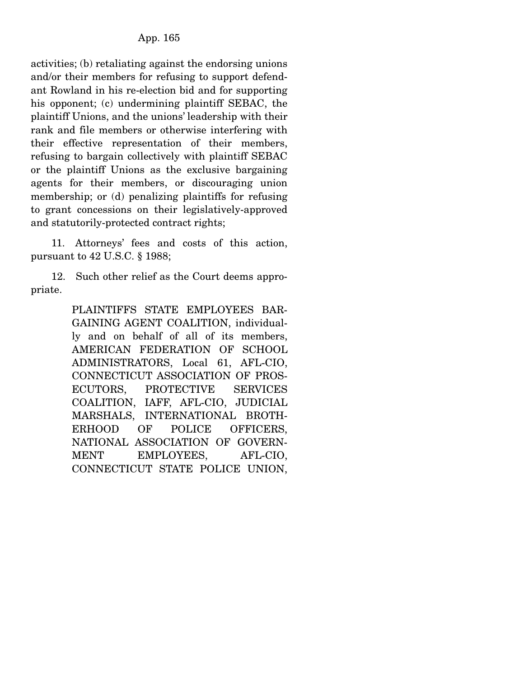activities; (b) retaliating against the endorsing unions and/or their members for refusing to support defendant Rowland in his re-election bid and for supporting his opponent; (c) undermining plaintiff SEBAC, the plaintiff Unions, and the unions' leadership with their rank and file members or otherwise interfering with their effective representation of their members, refusing to bargain collectively with plaintiff SEBAC or the plaintiff Unions as the exclusive bargaining agents for their members, or discouraging union membership; or (d) penalizing plaintiffs for refusing to grant concessions on their legislatively-approved and statutorily-protected contract rights;

 11. Attorneys' fees and costs of this action, pursuant to 42 U.S.C. § 1988;

 12. Such other relief as the Court deems appropriate.

> PLAINTIFFS STATE EMPLOYEES BAR-GAINING AGENT COALITION, individually and on behalf of all of its members, AMERICAN FEDERATION OF SCHOOL ADMINISTRATORS, Local 61, AFL-CIO, CONNECTICUT ASSOCIATION OF PROS-ECUTORS, PROTECTIVE SERVICES COALITION, IAFF, AFL-CIO, JUDICIAL MARSHALS, INTERNATIONAL BROTH-ERHOOD OF POLICE OFFICERS, NATIONAL ASSOCIATION OF GOVERN-MENT EMPLOYEES, AFL-CIO, CONNECTICUT STATE POLICE UNION,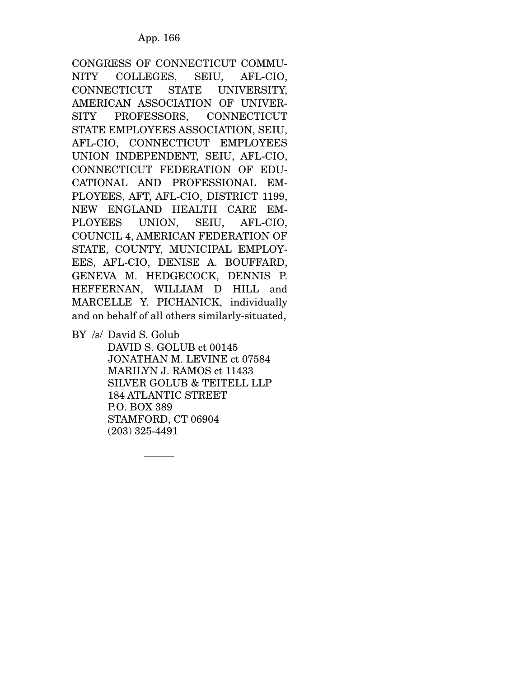CONGRESS OF CONNECTICUT COMMU-NITY COLLEGES, SEIU, AFL-CIO, CONNECTICUT STATE UNIVERSITY, AMERICAN ASSOCIATION OF UNIVER-SITY PROFESSORS, CONNECTICUT STATE EMPLOYEES ASSOCIATION, SEIU, AFL-CIO, CONNECTICUT EMPLOYEES UNION INDEPENDENT, SEIU, AFL-CIO, CONNECTICUT FEDERATION OF EDU-CATIONAL AND PROFESSIONAL EM-PLOYEES, AFT, AFL-CIO, DISTRICT 1199, NEW ENGLAND HEALTH CARE EM-PLOYEES UNION, SEIU, AFL-CIO, COUNCIL 4, AMERICAN FEDERATION OF STATE, COUNTY, MUNICIPAL EMPLOY-EES, AFL-CIO, DENISE A. BOUFFARD, GENEVA M. HEDGECOCK, DENNIS P. HEFFERNAN, WILLIAM D HILL and MARCELLE Y. PICHANICK, individually and on behalf of all others similarly-situated,

BY /s/ David S. Golub

 DAVID S. GOLUB ct 00145 JONATHAN M. LEVINE ct 07584 MARILYN J. RAMOS ct 11433 SILVER GOLUB & TEITELL LLP 184 ATLANTIC STREET P.O. BOX 389 STAMFORD, CT 06904 (203) 325-4491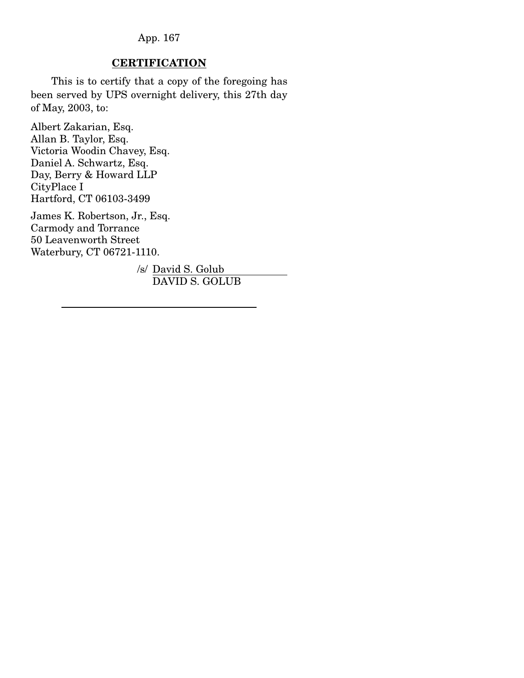## **CERTIFICATION**

This is to certify that a copy of the foregoing has been served by UPS overnight delivery, this 27th day of May, 2003, to:

Albert Zakarian, Esq. Allan B. Taylor, Esq. Victoria Woodin Chavey, Esq. Daniel A. Schwartz, Esq. Day, Berry & Howard LLP CityPlace I Hartford, CT 06103-3499

James K. Robertson, Jr., Esq. Carmody and Torrance 50 Leavenworth Street Waterbury, CT 06721-1110.

> /s/ David S. Golub DAVID S. GOLUB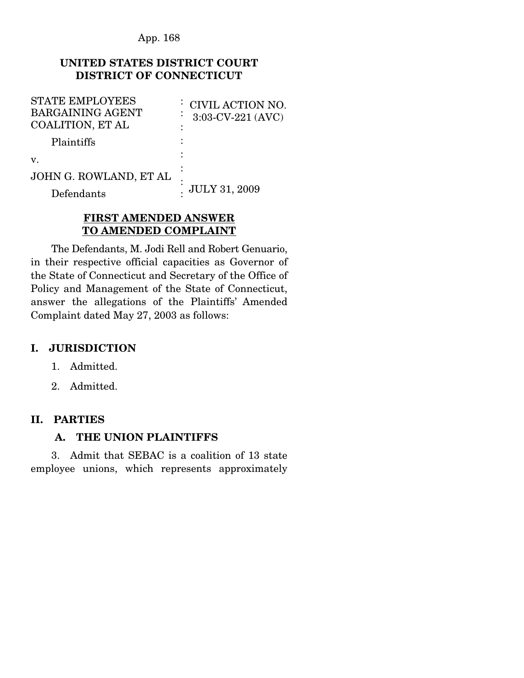## **UNITED STATES DISTRICT COURT DISTRICT OF CONNECTICUT**

| <b>STATE EMPLOYEES</b><br><b>BARGAINING AGENT</b><br><b>COALITION, ET AL</b> | : CIVIL ACTION NO.<br>3:03-CV-221 (AVC) |
|------------------------------------------------------------------------------|-----------------------------------------|
| Plaintiffs                                                                   |                                         |
| $V_{\cdot}$                                                                  |                                         |
| JOHN G. ROWLAND, ET AL                                                       |                                         |
| Defendants                                                                   | <b>JULY 31, 2009</b>                    |

## **FIRST AMENDED ANSWER TO AMENDED COMPLAINT**

The Defendants, M. Jodi Rell and Robert Genuario, in their respective official capacities as Governor of the State of Connecticut and Secretary of the Office of Policy and Management of the State of Connecticut, answer the allegations of the Plaintiffs' Amended Complaint dated May 27, 2003 as follows:

## **I. JURISDICTION**

- 1. Admitted.
- 2. Admitted.

# **II. PARTIES**

## **A. THE UNION PLAINTIFFS**

3. Admit that SEBAC is a coalition of 13 state employee unions, which represents approximately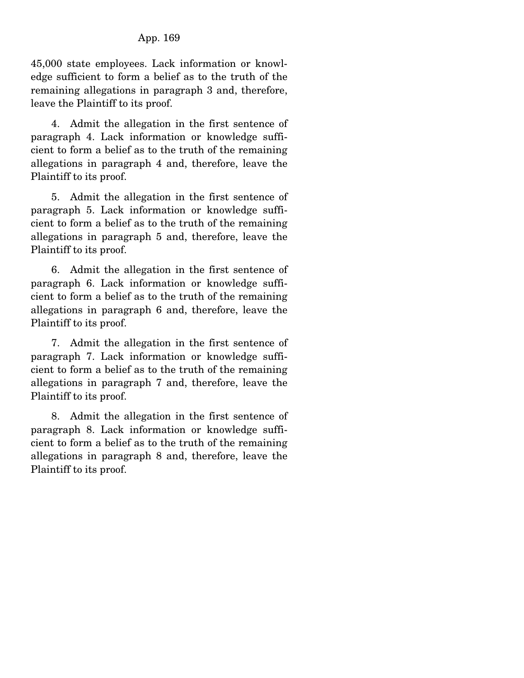45,000 state employees. Lack information or knowledge sufficient to form a belief as to the truth of the remaining allegations in paragraph 3 and, therefore, leave the Plaintiff to its proof.

 4. Admit the allegation in the first sentence of paragraph 4. Lack information or knowledge sufficient to form a belief as to the truth of the remaining allegations in paragraph 4 and, therefore, leave the Plaintiff to its proof.

 5. Admit the allegation in the first sentence of paragraph 5. Lack information or knowledge sufficient to form a belief as to the truth of the remaining allegations in paragraph 5 and, therefore, leave the Plaintiff to its proof.

 6. Admit the allegation in the first sentence of paragraph 6. Lack information or knowledge sufficient to form a belief as to the truth of the remaining allegations in paragraph 6 and, therefore, leave the Plaintiff to its proof.

 7. Admit the allegation in the first sentence of paragraph 7. Lack information or knowledge sufficient to form a belief as to the truth of the remaining allegations in paragraph 7 and, therefore, leave the Plaintiff to its proof.

 8. Admit the allegation in the first sentence of paragraph 8. Lack information or knowledge sufficient to form a belief as to the truth of the remaining allegations in paragraph 8 and, therefore, leave the Plaintiff to its proof.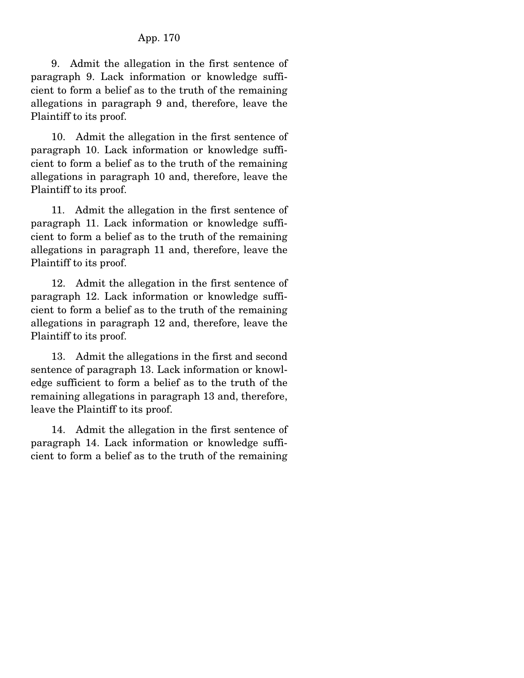9. Admit the allegation in the first sentence of paragraph 9. Lack information or knowledge sufficient to form a belief as to the truth of the remaining allegations in paragraph 9 and, therefore, leave the Plaintiff to its proof.

 10. Admit the allegation in the first sentence of paragraph 10. Lack information or knowledge sufficient to form a belief as to the truth of the remaining allegations in paragraph 10 and, therefore, leave the Plaintiff to its proof.

 11. Admit the allegation in the first sentence of paragraph 11. Lack information or knowledge sufficient to form a belief as to the truth of the remaining allegations in paragraph 11 and, therefore, leave the Plaintiff to its proof.

 12. Admit the allegation in the first sentence of paragraph 12. Lack information or knowledge sufficient to form a belief as to the truth of the remaining allegations in paragraph 12 and, therefore, leave the Plaintiff to its proof.

 13. Admit the allegations in the first and second sentence of paragraph 13. Lack information or knowledge sufficient to form a belief as to the truth of the remaining allegations in paragraph 13 and, therefore, leave the Plaintiff to its proof.

 14. Admit the allegation in the first sentence of paragraph 14. Lack information or knowledge sufficient to form a belief as to the truth of the remaining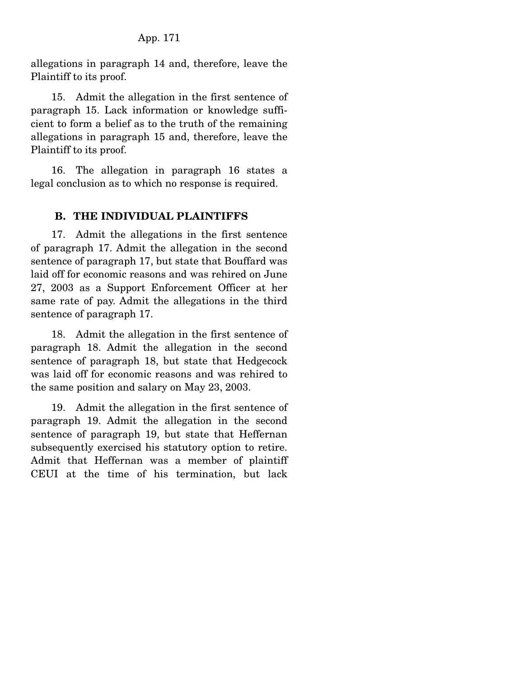allegations in paragraph 14 and, therefore, leave the Plaintiff to its proof.

 15. Admit the allegation in the first sentence of paragraph 15. Lack information or knowledge sufficient to form a belief as to the truth of the remaining allegations in paragraph 15 and, therefore, leave the Plaintiff to its proof.

 16. The allegation in paragraph 16 states a legal conclusion as to which no response is required.

## **B. THE INDIVIDUAL PLAINTIFFS**

 17. Admit the allegations in the first sentence of paragraph 17. Admit the allegation in the second sentence of paragraph 17, but state that Bouffard was laid off for economic reasons and was rehired on June 27, 2003 as a Support Enforcement Officer at her same rate of pay. Admit the allegations in the third sentence of paragraph 17.

 18. Admit the allegation in the first sentence of paragraph 18. Admit the allegation in the second sentence of paragraph 18, but state that Hedgecock was laid off for economic reasons and was rehired to the same position and salary on May 23, 2003.

 19. Admit the allegation in the first sentence of paragraph 19. Admit the allegation in the second sentence of paragraph 19, but state that Heffernan subsequently exercised his statutory option to retire. Admit that Heffernan was a member of plaintiff CEUI at the time of his termination, but lack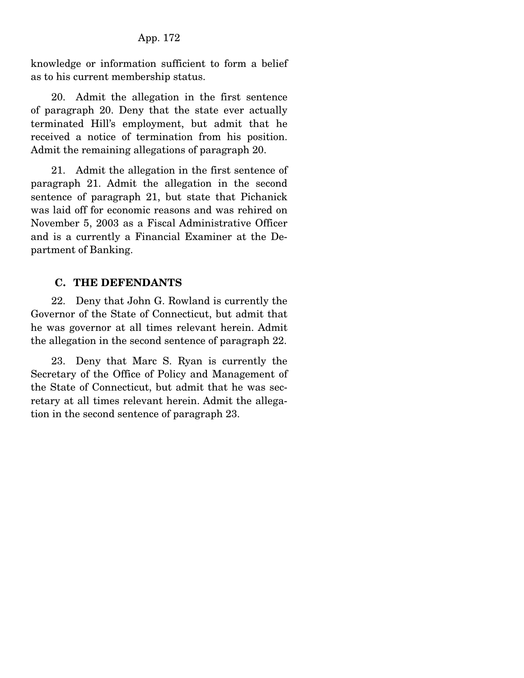knowledge or information sufficient to form a belief as to his current membership status.

 20. Admit the allegation in the first sentence of paragraph 20. Deny that the state ever actually terminated Hill's employment, but admit that he received a notice of termination from his position. Admit the remaining allegations of paragraph 20.

 21. Admit the allegation in the first sentence of paragraph 21. Admit the allegation in the second sentence of paragraph 21, but state that Pichanick was laid off for economic reasons and was rehired on November 5, 2003 as a Fiscal Administrative Officer and is a currently a Financial Examiner at the Department of Banking.

## **C. THE DEFENDANTS**

 22. Deny that John G. Rowland is currently the Governor of the State of Connecticut, but admit that he was governor at all times relevant herein. Admit the allegation in the second sentence of paragraph 22.

 23. Deny that Marc S. Ryan is currently the Secretary of the Office of Policy and Management of the State of Connecticut, but admit that he was secretary at all times relevant herein. Admit the allegation in the second sentence of paragraph 23.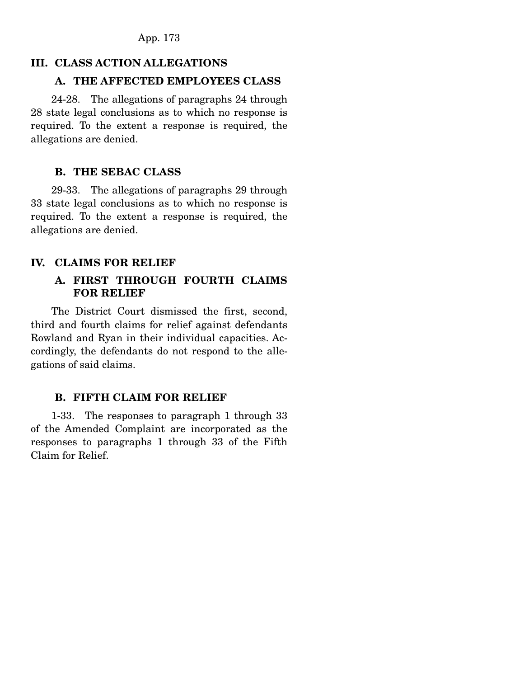## **III. CLASS ACTION ALLEGATIONS**

## **A. THE AFFECTED EMPLOYEES CLASS**

 24-28. The allegations of paragraphs 24 through 28 state legal conclusions as to which no response is required. To the extent a response is required, the allegations are denied.

## **B. THE SEBAC CLASS**

 29-33. The allegations of paragraphs 29 through 33 state legal conclusions as to which no response is required. To the extent a response is required, the allegations are denied.

## **IV. CLAIMS FOR RELIEF**

## **A. FIRST THROUGH FOURTH CLAIMS FOR RELIEF**

 The District Court dismissed the first, second, third and fourth claims for relief against defendants Rowland and Ryan in their individual capacities. Accordingly, the defendants do not respond to the allegations of said claims.

## **B. FIFTH CLAIM FOR RELIEF**

 1-33. The responses to paragraph 1 through 33 of the Amended Complaint are incorporated as the responses to paragraphs 1 through 33 of the Fifth Claim for Relief.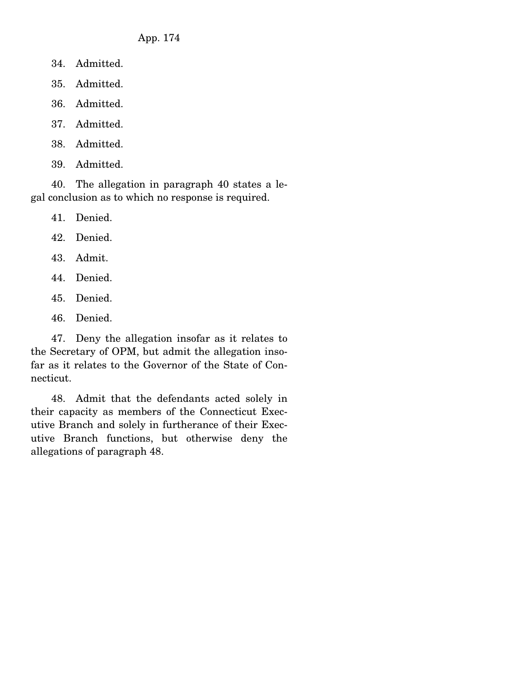- 34. Admitted.
- 35. Admitted.
- 36. Admitted.
- 37. Admitted.
- 38. Admitted.
- 39. Admitted.

 40. The allegation in paragraph 40 states a legal conclusion as to which no response is required.

41. Denied.

42. Denied.

- 43. Admit.
- 44. Denied.
- 45. Denied.
- 46. Denied.

 47. Deny the allegation insofar as it relates to the Secretary of OPM, but admit the allegation insofar as it relates to the Governor of the State of Connecticut.

 48. Admit that the defendants acted solely in their capacity as members of the Connecticut Executive Branch and solely in furtherance of their Executive Branch functions, but otherwise deny the allegations of paragraph 48.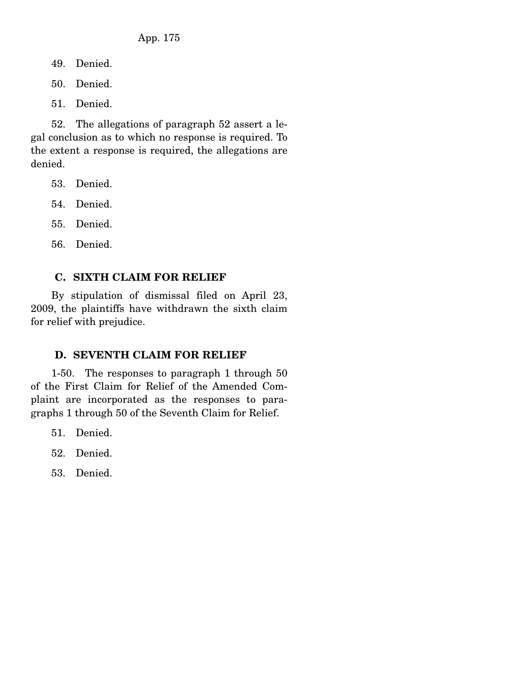49. Denied.

50. Denied.

51. Denied.

 52. The allegations of paragraph 52 assert a legal conclusion as to which no response is required. To the extent a response is required, the allegations are denied.

- 53. Denied.
- 54. Denied.
- 55. Denied.
- 56. Denied.

## **C. SIXTH CLAIM FOR RELIEF**

 By stipulation of dismissal filed on April 23, 2009, the plaintiffs have withdrawn the sixth claim for relief with prejudice.

# **D. SEVENTH CLAIM FOR RELIEF**

 1-50. The responses to paragraph 1 through 50 of the First Claim for Relief of the Amended Complaint are incorporated as the responses to paragraphs 1 through 50 of the Seventh Claim for Relief.

- 51. Denied.
- 52. Denied.
- 53. Denied.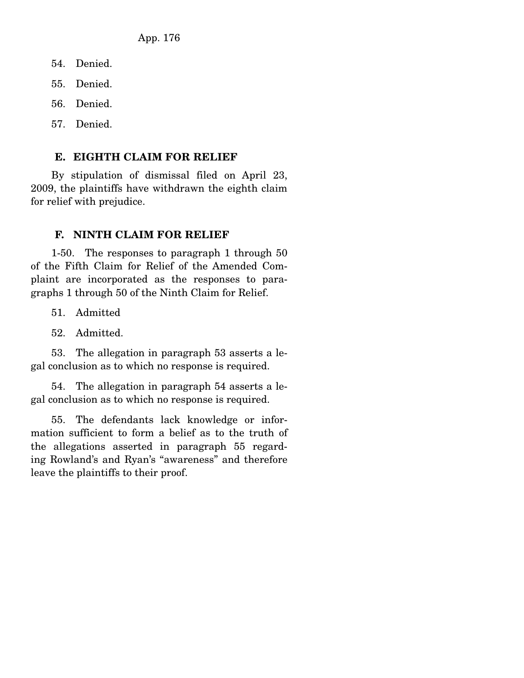- 54. Denied.
- 55. Denied.
- 56. Denied.
- 57. Denied.

#### **E. EIGHTH CLAIM FOR RELIEF**

 By stipulation of dismissal filed on April 23, 2009, the plaintiffs have withdrawn the eighth claim for relief with prejudice.

#### **F. NINTH CLAIM FOR RELIEF**

 1-50. The responses to paragraph 1 through 50 of the Fifth Claim for Relief of the Amended Complaint are incorporated as the responses to paragraphs 1 through 50 of the Ninth Claim for Relief.

51. Admitted

52. Admitted.

 53. The allegation in paragraph 53 asserts a legal conclusion as to which no response is required.

 54. The allegation in paragraph 54 asserts a legal conclusion as to which no response is required.

 55. The defendants lack knowledge or information sufficient to form a belief as to the truth of the allegations asserted in paragraph 55 regarding Rowland's and Ryan's "awareness" and therefore leave the plaintiffs to their proof.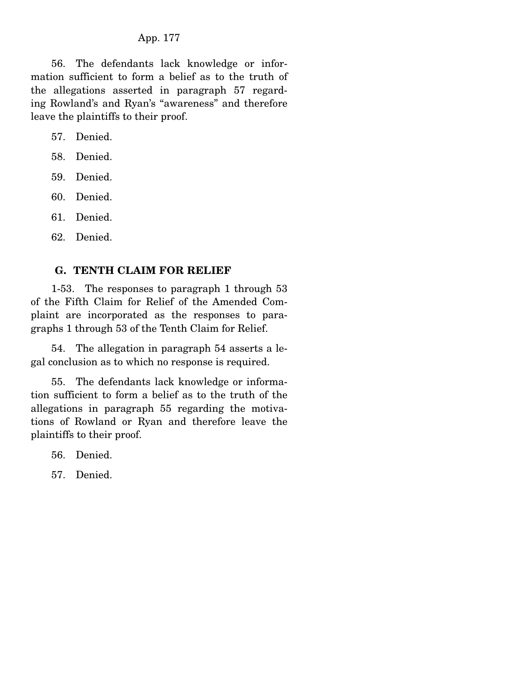56. The defendants lack knowledge or information sufficient to form a belief as to the truth of the allegations asserted in paragraph 57 regarding Rowland's and Ryan's "awareness" and therefore leave the plaintiffs to their proof.

57. Denied.

58. Denied.

59. Denied.

60. Denied.

61. Denied.

62. Denied.

#### **G. TENTH CLAIM FOR RELIEF**

 1-53. The responses to paragraph 1 through 53 of the Fifth Claim for Relief of the Amended Complaint are incorporated as the responses to paragraphs 1 through 53 of the Tenth Claim for Relief.

 54. The allegation in paragraph 54 asserts a legal conclusion as to which no response is required.

 55. The defendants lack knowledge or information sufficient to form a belief as to the truth of the allegations in paragraph 55 regarding the motivations of Rowland or Ryan and therefore leave the plaintiffs to their proof.

56. Denied.

57. Denied.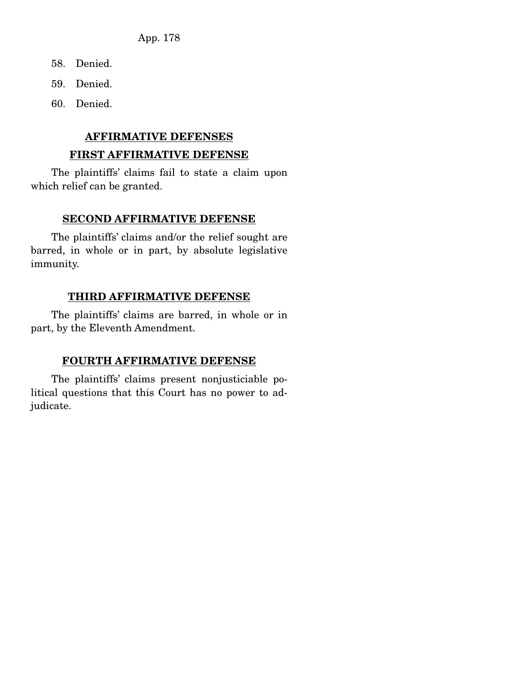- 58. Denied.
- 59. Denied.
- 60. Denied.

#### **AFFIRMATIVE DEFENSES**

#### **FIRST AFFIRMATIVE DEFENSE**

 The plaintiffs' claims fail to state a claim upon which relief can be granted.

#### **SECOND AFFIRMATIVE DEFENSE**

 The plaintiffs' claims and/or the relief sought are barred, in whole or in part, by absolute legislative immunity.

#### **THIRD AFFIRMATIVE DEFENSE**

 The plaintiffs' claims are barred, in whole or in part, by the Eleventh Amendment.

## **FOURTH AFFIRMATIVE DEFENSE**

 The plaintiffs' claims present nonjusticiable political questions that this Court has no power to adjudicate.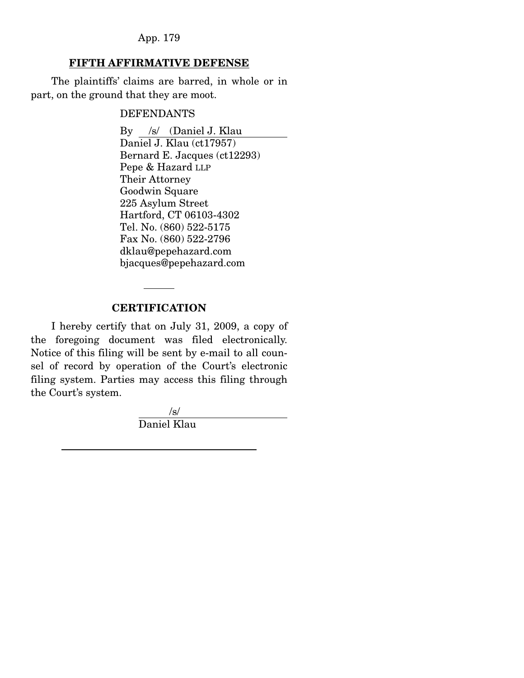## **FIFTH AFFIRMATIVE DEFENSE**

 The plaintiffs' claims are barred, in whole or in part, on the ground that they are moot.

#### DEFENDANTS

 By /s/ (Daniel J. Klau Daniel J. Klau (ct17957) Bernard E. Jacques (ct12293) Pepe & Hazard LLP Their Attorney Goodwin Square 225 Asylum Street Hartford, CT 06103-4302 Tel. No. (860) 522-5175 Fax No. (860) 522-2796 dklau@pepehazard.com bjacques@pepehazard.com

#### **CERTIFICATION**

 I hereby certify that on July 31, 2009, a copy of the foregoing document was filed electronically. Notice of this filing will be sent by e-mail to all counsel of record by operation of the Court's electronic filing system. Parties may access this filing through the Court's system.

 /s/ Daniel Klau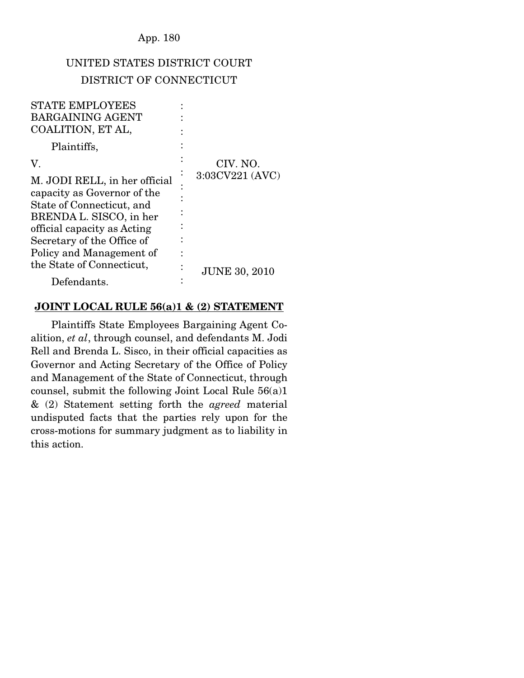# UNITED STATES DISTRICT COURT DISTRICT OF CONNECTICUT

| <b>STATE EMPLOYEES</b><br><b>BARGAINING AGENT</b>                                                                                                                                                             |                      |
|---------------------------------------------------------------------------------------------------------------------------------------------------------------------------------------------------------------|----------------------|
| COALITION, ET AL,                                                                                                                                                                                             |                      |
| Plaintiffs,                                                                                                                                                                                                   |                      |
| V.                                                                                                                                                                                                            | CIV. NO.             |
| M. JODI RELL, in her official<br>capacity as Governor of the<br>State of Connecticut, and<br>BRENDA L. SISCO, in her<br>official capacity as Acting<br>Secretary of the Office of<br>Policy and Management of | 3:03CV221 (AVC)      |
| the State of Connecticut,                                                                                                                                                                                     | <b>JUNE 30, 2010</b> |
| Defendants.                                                                                                                                                                                                   |                      |

#### **JOINT LOCAL RULE 56(a)1 & (2) STATEMENT**

 Plaintiffs State Employees Bargaining Agent Coalition, *et al*, through counsel, and defendants M. Jodi Rell and Brenda L. Sisco, in their official capacities as Governor and Acting Secretary of the Office of Policy and Management of the State of Connecticut, through counsel, submit the following Joint Local Rule 56(a)1 & (2) Statement setting forth the *agreed* material undisputed facts that the parties rely upon for the cross-motions for summary judgment as to liability in this action.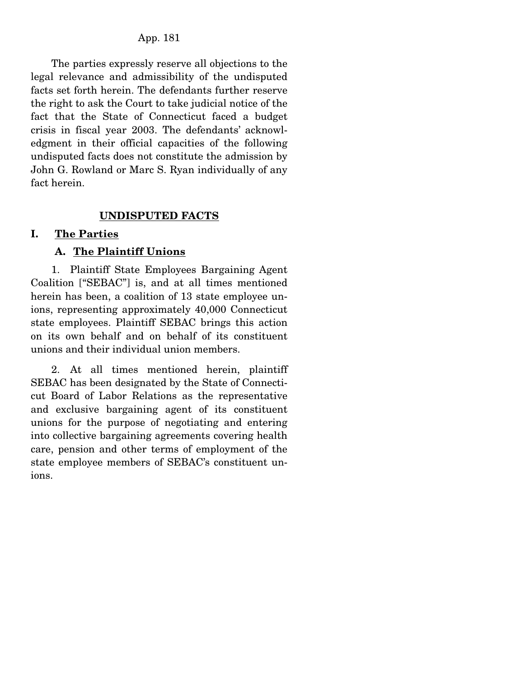The parties expressly reserve all objections to the legal relevance and admissibility of the undisputed facts set forth herein. The defendants further reserve the right to ask the Court to take judicial notice of the fact that the State of Connecticut faced a budget crisis in fiscal year 2003. The defendants' acknowledgment in their official capacities of the following undisputed facts does not constitute the admission by John G. Rowland or Marc S. Ryan individually of any fact herein.

## **UNDISPUTED FACTS**

#### **I. The Parties**

#### **A. The Plaintiff Unions**

 1. Plaintiff State Employees Bargaining Agent Coalition ["SEBAC"] is, and at all times mentioned herein has been, a coalition of 13 state employee unions, representing approximately 40,000 Connecticut state employees. Plaintiff SEBAC brings this action on its own behalf and on behalf of its constituent unions and their individual union members.

 2. At all times mentioned herein, plaintiff SEBAC has been designated by the State of Connecticut Board of Labor Relations as the representative and exclusive bargaining agent of its constituent unions for the purpose of negotiating and entering into collective bargaining agreements covering health care, pension and other terms of employment of the state employee members of SEBAC's constituent unions.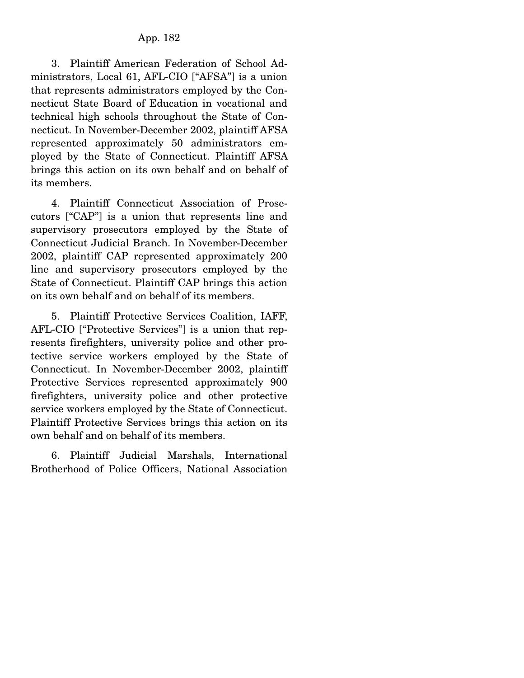3. Plaintiff American Federation of School Administrators, Local 61, AFL-CIO ["AFSA"] is a union that represents administrators employed by the Connecticut State Board of Education in vocational and technical high schools throughout the State of Connecticut. In November-December 2002, plaintiff AFSA represented approximately 50 administrators employed by the State of Connecticut. Plaintiff AFSA brings this action on its own behalf and on behalf of its members.

 4. Plaintiff Connecticut Association of Prosecutors ["CAP"] is a union that represents line and supervisory prosecutors employed by the State of Connecticut Judicial Branch. In November-December 2002, plaintiff CAP represented approximately 200 line and supervisory prosecutors employed by the State of Connecticut. Plaintiff CAP brings this action on its own behalf and on behalf of its members.

 5. Plaintiff Protective Services Coalition, IAFF, AFL-CIO ["Protective Services"] is a union that represents firefighters, university police and other protective service workers employed by the State of Connecticut. In November-December 2002, plaintiff Protective Services represented approximately 900 firefighters, university police and other protective service workers employed by the State of Connecticut. Plaintiff Protective Services brings this action on its own behalf and on behalf of its members.

 6. Plaintiff Judicial Marshals, International Brotherhood of Police Officers, National Association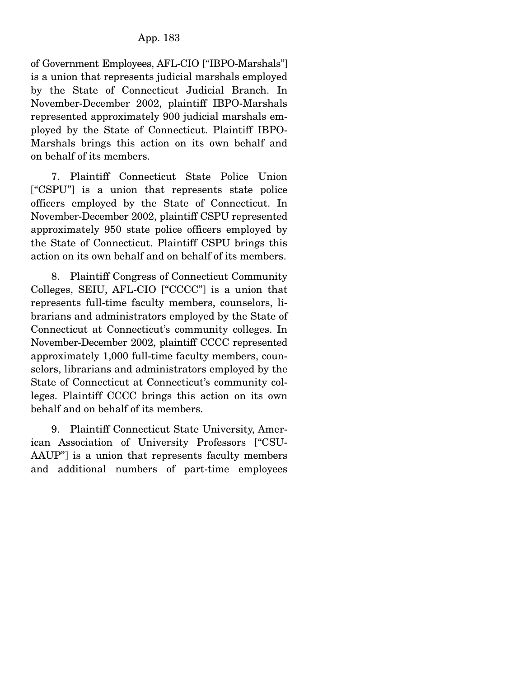of Government Employees, AFL-CIO ["IBPO-Marshals"] is a union that represents judicial marshals employed by the State of Connecticut Judicial Branch. In November-December 2002, plaintiff IBPO-Marshals represented approximately 900 judicial marshals employed by the State of Connecticut. Plaintiff IBPO-Marshals brings this action on its own behalf and on behalf of its members.

 7. Plaintiff Connecticut State Police Union ["CSPU"] is a union that represents state police officers employed by the State of Connecticut. In November-December 2002, plaintiff CSPU represented approximately 950 state police officers employed by the State of Connecticut. Plaintiff CSPU brings this action on its own behalf and on behalf of its members.

 8. Plaintiff Congress of Connecticut Community Colleges, SEIU, AFL-CIO ["CCCC"] is a union that represents full-time faculty members, counselors, librarians and administrators employed by the State of Connecticut at Connecticut's community colleges. In November-December 2002, plaintiff CCCC represented approximately 1,000 full-time faculty members, counselors, librarians and administrators employed by the State of Connecticut at Connecticut's community colleges. Plaintiff CCCC brings this action on its own behalf and on behalf of its members.

 9. Plaintiff Connecticut State University, American Association of University Professors ["CSU-AAUP"] is a union that represents faculty members and additional numbers of part-time employees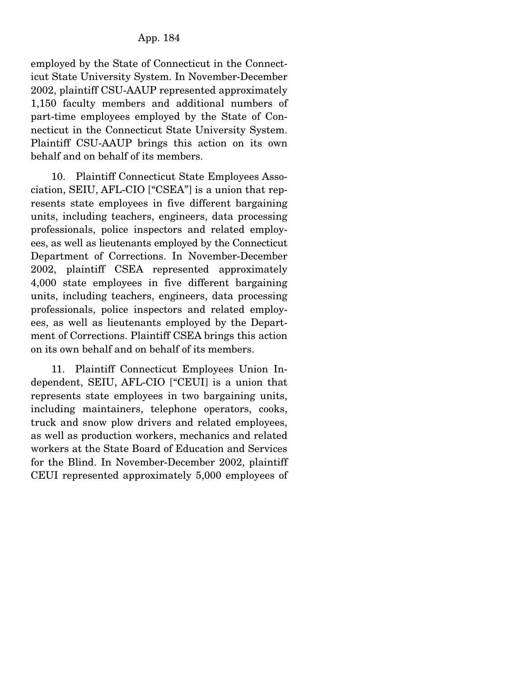employed by the State of Connecticut in the Connecticut State University System. In November-December 2002, plaintiff CSU-AAUP represented approximately 1,150 faculty members and additional numbers of part-time employees employed by the State of Connecticut in the Connecticut State University System. Plaintiff CSU-AAUP brings this action on its own behalf and on behalf of its members.

 10. Plaintiff Connecticut State Employees Association, SEIU, AFL-CIO ["CSEA"] is a union that represents state employees in five different bargaining units, including teachers, engineers, data processing professionals, police inspectors and related employees, as well as lieutenants employed by the Connecticut Department of Corrections. In November-December 2002, plaintiff CSEA represented approximately 4,000 state employees in five different bargaining units, including teachers, engineers, data processing professionals, police inspectors and related employees, as well as lieutenants employed by the Department of Corrections. Plaintiff CSEA brings this action on its own behalf and on behalf of its members.

 11. Plaintiff Connecticut Employees Union Independent, SEIU, AFL-CIO ["CEUI] is a union that represents state employees in two bargaining units, including maintainers, telephone operators, cooks, truck and snow plow drivers and related employees, as well as production workers, mechanics and related workers at the State Board of Education and Services for the Blind. In November-December 2002, plaintiff CEUI represented approximately 5,000 employees of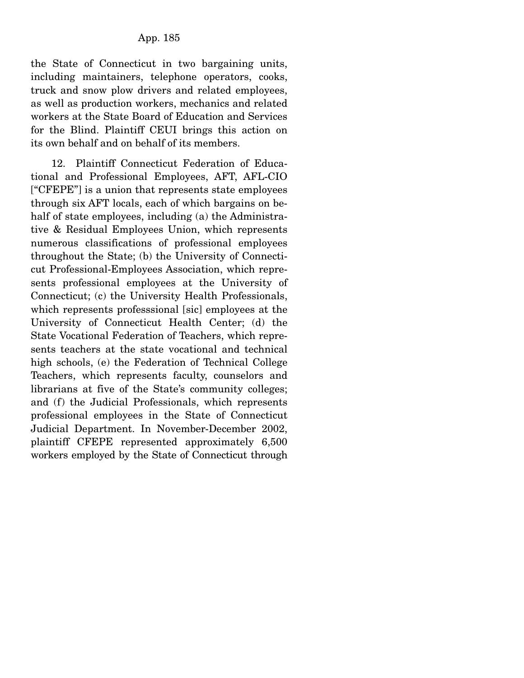the State of Connecticut in two bargaining units, including maintainers, telephone operators, cooks, truck and snow plow drivers and related employees, as well as production workers, mechanics and related workers at the State Board of Education and Services for the Blind. Plaintiff CEUI brings this action on its own behalf and on behalf of its members.

 12. Plaintiff Connecticut Federation of Educational and Professional Employees, AFT, AFL-CIO ["CFEPE"] is a union that represents state employees through six AFT locals, each of which bargains on behalf of state employees, including (a) the Administrative & Residual Employees Union, which represents numerous classifications of professional employees throughout the State; (b) the University of Connecticut Professional-Employees Association, which represents professional employees at the University of Connecticut; (c) the University Health Professionals, which represents professsional [sic] employees at the University of Connecticut Health Center; (d) the State Vocational Federation of Teachers, which represents teachers at the state vocational and technical high schools, (e) the Federation of Technical College Teachers, which represents faculty, counselors and librarians at five of the State's community colleges; and (f) the Judicial Professionals, which represents professional employees in the State of Connecticut Judicial Department. In November-December 2002, plaintiff CFEPE represented approximately 6,500 workers employed by the State of Connecticut through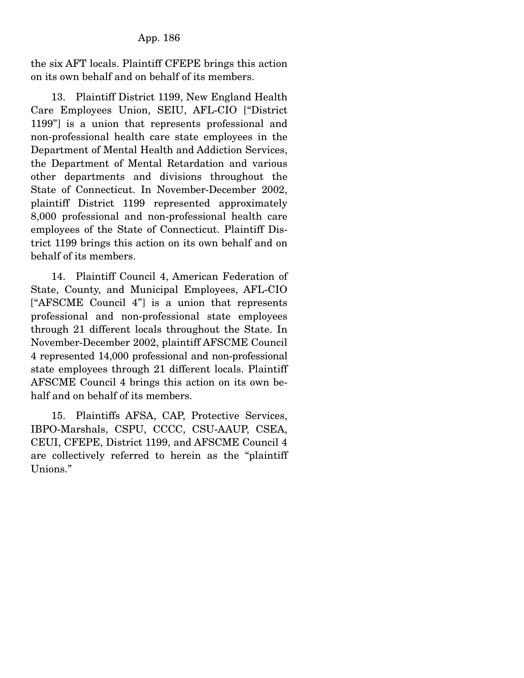the six AFT locals. Plaintiff CFEPE brings this action on its own behalf and on behalf of its members.

 13. Plaintiff District 1199, New England Health Care Employees Union, SEIU, AFL-CIO ["District 1199"] is a union that represents professional and non-professional health care state employees in the Department of Mental Health and Addiction Services, the Department of Mental Retardation and various other departments and divisions throughout the State of Connecticut. In November-December 2002, plaintiff District 1199 represented approximately 8,000 professional and non-professional health care employees of the State of Connecticut. Plaintiff District 1199 brings this action on its own behalf and on behalf of its members.

 14. Plaintiff Council 4, American Federation of State, County, and Municipal Employees, AFL-CIO ["AFSCME Council 4"] is a union that represents professional and non-professional state employees through 21 different locals throughout the State. In November-December 2002, plaintiff AFSCME Council 4 represented 14,000 professional and non-professional state employees through 21 different locals. Plaintiff AFSCME Council 4 brings this action on its own behalf and on behalf of its members.

 15. Plaintiffs AFSA, CAP, Protective Services, IBPO-Marshals, CSPU, CCCC, CSU-AAUP, CSEA, CEUI, CFEPE, District 1199, and AFSCME Council 4 are collectively referred to herein as the "plaintiff Unions."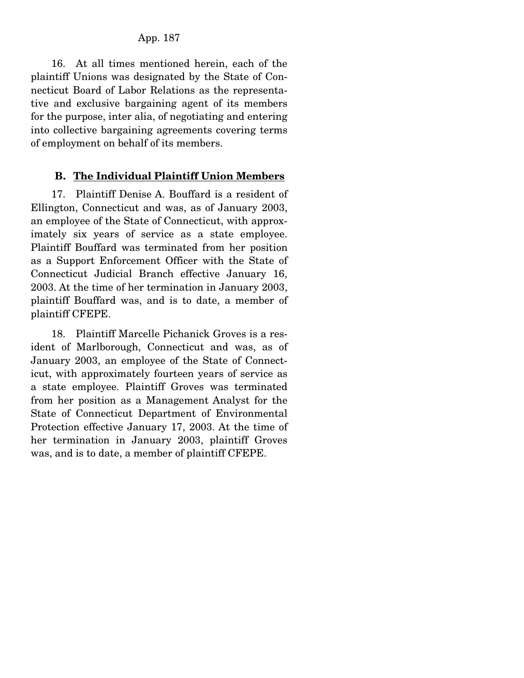16. At all times mentioned herein, each of the plaintiff Unions was designated by the State of Connecticut Board of Labor Relations as the representative and exclusive bargaining agent of its members for the purpose, inter alia, of negotiating and entering into collective bargaining agreements covering terms of employment on behalf of its members.

## **B. The Individual Plaintiff Union Members**

 17. Plaintiff Denise A. Bouffard is a resident of Ellington, Connecticut and was, as of January 2003, an employee of the State of Connecticut, with approximately six years of service as a state employee. Plaintiff Bouffard was terminated from her position as a Support Enforcement Officer with the State of Connecticut Judicial Branch effective January 16, 2003. At the time of her termination in January 2003, plaintiff Bouffard was, and is to date, a member of plaintiff CFEPE.

 18. Plaintiff Marcelle Pichanick Groves is a resident of Marlborough, Connecticut and was, as of January 2003, an employee of the State of Connecticut, with approximately fourteen years of service as a state employee. Plaintiff Groves was terminated from her position as a Management Analyst for the State of Connecticut Department of Environmental Protection effective January 17, 2003. At the time of her termination in January 2003, plaintiff Groves was, and is to date, a member of plaintiff CFEPE.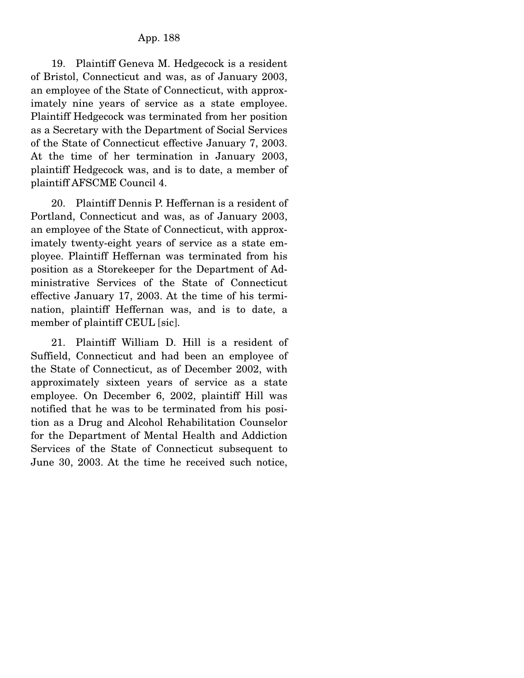19. Plaintiff Geneva M. Hedgecock is a resident of Bristol, Connecticut and was, as of January 2003, an employee of the State of Connecticut, with approximately nine years of service as a state employee. Plaintiff Hedgecock was terminated from her position as a Secretary with the Department of Social Services of the State of Connecticut effective January 7, 2003. At the time of her termination in January 2003, plaintiff Hedgecock was, and is to date, a member of plaintiff AFSCME Council 4.

 20. Plaintiff Dennis P. Heffernan is a resident of Portland, Connecticut and was, as of January 2003, an employee of the State of Connecticut, with approximately twenty-eight years of service as a state employee. Plaintiff Heffernan was terminated from his position as a Storekeeper for the Department of Administrative Services of the State of Connecticut effective January 17, 2003. At the time of his termination, plaintiff Heffernan was, and is to date, a member of plaintiff CEUL [sic].

 21. Plaintiff William D. Hill is a resident of Suffield, Connecticut and had been an employee of the State of Connecticut, as of December 2002, with approximately sixteen years of service as a state employee. On December 6, 2002, plaintiff Hill was notified that he was to be terminated from his position as a Drug and Alcohol Rehabilitation Counselor for the Department of Mental Health and Addiction Services of the State of Connecticut subsequent to June 30, 2003. At the time he received such notice,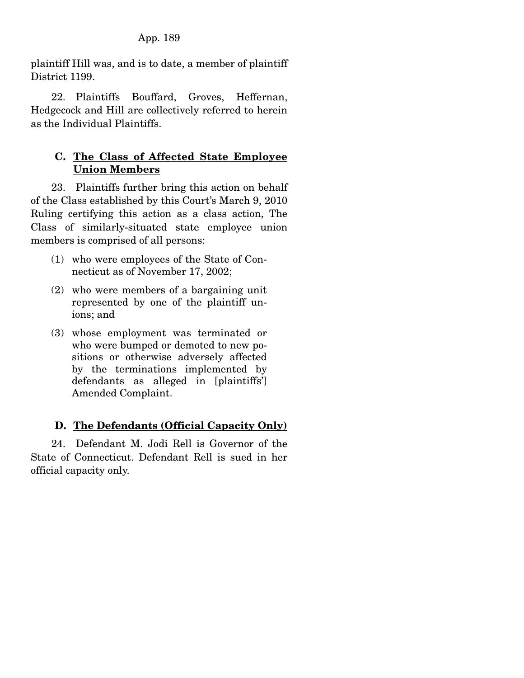plaintiff Hill was, and is to date, a member of plaintiff District 1199.

 22. Plaintiffs Bouffard, Groves, Heffernan, Hedgecock and Hill are collectively referred to herein as the Individual Plaintiffs.

# **C. The Class of Affected State Employee Union Members**

 23. Plaintiffs further bring this action on behalf of the Class established by this Court's March 9, 2010 Ruling certifying this action as a class action, The Class of similarly-situated state employee union members is comprised of all persons:

- (1) who were employees of the State of Connecticut as of November 17, 2002;
- (2) who were members of a bargaining unit represented by one of the plaintiff unions; and
- (3) whose employment was terminated or who were bumped or demoted to new positions or otherwise adversely affected by the terminations implemented by defendants as alleged in [plaintiffs'] Amended Complaint.

# **D. The Defendants (Official Capacity Only)**

 24. Defendant M. Jodi Rell is Governor of the State of Connecticut. Defendant Rell is sued in her official capacity only.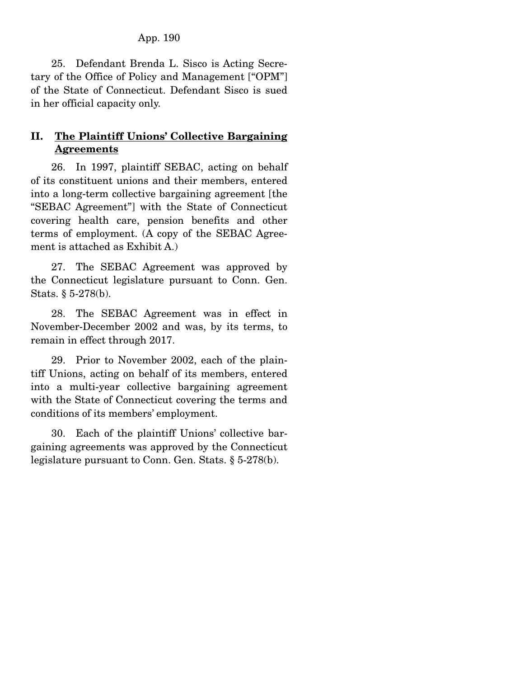25. Defendant Brenda L. Sisco is Acting Secretary of the Office of Policy and Management ["OPM"] of the State of Connecticut. Defendant Sisco is sued in her official capacity only.

# **II. The Plaintiff Unions' Collective Bargaining Agreements**

 26. In 1997, plaintiff SEBAC, acting on behalf of its constituent unions and their members, entered into a long-term collective bargaining agreement [the "SEBAC Agreement"] with the State of Connecticut covering health care, pension benefits and other terms of employment. (A copy of the SEBAC Agreement is attached as Exhibit A.)

 27. The SEBAC Agreement was approved by the Connecticut legislature pursuant to Conn. Gen. Stats. § 5-278(b).

 28. The SEBAC Agreement was in effect in November-December 2002 and was, by its terms, to remain in effect through 2017.

 29. Prior to November 2002, each of the plaintiff Unions, acting on behalf of its members, entered into a multi-year collective bargaining agreement with the State of Connecticut covering the terms and conditions of its members' employment.

 30. Each of the plaintiff Unions' collective bargaining agreements was approved by the Connecticut legislature pursuant to Conn. Gen. Stats. § 5-278(b).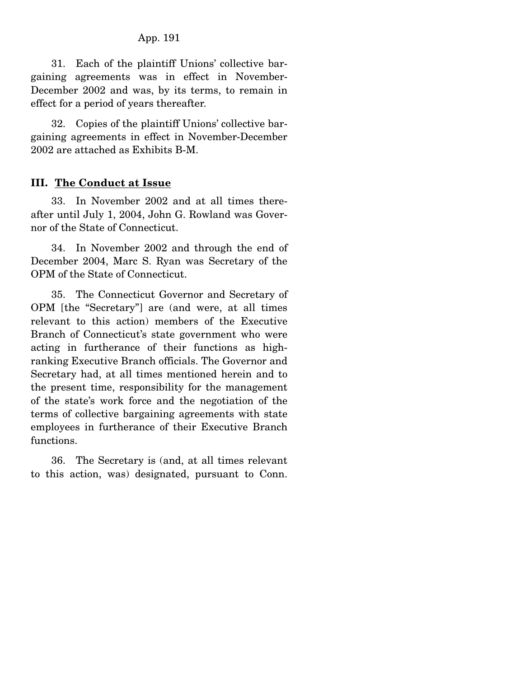31. Each of the plaintiff Unions' collective bargaining agreements was in effect in November-December 2002 and was, by its terms, to remain in effect for a period of years thereafter.

 32. Copies of the plaintiff Unions' collective bargaining agreements in effect in November-December 2002 are attached as Exhibits B-M.

#### **III. The Conduct at Issue**

 33. In November 2002 and at all times thereafter until July 1, 2004, John G. Rowland was Governor of the State of Connecticut.

 34. In November 2002 and through the end of December 2004, Marc S. Ryan was Secretary of the OPM of the State of Connecticut.

 35. The Connecticut Governor and Secretary of OPM [the "Secretary"] are (and were, at all times relevant to this action) members of the Executive Branch of Connecticut's state government who were acting in furtherance of their functions as highranking Executive Branch officials. The Governor and Secretary had, at all times mentioned herein and to the present time, responsibility for the management of the state's work force and the negotiation of the terms of collective bargaining agreements with state employees in furtherance of their Executive Branch functions.

 36. The Secretary is (and, at all times relevant to this action, was) designated, pursuant to Conn.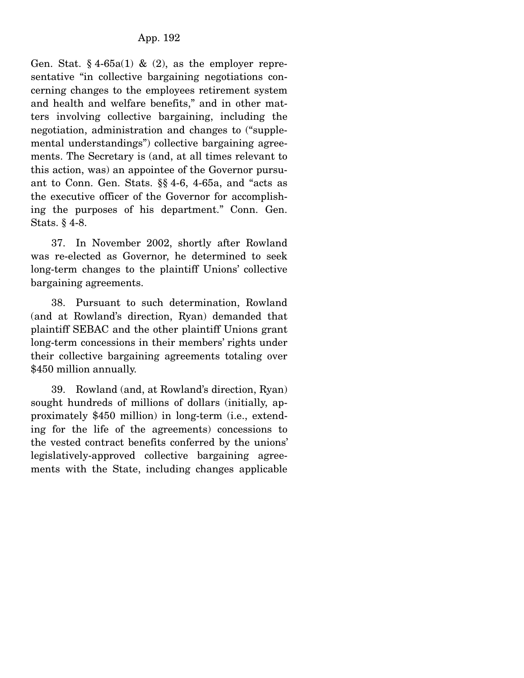Gen. Stat.  $§$  4-65a(1) & (2), as the employer representative "in collective bargaining negotiations concerning changes to the employees retirement system and health and welfare benefits," and in other matters involving collective bargaining, including the negotiation, administration and changes to ("supplemental understandings") collective bargaining agreements. The Secretary is (and, at all times relevant to this action, was) an appointee of the Governor pursuant to Conn. Gen. Stats. §§ 4-6, 4-65a, and "acts as the executive officer of the Governor for accomplishing the purposes of his department." Conn. Gen. Stats. § 4-8.

 37. In November 2002, shortly after Rowland was re-elected as Governor, he determined to seek long-term changes to the plaintiff Unions' collective bargaining agreements.

 38. Pursuant to such determination, Rowland (and at Rowland's direction, Ryan) demanded that plaintiff SEBAC and the other plaintiff Unions grant long-term concessions in their members' rights under their collective bargaining agreements totaling over \$450 million annually.

 39. Rowland (and, at Rowland's direction, Ryan) sought hundreds of millions of dollars (initially, approximately \$450 million) in long-term (i.e., extending for the life of the agreements) concessions to the vested contract benefits conferred by the unions' legislatively-approved collective bargaining agreements with the State, including changes applicable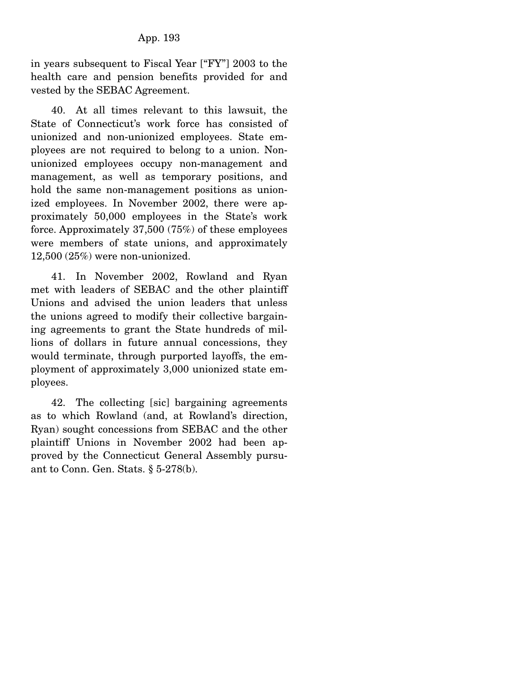in years subsequent to Fiscal Year ["FY"] 2003 to the health care and pension benefits provided for and vested by the SEBAC Agreement.

 40. At all times relevant to this lawsuit, the State of Connecticut's work force has consisted of unionized and non-unionized employees. State employees are not required to belong to a union. Nonunionized employees occupy non-management and management, as well as temporary positions, and hold the same non-management positions as unionized employees. In November 2002, there were approximately 50,000 employees in the State's work force. Approximately 37,500 (75%) of these employees were members of state unions, and approximately 12,500 (25%) were non-unionized.

 41. In November 2002, Rowland and Ryan met with leaders of SEBAC and the other plaintiff Unions and advised the union leaders that unless the unions agreed to modify their collective bargaining agreements to grant the State hundreds of millions of dollars in future annual concessions, they would terminate, through purported layoffs, the employment of approximately 3,000 unionized state employees.

 42. The collecting [sic] bargaining agreements as to which Rowland (and, at Rowland's direction, Ryan) sought concessions from SEBAC and the other plaintiff Unions in November 2002 had been approved by the Connecticut General Assembly pursuant to Conn. Gen. Stats. § 5-278(b).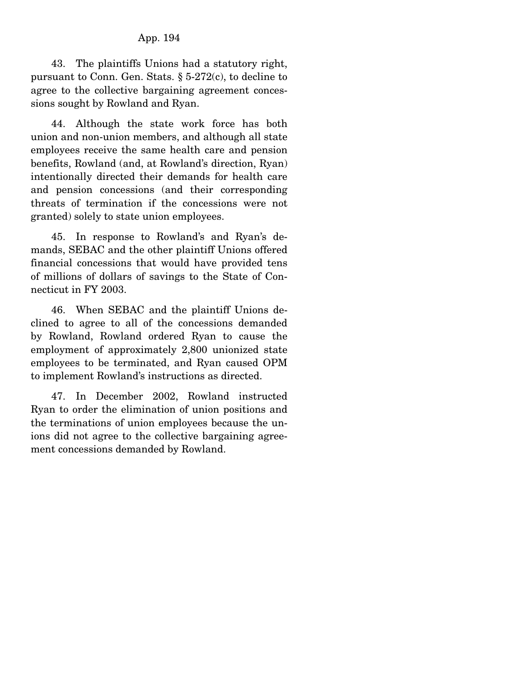43. The plaintiffs Unions had a statutory right, pursuant to Conn. Gen. Stats. § 5-272(c), to decline to agree to the collective bargaining agreement concessions sought by Rowland and Ryan.

 44. Although the state work force has both union and non-union members, and although all state employees receive the same health care and pension benefits, Rowland (and, at Rowland's direction, Ryan) intentionally directed their demands for health care and pension concessions (and their corresponding threats of termination if the concessions were not granted) solely to state union employees.

 45. In response to Rowland's and Ryan's demands, SEBAC and the other plaintiff Unions offered financial concessions that would have provided tens of millions of dollars of savings to the State of Connecticut in FY 2003.

 46. When SEBAC and the plaintiff Unions declined to agree to all of the concessions demanded by Rowland, Rowland ordered Ryan to cause the employment of approximately 2,800 unionized state employees to be terminated, and Ryan caused OPM to implement Rowland's instructions as directed.

 47. In December 2002, Rowland instructed Ryan to order the elimination of union positions and the terminations of union employees because the unions did not agree to the collective bargaining agreement concessions demanded by Rowland.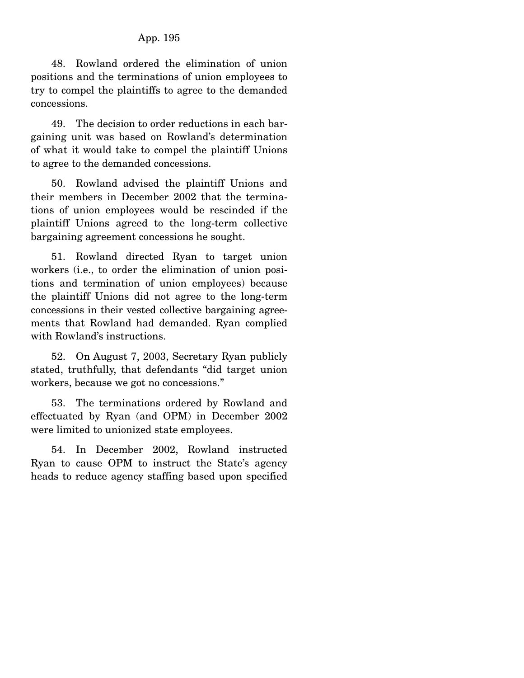48. Rowland ordered the elimination of union positions and the terminations of union employees to try to compel the plaintiffs to agree to the demanded concessions.

 49. The decision to order reductions in each bargaining unit was based on Rowland's determination of what it would take to compel the plaintiff Unions to agree to the demanded concessions.

 50. Rowland advised the plaintiff Unions and their members in December 2002 that the terminations of union employees would be rescinded if the plaintiff Unions agreed to the long-term collective bargaining agreement concessions he sought.

 51. Rowland directed Ryan to target union workers (i.e., to order the elimination of union positions and termination of union employees) because the plaintiff Unions did not agree to the long-term concessions in their vested collective bargaining agreements that Rowland had demanded. Ryan complied with Rowland's instructions.

 52. On August 7, 2003, Secretary Ryan publicly stated, truthfully, that defendants "did target union workers, because we got no concessions."

 53. The terminations ordered by Rowland and effectuated by Ryan (and OPM) in December 2002 were limited to unionized state employees.

 54. In December 2002, Rowland instructed Ryan to cause OPM to instruct the State's agency heads to reduce agency staffing based upon specified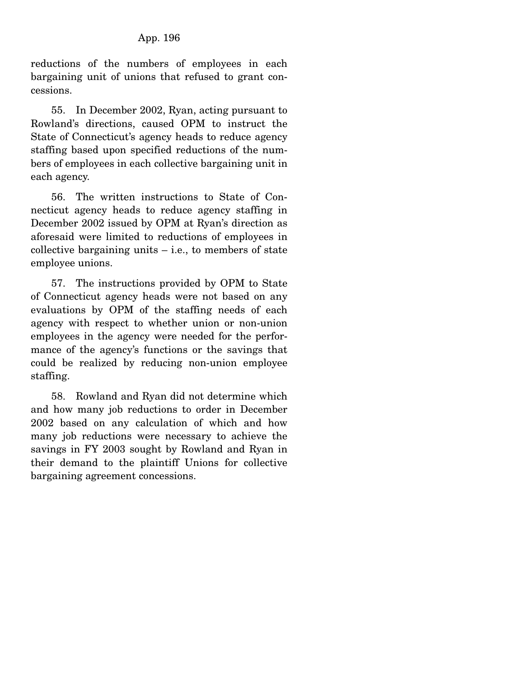reductions of the numbers of employees in each bargaining unit of unions that refused to grant concessions.

 55. In December 2002, Ryan, acting pursuant to Rowland's directions, caused OPM to instruct the State of Connecticut's agency heads to reduce agency staffing based upon specified reductions of the numbers of employees in each collective bargaining unit in each agency.

 56. The written instructions to State of Connecticut agency heads to reduce agency staffing in December 2002 issued by OPM at Ryan's direction as aforesaid were limited to reductions of employees in collective bargaining units  $-$  i.e., to members of state employee unions.

 57. The instructions provided by OPM to State of Connecticut agency heads were not based on any evaluations by OPM of the staffing needs of each agency with respect to whether union or non-union employees in the agency were needed for the performance of the agency's functions or the savings that could be realized by reducing non-union employee staffing.

 58. Rowland and Ryan did not determine which and how many job reductions to order in December 2002 based on any calculation of which and how many job reductions were necessary to achieve the savings in FY 2003 sought by Rowland and Ryan in their demand to the plaintiff Unions for collective bargaining agreement concessions.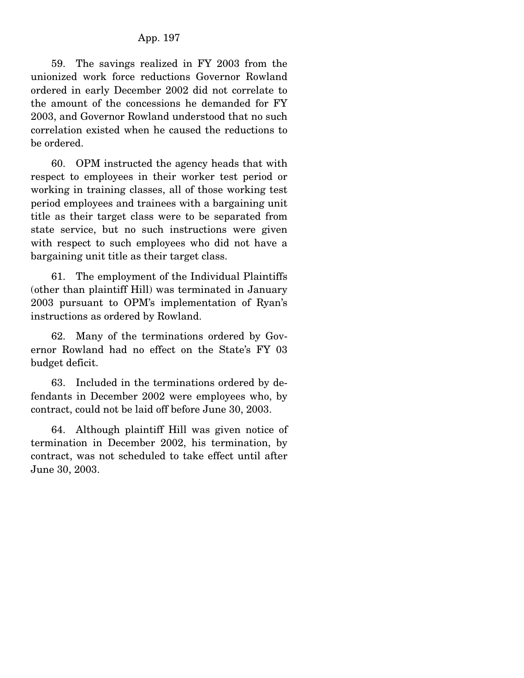59. The savings realized in FY 2003 from the unionized work force reductions Governor Rowland ordered in early December 2002 did not correlate to the amount of the concessions he demanded for FY 2003, and Governor Rowland understood that no such correlation existed when he caused the reductions to be ordered.

 60. OPM instructed the agency heads that with respect to employees in their worker test period or working in training classes, all of those working test period employees and trainees with a bargaining unit title as their target class were to be separated from state service, but no such instructions were given with respect to such employees who did not have a bargaining unit title as their target class.

 61. The employment of the Individual Plaintiffs (other than plaintiff Hill) was terminated in January 2003 pursuant to OPM's implementation of Ryan's instructions as ordered by Rowland.

 62. Many of the terminations ordered by Governor Rowland had no effect on the State's FY 03 budget deficit.

 63. Included in the terminations ordered by defendants in December 2002 were employees who, by contract, could not be laid off before June 30, 2003.

 64. Although plaintiff Hill was given notice of termination in December 2002, his termination, by contract, was not scheduled to take effect until after June 30, 2003.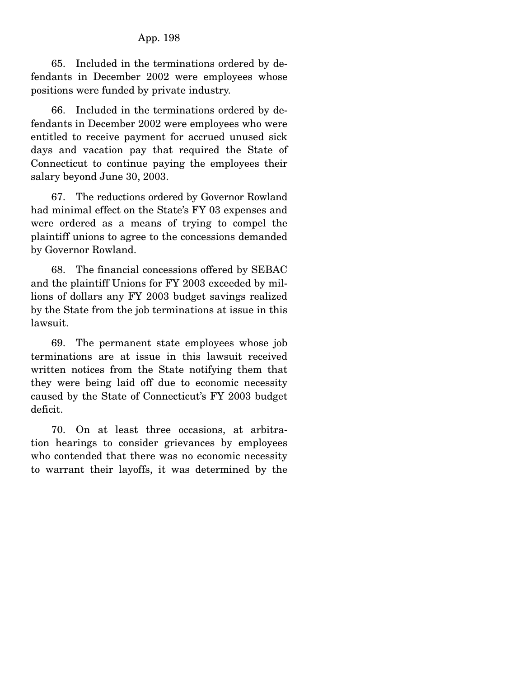65. Included in the terminations ordered by defendants in December 2002 were employees whose positions were funded by private industry.

 66. Included in the terminations ordered by defendants in December 2002 were employees who were entitled to receive payment for accrued unused sick days and vacation pay that required the State of Connecticut to continue paying the employees their salary beyond June 30, 2003.

 67. The reductions ordered by Governor Rowland had minimal effect on the State's FY 03 expenses and were ordered as a means of trying to compel the plaintiff unions to agree to the concessions demanded by Governor Rowland.

 68. The financial concessions offered by SEBAC and the plaintiff Unions for FY 2003 exceeded by millions of dollars any FY 2003 budget savings realized by the State from the job terminations at issue in this lawsuit.

 69. The permanent state employees whose job terminations are at issue in this lawsuit received written notices from the State notifying them that they were being laid off due to economic necessity caused by the State of Connecticut's FY 2003 budget deficit.

 70. On at least three occasions, at arbitration hearings to consider grievances by employees who contended that there was no economic necessity to warrant their layoffs, it was determined by the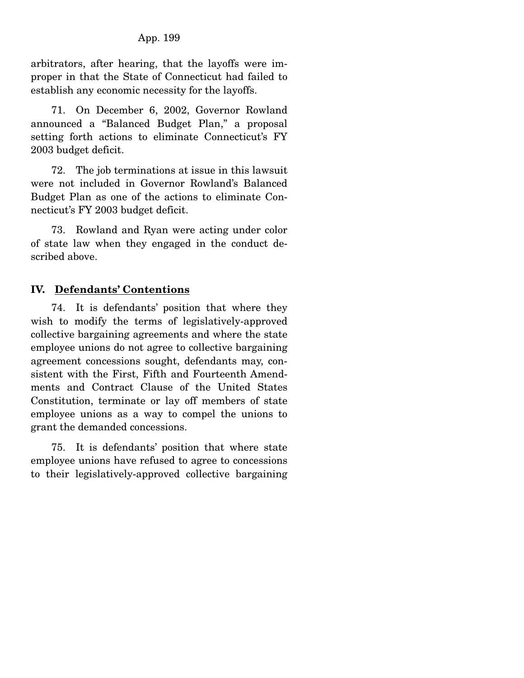arbitrators, after hearing, that the layoffs were improper in that the State of Connecticut had failed to establish any economic necessity for the layoffs.

 71. On December 6, 2002, Governor Rowland announced a "Balanced Budget Plan," a proposal setting forth actions to eliminate Connecticut's FY 2003 budget deficit.

 72. The job terminations at issue in this lawsuit were not included in Governor Rowland's Balanced Budget Plan as one of the actions to eliminate Connecticut's FY 2003 budget deficit.

 73. Rowland and Ryan were acting under color of state law when they engaged in the conduct described above.

### **IV. Defendants' Contentions**

 74. It is defendants' position that where they wish to modify the terms of legislatively-approved collective bargaining agreements and where the state employee unions do not agree to collective bargaining agreement concessions sought, defendants may, consistent with the First, Fifth and Fourteenth Amendments and Contract Clause of the United States Constitution, terminate or lay off members of state employee unions as a way to compel the unions to grant the demanded concessions.

 75. It is defendants' position that where state employee unions have refused to agree to concessions to their legislatively-approved collective bargaining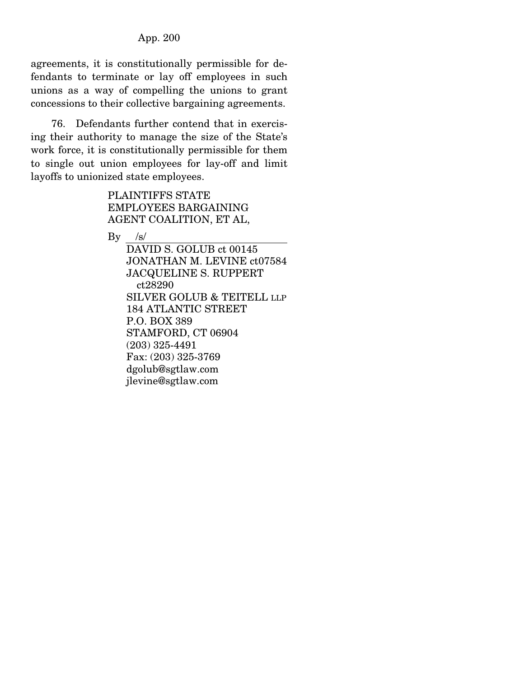agreements, it is constitutionally permissible for defendants to terminate or lay off employees in such unions as a way of compelling the unions to grant concessions to their collective bargaining agreements.

 76. Defendants further contend that in exercising their authority to manage the size of the State's work force, it is constitutionally permissible for them to single out union employees for lay-off and limit layoffs to unionized state employees.

> PLAINTIFFS STATE EMPLOYEES BARGAINING AGENT COALITION, ET AL,

 $\mathbf{B}\mathbf{v}$  /s/

 DAVID S. GOLUB ct 00145 JONATHAN M. LEVINE ct07584 JACQUELINE S. RUPPERT ct28290 SILVER GOLUB & TEITELL LLP 184 ATLANTIC STREET P.O. BOX 389 STAMFORD, CT 06904 (203) 325-4491 Fax: (203) 325-3769 dgolub@sgtlaw.com jlevine@sgtlaw.com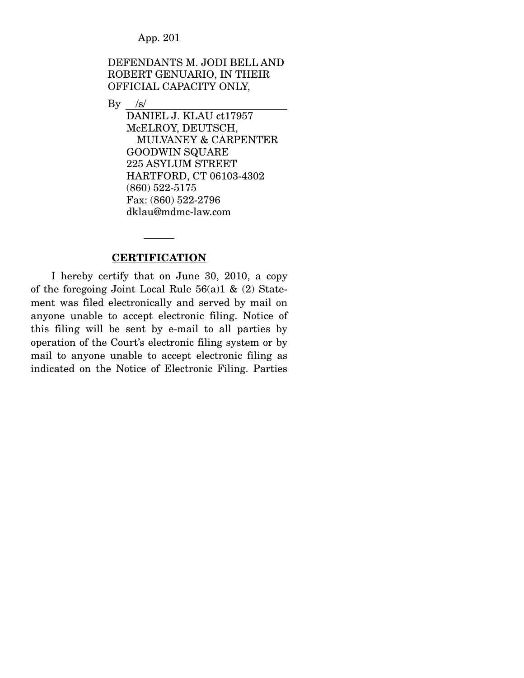DEFENDANTS M. JODI BELL AND ROBERT GENUARIO, IN THEIR OFFICIAL CAPACITY ONLY,

 $By$  /s/

 DANIEL J. KLAU ct17957 McELROY, DEUTSCH, MULVANEY & CARPENTER GOODWIN SQUARE 225 ASYLUM STREET HARTFORD, CT 06103-4302 (860) 522-5175 Fax: (860) 522-2796 dklau@mdmc-law.com

#### **CERTIFICATION**

 I hereby certify that on June 30, 2010, a copy of the foregoing Joint Local Rule  $56(a)1 \& (2)$  Statement was filed electronically and served by mail on anyone unable to accept electronic filing. Notice of this filing will be sent by e-mail to all parties by operation of the Court's electronic filing system or by mail to anyone unable to accept electronic filing as indicated on the Notice of Electronic Filing. Parties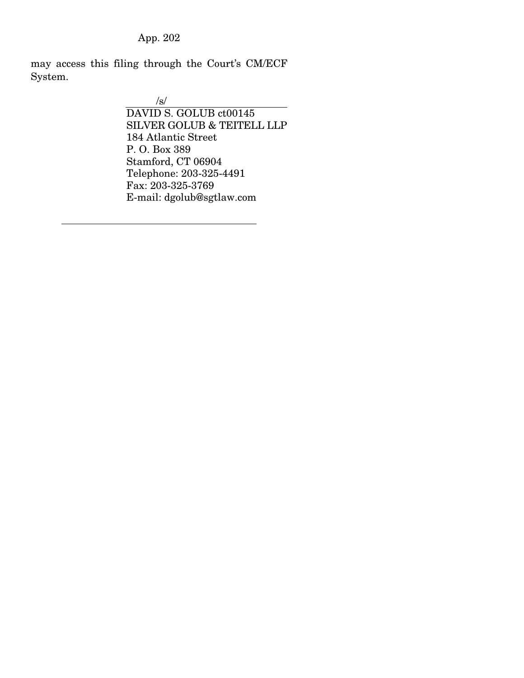may access this filing through the Court's CM/ECF System.

> /s/ DAVID S. GOLUB ct00145 SILVER GOLUB & TEITELL LLP 184 Atlantic Street P. O. Box 389 Stamford, CT 06904 Telephone: 203-325-4491 Fax: 203-325-3769 E-mail: dgolub@sgtlaw.com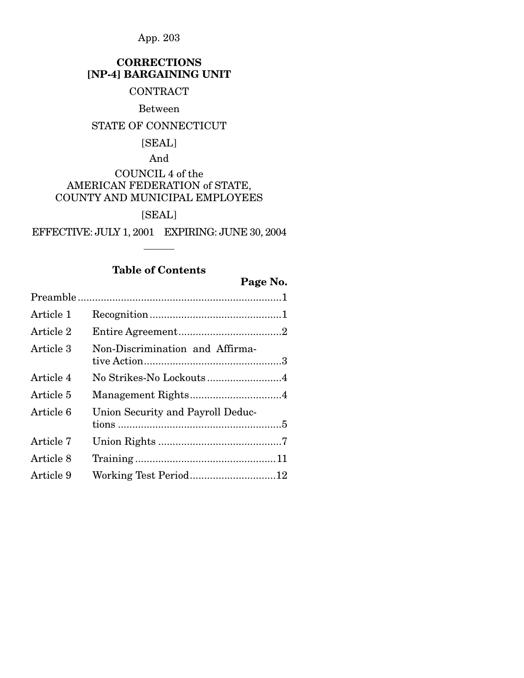# **CORRECTIONS [NP-4] BARGAINING UNIT**

# **CONTRACT**

#### Between

# STATE OF CONNECTICUT

# [SEAL]

# And COUNCIL 4 of the AMERICAN FEDERATION of STATE, COUNTY AND MUNICIPAL EMPLOYEES

# [SEAL]

EFFECTIVE: JULY 1, 2001 EXPIRING: JUNE 30, 2004

# **Table of Contents**

# **Page No.**

| Article 1 |                                   |  |  |
|-----------|-----------------------------------|--|--|
| Article 2 |                                   |  |  |
| Article 3 | Non-Discrimination and Affirma-   |  |  |
| Article 4 | No Strikes-No Lockouts4           |  |  |
| Article 5 | Management Rights4                |  |  |
| Article 6 | Union Security and Payroll Deduc- |  |  |
| Article 7 |                                   |  |  |
| Article 8 |                                   |  |  |
| Article 9 | Working Test Period12             |  |  |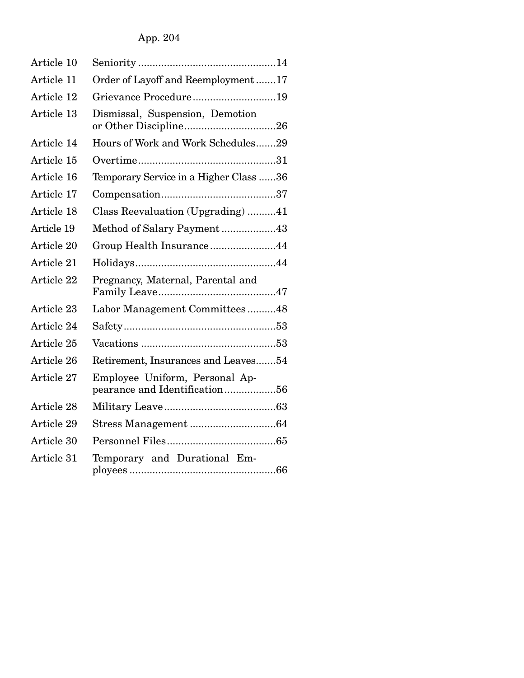App. 204

| Article 10 |                                                                 |
|------------|-----------------------------------------------------------------|
| Article 11 | Order of Layoff and Reemployment17                              |
| Article 12 | Grievance Procedure19                                           |
| Article 13 | Dismissal, Suspension, Demotion                                 |
| Article 14 | Hours of Work and Work Schedules29                              |
| Article 15 |                                                                 |
| Article 16 | Temporary Service in a Higher Class 36                          |
| Article 17 |                                                                 |
| Article 18 | Class Reevaluation (Upgrading) 41                               |
| Article 19 | Method of Salary Payment43                                      |
| Article 20 | Group Health Insurance44                                        |
| Article 21 |                                                                 |
| Article 22 | Pregnancy, Maternal, Parental and                               |
| Article 23 | Labor Management Committees48                                   |
| Article 24 |                                                                 |
| Article 25 |                                                                 |
| Article 26 | Retirement, Insurances and Leaves54                             |
| Article 27 | Employee Uniform, Personal Ap-<br>pearance and Identification56 |
| Article 28 |                                                                 |
| Article 29 |                                                                 |
| Article 30 |                                                                 |
| Article 31 | Temporary and Durational Em-                                    |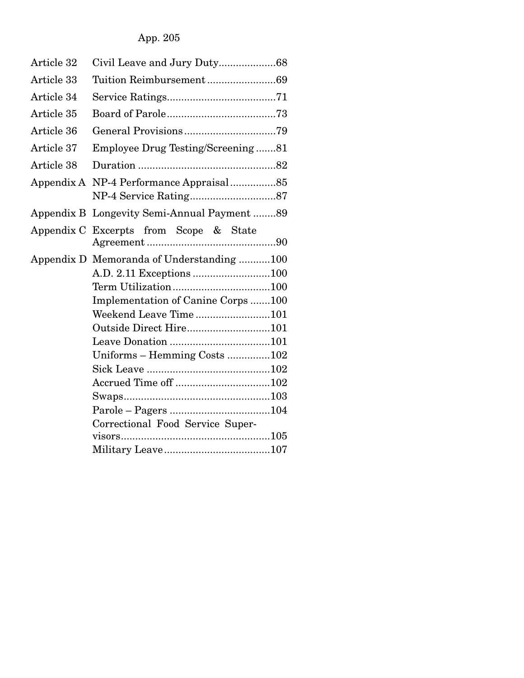| Article 32 | Civil Leave and Jury Duty68            |
|------------|----------------------------------------|
| Article 33 |                                        |
| Article 34 |                                        |
| Article 35 |                                        |
| Article 36 |                                        |
| Article 37 | Employee Drug Testing/Screening81      |
| Article 38 |                                        |
| Appendix A |                                        |
| Appendix B | Longevity Semi-Annual Payment89        |
|            | Appendix C Excerpts from Scope & State |
| Appendix D | Memoranda of Understanding 100         |
|            |                                        |
|            |                                        |
|            | Implementation of Canine Corps100      |
|            | Weekend Leave Time101                  |
|            | Outside Direct Hire101                 |
|            |                                        |
|            | Uniforms - Hemming Costs 102           |
|            |                                        |
|            |                                        |
|            |                                        |
|            |                                        |
|            | Correctional Food Service Super-       |
|            |                                        |
|            |                                        |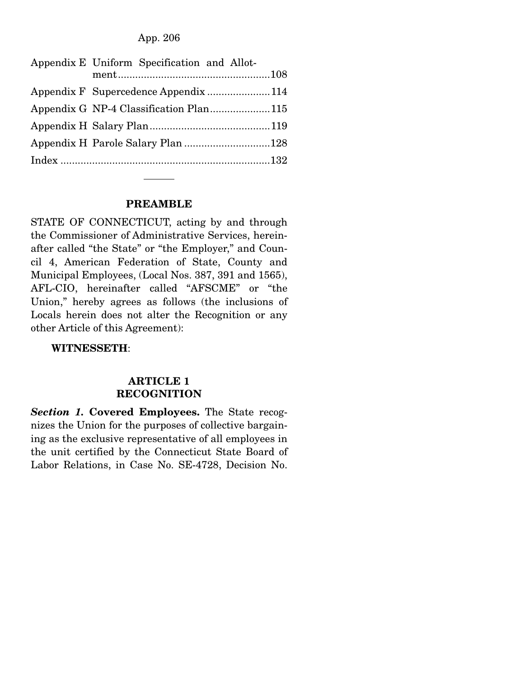| Appendix E Uniform Specification and Allot- |  |
|---------------------------------------------|--|
| Appendix F Supercedence Appendix 114        |  |
| Appendix G NP-4 Classification Plan115      |  |
|                                             |  |
| Appendix H Parole Salary Plan 128           |  |
|                                             |  |

#### **PREAMBLE**

STATE OF CONNECTICUT, acting by and through the Commissioner of Administrative Services, hereinafter called "the State" or "the Employer," and Council 4, American Federation of State, County and Municipal Employees, (Local Nos. 387, 391 and 1565), AFL-CIO, hereinafter called "AFSCME" or "the Union," hereby agrees as follows (the inclusions of Locals herein does not alter the Recognition or any other Article of this Agreement):

 **WITNESSETH**:

#### **ARTICLE 1 RECOGNITION**

*Section 1.* **Covered Employees.** The State recognizes the Union for the purposes of collective bargaining as the exclusive representative of all employees in the unit certified by the Connecticut State Board of Labor Relations, in Case No. SE-4728, Decision No.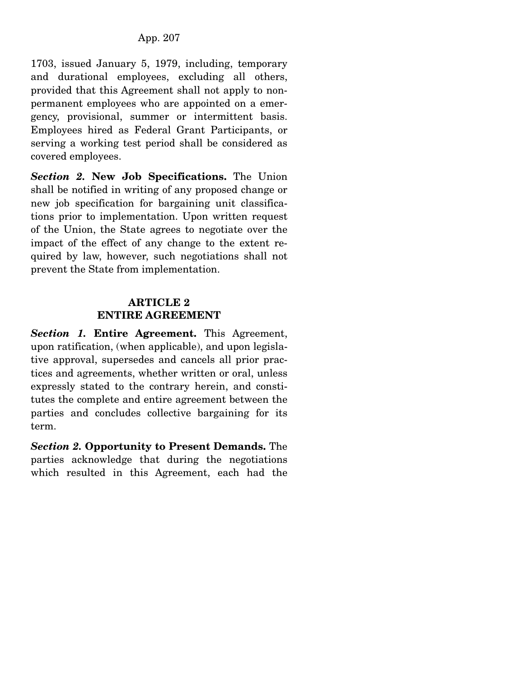1703, issued January 5, 1979, including, temporary and durational employees, excluding all others, provided that this Agreement shall not apply to nonpermanent employees who are appointed on a emergency, provisional, summer or intermittent basis. Employees hired as Federal Grant Participants, or serving a working test period shall be considered as covered employees.

*Section 2.* **New Job Specifications.** The Union shall be notified in writing of any proposed change or new job specification for bargaining unit classifications prior to implementation. Upon written request of the Union, the State agrees to negotiate over the impact of the effect of any change to the extent required by law, however, such negotiations shall not prevent the State from implementation.

## **ARTICLE 2 ENTIRE AGREEMENT**

*Section 1.* **Entire Agreement.** This Agreement, upon ratification, (when applicable), and upon legislative approval, supersedes and cancels all prior practices and agreements, whether written or oral, unless expressly stated to the contrary herein, and constitutes the complete and entire agreement between the parties and concludes collective bargaining for its term.

*Section 2.* **Opportunity to Present Demands.** The parties acknowledge that during the negotiations which resulted in this Agreement, each had the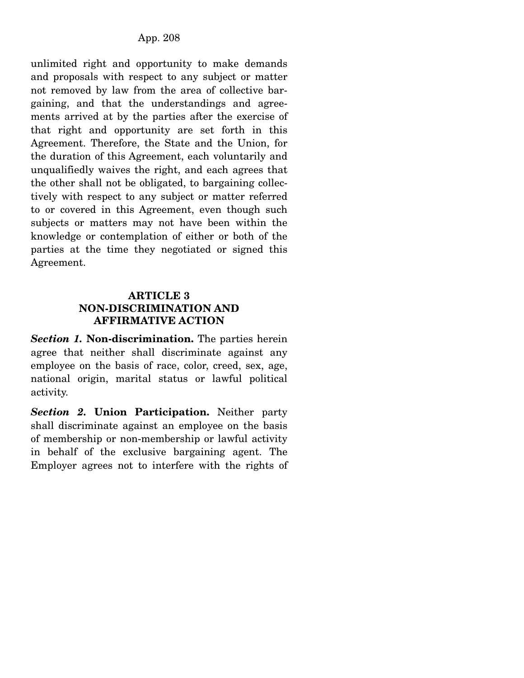unlimited right and opportunity to make demands and proposals with respect to any subject or matter not removed by law from the area of collective bargaining, and that the understandings and agreements arrived at by the parties after the exercise of that right and opportunity are set forth in this Agreement. Therefore, the State and the Union, for the duration of this Agreement, each voluntarily and unqualifiedly waives the right, and each agrees that the other shall not be obligated, to bargaining collectively with respect to any subject or matter referred to or covered in this Agreement, even though such subjects or matters may not have been within the knowledge or contemplation of either or both of the parties at the time they negotiated or signed this Agreement.

### **ARTICLE 3 NON-DISCRIMINATION AND AFFIRMATIVE ACTION**

*Section 1.* **Non-discrimination.** The parties herein agree that neither shall discriminate against any employee on the basis of race, color, creed, sex, age, national origin, marital status or lawful political activity.

*Section 2.* **Union Participation.** Neither party shall discriminate against an employee on the basis of membership or non-membership or lawful activity in behalf of the exclusive bargaining agent. The Employer agrees not to interfere with the rights of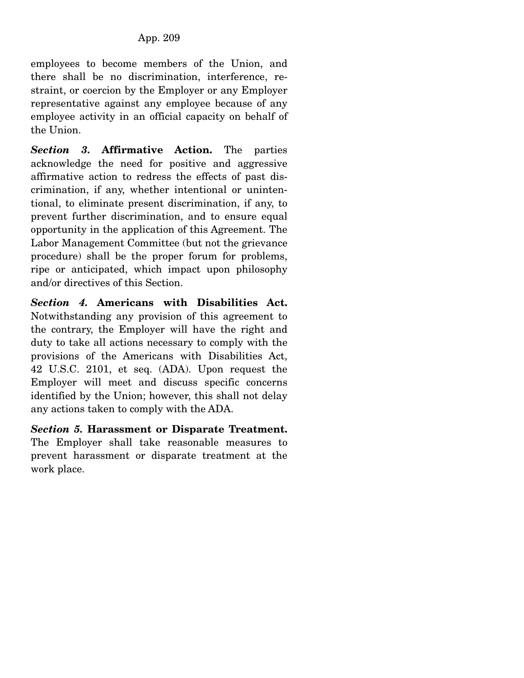employees to become members of the Union, and there shall be no discrimination, interference, restraint, or coercion by the Employer or any Employer representative against any employee because of any employee activity in an official capacity on behalf of the Union.

*Section 3.* **Affirmative Action.** The parties acknowledge the need for positive and aggressive affirmative action to redress the effects of past discrimination, if any, whether intentional or unintentional, to eliminate present discrimination, if any, to prevent further discrimination, and to ensure equal opportunity in the application of this Agreement. The Labor Management Committee (but not the grievance procedure) shall be the proper forum for problems, ripe or anticipated, which impact upon philosophy and/or directives of this Section.

*Section 4.* **Americans with Disabilities Act.**  Notwithstanding any provision of this agreement to the contrary, the Employer will have the right and duty to take all actions necessary to comply with the provisions of the Americans with Disabilities Act, 42 U.S.C. 2101, et seq. (ADA). Upon request the Employer will meet and discuss specific concerns identified by the Union; however, this shall not delay any actions taken to comply with the ADA.

*Section 5.* **Harassment or Disparate Treatment.**  The Employer shall take reasonable measures to prevent harassment or disparate treatment at the work place.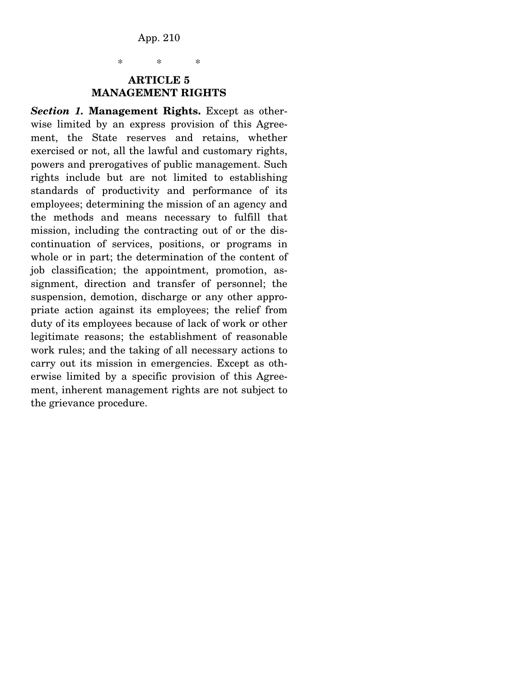\* \* \*

#### **ARTICLE 5 MANAGEMENT RIGHTS**

*Section 1.* **Management Rights.** Except as otherwise limited by an express provision of this Agreement, the State reserves and retains, whether exercised or not, all the lawful and customary rights, powers and prerogatives of public management. Such rights include but are not limited to establishing standards of productivity and performance of its employees; determining the mission of an agency and the methods and means necessary to fulfill that mission, including the contracting out of or the discontinuation of services, positions, or programs in whole or in part; the determination of the content of job classification; the appointment, promotion, assignment, direction and transfer of personnel; the suspension, demotion, discharge or any other appropriate action against its employees; the relief from duty of its employees because of lack of work or other legitimate reasons; the establishment of reasonable work rules; and the taking of all necessary actions to carry out its mission in emergencies. Except as otherwise limited by a specific provision of this Agreement, inherent management rights are not subject to the grievance procedure.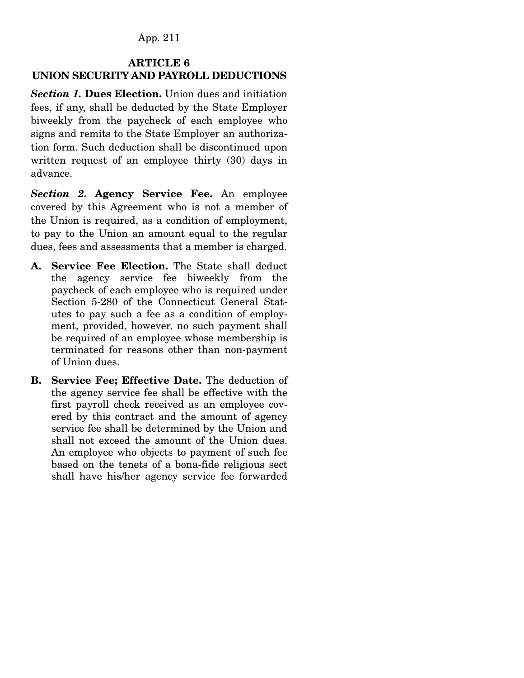# **ARTICLE 6 UNION SECURITY AND PAYROLL DEDUCTIONS**

*Section 1.* **Dues Election.** Union dues and initiation fees, if any, shall be deducted by the State Employer biweekly from the paycheck of each employee who signs and remits to the State Employer an authorization form. Such deduction shall be discontinued upon written request of an employee thirty (30) days in advance.

*Section 2.* **Agency Service Fee.** An employee covered by this Agreement who is not a member of the Union is required, as a condition of employment, to pay to the Union an amount equal to the regular dues, fees and assessments that a member is charged.

- **A. Service Fee Election.** The State shall deduct the agency service fee biweekly from the paycheck of each employee who is required under Section 5-280 of the Connecticut General Statutes to pay such a fee as a condition of employment, provided, however, no such payment shall be required of an employee whose membership is terminated for reasons other than non-payment of Union dues.
- **B. Service Fee; Effective Date.** The deduction of the agency service fee shall be effective with the first payroll check received as an employee covered by this contract and the amount of agency service fee shall be determined by the Union and shall not exceed the amount of the Union dues. An employee who objects to payment of such fee based on the tenets of a bona-fide religious sect shall have his/her agency service fee forwarded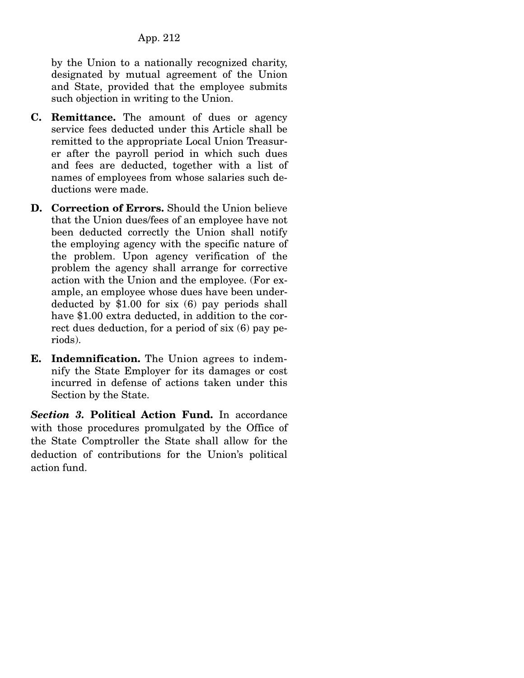by the Union to a nationally recognized charity, designated by mutual agreement of the Union and State, provided that the employee submits such objection in writing to the Union.

- **C. Remittance.** The amount of dues or agency service fees deducted under this Article shall be remitted to the appropriate Local Union Treasurer after the payroll period in which such dues and fees are deducted, together with a list of names of employees from whose salaries such deductions were made.
- **D. Correction of Errors.** Should the Union believe that the Union dues/fees of an employee have not been deducted correctly the Union shall notify the employing agency with the specific nature of the problem. Upon agency verification of the problem the agency shall arrange for corrective action with the Union and the employee. (For example, an employee whose dues have been underdeducted by \$1.00 for six (6) pay periods shall have \$1.00 extra deducted, in addition to the correct dues deduction, for a period of six (6) pay periods).
- **E. Indemnification.** The Union agrees to indemnify the State Employer for its damages or cost incurred in defense of actions taken under this Section by the State.

*Section 3.* **Political Action Fund.** In accordance with those procedures promulgated by the Office of the State Comptroller the State shall allow for the deduction of contributions for the Union's political action fund.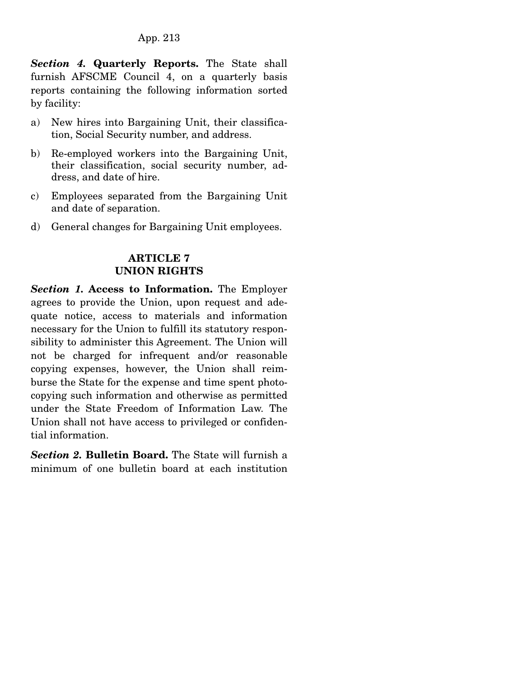*Section 4.* **Quarterly Reports.** The State shall furnish AFSCME Council 4, on a quarterly basis reports containing the following information sorted by facility:

- a) New hires into Bargaining Unit, their classification, Social Security number, and address.
- b) Re-employed workers into the Bargaining Unit, their classification, social security number, address, and date of hire.
- c) Employees separated from the Bargaining Unit and date of separation.
- d) General changes for Bargaining Unit employees.

# **ARTICLE 7 UNION RIGHTS**

*Section 1.* **Access to Information.** The Employer agrees to provide the Union, upon request and adequate notice, access to materials and information necessary for the Union to fulfill its statutory responsibility to administer this Agreement. The Union will not be charged for infrequent and/or reasonable copying expenses, however, the Union shall reimburse the State for the expense and time spent photocopying such information and otherwise as permitted under the State Freedom of Information Law. The Union shall not have access to privileged or confidential information.

*Section 2.* **Bulletin Board.** The State will furnish a minimum of one bulletin board at each institution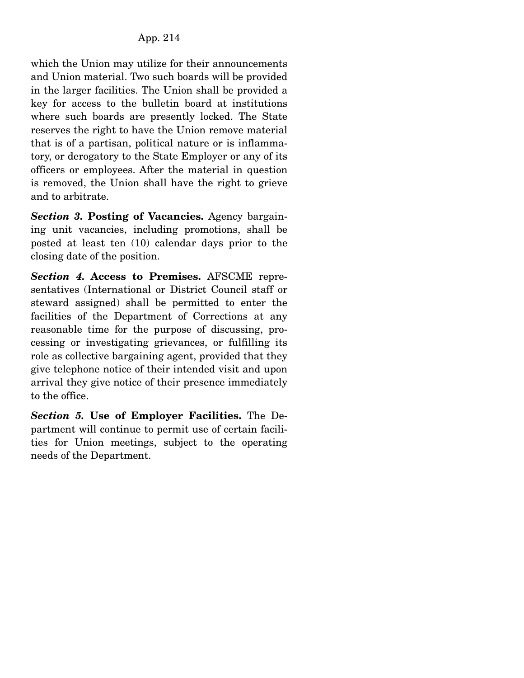which the Union may utilize for their announcements and Union material. Two such boards will be provided in the larger facilities. The Union shall be provided a key for access to the bulletin board at institutions where such boards are presently locked. The State reserves the right to have the Union remove material that is of a partisan, political nature or is inflammatory, or derogatory to the State Employer or any of its officers or employees. After the material in question is removed, the Union shall have the right to grieve and to arbitrate.

*Section 3.* **Posting of Vacancies.** Agency bargaining unit vacancies, including promotions, shall be posted at least ten (10) calendar days prior to the closing date of the position.

*Section 4.* **Access to Premises.** AFSCME representatives (International or District Council staff or steward assigned) shall be permitted to enter the facilities of the Department of Corrections at any reasonable time for the purpose of discussing, processing or investigating grievances, or fulfilling its role as collective bargaining agent, provided that they give telephone notice of their intended visit and upon arrival they give notice of their presence immediately to the office.

*Section 5.* **Use of Employer Facilities.** The Department will continue to permit use of certain facilities for Union meetings, subject to the operating needs of the Department.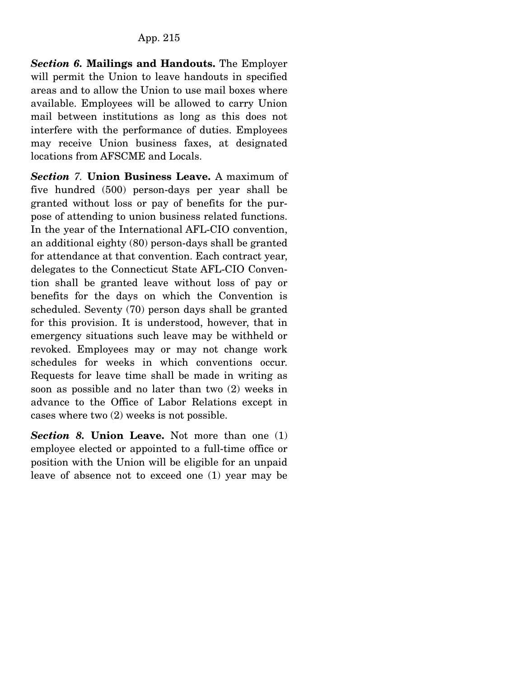*Section 6.* **Mailings and Handouts.** The Employer will permit the Union to leave handouts in specified areas and to allow the Union to use mail boxes where available. Employees will be allowed to carry Union mail between institutions as long as this does not interfere with the performance of duties. Employees may receive Union business faxes, at designated locations from AFSCME and Locals.

*Section 7.* **Union Business Leave.** A maximum of five hundred (500) person-days per year shall be granted without loss or pay of benefits for the purpose of attending to union business related functions. In the year of the International AFL-CIO convention, an additional eighty (80) person-days shall be granted for attendance at that convention. Each contract year, delegates to the Connecticut State AFL-CIO Convention shall be granted leave without loss of pay or benefits for the days on which the Convention is scheduled. Seventy (70) person days shall be granted for this provision. It is understood, however, that in emergency situations such leave may be withheld or revoked. Employees may or may not change work schedules for weeks in which conventions occur. Requests for leave time shall be made in writing as soon as possible and no later than two (2) weeks in advance to the Office of Labor Relations except in cases where two (2) weeks is not possible.

*Section 8.* **Union Leave.** Not more than one (1) employee elected or appointed to a full-time office or position with the Union will be eligible for an unpaid leave of absence not to exceed one (1) year may be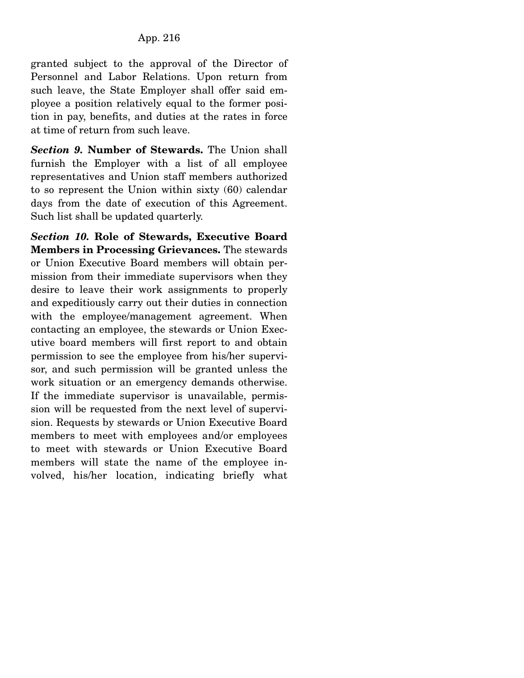granted subject to the approval of the Director of Personnel and Labor Relations. Upon return from such leave, the State Employer shall offer said employee a position relatively equal to the former position in pay, benefits, and duties at the rates in force at time of return from such leave.

*Section 9.* **Number of Stewards.** The Union shall furnish the Employer with a list of all employee representatives and Union staff members authorized to so represent the Union within sixty (60) calendar days from the date of execution of this Agreement. Such list shall be updated quarterly.

*Section 10.* **Role of Stewards, Executive Board Members in Processing Grievances.** The stewards or Union Executive Board members will obtain permission from their immediate supervisors when they desire to leave their work assignments to properly and expeditiously carry out their duties in connection with the employee/management agreement. When contacting an employee, the stewards or Union Executive board members will first report to and obtain permission to see the employee from his/her supervisor, and such permission will be granted unless the work situation or an emergency demands otherwise. If the immediate supervisor is unavailable, permission will be requested from the next level of supervision. Requests by stewards or Union Executive Board members to meet with employees and/or employees to meet with stewards or Union Executive Board members will state the name of the employee involved, his/her location, indicating briefly what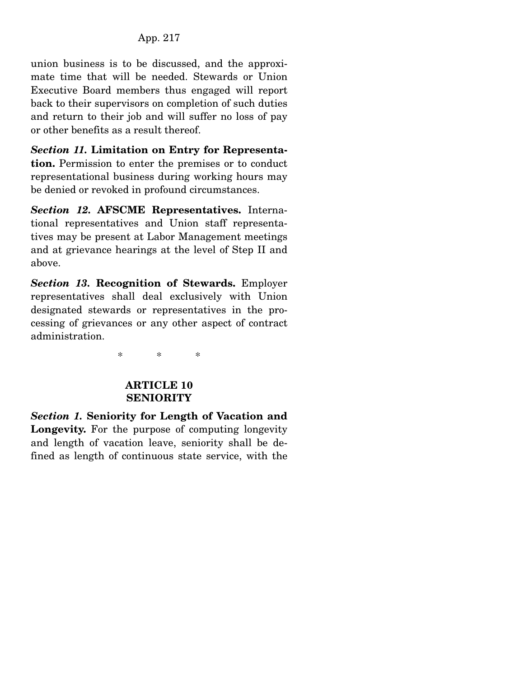union business is to be discussed, and the approximate time that will be needed. Stewards or Union Executive Board members thus engaged will report back to their supervisors on completion of such duties and return to their job and will suffer no loss of pay or other benefits as a result thereof.

*Section 11.* **Limitation on Entry for Representation.** Permission to enter the premises or to conduct representational business during working hours may be denied or revoked in profound circumstances.

*Section 12.* **AFSCME Representatives.** International representatives and Union staff representatives may be present at Labor Management meetings and at grievance hearings at the level of Step II and above.

*Section 13.* **Recognition of Stewards.** Employer representatives shall deal exclusively with Union designated stewards or representatives in the processing of grievances or any other aspect of contract administration.

\* \* \*

### **ARTICLE 10 SENIORITY**

*Section 1.* **Seniority for Length of Vacation and Longevity.** For the purpose of computing longevity and length of vacation leave, seniority shall be defined as length of continuous state service, with the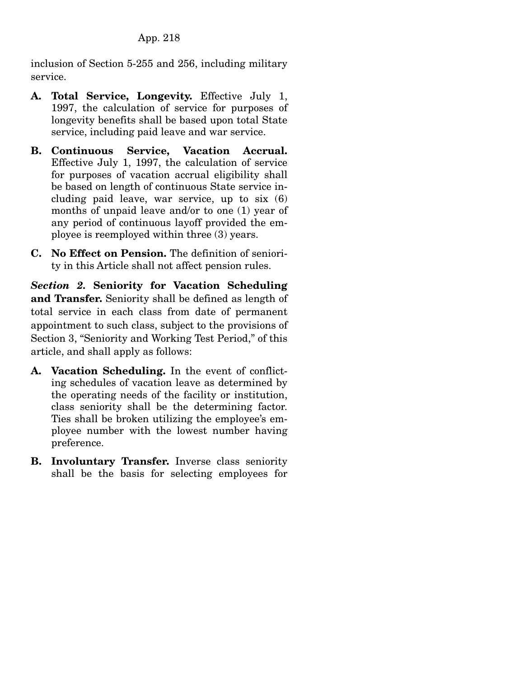inclusion of Section 5-255 and 256, including military service.

- **A. Total Service, Longevity.** Effective July 1, 1997, the calculation of service for purposes of longevity benefits shall be based upon total State service, including paid leave and war service.
- **B. Continuous Service, Vacation Accrual.**  Effective July 1, 1997, the calculation of service for purposes of vacation accrual eligibility shall be based on length of continuous State service including paid leave, war service, up to six (6) months of unpaid leave and/or to one (1) year of any period of continuous layoff provided the employee is reemployed within three (3) years.
- **C. No Effect on Pension.** The definition of seniority in this Article shall not affect pension rules.

*Section 2.* **Seniority for Vacation Scheduling and Transfer.** Seniority shall be defined as length of total service in each class from date of permanent appointment to such class, subject to the provisions of Section 3, "Seniority and Working Test Period," of this article, and shall apply as follows:

- **A. Vacation Scheduling.** In the event of conflicting schedules of vacation leave as determined by the operating needs of the facility or institution, class seniority shall be the determining factor. Ties shall be broken utilizing the employee's employee number with the lowest number having preference.
- **B. Involuntary Transfer.** Inverse class seniority shall be the basis for selecting employees for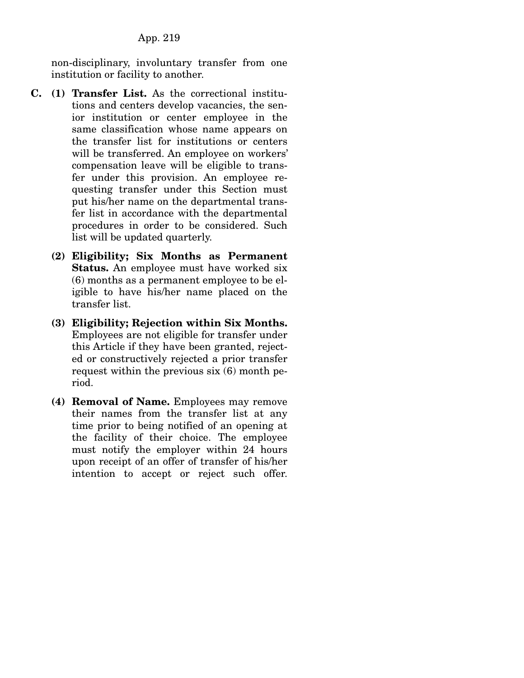non-disciplinary, involuntary transfer from one institution or facility to another.

- **C. (1) Transfer List.** As the correctional institutions and centers develop vacancies, the senior institution or center employee in the same classification whose name appears on the transfer list for institutions or centers will be transferred. An employee on workers' compensation leave will be eligible to transfer under this provision. An employee requesting transfer under this Section must put his/her name on the departmental transfer list in accordance with the departmental procedures in order to be considered. Such list will be updated quarterly.
	- **(2) Eligibility; Six Months as Permanent Status.** An employee must have worked six (6) months as a permanent employee to be eligible to have his/her name placed on the transfer list.
	- **(3) Eligibility; Rejection within Six Months.**  Employees are not eligible for transfer under this Article if they have been granted, rejected or constructively rejected a prior transfer request within the previous six (6) month period.
	- **(4) Removal of Name.** Employees may remove their names from the transfer list at any time prior to being notified of an opening at the facility of their choice. The employee must notify the employer within 24 hours upon receipt of an offer of transfer of his/her intention to accept or reject such offer.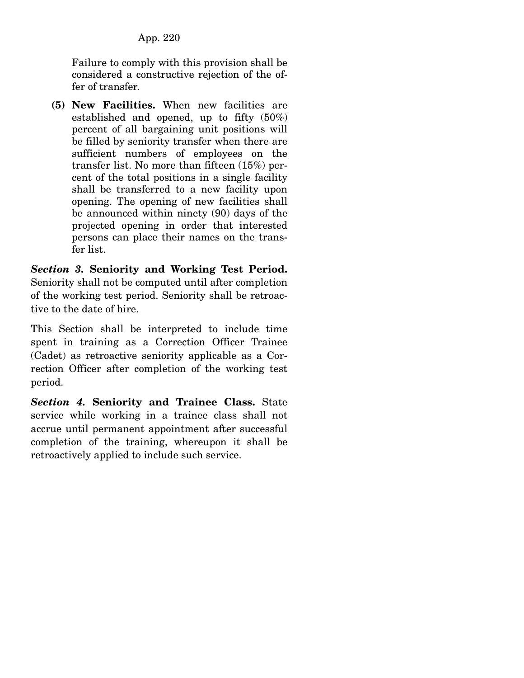Failure to comply with this provision shall be considered a constructive rejection of the offer of transfer.

 **(5) New Facilities.** When new facilities are established and opened, up to fifty (50%) percent of all bargaining unit positions will be filled by seniority transfer when there are sufficient numbers of employees on the transfer list. No more than fifteen (15%) percent of the total positions in a single facility shall be transferred to a new facility upon opening. The opening of new facilities shall be announced within ninety (90) days of the projected opening in order that interested persons can place their names on the transfer list.

*Section 3.* **Seniority and Working Test Period.**  Seniority shall not be computed until after completion of the working test period. Seniority shall be retroactive to the date of hire.

This Section shall be interpreted to include time spent in training as a Correction Officer Trainee (Cadet) as retroactive seniority applicable as a Correction Officer after completion of the working test period.

*Section 4.* **Seniority and Trainee Class.** State service while working in a trainee class shall not accrue until permanent appointment after successful completion of the training, whereupon it shall be retroactively applied to include such service.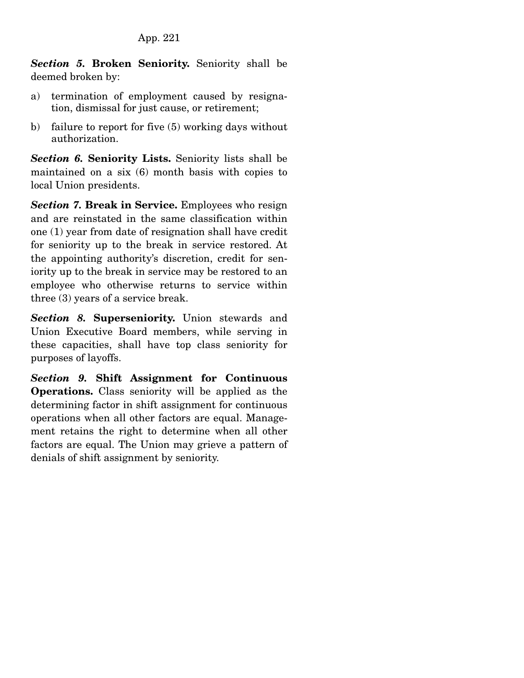*Section 5.* **Broken Seniority.** Seniority shall be deemed broken by:

- a) termination of employment caused by resignation, dismissal for just cause, or retirement;
- b) failure to report for five (5) working days without authorization.

*Section 6.* **Seniority Lists.** Seniority lists shall be maintained on a six (6) month basis with copies to local Union presidents.

**Section 7. Break in Service.** Employees who resign and are reinstated in the same classification within one (1) year from date of resignation shall have credit for seniority up to the break in service restored. At the appointing authority's discretion, credit for seniority up to the break in service may be restored to an employee who otherwise returns to service within three (3) years of a service break.

*Section 8.* **Superseniority.** Union stewards and Union Executive Board members, while serving in these capacities, shall have top class seniority for purposes of layoffs.

*Section 9.* **Shift Assignment for Continuous Operations.** Class seniority will be applied as the determining factor in shift assignment for continuous operations when all other factors are equal. Management retains the right to determine when all other factors are equal. The Union may grieve a pattern of denials of shift assignment by seniority.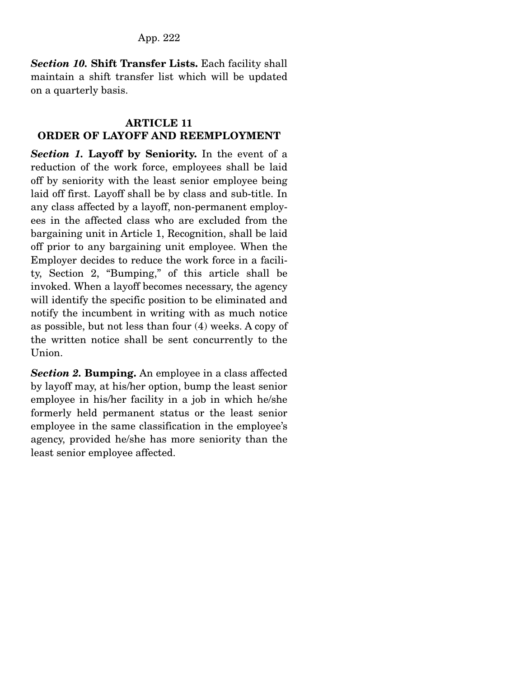*Section 10.* **Shift Transfer Lists.** Each facility shall maintain a shift transfer list which will be updated on a quarterly basis.

### **ARTICLE 11 ORDER OF LAYOFF AND REEMPLOYMENT**

*Section 1.* **Layoff by Seniority.** In the event of a reduction of the work force, employees shall be laid off by seniority with the least senior employee being laid off first. Layoff shall be by class and sub-title. In any class affected by a layoff, non-permanent employees in the affected class who are excluded from the bargaining unit in Article 1, Recognition, shall be laid off prior to any bargaining unit employee. When the Employer decides to reduce the work force in a facility, Section 2, "Bumping," of this article shall be invoked. When a layoff becomes necessary, the agency will identify the specific position to be eliminated and notify the incumbent in writing with as much notice as possible, but not less than four (4) weeks. A copy of the written notice shall be sent concurrently to the Union.

*Section 2.* **Bumping.** An employee in a class affected by layoff may, at his/her option, bump the least senior employee in his/her facility in a job in which he/she formerly held permanent status or the least senior employee in the same classification in the employee's agency, provided he/she has more seniority than the least senior employee affected.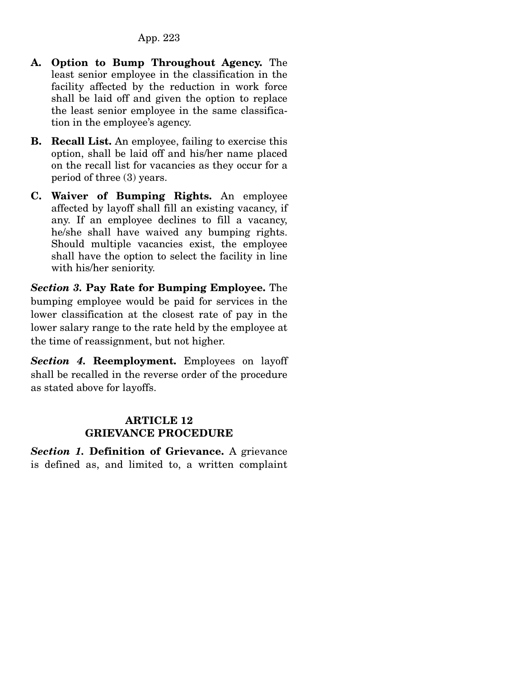- **A. Option to Bump Throughout Agency.** The least senior employee in the classification in the facility affected by the reduction in work force shall be laid off and given the option to replace the least senior employee in the same classification in the employee's agency.
- **B. Recall List.** An employee, failing to exercise this option, shall be laid off and his/her name placed on the recall list for vacancies as they occur for a period of three (3) years.
- **C. Waiver of Bumping Rights.** An employee affected by layoff shall fill an existing vacancy, if any. If an employee declines to fill a vacancy, he/she shall have waived any bumping rights. Should multiple vacancies exist, the employee shall have the option to select the facility in line with his/her seniority.

*Section 3.* **Pay Rate for Bumping Employee.** The bumping employee would be paid for services in the lower classification at the closest rate of pay in the lower salary range to the rate held by the employee at the time of reassignment, but not higher.

*Section 4.* **Reemployment.** Employees on layoff shall be recalled in the reverse order of the procedure as stated above for layoffs.

### **ARTICLE 12 GRIEVANCE PROCEDURE**

*Section 1.* **Definition of Grievance.** A grievance is defined as, and limited to, a written complaint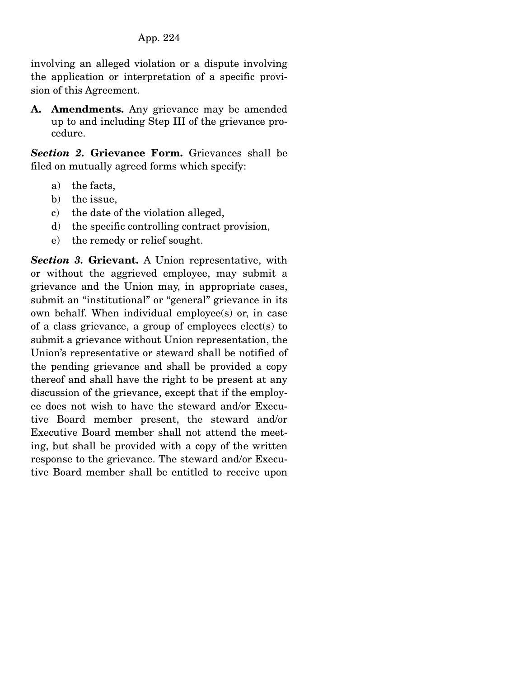involving an alleged violation or a dispute involving the application or interpretation of a specific provision of this Agreement.

**A. Amendments.** Any grievance may be amended up to and including Step III of the grievance procedure.

*Section 2.* **Grievance Form.** Grievances shall be filed on mutually agreed forms which specify:

- a) the facts,
- b) the issue,
- c) the date of the violation alleged,
- d) the specific controlling contract provision,
- e) the remedy or relief sought.

*Section 3.* **Grievant.** A Union representative, with or without the aggrieved employee, may submit a grievance and the Union may, in appropriate cases, submit an "institutional" or "general" grievance in its own behalf. When individual employee(s) or, in case of a class grievance, a group of employees elect(s) to submit a grievance without Union representation, the Union's representative or steward shall be notified of the pending grievance and shall be provided a copy thereof and shall have the right to be present at any discussion of the grievance, except that if the employee does not wish to have the steward and/or Executive Board member present, the steward and/or Executive Board member shall not attend the meeting, but shall be provided with a copy of the written response to the grievance. The steward and/or Executive Board member shall be entitled to receive upon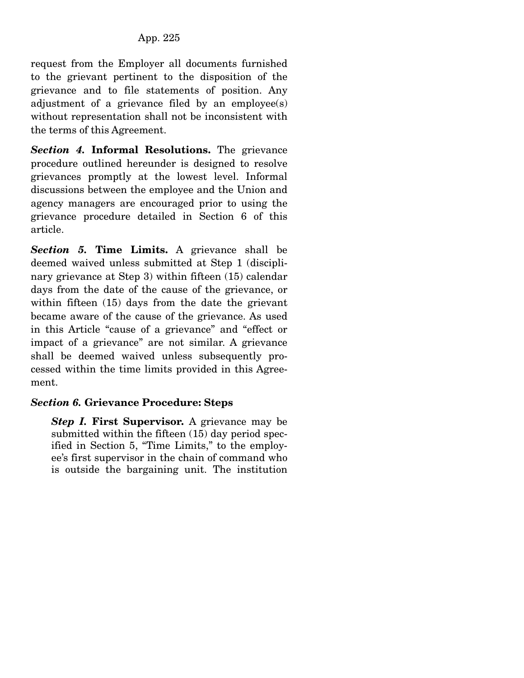request from the Employer all documents furnished to the grievant pertinent to the disposition of the grievance and to file statements of position. Any adjustment of a grievance filed by an employee(s) without representation shall not be inconsistent with the terms of this Agreement.

*Section 4.* **Informal Resolutions.** The grievance procedure outlined hereunder is designed to resolve grievances promptly at the lowest level. Informal discussions between the employee and the Union and agency managers are encouraged prior to using the grievance procedure detailed in Section 6 of this article.

*Section 5.* **Time Limits.** A grievance shall be deemed waived unless submitted at Step 1 (disciplinary grievance at Step 3) within fifteen (15) calendar days from the date of the cause of the grievance, or within fifteen (15) days from the date the grievant became aware of the cause of the grievance. As used in this Article "cause of a grievance" and "effect or impact of a grievance" are not similar. A grievance shall be deemed waived unless subsequently processed within the time limits provided in this Agreement.

# *Section 6.* **Grievance Procedure: Steps**

*Step I.* **First Supervisor.** A grievance may be submitted within the fifteen (15) day period specified in Section 5, "Time Limits," to the employee's first supervisor in the chain of command who is outside the bargaining unit. The institution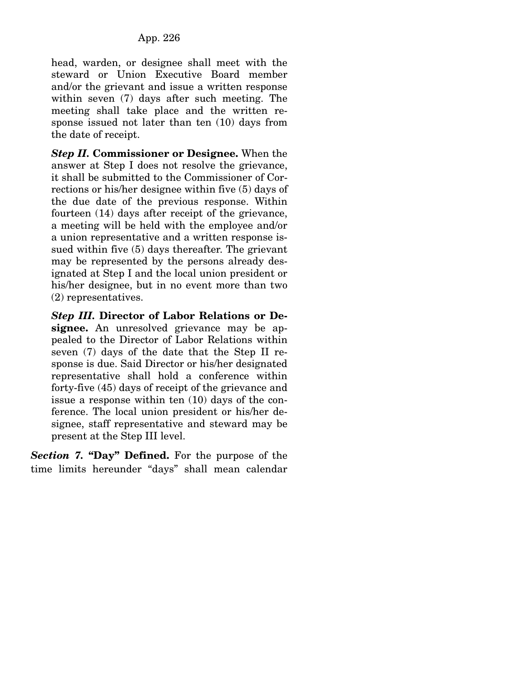head, warden, or designee shall meet with the steward or Union Executive Board member and/or the grievant and issue a written response within seven (7) days after such meeting. The meeting shall take place and the written response issued not later than ten (10) days from the date of receipt.

*Step II.* **Commissioner or Designee.** When the answer at Step I does not resolve the grievance, it shall be submitted to the Commissioner of Corrections or his/her designee within five (5) days of the due date of the previous response. Within fourteen (14) days after receipt of the grievance, a meeting will be held with the employee and/or a union representative and a written response issued within five (5) days thereafter. The grievant may be represented by the persons already designated at Step I and the local union president or his/her designee, but in no event more than two (2) representatives.

*Step III.* **Director of Labor Relations or Designee.** An unresolved grievance may be appealed to the Director of Labor Relations within seven (7) days of the date that the Step II response is due. Said Director or his/her designated representative shall hold a conference within forty-five (45) days of receipt of the grievance and issue a response within ten (10) days of the conference. The local union president or his/her designee, staff representative and steward may be present at the Step III level.

*Section 7.* **"Day" Defined.** For the purpose of the time limits hereunder "days" shall mean calendar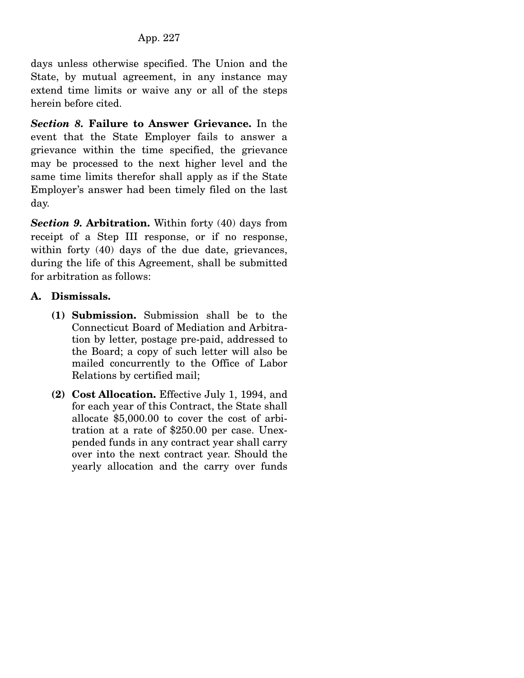days unless otherwise specified. The Union and the State, by mutual agreement, in any instance may extend time limits or waive any or all of the steps herein before cited.

*Section 8.* **Failure to Answer Grievance.** In the event that the State Employer fails to answer a grievance within the time specified, the grievance may be processed to the next higher level and the same time limits therefor shall apply as if the State Employer's answer had been timely filed on the last day.

*Section 9.* **Arbitration.** Within forty (40) days from receipt of a Step III response, or if no response, within forty (40) days of the due date, grievances, during the life of this Agreement, shall be submitted for arbitration as follows:

# **A. Dismissals.**

- **(1) Submission.** Submission shall be to the Connecticut Board of Mediation and Arbitration by letter, postage pre-paid, addressed to the Board; a copy of such letter will also be mailed concurrently to the Office of Labor Relations by certified mail;
- **(2) Cost Allocation.** Effective July 1, 1994, and for each year of this Contract, the State shall allocate \$5,000.00 to cover the cost of arbitration at a rate of \$250.00 per case. Unexpended funds in any contract year shall carry over into the next contract year. Should the yearly allocation and the carry over funds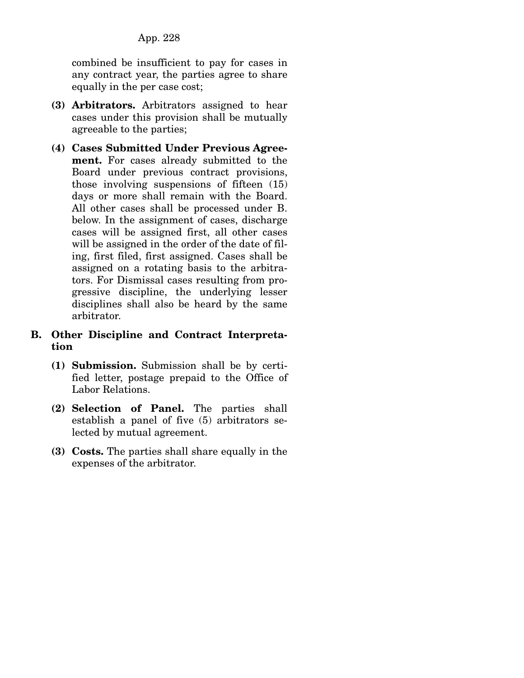combined be insufficient to pay for cases in any contract year, the parties agree to share equally in the per case cost;

- **(3) Arbitrators.** Arbitrators assigned to hear cases under this provision shall be mutually agreeable to the parties;
- **(4) Cases Submitted Under Previous Agreement.** For cases already submitted to the Board under previous contract provisions, those involving suspensions of fifteen (15) days or more shall remain with the Board. All other cases shall be processed under B. below. In the assignment of cases, discharge cases will be assigned first, all other cases will be assigned in the order of the date of filing, first filed, first assigned. Cases shall be assigned on a rotating basis to the arbitrators. For Dismissal cases resulting from progressive discipline, the underlying lesser disciplines shall also be heard by the same arbitrator.
- **B. Other Discipline and Contract Interpretation** 
	- **(1) Submission.** Submission shall be by certified letter, postage prepaid to the Office of Labor Relations.
	- **(2) Selection of Panel.** The parties shall establish a panel of five (5) arbitrators selected by mutual agreement.
	- **(3) Costs.** The parties shall share equally in the expenses of the arbitrator.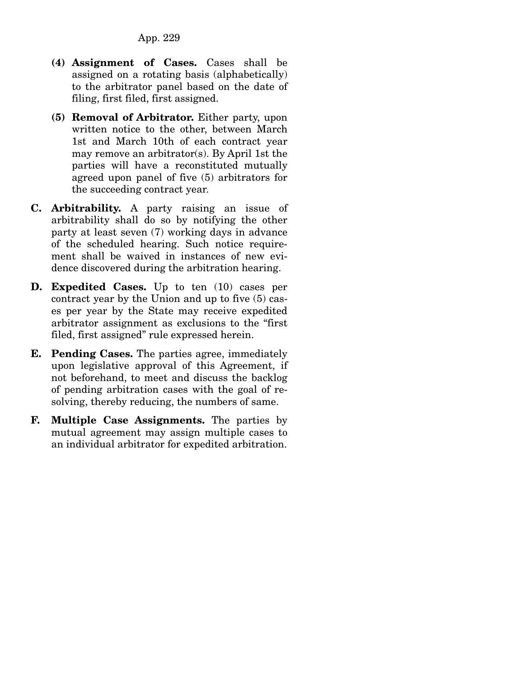- **(4) Assignment of Cases.** Cases shall be assigned on a rotating basis (alphabetically) to the arbitrator panel based on the date of filing, first filed, first assigned.
- **(5) Removal of Arbitrator.** Either party, upon written notice to the other, between March 1st and March 10th of each contract year may remove an arbitrator(s). By April 1st the parties will have a reconstituted mutually agreed upon panel of five (5) arbitrators for the succeeding contract year.
- **C. Arbitrability.** A party raising an issue of arbitrability shall do so by notifying the other party at least seven (7) working days in advance of the scheduled hearing. Such notice requirement shall be waived in instances of new evidence discovered during the arbitration hearing.
- **D. Expedited Cases.** Up to ten (10) cases per contract year by the Union and up to five (5) cases per year by the State may receive expedited arbitrator assignment as exclusions to the "first filed, first assigned" rule expressed herein.
- **E. Pending Cases.** The parties agree, immediately upon legislative approval of this Agreement, if not beforehand, to meet and discuss the backlog of pending arbitration cases with the goal of resolving, thereby reducing, the numbers of same.
- **F. Multiple Case Assignments.** The parties by mutual agreement may assign multiple cases to an individual arbitrator for expedited arbitration.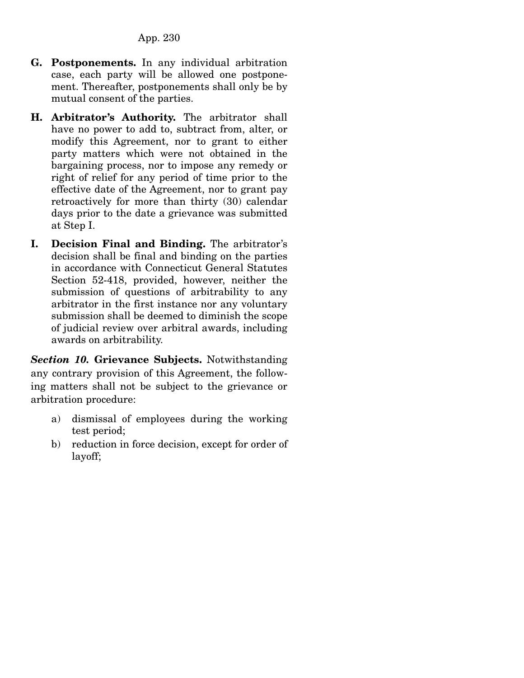- **G. Postponements.** In any individual arbitration case, each party will be allowed one postponement. Thereafter, postponements shall only be by mutual consent of the parties.
- **H. Arbitrator's Authority.** The arbitrator shall have no power to add to, subtract from, alter, or modify this Agreement, nor to grant to either party matters which were not obtained in the bargaining process, nor to impose any remedy or right of relief for any period of time prior to the effective date of the Agreement, nor to grant pay retroactively for more than thirty (30) calendar days prior to the date a grievance was submitted at Step I.
- **I. Decision Final and Binding.** The arbitrator's decision shall be final and binding on the parties in accordance with Connecticut General Statutes Section 52-418, provided, however, neither the submission of questions of arbitrability to any arbitrator in the first instance nor any voluntary submission shall be deemed to diminish the scope of judicial review over arbitral awards, including awards on arbitrability.

*Section 10.* **Grievance Subjects.** Notwithstanding any contrary provision of this Agreement, the following matters shall not be subject to the grievance or arbitration procedure:

- a) dismissal of employees during the working test period;
- b) reduction in force decision, except for order of layoff;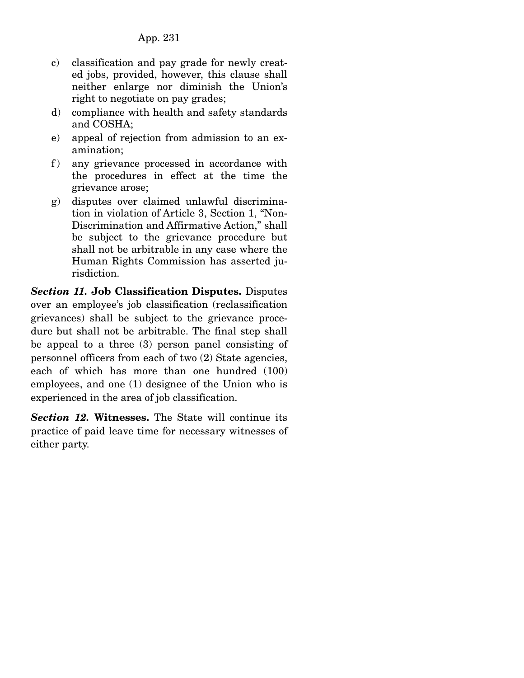- c) classification and pay grade for newly created jobs, provided, however, this clause shall neither enlarge nor diminish the Union's right to negotiate on pay grades;
- d) compliance with health and safety standards and COSHA;
- e) appeal of rejection from admission to an examination;
- f) any grievance processed in accordance with the procedures in effect at the time the grievance arose;
- g) disputes over claimed unlawful discrimination in violation of Article 3, Section 1, "Non-Discrimination and Affirmative Action," shall be subject to the grievance procedure but shall not be arbitrable in any case where the Human Rights Commission has asserted jurisdiction.

*Section 11.* **Job Classification Disputes.** Disputes over an employee's job classification (reclassification grievances) shall be subject to the grievance procedure but shall not be arbitrable. The final step shall be appeal to a three (3) person panel consisting of personnel officers from each of two (2) State agencies, each of which has more than one hundred (100) employees, and one (1) designee of the Union who is experienced in the area of job classification.

*Section 12.* **Witnesses.** The State will continue its practice of paid leave time for necessary witnesses of either party.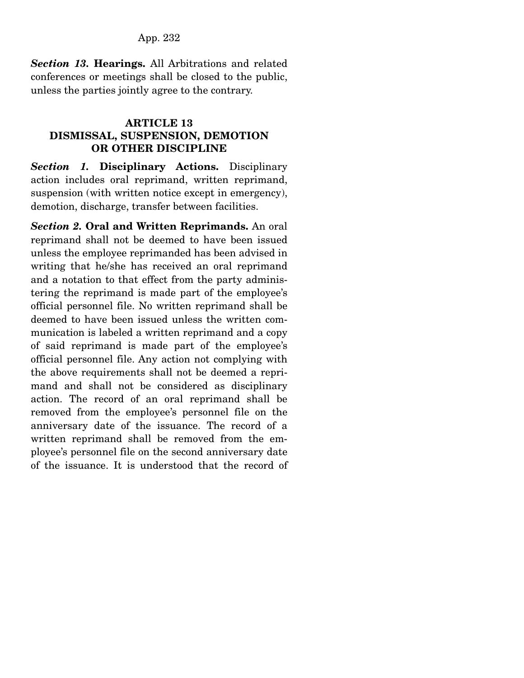*Section 13.* **Hearings.** All Arbitrations and related conferences or meetings shall be closed to the public, unless the parties jointly agree to the contrary.

# **ARTICLE 13 DISMISSAL, SUSPENSION, DEMOTION OR OTHER DISCIPLINE**

*Section 1.* **Disciplinary Actions.** Disciplinary action includes oral reprimand, written reprimand, suspension (with written notice except in emergency), demotion, discharge, transfer between facilities.

*Section 2.* **Oral and Written Reprimands.** An oral reprimand shall not be deemed to have been issued unless the employee reprimanded has been advised in writing that he/she has received an oral reprimand and a notation to that effect from the party administering the reprimand is made part of the employee's official personnel file. No written reprimand shall be deemed to have been issued unless the written communication is labeled a written reprimand and a copy of said reprimand is made part of the employee's official personnel file. Any action not complying with the above requirements shall not be deemed a reprimand and shall not be considered as disciplinary action. The record of an oral reprimand shall be removed from the employee's personnel file on the anniversary date of the issuance. The record of a written reprimand shall be removed from the employee's personnel file on the second anniversary date of the issuance. It is understood that the record of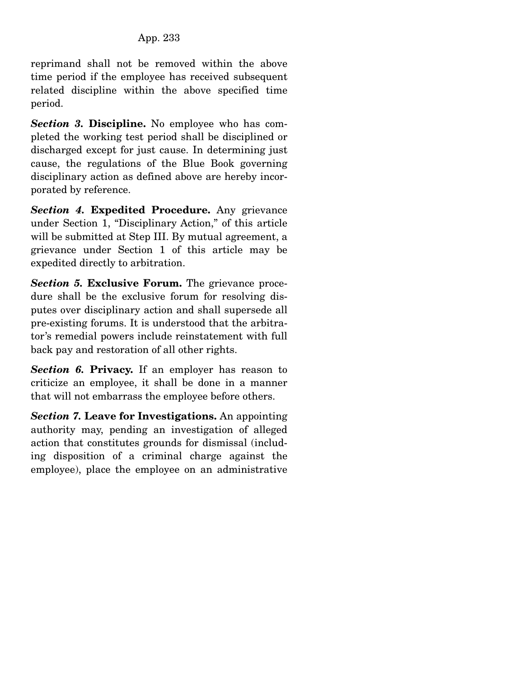reprimand shall not be removed within the above time period if the employee has received subsequent related discipline within the above specified time period.

*Section 3.* **Discipline.** No employee who has completed the working test period shall be disciplined or discharged except for just cause. In determining just cause, the regulations of the Blue Book governing disciplinary action as defined above are hereby incorporated by reference.

*Section 4.* **Expedited Procedure.** Any grievance under Section 1, "Disciplinary Action," of this article will be submitted at Step III. By mutual agreement, a grievance under Section 1 of this article may be expedited directly to arbitration.

*Section 5.* **Exclusive Forum.** The grievance procedure shall be the exclusive forum for resolving disputes over disciplinary action and shall supersede all pre-existing forums. It is understood that the arbitrator's remedial powers include reinstatement with full back pay and restoration of all other rights.

*Section 6.* **Privacy.** If an employer has reason to criticize an employee, it shall be done in a manner that will not embarrass the employee before others.

*Section 7.* **Leave for Investigations.** An appointing authority may, pending an investigation of alleged action that constitutes grounds for dismissal (including disposition of a criminal charge against the employee), place the employee on an administrative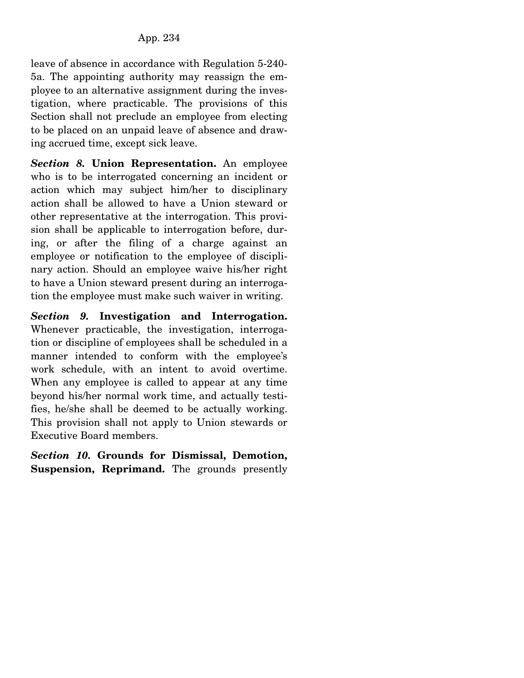leave of absence in accordance with Regulation 5-240- 5a. The appointing authority may reassign the employee to an alternative assignment during the investigation, where practicable. The provisions of this Section shall not preclude an employee from electing to be placed on an unpaid leave of absence and drawing accrued time, except sick leave.

*Section 8.* **Union Representation.** An employee who is to be interrogated concerning an incident or action which may subject him/her to disciplinary action shall be allowed to have a Union steward or other representative at the interrogation. This provision shall be applicable to interrogation before, during, or after the filing of a charge against an employee or notification to the employee of disciplinary action. Should an employee waive his/her right to have a Union steward present during an interrogation the employee must make such waiver in writing.

*Section 9.* **Investigation and Interrogation.**  Whenever practicable, the investigation, interrogation or discipline of employees shall be scheduled in a manner intended to conform with the employee's work schedule, with an intent to avoid overtime. When any employee is called to appear at any time beyond his/her normal work time, and actually testifies, he/she shall be deemed to be actually working. This provision shall not apply to Union stewards or Executive Board members.

*Section 10.* **Grounds for Dismissal, Demotion, Suspension, Reprimand.** The grounds presently